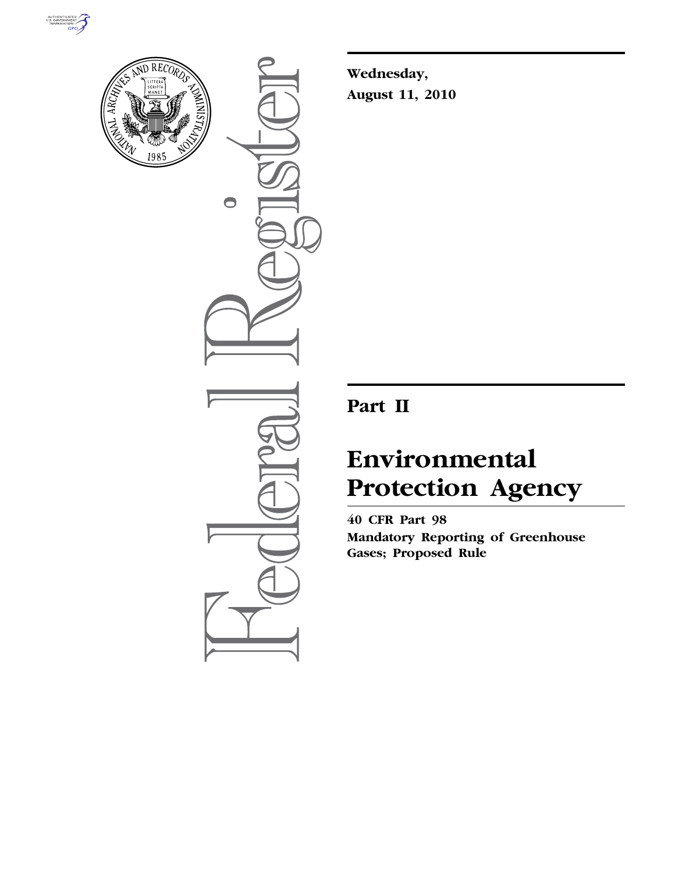



 $\bullet$ 

**Wednesday, August 11, 2010** 

# **Part II**

# **Environmental Protection Agency**

**40 CFR Part 98 Mandatory Reporting of Greenhouse Gases; Proposed Rule**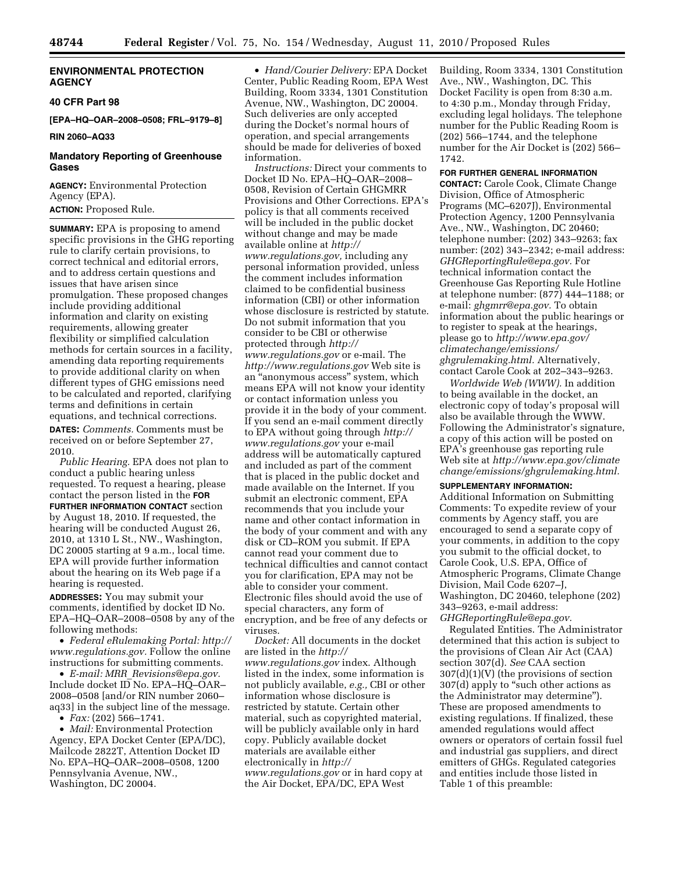#### **ENVIRONMENTAL PROTECTION AGENCY**

#### **40 CFR Part 98**

**[EPA–HQ–OAR–2008–0508; FRL–9179–8]** 

# **RIN 2060–AQ33**

# **Mandatory Reporting of Greenhouse Gases**

**AGENCY:** Environmental Protection Agency (EPA). **ACTION:** Proposed Rule.

**SUMMARY:** EPA is proposing to amend specific provisions in the GHG reporting rule to clarify certain provisions, to correct technical and editorial errors, and to address certain questions and issues that have arisen since promulgation. These proposed changes include providing additional information and clarity on existing requirements, allowing greater flexibility or simplified calculation methods for certain sources in a facility, amending data reporting requirements to provide additional clarity on when different types of GHG emissions need to be calculated and reported, clarifying terms and definitions in certain equations, and technical corrections. **DATES:** *Comments.* Comments must be received on or before September 27, 2010.

*Public Hearing.* EPA does not plan to conduct a public hearing unless requested. To request a hearing, please contact the person listed in the **FOR FURTHER INFORMATION CONTACT** section by August 18, 2010. If requested, the hearing will be conducted August 26, 2010, at 1310 L St., NW., Washington, DC 20005 starting at 9 a.m., local time. EPA will provide further information about the hearing on its Web page if a hearing is requested.

**ADDRESSES:** You may submit your comments, identified by docket ID No. EPA–HQ–OAR–2008–0508 by any of the following methods:

• *Federal eRulemaking Portal: [http://](http://www.regulations.gov)  [www.regulations.gov.](http://www.regulations.gov)* Follow the online instructions for submitting comments.

• *E-mail: MRR*\_*[Revisions@epa.gov.](mailto:MRR_Revisions@epa.gov)*  Include docket ID No. EPA–HQ–OAR– 2008–0508 [and/or RIN number 2060– aq33] in the subject line of the message.

• *Fax:* (202) 566–1741.

• *Mail:* Environmental Protection Agency, EPA Docket Center (EPA/DC), Mailcode 2822T, Attention Docket ID No. EPA–HQ–OAR–2008–0508, 1200 Pennsylvania Avenue, NW., Washington, DC 20004.

• *Hand/Courier Delivery:* EPA Docket Center, Public Reading Room, EPA West Building, Room 3334, 1301 Constitution Avenue, NW., Washington, DC 20004. Such deliveries are only accepted during the Docket's normal hours of operation, and special arrangements should be made for deliveries of boxed information.

*Instructions:* Direct your comments to Docket ID No. EPA–HQ–OAR–2008– 0508, Revision of Certain GHGMRR Provisions and Other Corrections. EPA's policy is that all comments received will be included in the public docket without change and may be made available online at *[http://](http://www.regulations.gov)  [www.regulations.gov,](http://www.regulations.gov)* including any personal information provided, unless the comment includes information claimed to be confidential business information (CBI) or other information whose disclosure is restricted by statute. Do not submit information that you consider to be CBI or otherwise protected through *[http://](http://www.regulations.gov)  [www.regulations.gov](http://www.regulations.gov)* or e-mail. The *<http://www.regulations.gov>* Web site is an ''anonymous access'' system, which means EPA will not know your identity or contact information unless you provide it in the body of your comment. If you send an e-mail comment directly to EPA without going through *[http://](http://www.regulations.gov) [www.regulations.gov](http://www.regulations.gov)* your e-mail address will be automatically captured and included as part of the comment that is placed in the public docket and made available on the Internet. If you submit an electronic comment, EPA recommends that you include your name and other contact information in the body of your comment and with any disk or CD–ROM you submit. If EPA cannot read your comment due to technical difficulties and cannot contact you for clarification, EPA may not be able to consider your comment. Electronic files should avoid the use of special characters, any form of encryption, and be free of any defects or viruses.

*Docket:* All documents in the docket are listed in the *[http://](http://www.regulations.gov) [www.regulations.gov](http://www.regulations.gov)* index. Although listed in the index, some information is not publicly available, *e.g.,* CBI or other information whose disclosure is restricted by statute. Certain other material, such as copyrighted material, will be publicly available only in hard copy. Publicly available docket materials are available either electronically in *[http://](http://www.regulations.gov) [www.regulations.gov](http://www.regulations.gov)* or in hard copy at the Air Docket, EPA/DC, EPA West

Building, Room 3334, 1301 Constitution Ave., NW., Washington, DC. This Docket Facility is open from 8:30 a.m. to 4:30 p.m., Monday through Friday, excluding legal holidays. The telephone number for the Public Reading Room is (202) 566–1744, and the telephone number for the Air Docket is (202) 566– 1742.

#### **FOR FURTHER GENERAL INFORMATION**

**CONTACT:** Carole Cook, Climate Change Division, Office of Atmospheric Programs (MC–6207J), Environmental Protection Agency, 1200 Pennsylvania Ave., NW., Washington, DC 20460; telephone number: (202) 343–9263; fax number: (202) 343–2342; e-mail address: *[GHGReportingRule@epa.gov.](mailto:GHGReportingRule@epa.gov)* For technical information contact the Greenhouse Gas Reporting Rule Hotline at telephone number: (877) 444–1188; or e-mail: *[ghgmrr@epa.gov.](mailto:ghgmrr@epa.gov)* To obtain information about the public hearings or to register to speak at the hearings, please go to *[http://www.epa.gov/](http://www.epa.gov/climatechange/emissions/ghgrulemaking.html) [climatechange/emissions/](http://www.epa.gov/climatechange/emissions/ghgrulemaking.html) [ghgrulemaking.html.](http://www.epa.gov/climatechange/emissions/ghgrulemaking.html)* Alternatively, contact Carole Cook at 202–343–9263.

*Worldwide Web (WWW).* In addition to being available in the docket, an electronic copy of today's proposal will also be available through the WWW. Following the Administrator's signature, a copy of this action will be posted on EPA's greenhouse gas reporting rule Web site at *[http://www.epa.gov/climate](http://www.epa.gov/climatechange/emissions/ghgrulemaking.html) [change/emissions/ghgrulemaking.html.](http://www.epa.gov/climatechange/emissions/ghgrulemaking.html)* 

# **SUPPLEMENTARY INFORMATION:**

Additional Information on Submitting Comments: To expedite review of your comments by Agency staff, you are encouraged to send a separate copy of your comments, in addition to the copy you submit to the official docket, to Carole Cook, U.S. EPA, Office of Atmospheric Programs, Climate Change Division, Mail Code 6207–J, Washington, DC 20460, telephone (202) 343–9263, e-mail address: *[GHGReportingRule@epa.gov.](mailto:GHGReportingRule@epa.gov)* 

Regulated Entities. The Administrator determined that this action is subject to the provisions of Clean Air Act (CAA) section 307(d). *See* CAA section 307(d)(1)(V) (the provisions of section 307(d) apply to "such other actions as the Administrator may determine''). These are proposed amendments to existing regulations. If finalized, these amended regulations would affect owners or operators of certain fossil fuel and industrial gas suppliers, and direct emitters of GHGs. Regulated categories and entities include those listed in Table 1 of this preamble: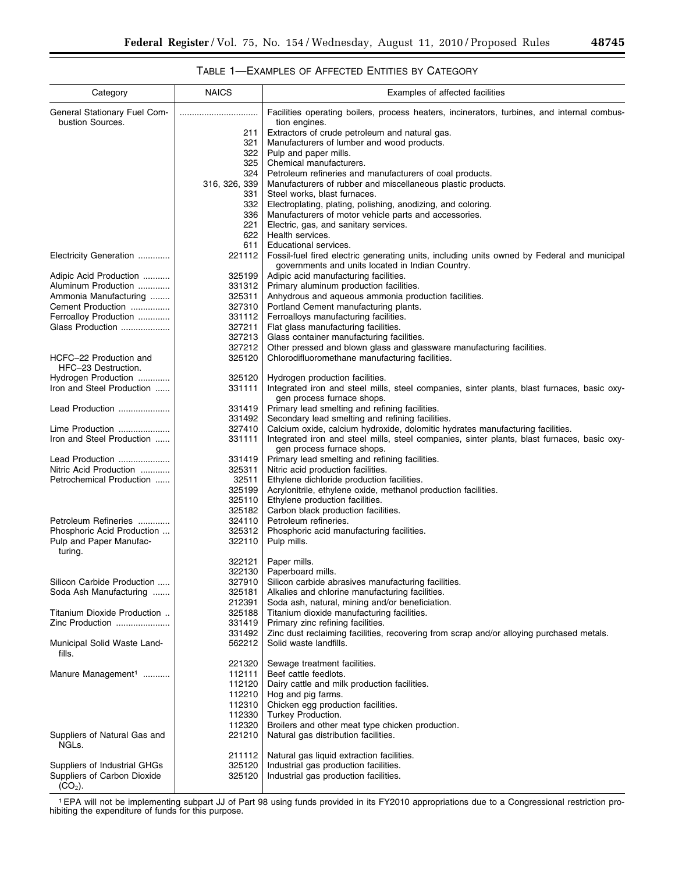#### Category NAICS Examples of affected facilities General Stationary Fuel Combustion Sources. Facilities operating boilers, process heaters, incinerators, turbines, and internal combustion engines. 211 | Extractors of crude petroleum and natural gas. 321 Manufacturers of lumber and wood products. 322 Pulp and paper mills.<br>325 Chemical manufactur Chemical manufacturers. 324 Petroleum refineries and manufacturers of coal products.<br>316, 326, 339 Manufacturers of rubber and miscellaneous plastic produ Manufacturers of rubber and miscellaneous plastic products. 331 | Steel works, blast furnaces. 332 Electroplating, plating, polishing, anodizing, and coloring. 336 | Manufacturers of motor vehicle parts and accessories. 221 Electric, gas, and sanitary services.<br>622 Health services. Health services. 611 Educational services. Electricity Generation ............. 221112 Fossil-fuel fired electric generating units, including units owned by Federal and municipal governments and units located in Indian Country. Adipic Acid Production ........... | 325199 | Adipic acid manufacturing facilities.<br>Aluminum Production ............. | 331312 | Primary aluminum production faciliti Aluminum Production .............. | 331312 | Primary aluminum production facilities.<br>Ammonia Manufacturing ........ | 325311 | Anhydrous and aqueous ammonia pro Ammonia Manufacturing ........ 325311 | Anhydrous and aqueous ammonia production facilities.<br>Cement Production ................ | 327310 | Portland Cement manufacturing plants. 327310 Portland Cement manufacturing plants. Ferroalloy Production .............. | 331112 | Ferroalloys manufacturing facilities.<br>Glass Production ...................... | 327211 | Flat glass manufacturing facilities. Flat glass manufacturing facilities. 327213 Glass container manufacturing facilities. 327212 | Other pressed and blown glass and glassware manufacturing facilities. HCFC–22 Production and HFC–23 Destruction. 325120 Chlorodifluoromethane manufacturing facilities. Hydrogen Production .............. 325120 | Hydrogen production facilities.<br>Iron and Steel Production ...... 331111 | Integrated iron and steel mills Iron and Steel Production ...... 331111 | Integrated iron and steel mills, steel companies, sinter plants, blast furnaces, basic oxygen process furnace shops. Lead Production ..................... 331419 Primary lead smelting and refining facilities. 331492 Secondary lead smelting and refining facilities.<br>327410 Calcium oxide, calcium hydroxide, dolomitic hy Lime Production ........................ | 327410 | Calcium oxide, calcium hydroxide, dolomitic hydrates manufacturing facilities. Iron and Steel Production ...... 331111 | Integrated iron and steel mills, steel companies, sinter plants, blast furnaces, basic oxygen process furnace shops. Lead Production ..................... 331419 Primary lead smelting and refining facilities. Nitric Acid Production ............. | 325311 | Nitric acid production facilities.<br>
Petrochemical Production ...... | 32511 | Ethylene dichloride production Ethylene dichloride production facilities. 325199 Acrylonitrile, ethylene oxide, methanol production facilities. 325110 Ethylene production facilities. 325182 Carbon black production facilities. Petroleum Refineries .............. | 324110 | Petroleum refineries. Phosphoric Acid Production ... | 325312 | Phosphoric acid manufacturing facilities. Pulp and Paper Manufacturing. 322110 | Pulp mills. 322121 Paper mills.<br>322130 Paperboard 322130 | Paperboard mills.<br>327910 | Silicon carbide ab Silicon Carbide Production ..... 327910 Silicon carbide abrasives manufacturing facilities.<br>Soda Ash Manufacturing ....... 325181 Alkalies and chlorine manufacturing facilities. Soda Ash Manufacturing ....... | 325181 | Alkalies and chlorine manufacturing facilities. 212391 | Soda ash, natural, mining and/or beneficiation. Titanium Dioxide Production .. 325188 Titanium dioxide manufacturing facilities. Zinc Production ...................... 331492 | Zinc dust reclaiming facilities, recovering from scrap and/or alloying purchased metals.<br>562212 | Solid waste landfills. Municipal Solid Waste Landfills. Solid waste landfills. 221320 | Sewage treatment facilities. Manure Management<sup>1</sup> ............ | 112111 | Beef cattle feedlots.<br>112120 | Dairy cattle and mill Dairy cattle and milk production facilities. 112210 | Hog and pig farms.<br>112310 | Chicken egg produc Chicken egg production facilities. 112330 Turkey Production. 112320 Broilers and other meat type chicken production. Suppliers of Natural Gas and NGLs. 221210 | Natural gas distribution facilities. 211112 | Natural gas liquid extraction facilities. Suppliers of Industrial GHGs<br>
Suppliers of Carbon Dioxide<br>
325120 | Industrial gas production facilities. Suppliers of Carbon Dioxide  $(CO<sub>2</sub>)$ . Industrial gas production facilities.

# TABLE 1—EXAMPLES OF AFFECTED ENTITIES BY CATEGORY

1EPA will not be implementing subpart JJ of Part 98 using funds provided in its FY2010 appropriations due to a Congressional restriction prohibiting the expenditure of funds for this purpose.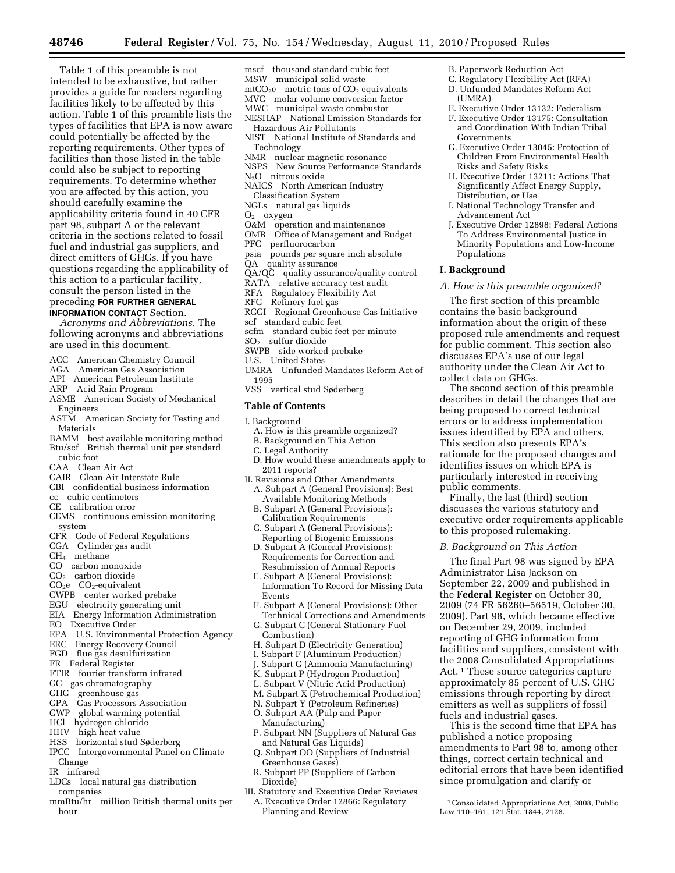Table 1 of this preamble is not intended to be exhaustive, but rather provides a guide for readers regarding facilities likely to be affected by this action. Table 1 of this preamble lists the types of facilities that EPA is now aware could potentially be affected by the reporting requirements. Other types of facilities than those listed in the table could also be subject to reporting requirements. To determine whether you are affected by this action, you should carefully examine the applicability criteria found in 40 CFR part 98, subpart A or the relevant criteria in the sections related to fossil fuel and industrial gas suppliers, and direct emitters of GHGs. If you have questions regarding the applicability of this action to a particular facility, consult the person listed in the preceding **FOR FURTHER GENERAL INFORMATION CONTACT** Section.

*Acronyms and Abbreviations.* The following acronyms and abbreviations are used in this document.

- ACC American Chemistry Council
- AGA American Gas Association
- API American Petroleum Institute<br>ARP Acid Rain Program
- Acid Rain Program
- ASME American Society of Mechanical Engineers
- ASTM American Society for Testing and Materials
- BAMM best available monitoring method Btu/scf British thermal unit per standard
- cubic foot CAA Clean Air Act
- CAIR Clean Air Interstate Rule
- CBI confidential business information
- cc cubic centimeters
- CE calibration error
- CEMS continuous emission monitoring system
- CFR Code of Federal Regulations
- CGA Cylinder gas audit
- CH4 methane
- CO carbon monoxide
- CO2 carbon dioxide
- $CO<sub>2</sub>e CO<sub>2</sub>$ -equivalent
- CWPB center worked prebake
- EGU electricity generating unit
- 
- EIA Energy Information Administration
- EO Executive Order
- EPA U.S. Environmental Protection Agency
- ERC Energy Recovery Council
- FGD flue gas desulfurization
- FR Federal Register
- FTIR fourier transform infrared
- GC gas chromatography<br>GHG greenhouse gas
- greenhouse gas
- GPA Gas Processors Association
- GWP global warming potential
- HCl hydrogen chloride
- HHV high heat value
- HSS horizontal stud Søderberg
- IPCC Intergovernmental Panel on Climate Change
- IR infrared
- LDCs local natural gas distribution companies
- mmBtu/hr million British thermal units per hour
- mscf thousand standard cubic feet MSW municipal solid waste
- $mtCO<sub>2</sub>e$  metric tons of  $CO<sub>2</sub>$  equivalents
- 
- MVC molar volume conversion factor MWC municipal waste combustor
- NESHAP National Emission Standards for
- Hazardous Air Pollutants NIST National Institute of Standards and
- Technology
- NMR nuclear magnetic resonance
- NSPS New Source Performance Standards
- N2O nitrous oxide
- NAICS North American Industry
- Classification System
- NGLs natural gas liquids
- $O<sub>2</sub>$  oxygen
- O&M operation and maintenance
- OMB Office of Management and Budget
- PFC perfluorocarbon
- psia pounds per square inch absolute
- QA quality assurance
- QA/QC quality assurance/quality control
- RATA relative accuracy test audit
- RFA Regulatory Flexibility Act<br>RFG Refinery fuel gas
- Refinery fuel gas
- RGGI Regional Greenhouse Gas Initiative
- scf standard cubic feet
- scfm standard cubic feet per minute
- $SO<sub>2</sub>$  sulfur dioxide
- SWPB side worked prebake
- U.S. United States
- UMRA Unfunded Mandates Reform Act of 1995
- VSS vertical stud Søderberg

#### **Table of Contents**

- I. Background
- A. How is this preamble organized?
- B. Background on This Action
- C. Legal Authority
- D. How would these amendments apply to 2011 reports?
- II. Revisions and Other Amendments A. Subpart A (General Provisions): Best
	- Available Monitoring Methods B. Subpart A (General Provisions):
	- Calibration Requirements C. Subpart A (General Provisions):
	- Reporting of Biogenic Emissions D. Subpart A (General Provisions): Requirements for Correction and Resubmission of Annual Reports
	- E. Subpart A (General Provisions): Information To Record for Missing Data Events
	- F. Subpart A (General Provisions): Other Technical Corrections and Amendments
	- G. Subpart C (General Stationary Fuel Combustion)
	- H. Subpart D (Electricity Generation)
	- I. Subpart F (Aluminum Production)
	- J. Subpart G (Ammonia Manufacturing)
	- K. Subpart P (Hydrogen Production)
	- L. Subpart V (Nitric Acid Production)
- M. Subpart X (Petrochemical Production)
- N. Subpart Y (Petroleum Refineries)
- O. Subpart AA (Pulp and Paper Manufacturing)
- P. Subpart NN (Suppliers of Natural Gas and Natural Gas Liquids)
- Q. Subpart OO (Suppliers of Industrial Greenhouse Gases)
- R. Subpart PP (Suppliers of Carbon Dioxide)
- III. Statutory and Executive Order Reviews A. Executive Order 12866: Regulatory Planning and Review

B. Paperwork Reduction Act C. Regulatory Flexibility Act (RFA)

Risks and Safety Risks

Distribution, or Use

Advancement Act

Populations **I. Background** 

collect data on GHGs.

public comments.

(UMRA)

Governments

D. Unfunded Mandates Reform Act

E. Executive Order 13132: Federalism F. Executive Order 13175: Consultation and Coordination With Indian Tribal

G. Executive Order 13045: Protection of Children From Environmental Health

H. Executive Order 13211: Actions That Significantly Affect Energy Supply,

J. Executive Order 12898: Federal Actions To Address Environmental Justice in Minority Populations and Low-Income

I. National Technology Transfer and

*A. How is this preamble organized?*  The first section of this preamble contains the basic background information about the origin of these proposed rule amendments and request for public comment. This section also discusses EPA's use of our legal authority under the Clean Air Act to

The second section of this preamble describes in detail the changes that are being proposed to correct technical errors or to address implementation issues identified by EPA and others. This section also presents EPA's rationale for the proposed changes and identifies issues on which EPA is particularly interested in receiving

Finally, the last (third) section discusses the various statutory and executive order requirements applicable

The final Part 98 was signed by EPA

to this proposed rulemaking. *B. Background on This Action* 

Administrator Lisa Jackson on September 22, 2009 and published in the **Federal Register** on October 30, 2009 (74 FR 56260–56519, October 30, 2009). Part 98, which became effective on December 29, 2009, included reporting of GHG information from facilities and suppliers, consistent with the 2008 Consolidated Appropriations Act. 1 These source categories capture approximately 85 percent of U.S. GHG emissions through reporting by direct emitters as well as suppliers of fossil

1Consolidated Appropriations Act, 2008, Public

This is the second time that EPA has

amendments to Part 98 to, among other things, correct certain technical and editorial errors that have been identified since promulgation and clarify or

Law 110–161, 121 Stat. 1844, 2128.

fuels and industrial gases.

published a notice proposing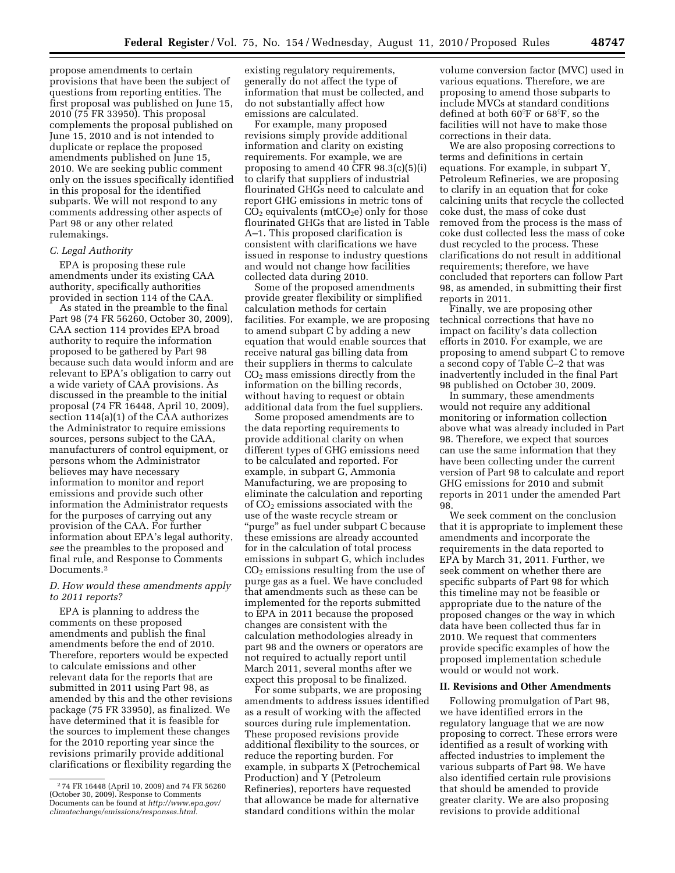propose amendments to certain provisions that have been the subject of questions from reporting entities. The first proposal was published on June 15, 2010 (75 FR 33950). This proposal complements the proposal published on June 15, 2010 and is not intended to duplicate or replace the proposed amendments published on June 15, 2010. We are seeking public comment only on the issues specifically identified in this proposal for the identified subparts. We will not respond to any comments addressing other aspects of Part 98 or any other related rulemakings.

#### *C. Legal Authority*

EPA is proposing these rule amendments under its existing CAA authority, specifically authorities provided in section 114 of the CAA.

As stated in the preamble to the final Part 98 (74 FR 56260, October 30, 2009), CAA section 114 provides EPA broad authority to require the information proposed to be gathered by Part 98 because such data would inform and are relevant to EPA's obligation to carry out a wide variety of CAA provisions. As discussed in the preamble to the initial proposal (74 FR 16448, April 10, 2009), section 114(a)(1) of the CAA authorizes the Administrator to require emissions sources, persons subject to the CAA, manufacturers of control equipment, or persons whom the Administrator believes may have necessary information to monitor and report emissions and provide such other information the Administrator requests for the purposes of carrying out any provision of the CAA. For further information about EPA's legal authority, *see* the preambles to the proposed and final rule, and Response to Comments Documents.<sup>2</sup>

# *D. How would these amendments apply to 2011 reports?*

EPA is planning to address the comments on these proposed amendments and publish the final amendments before the end of 2010. Therefore, reporters would be expected to calculate emissions and other relevant data for the reports that are submitted in 2011 using Part 98, as amended by this and the other revisions package (75 FR 33950), as finalized. We have determined that it is feasible for the sources to implement these changes for the 2010 reporting year since the revisions primarily provide additional clarifications or flexibility regarding the

existing regulatory requirements, generally do not affect the type of information that must be collected, and do not substantially affect how emissions are calculated.

For example, many proposed revisions simply provide additional information and clarity on existing requirements. For example, we are proposing to amend 40 CFR 98.3(c)(5)(i) to clarify that suppliers of industrial flourinated GHGs need to calculate and report GHG emissions in metric tons of  $CO<sub>2</sub>$  equivalents (mtCO<sub>2</sub>e) only for those flourinated GHGs that are listed in Table A–1. This proposed clarification is consistent with clarifications we have issued in response to industry questions and would not change how facilities collected data during 2010.

Some of the proposed amendments provide greater flexibility or simplified calculation methods for certain facilities. For example, we are proposing to amend subpart C by adding a new equation that would enable sources that receive natural gas billing data from their suppliers in therms to calculate CO2 mass emissions directly from the information on the billing records, without having to request or obtain additional data from the fuel suppliers.

Some proposed amendments are to the data reporting requirements to provide additional clarity on when different types of GHG emissions need to be calculated and reported. For example, in subpart G, Ammonia Manufacturing, we are proposing to eliminate the calculation and reporting of  $CO<sub>2</sub>$  emissions associated with the use of the waste recycle stream or ''purge'' as fuel under subpart C because these emissions are already accounted for in the calculation of total process emissions in subpart G, which includes  $CO<sub>2</sub>$  emissions resulting from the use of purge gas as a fuel. We have concluded that amendments such as these can be implemented for the reports submitted to EPA in 2011 because the proposed changes are consistent with the calculation methodologies already in part 98 and the owners or operators are not required to actually report until March 2011, several months after we expect this proposal to be finalized.

For some subparts, we are proposing amendments to address issues identified as a result of working with the affected sources during rule implementation. These proposed revisions provide additional flexibility to the sources, or reduce the reporting burden. For example, in subparts X (Petrochemical Production) and Y (Petroleum Refineries), reporters have requested that allowance be made for alternative standard conditions within the molar

volume conversion factor (MVC) used in various equations. Therefore, we are proposing to amend those subparts to include MVCs at standard conditions defined at both  $60^{\circ}$ F or  $68^{\circ}$ F, so the facilities will not have to make those corrections in their data.

We are also proposing corrections to terms and definitions in certain equations. For example, in subpart Y, Petroleum Refineries, we are proposing to clarify in an equation that for coke calcining units that recycle the collected coke dust, the mass of coke dust removed from the process is the mass of coke dust collected less the mass of coke dust recycled to the process. These clarifications do not result in additional requirements; therefore, we have concluded that reporters can follow Part 98, as amended, in submitting their first reports in 2011.

Finally, we are proposing other technical corrections that have no impact on facility's data collection efforts in 2010. For example, we are proposing to amend subpart C to remove a second copy of Table C–2 that was inadvertently included in the final Part 98 published on October 30, 2009.

In summary, these amendments would not require any additional monitoring or information collection above what was already included in Part 98. Therefore, we expect that sources can use the same information that they have been collecting under the current version of Part 98 to calculate and report GHG emissions for 2010 and submit reports in 2011 under the amended Part 98.

We seek comment on the conclusion that it is appropriate to implement these amendments and incorporate the requirements in the data reported to EPA by March 31, 2011. Further, we seek comment on whether there are specific subparts of Part 98 for which this timeline may not be feasible or appropriate due to the nature of the proposed changes or the way in which data have been collected thus far in 2010. We request that commenters provide specific examples of how the proposed implementation schedule would or would not work.

#### **II. Revisions and Other Amendments**

Following promulgation of Part 98, we have identified errors in the regulatory language that we are now proposing to correct. These errors were identified as a result of working with affected industries to implement the various subparts of Part 98. We have also identified certain rule provisions that should be amended to provide greater clarity. We are also proposing revisions to provide additional

<sup>2</sup> 74 FR 16448 (April 10, 2009) and 74 FR 56260 (October 30, 2009). Response to Comments Documents can be found at *[http://www.epa.gov/](http://www.epa.gov/climatechange/emissions/responses.html) [climatechange/emissions/responses.html.](http://www.epa.gov/climatechange/emissions/responses.html)*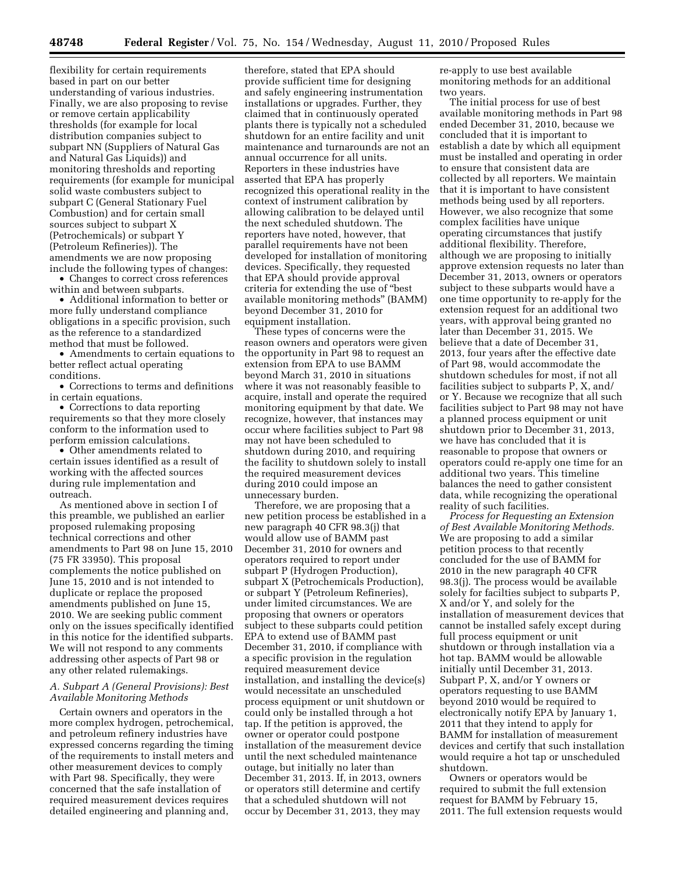flexibility for certain requirements based in part on our better understanding of various industries. Finally, we are also proposing to revise or remove certain applicability thresholds (for example for local distribution companies subject to subpart NN (Suppliers of Natural Gas and Natural Gas Liquids)) and monitoring thresholds and reporting requirements (for example for municipal solid waste combusters subject to subpart C (General Stationary Fuel Combustion) and for certain small sources subject to subpart X (Petrochemicals) or subpart Y (Petroleum Refineries)). The amendments we are now proposing include the following types of changes:

• Changes to correct cross references within and between subparts.

• Additional information to better or more fully understand compliance obligations in a specific provision, such as the reference to a standardized method that must be followed.

• Amendments to certain equations to better reflect actual operating conditions.

• Corrections to terms and definitions in certain equations.

• Corrections to data reporting requirements so that they more closely conform to the information used to perform emission calculations.

• Other amendments related to certain issues identified as a result of working with the affected sources during rule implementation and outreach.

As mentioned above in section I of this preamble, we published an earlier proposed rulemaking proposing technical corrections and other amendments to Part 98 on June 15, 2010 (75 FR 33950). This proposal complements the notice published on June 15, 2010 and is not intended to duplicate or replace the proposed amendments published on June 15, 2010. We are seeking public comment only on the issues specifically identified in this notice for the identified subparts. We will not respond to any comments addressing other aspects of Part 98 or any other related rulemakings.

# *A. Subpart A (General Provisions): Best Available Monitoring Methods*

Certain owners and operators in the more complex hydrogen, petrochemical, and petroleum refinery industries have expressed concerns regarding the timing of the requirements to install meters and other measurement devices to comply with Part 98. Specifically, they were concerned that the safe installation of required measurement devices requires detailed engineering and planning and,

therefore, stated that EPA should provide sufficient time for designing and safely engineering instrumentation installations or upgrades. Further, they claimed that in continuously operated plants there is typically not a scheduled shutdown for an entire facility and unit maintenance and turnarounds are not an annual occurrence for all units. Reporters in these industries have asserted that EPA has properly recognized this operational reality in the context of instrument calibration by allowing calibration to be delayed until the next scheduled shutdown. The reporters have noted, however, that parallel requirements have not been developed for installation of monitoring devices. Specifically, they requested that EPA should provide approval criteria for extending the use of ''best available monitoring methods'' (BAMM) beyond December 31, 2010 for equipment installation.

These types of concerns were the reason owners and operators were given the opportunity in Part 98 to request an extension from EPA to use BAMM beyond March 31, 2010 in situations where it was not reasonably feasible to acquire, install and operate the required monitoring equipment by that date. We recognize, however, that instances may occur where facilities subject to Part 98 may not have been scheduled to shutdown during 2010, and requiring the facility to shutdown solely to install the required measurement devices during 2010 could impose an unnecessary burden.

Therefore, we are proposing that a new petition process be established in a new paragraph 40 CFR 98.3(j) that would allow use of BAMM past December 31, 2010 for owners and operators required to report under subpart P (Hydrogen Production), subpart X (Petrochemicals Production), or subpart Y (Petroleum Refineries), under limited circumstances. We are proposing that owners or operators subject to these subparts could petition EPA to extend use of BAMM past December 31, 2010, if compliance with a specific provision in the regulation required measurement device installation, and installing the device(s) would necessitate an unscheduled process equipment or unit shutdown or could only be installed through a hot tap. If the petition is approved, the owner or operator could postpone installation of the measurement device until the next scheduled maintenance outage, but initially no later than December 31, 2013. If, in 2013, owners or operators still determine and certify that a scheduled shutdown will not occur by December 31, 2013, they may

re-apply to use best available monitoring methods for an additional two years.

The initial process for use of best available monitoring methods in Part 98 ended December 31, 2010, because we concluded that it is important to establish a date by which all equipment must be installed and operating in order to ensure that consistent data are collected by all reporters. We maintain that it is important to have consistent methods being used by all reporters. However, we also recognize that some complex facilities have unique operating circumstances that justify additional flexibility. Therefore, although we are proposing to initially approve extension requests no later than December 31, 2013, owners or operators subject to these subparts would have a one time opportunity to re-apply for the extension request for an additional two years, with approval being granted no later than December 31, 2015. We believe that a date of December 31, 2013, four years after the effective date of Part 98, would accommodate the shutdown schedules for most, if not all facilities subject to subparts P, X, and/ or Y. Because we recognize that all such facilities subject to Part 98 may not have a planned process equipment or unit shutdown prior to December 31, 2013, we have has concluded that it is reasonable to propose that owners or operators could re-apply one time for an additional two years. This timeline balances the need to gather consistent data, while recognizing the operational reality of such facilities.

*Process for Requesting an Extension of Best Available Monitoring Methods.*  We are proposing to add a similar petition process to that recently concluded for the use of BAMM for 2010 in the new paragraph 40 CFR 98.3(j). The process would be available solely for facilties subject to subparts P, X and/or Y, and solely for the installation of measurement devices that cannot be installed safely except during full process equipment or unit shutdown or through installation via a hot tap. BAMM would be allowable initially until December 31, 2013. Subpart P, X, and/or Y owners or operators requesting to use BAMM beyond 2010 would be required to electronically notify EPA by January 1, 2011 that they intend to apply for BAMM for installation of measurement devices and certify that such installation would require a hot tap or unscheduled shutdown.

Owners or operators would be required to submit the full extension request for BAMM by February 15, 2011. The full extension requests would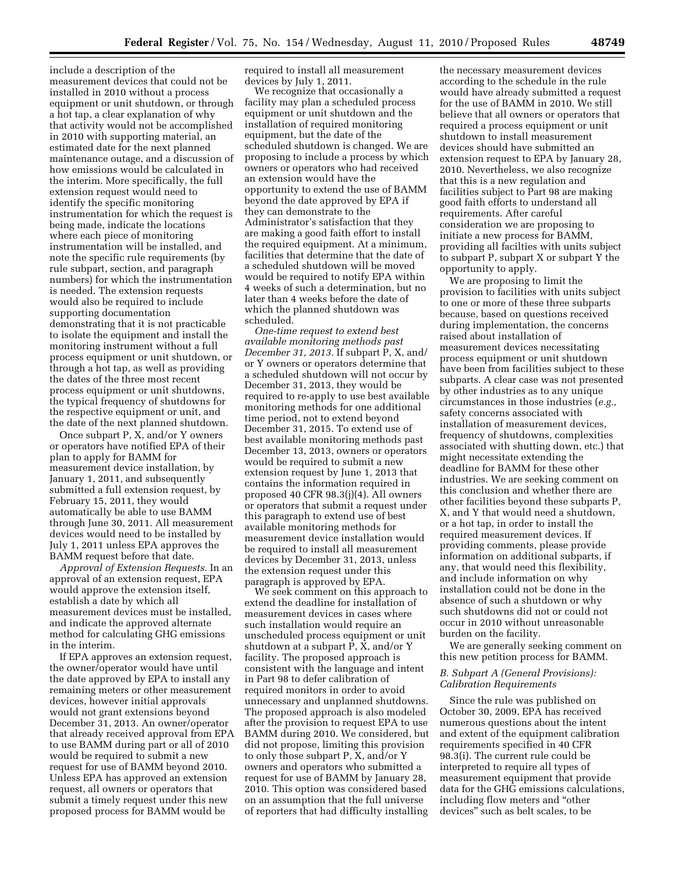include a description of the measurement devices that could not be installed in 2010 without a process equipment or unit shutdown, or through a hot tap, a clear explanation of why that activity would not be accomplished in 2010 with supporting material, an estimated date for the next planned maintenance outage, and a discussion of how emissions would be calculated in the interim. More specifically, the full extension request would need to identify the specific monitoring instrumentation for which the request is being made, indicate the locations where each piece of monitoring instrumentation will be installed, and note the specific rule requirements (by rule subpart, section, and paragraph numbers) for which the instrumentation is needed. The extension requests would also be required to include supporting documentation demonstrating that it is not practicable to isolate the equipment and install the monitoring instrument without a full process equipment or unit shutdown, or through a hot tap, as well as providing the dates of the three most recent process equipment or unit shutdowns, the typical frequency of shutdowns for the respective equipment or unit, and the date of the next planned shutdown.

Once subpart P, X, and/or Y owners or operators have notified EPA of their plan to apply for BAMM for measurement device installation, by January 1, 2011, and subsequently submitted a full extension request, by February 15, 2011, they would automatically be able to use BAMM through June 30, 2011. All measurement devices would need to be installed by July 1, 2011 unless EPA approves the BAMM request before that date.

*Approval of Extension Requests.* In an approval of an extension request, EPA would approve the extension itself, establish a date by which all measurement devices must be installed, and indicate the approved alternate method for calculating GHG emissions in the interim.

If EPA approves an extension request, the owner/operator would have until the date approved by EPA to install any remaining meters or other measurement devices, however initial approvals would not grant extensions beyond December 31, 2013. An owner/operator that already received approval from EPA to use BAMM during part or all of 2010 would be required to submit a new request for use of BAMM beyond 2010. Unless EPA has approved an extension request, all owners or operators that submit a timely request under this new proposed process for BAMM would be

required to install all measurement devices by July 1, 2011.

We recognize that occasionally a facility may plan a scheduled process equipment or unit shutdown and the installation of required monitoring equipment, but the date of the scheduled shutdown is changed. We are proposing to include a process by which owners or operators who had received an extension would have the opportunity to extend the use of BAMM beyond the date approved by EPA if they can demonstrate to the Administrator's satisfaction that they are making a good faith effort to install the required equipment. At a minimum, facilities that determine that the date of a scheduled shutdown will be moved would be required to notify EPA within 4 weeks of such a determination, but no later than 4 weeks before the date of which the planned shutdown was scheduled.

*One-time request to extend best available monitoring methods past December 31, 2013.* If subpart P, X, and/ or Y owners or operators determine that a scheduled shutdown will not occur by December 31, 2013, they would be required to re-apply to use best available monitoring methods for one additional time period, not to extend beyond December 31, 2015. To extend use of best available monitoring methods past December 13, 2013, owners or operators would be required to submit a new extension request by June 1, 2013 that contains the information required in proposed 40 CFR 98.3(j)(4). All owners or operators that submit a request under this paragraph to extend use of best available monitoring methods for measurement device installation would be required to install all measurement devices by December 31, 2013, unless the extension request under this paragraph is approved by EPA.

We seek comment on this approach to extend the deadline for installation of measurement devices in cases where such installation would require an unscheduled process equipment or unit shutdown at a subpart P, X, and/or Y facility. The proposed approach is consistent with the language and intent in Part 98 to defer calibration of required monitors in order to avoid unnecessary and unplanned shutdowns. The proposed approach is also modeled after the provision to request EPA to use BAMM during 2010. We considered, but did not propose, limiting this provision to only those subpart P, X, and/or Y owners and operators who submitted a request for use of BAMM by January 28, 2010. This option was considered based on an assumption that the full universe of reporters that had difficulty installing

the necessary measurement devices according to the schedule in the rule would have already submitted a request for the use of BAMM in 2010. We still believe that all owners or operators that required a process equipment or unit shutdown to install measurement devices should have submitted an extension request to EPA by January 28, 2010. Nevertheless, we also recognize that this is a new regulation and facilities subject to Part 98 are making good faith efforts to understand all requirements. After careful consideration we are proposing to initiate a new process for BAMM, providing all facilties with units subject to subpart P, subpart X or subpart Y the opportunity to apply.

We are proposing to limit the provision to facilities with units subject to one or more of these three subparts because, based on questions received during implementation, the concerns raised about installation of measurement devices necessitating process equipment or unit shutdown have been from facilities subject to these subparts. A clear case was not presented by other industries as to any unique circumstances in those industries (*e.g.,*  safety concerns associated with installation of measurement devices, frequency of shutdowns, complexities associated with shutting down, etc.) that might necessitate extending the deadline for BAMM for these other industries. We are seeking comment on this conclusion and whether there are other facilities beyond these subparts P, X, and Y that would need a shutdown, or a hot tap, in order to install the required measurement devices. If providing comments, please provide information on additional subparts, if any, that would need this flexibility, and include information on why installation could not be done in the absence of such a shutdown or why such shutdowns did not or could not occur in 2010 without unreasonable burden on the facility.

We are generally seeking comment on this new petition process for BAMM.

# *B. Subpart A (General Provisions): Calibration Requirements*

Since the rule was published on October 30, 2009, EPA has received numerous questions about the intent and extent of the equipment calibration requirements specified in 40 CFR 98.3(i). The current rule could be interpreted to require all types of measurement equipment that provide data for the GHG emissions calculations, including flow meters and ''other devices'' such as belt scales, to be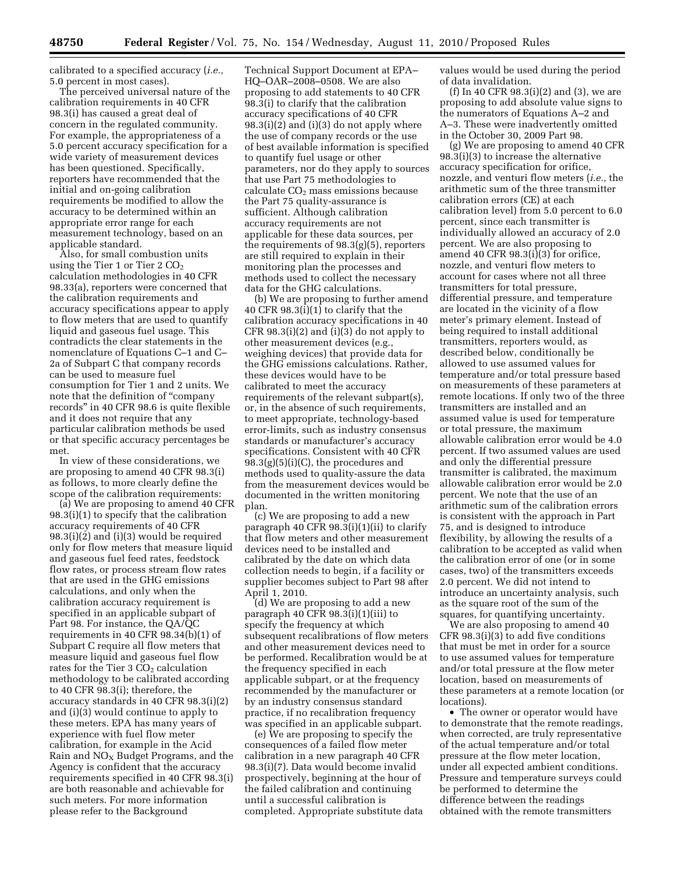calibrated to a specified accuracy (*i.e.,*  5.0 percent in most cases).

The perceived universal nature of the calibration requirements in 40 CFR 98.3(i) has caused a great deal of concern in the regulated community. For example, the appropriateness of a 5.0 percent accuracy specification for a wide variety of measurement devices has been questioned. Specifically, reporters have recommended that the initial and on-going calibration requirements be modified to allow the accuracy to be determined within an appropriate error range for each measurement technology, based on an applicable standard.

Also, for small combustion units using the Tier 1 or Tier  $2 CO<sub>2</sub>$ calculation methodologies in 40 CFR 98.33(a), reporters were concerned that the calibration requirements and accuracy specifications appear to apply to flow meters that are used to quantify liquid and gaseous fuel usage. This contradicts the clear statements in the nomenclature of Equations C–1 and C– 2a of Subpart C that company records can be used to measure fuel consumption for Tier 1 and 2 units. We note that the definition of ''company records'' in 40 CFR 98.6 is quite flexible and it does not require that any particular calibration methods be used or that specific accuracy percentages be met.

In view of these considerations, we are proposing to amend 40 CFR 98.3(i) as follows, to more clearly define the scope of the calibration requirements:

(a) We are proposing to amend 40 CFR 98.3(i)(1) to specify that the calibration accuracy requirements of 40 CFR 98.3(i)(2) and (i)(3) would be required only for flow meters that measure liquid and gaseous fuel feed rates, feedstock flow rates, or process stream flow rates that are used in the GHG emissions calculations, and only when the calibration accuracy requirement is specified in an applicable subpart of Part 98. For instance, the QA/QC requirements in 40 CFR 98.34(b)(1) of Subpart C require all flow meters that measure liquid and gaseous fuel flow rates for the Tier  $3 CO<sub>2</sub>$  calculation methodology to be calibrated according to 40 CFR 98.3(i); therefore, the accuracy standards in 40 CFR 98.3(i)(2) and (i)(3) would continue to apply to these meters. EPA has many years of experience with fuel flow meter calibration, for example in the Acid Rain and  $NO<sub>X</sub>$  Budget Programs, and the Agency is confident that the accuracy requirements specified in 40 CFR 98.3(i) are both reasonable and achievable for such meters. For more information please refer to the Background

Technical Support Document at EPA– HQ–OAR–2008–0508. We are also proposing to add statements to 40 CFR 98.3(i) to clarify that the calibration accuracy specifications of 40 CFR  $98.3(i)(2)$  and  $(i)(3)$  do not apply where the use of company records or the use of best available information is specified to quantify fuel usage or other parameters, nor do they apply to sources that use Part 75 methodologies to calculate  $CO<sub>2</sub>$  mass emissions because the Part 75 quality-assurance is sufficient. Although calibration accuracy requirements are not applicable for these data sources, per the requirements of 98.3(g)(5), reporters are still required to explain in their monitoring plan the processes and methods used to collect the necessary data for the GHG calculations.

(b) We are proposing to further amend 40 CFR 98.3(i)(1) to clarify that the calibration accuracy specifications in 40 CFR 98.3(i)(2) and (i)(3) do not apply to other measurement devices (e.g., weighing devices) that provide data for the GHG emissions calculations. Rather, these devices would have to be calibrated to meet the accuracy requirements of the relevant subpart(s), or, in the absence of such requirements, to meet appropriate, technology-based error-limits, such as industry consensus standards or manufacturer's accuracy specifications. Consistent with 40 CFR  $98.3(g)(5)(i)(C)$ , the procedures and methods used to quality-assure the data from the measurement devices would be documented in the written monitoring plan.

(c) We are proposing to add a new paragraph 40 CFR 98.3(i)(1)(ii) to clarify that flow meters and other measurement devices need to be installed and calibrated by the date on which data collection needs to begin, if a facility or supplier becomes subject to Part 98 after April 1, 2010.

(d) We are proposing to add a new paragraph 40 CFR 98.3(i)(1)(iii) to specify the frequency at which subsequent recalibrations of flow meters and other measurement devices need to be performed. Recalibration would be at the frequency specified in each applicable subpart, or at the frequency recommended by the manufacturer or by an industry consensus standard practice, if no recalibration frequency was specified in an applicable subpart.

(e) We are proposing to specify the consequences of a failed flow meter calibration in a new paragraph 40 CFR 98.3(i)(7). Data would become invalid prospectively, beginning at the hour of the failed calibration and continuing until a successful calibration is completed. Appropriate substitute data values would be used during the period of data invalidation.

(f) In 40 CFR 98.3(i)(2) and (3), we are proposing to add absolute value signs to the numerators of Equations A–2 and A–3. These were inadvertently omitted in the October 30, 2009 Part 98.

(g) We are proposing to amend 40 CFR 98.3(i)(3) to increase the alternative accuracy specification for orifice, nozzle, and venturi flow meters (*i.e.,* the arithmetic sum of the three transmitter calibration errors (CE) at each calibration level) from 5.0 percent to 6.0 percent, since each transmitter is individually allowed an accuracy of 2.0 percent. We are also proposing to amend 40 CFR 98.3(i)(3) for orifice, nozzle, and venturi flow meters to account for cases where not all three transmitters for total pressure, differential pressure, and temperature are located in the vicinity of a flow meter's primary element. Instead of being required to install additional transmitters, reporters would, as described below, conditionally be allowed to use assumed values for temperature and/or total pressure based on measurements of these parameters at remote locations. If only two of the three transmitters are installed and an assumed value is used for temperature or total pressure, the maximum allowable calibration error would be 4.0 percent. If two assumed values are used and only the differential pressure transmitter is calibrated, the maximum allowable calibration error would be 2.0 percent. We note that the use of an arithmetic sum of the calibration errors is consistent with the approach in Part 75, and is designed to introduce flexibility, by allowing the results of a calibration to be accepted as valid when the calibration error of one (or in some cases, two) of the transmitters exceeds 2.0 percent. We did not intend to introduce an uncertainty analysis, such as the square root of the sum of the squares, for quantifying uncertainty.

We are also proposing to amend 40 CFR 98.3(i)(3) to add five conditions that must be met in order for a source to use assumed values for temperature and/or total pressure at the flow meter location, based on measurements of these parameters at a remote location (or locations).

• The owner or operator would have to demonstrate that the remote readings, when corrected, are truly representative of the actual temperature and/or total pressure at the flow meter location, under all expected ambient conditions. Pressure and temperature surveys could be performed to determine the difference between the readings obtained with the remote transmitters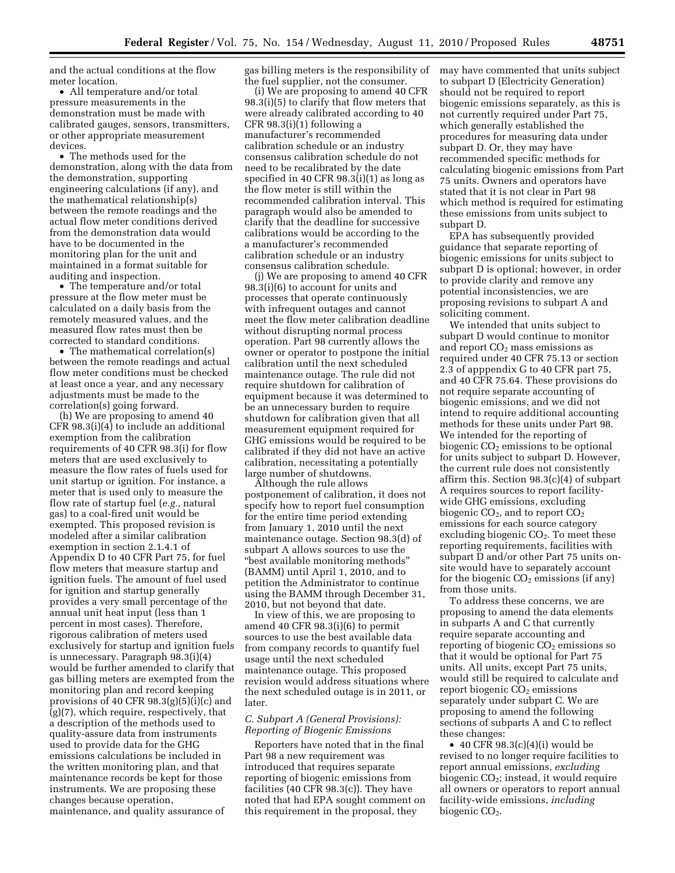and the actual conditions at the flow meter location.

• All temperature and/or total pressure measurements in the demonstration must be made with calibrated gauges, sensors, transmitters, or other appropriate measurement devices.

• The methods used for the demonstration, along with the data from the demonstration, supporting engineering calculations (if any), and the mathematical relationship(s) between the remote readings and the actual flow meter conditions derived from the demonstration data would have to be documented in the monitoring plan for the unit and maintained in a format suitable for auditing and inspection.

• The temperature and/or total pressure at the flow meter must be calculated on a daily basis from the remotely measured values, and the measured flow rates must then be corrected to standard conditions.

• The mathematical correlation(s) between the remote readings and actual flow meter conditions must be checked at least once a year, and any necessary adjustments must be made to the correlation(s) going forward.

(h) We are proposing to amend 40 CFR 98.3(i)(4) to include an additional exemption from the calibration requirements of 40 CFR 98.3(i) for flow meters that are used exclusively to measure the flow rates of fuels used for unit startup or ignition. For instance, a meter that is used only to measure the flow rate of startup fuel (*e.g.,* natural gas) to a coal-fired unit would be exempted. This proposed revision is modeled after a similar calibration exemption in section 2.1.4.1 of Appendix D to 40 CFR Part 75, for fuel flow meters that measure startup and ignition fuels. The amount of fuel used for ignition and startup generally provides a very small percentage of the annual unit heat input (less than 1 percent in most cases). Therefore, rigorous calibration of meters used exclusively for startup and ignition fuels is unnecessary. Paragraph 98.3(i)(4) would be further amended to clarify that gas billing meters are exempted from the monitoring plan and record keeping provisions of 40 CFR 98.3(g)(5)(i)(c) and (g)(7), which require, respectively, that a description of the methods used to quality-assure data from instruments used to provide data for the GHG emissions calculations be included in the written monitoring plan, and that maintenance records be kept for those instruments. We are proposing these changes because operation, maintenance, and quality assurance of

gas billing meters is the responsibility of the fuel supplier, not the consumer.

(i) We are proposing to amend 40 CFR 98.3(i)(5) to clarify that flow meters that were already calibrated according to 40 CFR 98.3(i)(1) following a manufacturer's recommended calibration schedule or an industry consensus calibration schedule do not need to be recalibrated by the date specified in 40 CFR 98.3(i)(1) as long as the flow meter is still within the recommended calibration interval. This paragraph would also be amended to clarify that the deadline for successive calibrations would be according to the a manufacturer's recommended calibration schedule or an industry consensus calibration schedule.

(j) We are proposing to amend 40 CFR 98.3(i)(6) to account for units and processes that operate continuously with infrequent outages and cannot meet the flow meter calibration deadline without disrupting normal process operation. Part 98 currently allows the owner or operator to postpone the initial calibration until the next scheduled maintenance outage. The rule did not require shutdown for calibration of equipment because it was determined to be an unnecessary burden to require shutdown for calibration given that all measurement equipment required for GHG emissions would be required to be calibrated if they did not have an active calibration, necessitating a potentially large number of shutdowns.

Although the rule allows postponement of calibration, it does not specify how to report fuel consumption for the entire time period extending from January 1, 2010 until the next maintenance outage. Section 98.3(d) of subpart A allows sources to use the ''best available monitoring methods'' (BAMM) until April 1, 2010, and to petition the Administrator to continue using the BAMM through December 31, 2010, but not beyond that date.

In view of this, we are proposing to amend 40 CFR 98.3(i)(6) to permit sources to use the best available data from company records to quantify fuel usage until the next scheduled maintenance outage. This proposed revision would address situations where the next scheduled outage is in 2011, or later.

# *C. Subpart A (General Provisions): Reporting of Biogenic Emissions*

Reporters have noted that in the final Part 98 a new requirement was introduced that requires separate reporting of biogenic emissions from facilities (40 CFR 98.3(c)). They have noted that had EPA sought comment on this requirement in the proposal, they

may have commented that units subject to subpart D (Electricity Generation) should not be required to report biogenic emissions separately, as this is not currently required under Part 75, which generally established the procedures for measuring data under subpart D. Or, they may have recommended specific methods for calculating biogenic emissions from Part 75 units. Owners and operators have stated that it is not clear in Part 98 which method is required for estimating these emissions from units subject to subpart D.

EPA has subsequently provided guidance that separate reporting of biogenic emissions for units subject to subpart D is optional; however, in order to provide clarity and remove any potential inconsistencies, we are proposing revisions to subpart A and soliciting comment.

We intended that units subject to subpart D would continue to monitor and report  $CO<sub>2</sub>$  mass emissions as required under 40 CFR 75.13 or section 2.3 of apppendix G to 40 CFR part 75, and 40 CFR 75.64. These provisions do not require separate accounting of biogenic emissions, and we did not intend to require additional accounting methods for these units under Part 98. We intended for the reporting of biogenic  $CO<sub>2</sub>$  emissions to be optional for units subject to subpart D. However, the current rule does not consistently affirm this. Section 98.3(c)(4) of subpart A requires sources to report facilitywide GHG emissions, excluding biogenic  $CO<sub>2</sub>$ , and to report  $CO<sub>2</sub>$ emissions for each source category excluding biogenic  $CO<sub>2</sub>$ . To meet these reporting requirements, facilities with subpart D and/or other Part 75 units onsite would have to separately account for the biogenic  $CO<sub>2</sub>$  emissions (if any) from those units.

To address these concerns, we are proposing to amend the data elements in subparts A and C that currently require separate accounting and reporting of biogenic  $CO<sub>2</sub>$  emissions so that it would be optional for Part 75 units. All units, except Part 75 units, would still be required to calculate and report biogenic  $CO<sub>2</sub>$  emissions separately under subpart C. We are proposing to amend the following sections of subparts A and C to reflect these changes:

 $\bullet$  40 CFR 98.3(c)(4)(i) would be revised to no longer require facilities to report annual emissions, *excluding*  biogenic CO2; instead, it would require all owners or operators to report annual facility-wide emissions, *including*  biogenic CO<sub>2</sub>.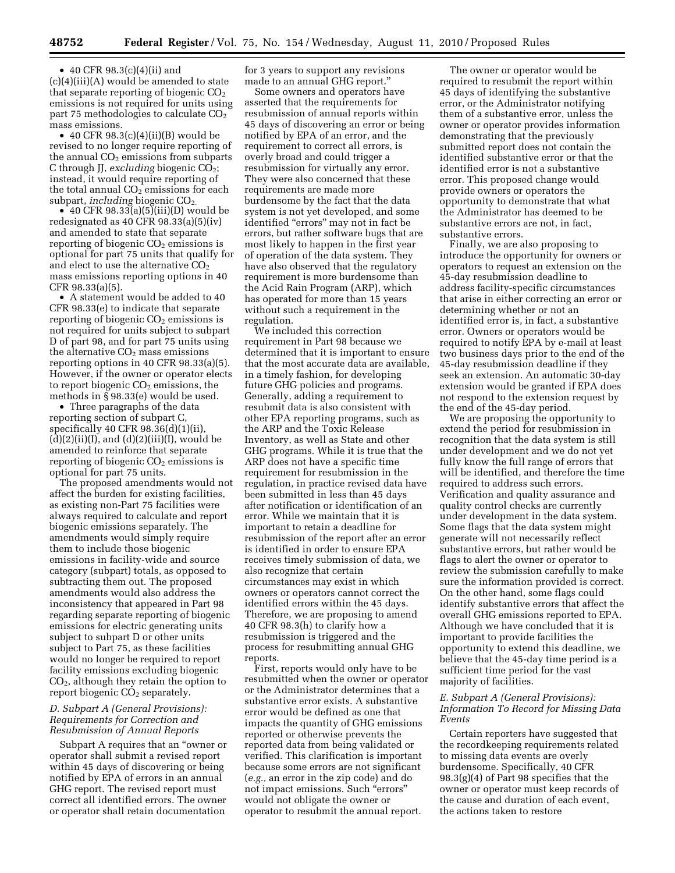• 40 CFR 98.3(c)(4)(ii) and (c)(4)(iii)(A) would be amended to state that separate reporting of biogenic  $CO<sub>2</sub>$ emissions is not required for units using part 75 methodologies to calculate  $CO<sub>2</sub>$ mass emissions.

• 40 CFR 98.3(c)(4)(ii)(B) would be revised to no longer require reporting of the annual  $CO<sub>2</sub>$  emissions from subparts C through JJ, *excluding* biogenic CO2; instead, it would require reporting of the total annual  $CO<sub>2</sub>$  emissions for each subpart, *including* biogenic CO<sub>2</sub>.

• 40 CFR 98.33(a)(5)(iii)(D) would be redesignated as 40 CFR 98.33(a)(5)(iv) and amended to state that separate reporting of biogenic  $CO<sub>2</sub>$  emissions is optional for part 75 units that qualify for and elect to use the alternative  $CO<sub>2</sub>$ mass emissions reporting options in 40 CFR 98.33(a)(5).

• A statement would be added to 40 CFR 98.33(e) to indicate that separate reporting of biogenic  $CO<sub>2</sub>$  emissions is not required for units subject to subpart D of part 98, and for part 75 units using the alternative  $CO<sub>2</sub>$  mass emissions reporting options in 40 CFR 98.33(a)(5). However, if the owner or operator elects to report biogenic  $CO<sub>2</sub>$  emissions, the methods in § 98.33(e) would be used.

• Three paragraphs of the data reporting section of subpart C, specifically 40 CFR 98.36(d)(1)(ii),  $(d)(2)(ii)(I)$ , and  $(d)(2)(iii)(I)$ , would be amended to reinforce that separate reporting of biogenic  $CO<sub>2</sub>$  emissions is optional for part 75 units.

The proposed amendments would not affect the burden for existing facilities, as existing non-Part 75 facilities were always required to calculate and report biogenic emissions separately. The amendments would simply require them to include those biogenic emissions in facility-wide and source category (subpart) totals, as opposed to subtracting them out. The proposed amendments would also address the inconsistency that appeared in Part 98 regarding separate reporting of biogenic emissions for electric generating units subject to subpart D or other units subject to Part 75, as these facilities would no longer be required to report facility emissions excluding biogenic  $CO<sub>2</sub>$ , although they retain the option to report biogenic CO<sub>2</sub> separately.

# *D. Subpart A (General Provisions): Requirements for Correction and Resubmission of Annual Reports*

Subpart A requires that an ''owner or operator shall submit a revised report within 45 days of discovering or being notified by EPA of errors in an annual GHG report. The revised report must correct all identified errors. The owner or operator shall retain documentation

for 3 years to support any revisions made to an annual GHG report.''

Some owners and operators have asserted that the requirements for resubmission of annual reports within 45 days of discovering an error or being notified by EPA of an error, and the requirement to correct all errors, is overly broad and could trigger a resubmission for virtually any error. They were also concerned that these requirements are made more burdensome by the fact that the data system is not yet developed, and some identified ''errors'' may not in fact be errors, but rather software bugs that are most likely to happen in the first year of operation of the data system. They have also observed that the regulatory requirement is more burdensome than the Acid Rain Program (ARP), which has operated for more than 15 years without such a requirement in the regulation.

We included this correction requirement in Part 98 because we determined that it is important to ensure that the most accurate data are available, in a timely fashion, for developing future GHG policies and programs. Generally, adding a requirement to resubmit data is also consistent with other EPA reporting programs, such as the ARP and the Toxic Release Inventory, as well as State and other GHG programs. While it is true that the ARP does not have a specific time requirement for resubmission in the regulation, in practice revised data have been submitted in less than 45 days after notification or identification of an error. While we maintain that it is important to retain a deadline for resubmission of the report after an error is identified in order to ensure EPA receives timely submission of data, we also recognize that certain circumstances may exist in which owners or operators cannot correct the identified errors within the 45 days. Therefore, we are proposing to amend 40 CFR 98.3(h) to clarify how a resubmission is triggered and the process for resubmitting annual GHG reports.

First, reports would only have to be resubmitted when the owner or operator or the Administrator determines that a substantive error exists. A substantive error would be defined as one that impacts the quantity of GHG emissions reported or otherwise prevents the reported data from being validated or verified. This clarification is important because some errors are not significant (*e.g.,* an error in the zip code) and do not impact emissions. Such "errors" would not obligate the owner or operator to resubmit the annual report.

The owner or operator would be required to resubmit the report within 45 days of identifying the substantive error, or the Administrator notifying them of a substantive error, unless the owner or operator provides information demonstrating that the previously submitted report does not contain the identified substantive error or that the identified error is not a substantive error. This proposed change would provide owners or operators the opportunity to demonstrate that what the Administrator has deemed to be substantive errors are not, in fact, substantive errors.

Finally, we are also proposing to introduce the opportunity for owners or operators to request an extension on the 45-day resubmission deadline to address facility-specific circumstances that arise in either correcting an error or determining whether or not an identified error is, in fact, a substantive error. Owners or operators would be required to notify EPA by e-mail at least two business days prior to the end of the 45-day resubmission deadline if they seek an extension. An automatic 30-day extension would be granted if EPA does not respond to the extension request by the end of the 45-day period.

We are proposing the opportunity to extend the period for resubmission in recognition that the data system is still under development and we do not yet fully know the full range of errors that will be identified, and therefore the time required to address such errors. Verification and quality assurance and quality control checks are currently under development in the data system. Some flags that the data system might generate will not necessarily reflect substantive errors, but rather would be flags to alert the owner or operator to review the submission carefully to make sure the information provided is correct. On the other hand, some flags could identify substantive errors that affect the overall GHG emissions reported to EPA. Although we have concluded that it is important to provide facilities the opportunity to extend this deadline, we believe that the 45-day time period is a sufficient time period for the vast majority of facilities.

#### *E. Subpart A (General Provisions): Information To Record for Missing Data Events*

Certain reporters have suggested that the recordkeeping requirements related to missing data events are overly burdensome. Specifically, 40 CFR 98.3(g)(4) of Part 98 specifies that the owner or operator must keep records of the cause and duration of each event, the actions taken to restore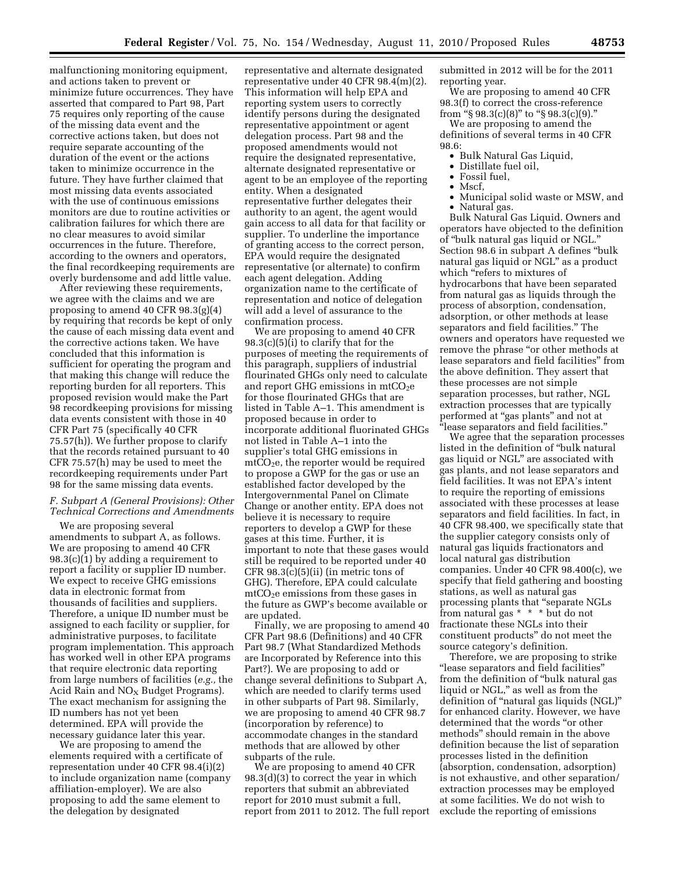malfunctioning monitoring equipment, and actions taken to prevent or minimize future occurrences. They have asserted that compared to Part 98, Part 75 requires only reporting of the cause of the missing data event and the corrective actions taken, but does not require separate accounting of the duration of the event or the actions taken to minimize occurrence in the future. They have further claimed that most missing data events associated with the use of continuous emissions monitors are due to routine activities or calibration failures for which there are no clear measures to avoid similar occurrences in the future. Therefore, according to the owners and operators, the final recordkeeping requirements are overly burdensome and add little value.

After reviewing these requirements, we agree with the claims and we are proposing to amend 40 CFR 98.3(g)(4) by requiring that records be kept of only the cause of each missing data event and the corrective actions taken. We have concluded that this information is sufficient for operating the program and that making this change will reduce the reporting burden for all reporters. This proposed revision would make the Part 98 recordkeeping provisions for missing data events consistent with those in 40 CFR Part 75 (specifically 40 CFR 75.57(h)). We further propose to clarify that the records retained pursuant to 40 CFR 75.57(h) may be used to meet the recordkeeping requirements under Part 98 for the same missing data events.

# *F. Subpart A (General Provisions): Other Technical Corrections and Amendments*

We are proposing several amendments to subpart A, as follows. We are proposing to amend 40 CFR 98.3(c)(1) by adding a requirement to report a facility or supplier ID number. We expect to receive GHG emissions data in electronic format from thousands of facilities and suppliers. Therefore, a unique ID number must be assigned to each facility or supplier, for administrative purposes, to facilitate program implementation. This approach has worked well in other EPA programs that require electronic data reporting from large numbers of facilities (*e.g.,* the Acid Rain and  $NO<sub>x</sub>$  Budget Programs). The exact mechanism for assigning the ID numbers has not yet been determined. EPA will provide the necessary guidance later this year.

We are proposing to amend the elements required with a certificate of representation under 40 CFR 98.4(i)(2) to include organization name (company affiliation-employer). We are also proposing to add the same element to the delegation by designated

representative and alternate designated representative under 40 CFR 98.4(m)(2). This information will help EPA and reporting system users to correctly identify persons during the designated representative appointment or agent delegation process. Part 98 and the proposed amendments would not require the designated representative, alternate designated representative or agent to be an employee of the reporting entity. When a designated representative further delegates their authority to an agent, the agent would gain access to all data for that facility or supplier. To underline the importance of granting access to the correct person, EPA would require the designated representative (or alternate) to confirm each agent delegation. Adding organization name to the certificate of representation and notice of delegation will add a level of assurance to the confirmation process.

We are proposing to amend 40 CFR 98.3(c)(5)(i) to clarify that for the purposes of meeting the requirements of this paragraph, suppliers of industrial flourinated GHGs only need to calculate and report GHG emissions in  $mtCO<sub>2</sub>e$ for those flourinated GHGs that are listed in Table A–1. This amendment is proposed because in order to incorporate additional fluorinated GHGs not listed in Table A–1 into the supplier's total GHG emissions in  $mtCO<sub>2</sub>e$ , the reporter would be required to propose a GWP for the gas or use an established factor developed by the Intergovernmental Panel on Climate Change or another entity. EPA does not believe it is necessary to require reporters to develop a GWP for these gases at this time. Further, it is important to note that these gases would still be required to be reported under 40 CFR 98.3(c)(5)(ii) (in metric tons of GHG). Therefore, EPA could calculate  $\text{mtCO}_2$ e emissions from these gases in the future as GWP's become available or are updated.

Finally, we are proposing to amend 40 CFR Part 98.6 (Definitions) and 40 CFR Part 98.7 (What Standardized Methods are Incorporated by Reference into this Part?). We are proposing to add or change several definitions to Subpart A, which are needed to clarify terms used in other subparts of Part 98. Similarly, we are proposing to amend 40 CFR 98.7 (incorporation by reference) to accommodate changes in the standard methods that are allowed by other subparts of the rule.

We are proposing to amend 40 CFR 98.3(d)(3) to correct the year in which reporters that submit an abbreviated report for 2010 must submit a full, report from 2011 to 2012. The full report submitted in 2012 will be for the 2011 reporting year.

We are proposing to amend 40 CFR 98.3(f) to correct the cross-reference from "§ 98.3(c)(8)" to "§ 98.3(c)(9)."

We are proposing to amend the definitions of several terms in 40 CFR 98.6:

- Bulk Natural Gas Liquid,
- Distillate fuel oil,
- Fossil fuel,
- Mscf,
- Municipal solid waste or MSW, and

• Natural gas. Bulk Natural Gas Liquid. Owners and operators have objected to the definition of ''bulk natural gas liquid or NGL.'' Section 98.6 in subpart A defines ''bulk natural gas liquid or NGL'' as a product which "refers to mixtures of hydrocarbons that have been separated from natural gas as liquids through the process of absorption, condensation, adsorption, or other methods at lease separators and field facilities.'' The owners and operators have requested we remove the phrase "or other methods at lease separators and field facilities'' from the above definition. They assert that these processes are not simple separation processes, but rather, NGL extraction processes that are typically performed at ''gas plants'' and not at ''lease separators and field facilities.''

We agree that the separation processes listed in the definition of ''bulk natural gas liquid or NGL'' are associated with gas plants, and not lease separators and field facilities. It was not EPA's intent to require the reporting of emissions associated with these processes at lease separators and field facilities. In fact, in 40 CFR 98.400, we specifically state that the supplier category consists only of natural gas liquids fractionators and local natural gas distribution companies. Under 40 CFR 98.400(c), we specify that field gathering and boosting stations, as well as natural gas processing plants that ''separate NGLs from natural gas \* \* \* but do not fractionate these NGLs into their constituent products'' do not meet the source category's definition.

Therefore, we are proposing to strike ''lease separators and field facilities'' from the definition of ''bulk natural gas liquid or NGL,'' as well as from the definition of ''natural gas liquids (NGL)'' for enhanced clarity. However, we have determined that the words ''or other methods'' should remain in the above definition because the list of separation processes listed in the definition (absorption, condensation, adsorption) is not exhaustive, and other separation/ extraction processes may be employed at some facilities. We do not wish to exclude the reporting of emissions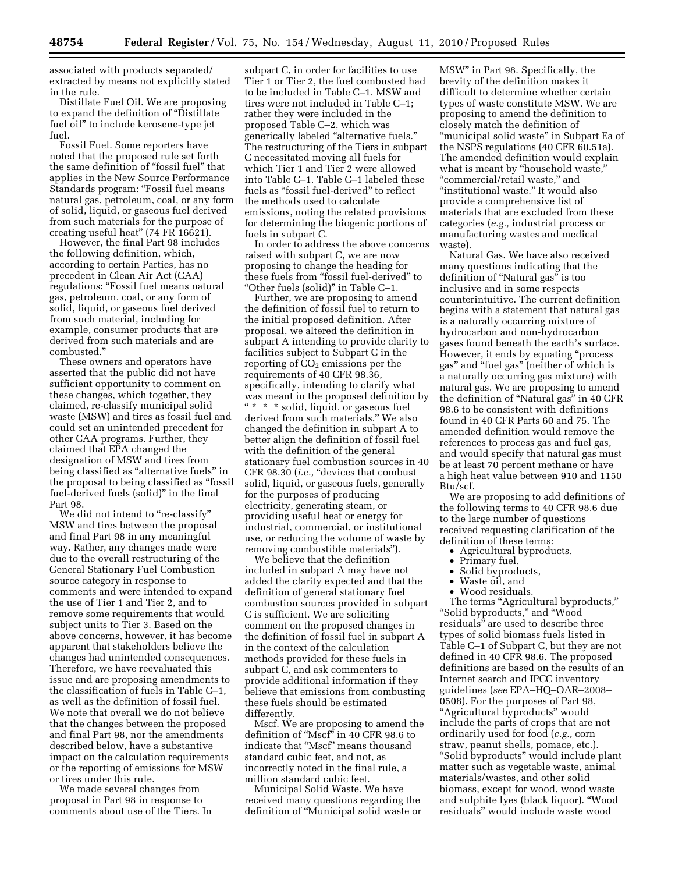associated with products separated/ extracted by means not explicitly stated in the rule.

Distillate Fuel Oil. We are proposing to expand the definition of ''Distillate fuel oil'' to include kerosene-type jet fuel.

Fossil Fuel. Some reporters have noted that the proposed rule set forth the same definition of ''fossil fuel'' that applies in the New Source Performance Standards program: ''Fossil fuel means natural gas, petroleum, coal, or any form of solid, liquid, or gaseous fuel derived from such materials for the purpose of creating useful heat'' (74 FR 16621).

However, the final Part 98 includes the following definition, which, according to certain Parties, has no precedent in Clean Air Act (CAA) regulations: ''Fossil fuel means natural gas, petroleum, coal, or any form of solid, liquid, or gaseous fuel derived from such material, including for example, consumer products that are derived from such materials and are combusted.''

These owners and operators have asserted that the public did not have sufficient opportunity to comment on these changes, which together, they claimed, re-classify municipal solid waste (MSW) and tires as fossil fuel and could set an unintended precedent for other CAA programs. Further, they claimed that EPA changed the designation of MSW and tires from being classified as "alternative fuels" in the proposal to being classified as ''fossil fuel-derived fuels (solid)'' in the final Part 98.

We did not intend to "re-classify" MSW and tires between the proposal and final Part 98 in any meaningful way. Rather, any changes made were due to the overall restructuring of the General Stationary Fuel Combustion source category in response to comments and were intended to expand the use of Tier 1 and Tier 2, and to remove some requirements that would subject units to Tier 3. Based on the above concerns, however, it has become apparent that stakeholders believe the changes had unintended consequences. Therefore, we have reevaluated this issue and are proposing amendments to the classification of fuels in Table C–1, as well as the definition of fossil fuel. We note that overall we do not believe that the changes between the proposed and final Part 98, nor the amendments described below, have a substantive impact on the calculation requirements or the reporting of emissions for MSW or tires under this rule.

We made several changes from proposal in Part 98 in response to comments about use of the Tiers. In

subpart C, in order for facilities to use Tier 1 or Tier 2, the fuel combusted had to be included in Table C–1. MSW and tires were not included in Table C–1; rather they were included in the proposed Table C–2, which was generically labeled ''alternative fuels.'' The restructuring of the Tiers in subpart C necessitated moving all fuels for which Tier 1 and Tier 2 were allowed into Table C–1. Table C–1 labeled these fuels as ''fossil fuel-derived'' to reflect the methods used to calculate emissions, noting the related provisions for determining the biogenic portions of fuels in subpart C.

In order to address the above concerns raised with subpart C, we are now proposing to change the heading for these fuels from ''fossil fuel-derived'' to ''Other fuels (solid)'' in Table C–1.

Further, we are proposing to amend the definition of fossil fuel to return to the initial proposed definition. After proposal, we altered the definition in subpart A intending to provide clarity to facilities subject to Subpart C in the reporting of  $CO<sub>2</sub>$  emissions per the requirements of 40 CFR 98.36, specifically, intending to clarify what was meant in the proposed definition by '' \* \* \* solid, liquid, or gaseous fuel derived from such materials.'' We also changed the definition in subpart A to better align the definition of fossil fuel with the definition of the general stationary fuel combustion sources in 40 CFR 98.30 (*i.e.*, "devices that combust solid, liquid, or gaseous fuels, generally for the purposes of producing electricity, generating steam, or providing useful heat or energy for industrial, commercial, or institutional use, or reducing the volume of waste by removing combustible materials'').

We believe that the definition included in subpart A may have not added the clarity expected and that the definition of general stationary fuel combustion sources provided in subpart C is sufficient. We are soliciting comment on the proposed changes in the definition of fossil fuel in subpart A in the context of the calculation methods provided for these fuels in subpart C, and ask commenters to provide additional information if they believe that emissions from combusting these fuels should be estimated differently.

Mscf. We are proposing to amend the definition of ''Mscf'' in 40 CFR 98.6 to indicate that ''Mscf'' means thousand standard cubic feet, and not, as incorrectly noted in the final rule, a million standard cubic feet.

Municipal Solid Waste. We have received many questions regarding the definition of ''Municipal solid waste or

MSW'' in Part 98. Specifically, the brevity of the definition makes it difficult to determine whether certain types of waste constitute MSW. We are proposing to amend the definition to closely match the definition of "municipal solid waste" in Subpart Ea of the NSPS regulations (40 CFR 60.51a). The amended definition would explain what is meant by "household waste," ''commercial/retail waste,'' and "institutional waste." It would also provide a comprehensive list of materials that are excluded from these categories (*e.g.,* industrial process or manufacturing wastes and medical waste).

Natural Gas. We have also received many questions indicating that the definition of "Natural gas" is too inclusive and in some respects counterintuitive. The current definition begins with a statement that natural gas is a naturally occurring mixture of hydrocarbon and non-hydrocarbon gases found beneath the earth's surface. However, it ends by equating ''process gas'' and ''fuel gas'' (neither of which is a naturally occurring gas mixture) with natural gas. We are proposing to amend the definition of ''Natural gas'' in 40 CFR 98.6 to be consistent with definitions found in 40 CFR Parts 60 and 75. The amended definition would remove the references to process gas and fuel gas, and would specify that natural gas must be at least 70 percent methane or have a high heat value between 910 and 1150 Btu/scf.

We are proposing to add definitions of the following terms to 40 CFR 98.6 due to the large number of questions received requesting clarification of the definition of these terms:

- Agricultural byproducts,<br>• Primary fuel.
- Primary fuel,
- Solid byproducts,<br>• Waste oil and
- Waste oil, and
- Wood residuals.

The terms "Agricultural byproducts," ''Solid byproducts,'' and ''Wood residuals'' are used to describe three types of solid biomass fuels listed in Table C–1 of Subpart C, but they are not defined in 40 CFR 98.6. The proposed definitions are based on the results of an Internet search and IPCC inventory guidelines (*see* EPA–HQ–OAR–2008– 0508). For the purposes of Part 98, ''Agricultural byproducts'' would include the parts of crops that are not ordinarily used for food (*e.g.,* corn straw, peanut shells, pomace, etc.). ''Solid byproducts'' would include plant matter such as vegetable waste, animal materials/wastes, and other solid biomass, except for wood, wood waste and sulphite lyes (black liquor). ''Wood residuals'' would include waste wood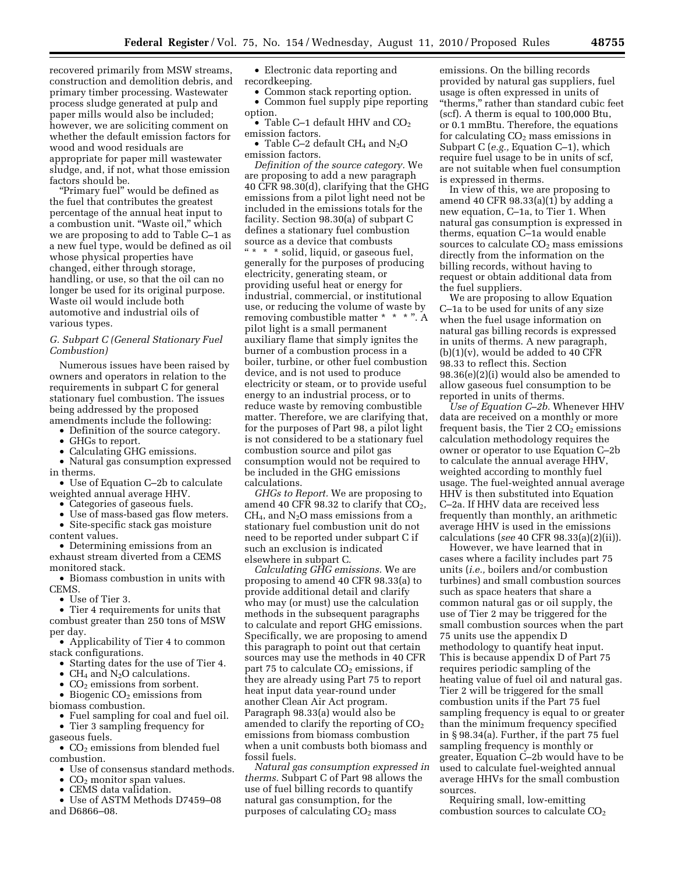recovered primarily from MSW streams, construction and demolition debris, and primary timber processing. Wastewater process sludge generated at pulp and paper mills would also be included; however, we are soliciting comment on whether the default emission factors for wood and wood residuals are appropriate for paper mill wastewater sludge, and, if not, what those emission factors should be.

''Primary fuel'' would be defined as the fuel that contributes the greatest percentage of the annual heat input to a combustion unit. ''Waste oil,'' which we are proposing to add to Table C–1 as a new fuel type, would be defined as oil whose physical properties have changed, either through storage, handling, or use, so that the oil can no longer be used for its original purpose. Waste oil would include both automotive and industrial oils of various types.

#### *G. Subpart C (General Stationary Fuel Combustion)*

Numerous issues have been raised by owners and operators in relation to the requirements in subpart C for general stationary fuel combustion. The issues being addressed by the proposed amendments include the following:

• Definition of the source category.

- GHGs to report.
- Calculating GHG emissions.

• Natural gas consumption expressed in therms.

• Use of Equation C–2b to calculate weighted annual average HHV.

• Categories of gaseous fuels.

• Use of mass-based gas flow meters. • Site-specific stack gas moisture

content values. • Determining emissions from an exhaust stream diverted from a CEMS monitored stack.

• Biomass combustion in units with CEMS.

• Use of Tier 3.

• Tier 4 requirements for units that combust greater than 250 tons of MSW per day.

• Applicability of Tier 4 to common stack configurations.

- Starting dates for the use of Tier 4.
- CH<sub>4</sub> and N<sub>2</sub>O calculations.
- $CO<sub>2</sub>$  emissions from sorbent.

• Biogenic  $CO<sub>2</sub>$  emissions from

- biomass combustion.
	- Fuel sampling for coal and fuel oil.

• Tier 3 sampling frequency for gaseous fuels.

•  $CO<sub>2</sub>$  emissions from blended fuel combustion.

- Use of consensus standard methods.
- $CO<sub>2</sub>$  monitor span values.
- CEMS data validation.
- Use of ASTM Methods D7459–08 and D6866–08.

• Electronic data reporting and recordkeeping.

• Common stack reporting option. • Common fuel supply pipe reporting option.

• Table C–1 default HHV and  $CO<sub>2</sub>$ emission factors.

• Table C-2 default  $CH_4$  and  $N_2O$ emission factors.

*Definition of the source category.* We are proposing to add a new paragraph 40 CFR 98.30(d), clarifying that the GHG emissions from a pilot light need not be included in the emissions totals for the facility. Section 98.30(a) of subpart C defines a stationary fuel combustion source as a device that combusts

'' \* \* \* solid, liquid, or gaseous fuel, generally for the purposes of producing electricity, generating steam, or providing useful heat or energy for industrial, commercial, or institutional use, or reducing the volume of waste by removing combustible matter \* \* \* ". A pilot light is a small permanent auxiliary flame that simply ignites the burner of a combustion process in a boiler, turbine, or other fuel combustion device, and is not used to produce electricity or steam, or to provide useful energy to an industrial process, or to reduce waste by removing combustible matter. Therefore, we are clarifying that, for the purposes of Part 98, a pilot light is not considered to be a stationary fuel combustion source and pilot gas consumption would not be required to be included in the GHG emissions calculations.

*GHGs to Report.* We are proposing to amend 40 CFR 98.32 to clarify that  $CO<sub>2</sub>$ ,  $CH<sub>4</sub>$ , and N<sub>2</sub>O mass emissions from a stationary fuel combustion unit do not need to be reported under subpart C if such an exclusion is indicated elsewhere in subpart C.

*Calculating GHG emissions.* We are proposing to amend 40 CFR 98.33(a) to provide additional detail and clarify who may (or must) use the calculation methods in the subsequent paragraphs to calculate and report GHG emissions. Specifically, we are proposing to amend this paragraph to point out that certain sources may use the methods in 40 CFR part 75 to calculate  $CO<sub>2</sub>$  emissions, if they are already using Part 75 to report heat input data year-round under another Clean Air Act program. Paragraph 98.33(a) would also be amended to clarify the reporting of  $CO<sub>2</sub>$ emissions from biomass combustion when a unit combusts both biomass and fossil fuels.

*Natural gas consumption expressed in therms.* Subpart C of Part 98 allows the use of fuel billing records to quantify natural gas consumption, for the purposes of calculating  $CO<sub>2</sub>$  mass

emissions. On the billing records provided by natural gas suppliers, fuel usage is often expressed in units of ''therms,'' rather than standard cubic feet (scf). A therm is equal to 100,000 Btu, or 0.1 mmBtu. Therefore, the equations for calculating  $CO<sub>2</sub>$  mass emissions in Subpart C (*e.g.,* Equation C–1), which require fuel usage to be in units of scf, are not suitable when fuel consumption is expressed in therms.

In view of this, we are proposing to amend 40 CFR 98.33(a)(1) by adding a new equation, C–1a, to Tier 1. When natural gas consumption is expressed in therms, equation C–1a would enable sources to calculate  $CO<sub>2</sub>$  mass emissions directly from the information on the billing records, without having to request or obtain additional data from the fuel suppliers.

We are proposing to allow Equation C–1a to be used for units of any size when the fuel usage information on natural gas billing records is expressed in units of therms. A new paragraph,  $(b)(1)(v)$ , would be added to 40 CFR 98.33 to reflect this. Section 98.36(e)(2)(i) would also be amended to allow gaseous fuel consumption to be reported in units of therms.

*Use of Equation C–2b.* Whenever HHV data are received on a monthly or more frequent basis, the Tier  $2 \text{ CO}_2$  emissions calculation methodology requires the owner or operator to use Equation C–2b to calculate the annual average HHV, weighted according to monthly fuel usage. The fuel-weighted annual average HHV is then substituted into Equation C–2a. If HHV data are received less frequently than monthly, an arithmetic average HHV is used in the emissions calculations (*see* 40 CFR 98.33(a)(2)(ii)).

However, we have learned that in cases where a facility includes part 75 units (*i.e.,* boilers and/or combustion turbines) and small combustion sources such as space heaters that share a common natural gas or oil supply, the use of Tier 2 may be triggered for the small combustion sources when the part 75 units use the appendix D methodology to quantify heat input. This is because appendix D of Part 75 requires periodic sampling of the heating value of fuel oil and natural gas. Tier 2 will be triggered for the small combustion units if the Part 75 fuel sampling frequency is equal to or greater than the minimum frequency specified in § 98.34(a). Further, if the part 75 fuel sampling frequency is monthly or greater, Equation C–2b would have to be used to calculate fuel-weighted annual average HHVs for the small combustion sources.

Requiring small, low-emitting combustion sources to calculate CO<sub>2</sub>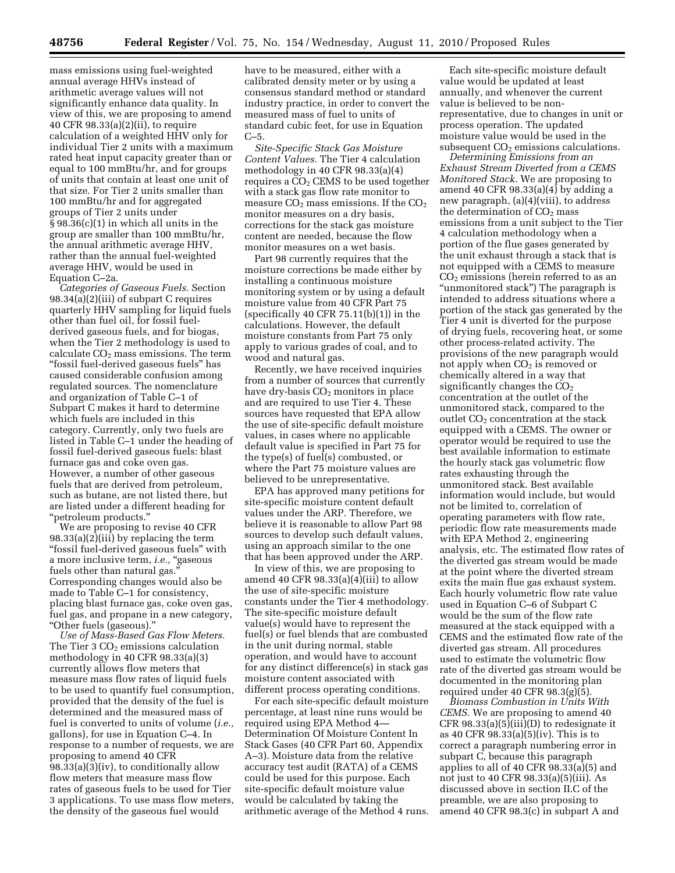mass emissions using fuel-weighted annual average HHVs instead of arithmetic average values will not significantly enhance data quality. In view of this, we are proposing to amend 40 CFR 98.33(a)(2)(ii), to require calculation of a weighted HHV only for individual Tier 2 units with a maximum rated heat input capacity greater than or equal to 100 mmBtu/hr, and for groups of units that contain at least one unit of that size. For Tier 2 units smaller than 100 mmBtu/hr and for aggregated groups of Tier 2 units under § 98.36(c)(1) in which all units in the group are smaller than 100 mmBtu/hr, the annual arithmetic average HHV, rather than the annual fuel-weighted average HHV, would be used in Equation C–2a.

*Categories of Gaseous Fuels.* Section 98.34(a)(2)(iii) of subpart C requires quarterly HHV sampling for liquid fuels other than fuel oil, for fossil fuelderived gaseous fuels, and for biogas, when the Tier 2 methodology is used to calculate  $CO<sub>2</sub>$  mass emissions. The term ''fossil fuel-derived gaseous fuels'' has caused considerable confusion among regulated sources. The nomenclature and organization of Table C–1 of Subpart C makes it hard to determine which fuels are included in this category. Currently, only two fuels are listed in Table C–1 under the heading of fossil fuel-derived gaseous fuels: blast furnace gas and coke oven gas. However, a number of other gaseous fuels that are derived from petroleum, such as butane, are not listed there, but are listed under a different heading for ''petroleum products.''

We are proposing to revise 40 CFR 98.33(a)(2)(iii) by replacing the term ''fossil fuel-derived gaseous fuels'' with a more inclusive term, *i.e.*, "gaseous fuels other than natural gas.'' Corresponding changes would also be made to Table C–1 for consistency, placing blast furnace gas, coke oven gas, fuel gas, and propane in a new category, ''Other fuels (gaseous).''

*Use of Mass-Based Gas Flow Meters.*  The Tier  $3 CO<sub>2</sub>$  emissions calculation methodology in 40 CFR 98.33(a)(3) currently allows flow meters that measure mass flow rates of liquid fuels to be used to quantify fuel consumption, provided that the density of the fuel is determined and the measured mass of fuel is converted to units of volume (*i.e.,*  gallons), for use in Equation C–4. In response to a number of requests, we are proposing to amend 40 CFR 98.33(a)(3)(iv), to conditionally allow flow meters that measure mass flow rates of gaseous fuels to be used for Tier 3 applications. To use mass flow meters, the density of the gaseous fuel would

have to be measured, either with a calibrated density meter or by using a consensus standard method or standard industry practice, in order to convert the measured mass of fuel to units of standard cubic feet, for use in Equation  $C-5$ 

*Site-Specific Stack Gas Moisture Content Values.* The Tier 4 calculation methodology in 40 CFR 98.33(a)(4) requires a  $CO<sub>2</sub>$  CEMS to be used together with a stack gas flow rate monitor to measure  $CO<sub>2</sub>$  mass emissions. If the  $CO<sub>2</sub>$ monitor measures on a dry basis, corrections for the stack gas moisture content are needed, because the flow monitor measures on a wet basis.

Part 98 currently requires that the moisture corrections be made either by installing a continuous moisture monitoring system or by using a default moisture value from 40 CFR Part 75 (specifically 40 CFR  $75.11(b)(1)$ ) in the calculations. However, the default moisture constants from Part 75 only apply to various grades of coal, and to wood and natural gas.

Recently, we have received inquiries from a number of sources that currently have dry-basis  $CO<sub>2</sub>$  monitors in place and are required to use Tier 4. These sources have requested that EPA allow the use of site-specific default moisture values, in cases where no applicable default value is specified in Part 75 for the type(s) of fuel(s) combusted, or where the Part 75 moisture values are believed to be unrepresentative.

EPA has approved many petitions for site-specific moisture content default values under the ARP. Therefore, we believe it is reasonable to allow Part 98 sources to develop such default values, using an approach similar to the one that has been approved under the ARP.

In view of this, we are proposing to amend 40 CFR  $98.33(a)(4)(iii)$  to allow the use of site-specific moisture constants under the Tier 4 methodology. The site-specific moisture default value(s) would have to represent the fuel(s) or fuel blends that are combusted in the unit during normal, stable operation, and would have to account for any distinct difference(s) in stack gas moisture content associated with different process operating conditions.

For each site-specific default moisture percentage, at least nine runs would be required using EPA Method 4— Determination Of Moisture Content In Stack Gases (40 CFR Part 60, Appendix A–3). Moisture data from the relative accuracy test audit (RATA) of a CEMS could be used for this purpose. Each site-specific default moisture value would be calculated by taking the arithmetic average of the Method 4 runs.

Each site-specific moisture default value would be updated at least annually, and whenever the current value is believed to be nonrepresentative, due to changes in unit or process operation. The updated moisture value would be used in the subsequent  $CO<sub>2</sub>$  emissions calculations.

*Determining Emissions from an Exhaust Stream Diverted from a CEMS Monitored Stack.* We are proposing to amend 40 CFR 98.33(a)(4) by adding a new paragraph, (a)(4)(viii), to address the determination of  $CO<sub>2</sub>$  mass emissions from a unit subject to the Tier 4 calculation methodology when a portion of the flue gases generated by the unit exhaust through a stack that is not equipped with a CEMS to measure CO2 emissions (herein referred to as an ''unmonitored stack'') The paragraph is intended to address situations where a portion of the stack gas generated by the Tier 4 unit is diverted for the purpose of drying fuels, recovering heat, or some other process-related activity. The provisions of the new paragraph would not apply when  $CO<sub>2</sub>$  is removed or chemically altered in a way that significantly changes the  $CO<sub>2</sub>$ concentration at the outlet of the unmonitored stack, compared to the outlet CO<sub>2</sub> concentration at the stack equipped with a CEMS. The owner or operator would be required to use the best available information to estimate the hourly stack gas volumetric flow rates exhausting through the unmonitored stack. Best available information would include, but would not be limited to, correlation of operating parameters with flow rate, periodic flow rate measurements made with EPA Method 2, engineering analysis, etc. The estimated flow rates of the diverted gas stream would be made at the point where the diverted stream exits the main flue gas exhaust system. Each hourly volumetric flow rate value used in Equation C–6 of Subpart C would be the sum of the flow rate measured at the stack equipped with a CEMS and the estimated flow rate of the diverted gas stream. All procedures used to estimate the volumetric flow rate of the diverted gas stream would be documented in the monitoring plan required under 40 CFR 98.3(g)(5).

*Biomass Combustion in Units With CEMS.* We are proposing to amend 40 CFR 98.33(a)(5)(iii)(D) to redesignate it as 40 CFR 98.33(a)(5)(iv). This is to correct a paragraph numbering error in subpart C, because this paragraph applies to all of 40 CFR 98.33(a)(5) and not just to 40 CFR 98.33(a)(5)(iii). As discussed above in section II.C of the preamble, we are also proposing to amend 40 CFR 98.3(c) in subpart A and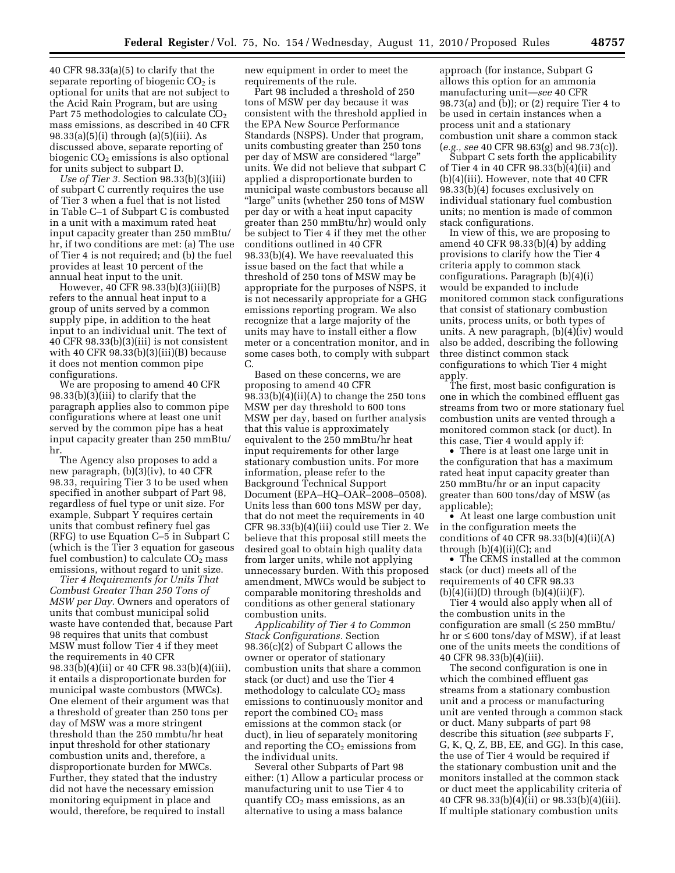40 CFR 98.33(a)(5) to clarify that the separate reporting of biogenic  $CO<sub>2</sub>$  is optional for units that are not subject to the Acid Rain Program, but are using Part 75 methodologies to calculate CO<sub>2</sub> mass emissions, as described in 40 CFR 98.33(a)(5)(i) through (a)(5)(iii). As discussed above, separate reporting of biogenic  $CO<sub>2</sub>$  emissions is also optional for units subject to subpart D.

*Use of Tier 3.* Section 98.33(b)(3)(iii) of subpart C currently requires the use of Tier 3 when a fuel that is not listed in Table C–1 of Subpart C is combusted in a unit with a maximum rated heat input capacity greater than 250 mmBtu/ hr, if two conditions are met: (a) The use of Tier 4 is not required; and (b) the fuel provides at least 10 percent of the annual heat input to the unit.

However, 40 CFR 98.33(b)(3)(iii)(B) refers to the annual heat input to a group of units served by a common supply pipe, in addition to the heat input to an individual unit. The text of 40 CFR 98.33(b)(3)(iii) is not consistent with 40 CFR  $98.33(b)(3)(iii)(B)$  because it does not mention common pipe configurations.

We are proposing to amend 40 CFR 98.33(b)(3)(iii) to clarify that the paragraph applies also to common pipe configurations where at least one unit served by the common pipe has a heat input capacity greater than 250 mmBtu/ hr.

The Agency also proposes to add a new paragraph, (b)(3)(iv), to 40 CFR 98.33, requiring Tier 3 to be used when specified in another subpart of Part 98, regardless of fuel type or unit size. For example, Subpart Y requires certain units that combust refinery fuel gas (RFG) to use Equation C–5 in Subpart C (which is the Tier 3 equation for gaseous fuel combustion) to calculate  $CO<sub>2</sub>$  mass emissions, without regard to unit size.

*Tier 4 Requirements for Units That Combust Greater Than 250 Tons of MSW per Day.* Owners and operators of units that combust municipal solid waste have contended that, because Part 98 requires that units that combust MSW must follow Tier 4 if they meet the requirements in 40 CFR 98.33(b)(4)(ii) or 40 CFR 98.33(b)(4)(iii), it entails a disproportionate burden for municipal waste combustors (MWCs). One element of their argument was that a threshold of greater than 250 tons per day of MSW was a more stringent threshold than the 250 mmbtu/hr heat input threshold for other stationary combustion units and, therefore, a disproportionate burden for MWCs. Further, they stated that the industry did not have the necessary emission monitoring equipment in place and would, therefore, be required to install

new equipment in order to meet the requirements of the rule.

Part 98 included a threshold of 250 tons of MSW per day because it was consistent with the threshold applied in the EPA New Source Performance Standards (NSPS). Under that program, units combusting greater than 250 tons per day of MSW are considered ''large'' units. We did not believe that subpart C applied a disproportionate burden to municipal waste combustors because all ''large'' units (whether 250 tons of MSW per day or with a heat input capacity greater than 250 mmBtu/hr) would only be subject to Tier 4 if they met the other conditions outlined in 40 CFR 98.33(b)(4). We have reevaluated this issue based on the fact that while a threshold of 250 tons of MSW may be appropriate for the purposes of NSPS, it is not necessarily appropriate for a GHG emissions reporting program. We also recognize that a large majority of the units may have to install either a flow meter or a concentration monitor, and in some cases both, to comply with subpart C.

Based on these concerns, we are proposing to amend 40 CFR  $98.33(b)(4)(ii)(A)$  to change the 250 tons MSW per day threshold to 600 tons MSW per day, based on further analysis that this value is approximately equivalent to the 250 mmBtu/hr heat input requirements for other large stationary combustion units. For more information, please refer to the Background Technical Support Document (EPA–HQ–OAR–2008–0508). Units less than 600 tons MSW per day, that do not meet the requirements in 40 CFR 98.33(b)(4)(iii) could use Tier 2. We believe that this proposal still meets the desired goal to obtain high quality data from larger units, while not applying unnecessary burden. With this proposed amendment, MWCs would be subject to comparable monitoring thresholds and conditions as other general stationary combustion units.

*Applicability of Tier 4 to Common Stack Configurations.* Section 98.36(c)(2) of Subpart C allows the owner or operator of stationary combustion units that share a common stack (or duct) and use the Tier 4 methodology to calculate  $CO<sub>2</sub>$  mass emissions to continuously monitor and report the combined  $CO<sub>2</sub>$  mass emissions at the common stack (or duct), in lieu of separately monitoring and reporting the  $CO<sub>2</sub>$  emissions from the individual units.

Several other Subparts of Part 98 either: (1) Allow a particular process or manufacturing unit to use Tier 4 to quantify  $CO<sub>2</sub>$  mass emissions, as an alternative to using a mass balance

approach (for instance, Subpart G allows this option for an ammonia manufacturing unit—*see* 40 CFR 98.73(a) and (b)); or (2) require Tier 4 to be used in certain instances when a process unit and a stationary combustion unit share a common stack (*e.g., see* 40 CFR 98.63(g) and 98.73(c)).

Subpart C sets forth the applicability of Tier 4 in 40 CFR 98.33(b)(4)(ii) and (b)(4)(iii). However, note that 40 CFR 98.33(b)(4) focuses exclusively on individual stationary fuel combustion units; no mention is made of common stack configurations.

In view of this, we are proposing to amend 40 CFR 98.33(b)(4) by adding provisions to clarify how the Tier 4 criteria apply to common stack configurations. Paragraph (b)(4)(i) would be expanded to include monitored common stack configurations that consist of stationary combustion units, process units, or both types of units. A new paragraph, (b)(4)(iv) would also be added, describing the following three distinct common stack configurations to which Tier 4 might apply.

The first, most basic configuration is one in which the combined effluent gas streams from two or more stationary fuel combustion units are vented through a monitored common stack (or duct). In this case, Tier 4 would apply if:

• There is at least one large unit in the configuration that has a maximum rated heat input capacity greater than 250 mmBtu/hr or an input capacity greater than 600 tons/day of MSW (as applicable);

• At least one large combustion unit in the configuration meets the conditions of 40 CFR 98.33(b)(4)(ii)(A) through  $(b)(4)(ii)(C)$ ; and

• The CEMS installed at the common stack (or duct) meets all of the requirements of 40 CFR 98.33  $(b)(4)(ii)(D)$  through  $(b)(4)(ii)(F)$ .

Tier 4 would also apply when all of the combustion units in the configuration are small  $(\leq 250 \text{ mm}$ Btu/ hr or ≤ 600 tons/day of MSW), if at least one of the units meets the conditions of 40 CFR 98.33(b)(4)(iii).

The second configuration is one in which the combined effluent gas streams from a stationary combustion unit and a process or manufacturing unit are vented through a common stack or duct. Many subparts of part 98 describe this situation (*see* subparts F, G, K, Q, Z, BB, EE, and GG). In this case, the use of Tier 4 would be required if the stationary combustion unit and the monitors installed at the common stack or duct meet the applicability criteria of 40 CFR 98.33(b)(4)(ii) or 98.33(b)(4)(iii). If multiple stationary combustion units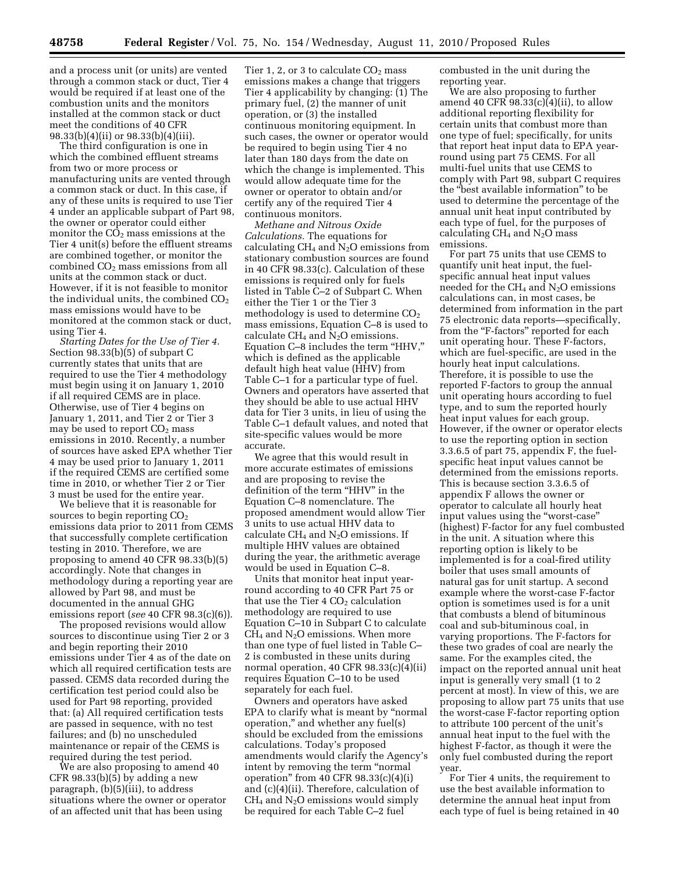and a process unit (or units) are vented through a common stack or duct, Tier 4 would be required if at least one of the combustion units and the monitors installed at the common stack or duct meet the conditions of 40 CFR 98.33(b)(4)(ii) or 98.33(b)(4)(iii).

The third configuration is one in which the combined effluent streams from two or more process or manufacturing units are vented through a common stack or duct. In this case, if any of these units is required to use Tier 4 under an applicable subpart of Part 98, the owner or operator could either monitor the  $CO<sub>2</sub>$  mass emissions at the Tier 4 unit(s) before the effluent streams are combined together, or monitor the combined  $CO<sub>2</sub>$  mass emissions from all units at the common stack or duct. However, if it is not feasible to monitor the individual units, the combined  $CO<sub>2</sub>$ mass emissions would have to be monitored at the common stack or duct, using Tier 4.

*Starting Dates for the Use of Tier 4.*  Section 98.33(b)(5) of subpart C currently states that units that are required to use the Tier 4 methodology must begin using it on January 1, 2010 if all required CEMS are in place. Otherwise, use of Tier 4 begins on January 1, 2011, and Tier 2 or Tier 3 may be used to report  $CO<sub>2</sub>$  mass emissions in 2010. Recently, a number of sources have asked EPA whether Tier 4 may be used prior to January 1, 2011 if the required CEMS are certified some time in 2010, or whether Tier 2 or Tier 3 must be used for the entire year.

We believe that it is reasonable for sources to begin reporting  $CO<sub>2</sub>$ emissions data prior to 2011 from CEMS that successfully complete certification testing in 2010. Therefore, we are proposing to amend 40 CFR 98.33(b)(5) accordingly. Note that changes in methodology during a reporting year are allowed by Part 98, and must be documented in the annual GHG emissions report (*see* 40 CFR 98.3(c)(6)).

The proposed revisions would allow sources to discontinue using Tier 2 or 3 and begin reporting their 2010 emissions under Tier 4 as of the date on which all required certification tests are passed. CEMS data recorded during the certification test period could also be used for Part 98 reporting, provided that: (a) All required certification tests are passed in sequence, with no test failures; and (b) no unscheduled maintenance or repair of the CEMS is required during the test period.

We are also proposing to amend 40 CFR 98.33(b)(5) by adding a new paragraph, (b)(5)(iii), to address situations where the owner or operator of an affected unit that has been using

Tier 1, 2, or 3 to calculate  $CO<sub>2</sub>$  mass emissions makes a change that triggers Tier 4 applicability by changing: (1) The primary fuel, (2) the manner of unit operation, or (3) the installed continuous monitoring equipment. In such cases, the owner or operator would be required to begin using Tier 4 no later than 180 days from the date on which the change is implemented. This would allow adequate time for the owner or operator to obtain and/or certify any of the required Tier 4 continuous monitors.

*Methane and Nitrous Oxide Calculations.* The equations for calculating  $CH_4$  and  $N_2O$  emissions from stationary combustion sources are found in 40 CFR 98.33(c). Calculation of these emissions is required only for fuels listed in Table C–2 of Subpart C. When either the Tier 1 or the Tier 3 methodology is used to determine  $CO<sub>2</sub>$ mass emissions, Equation C–8 is used to calculate  $CH_4$  and  $N_2O$  emissions. Equation C–8 includes the term ''HHV,'' which is defined as the applicable default high heat value (HHV) from Table C–1 for a particular type of fuel. Owners and operators have asserted that they should be able to use actual HHV data for Tier 3 units, in lieu of using the Table C–1 default values, and noted that site-specific values would be more accurate.

We agree that this would result in more accurate estimates of emissions and are proposing to revise the definition of the term "HHV" in the Equation C–8 nomenclature. The proposed amendment would allow Tier 3 units to use actual HHV data to calculate  $CH_4$  and  $N_2O$  emissions. If multiple HHV values are obtained during the year, the arithmetic average would be used in Equation C–8.

Units that monitor heat input yearround according to 40 CFR Part 75 or that use the Tier  $4 \text{ CO}_2$  calculation methodology are required to use Equation C–10 in Subpart C to calculate CH4 and N2O emissions. When more than one type of fuel listed in Table C– 2 is combusted in these units during normal operation, 40 CFR 98.33(c)(4)(ii) requires Equation C–10 to be used separately for each fuel.

Owners and operators have asked EPA to clarify what is meant by ''normal operation,'' and whether any fuel(s) should be excluded from the emissions calculations. Today's proposed amendments would clarify the Agency's intent by removing the term "normal" operation" from  $40$  CFR 98.33(c)(4)(i) and (c)(4)(ii). Therefore, calculation of  $CH<sub>4</sub>$  and N<sub>2</sub>O emissions would simply be required for each Table C–2 fuel

combusted in the unit during the reporting year.

We are also proposing to further amend 40 CFR 98.33(c)(4)(ii), to allow additional reporting flexibility for certain units that combust more than one type of fuel; specifically, for units that report heat input data to EPA yearround using part 75 CEMS. For all multi-fuel units that use CEMS to comply with Part 98, subpart C requires the ''best available information'' to be used to determine the percentage of the annual unit heat input contributed by each type of fuel, for the purposes of calculating  $CH_4$  and  $N_2O$  mass emissions.

For part 75 units that use CEMS to quantify unit heat input, the fuelspecific annual heat input values needed for the  $CH_4$  and  $N_2O$  emissions calculations can, in most cases, be determined from information in the part 75 electronic data reports—specifically, from the "F-factors" reported for each unit operating hour. These F-factors, which are fuel-specific, are used in the hourly heat input calculations. Therefore, it is possible to use the reported F-factors to group the annual unit operating hours according to fuel type, and to sum the reported hourly heat input values for each group. However, if the owner or operator elects to use the reporting option in section 3.3.6.5 of part 75, appendix F, the fuelspecific heat input values cannot be determined from the emissions reports. This is because section 3.3.6.5 of appendix F allows the owner or operator to calculate all hourly heat input values using the ''worst-case'' (highest) F-factor for any fuel combusted in the unit. A situation where this reporting option is likely to be implemented is for a coal-fired utility boiler that uses small amounts of natural gas for unit startup. A second example where the worst-case F-factor option is sometimes used is for a unit that combusts a blend of bituminous coal and sub-bituminous coal, in varying proportions. The F-factors for these two grades of coal are nearly the same. For the examples cited, the impact on the reported annual unit heat input is generally very small (1 to 2 percent at most). In view of this, we are proposing to allow part 75 units that use the worst-case F-factor reporting option to attribute 100 percent of the unit's annual heat input to the fuel with the highest F-factor, as though it were the only fuel combusted during the report year.

For Tier 4 units, the requirement to use the best available information to determine the annual heat input from each type of fuel is being retained in 40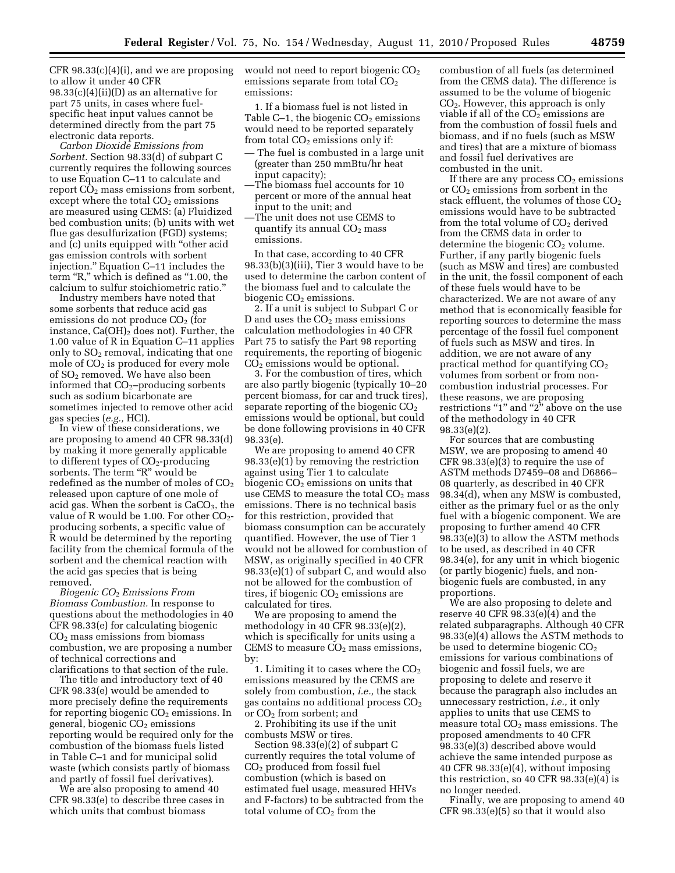CFR 98.33(c)(4)(i), and we are proposing to allow it under 40 CFR 98.33(c)(4)(ii)(D) as an alternative for part 75 units, in cases where fuelspecific heat input values cannot be determined directly from the part 75 electronic data reports.

*Carbon Dioxide Emissions from Sorbent.* Section 98.33(d) of subpart C currently requires the following sources to use Equation C–11 to calculate and report  $CO<sub>2</sub>$  mass emissions from sorbent, except where the total  $CO<sub>2</sub>$  emissions are measured using CEMS: (a) Fluidized bed combustion units; (b) units with wet flue gas desulfurization (FGD) systems; and (c) units equipped with ''other acid gas emission controls with sorbent injection.'' Equation C–11 includes the term "R," which is defined as "1.00, the calcium to sulfur stoichiometric ratio.''

Industry members have noted that some sorbents that reduce acid gas emissions do not produce  $CO<sub>2</sub>$  (for instance,  $Ca(OH)_2$  does not). Further, the 1.00 value of R in Equation C–11 applies only to  $SO<sub>2</sub>$  removal, indicating that one mole of  $CO<sub>2</sub>$  is produced for every mole of SO2 removed. We have also been informed that  $CO<sub>2</sub>$ –producing sorbents such as sodium bicarbonate are sometimes injected to remove other acid gas species (*e.g.,* HCl).

In view of these considerations, we are proposing to amend 40 CFR 98.33(d) by making it more generally applicable to different types of  $CO<sub>2</sub>$ -producing sorbents. The term "R" would be redefined as the number of moles of  $CO<sub>2</sub>$ released upon capture of one mole of acid gas. When the sorbent is  $CaCO<sub>3</sub>$ , the value of R would be 1.00. For other  $CO<sub>2</sub>$ producing sorbents, a specific value of R would be determined by the reporting facility from the chemical formula of the sorbent and the chemical reaction with the acid gas species that is being removed.

*Biogenic CO*2 *Emissions From Biomass Combustion.* In response to questions about the methodologies in 40 CFR 98.33(e) for calculating biogenic  $CO<sub>2</sub>$  mass emissions from biomass combustion, we are proposing a number of technical corrections and clarifications to that section of the rule.

The title and introductory text of 40 CFR 98.33(e) would be amended to more precisely define the requirements for reporting biogenic  $CO<sub>2</sub>$  emissions. In general, biogenic  $CO<sub>2</sub>$  emissions reporting would be required only for the combustion of the biomass fuels listed in Table C–1 and for municipal solid waste (which consists partly of biomass and partly of fossil fuel derivatives).

We are also proposing to amend 40 CFR 98.33(e) to describe three cases in which units that combust biomass

would not need to report biogenic CO<sub>2</sub> emissions separate from total  $CO<sub>2</sub>$ emissions:

1. If a biomass fuel is not listed in Table  $C-1$ , the biogenic  $CO<sub>2</sub>$  emissions would need to be reported separately from total  $CO<sub>2</sub>$  emissions only if:

- The fuel is combusted in a large unit (greater than 250 mmBtu/hr heat input capacity);
- —The biomass fuel accounts for 10 percent or more of the annual heat input to the unit; and
- —The unit does not use CEMS to quantify its annual  $CO<sub>2</sub>$  mass emissions.

In that case, according to 40 CFR 98.33(b)(3)(iii), Tier 3 would have to be used to determine the carbon content of the biomass fuel and to calculate the biogenic  $CO<sub>2</sub>$  emissions.

2. If a unit is subject to Subpart C or D and uses the  $CO<sub>2</sub>$  mass emissions calculation methodologies in 40 CFR Part 75 to satisfy the Part 98 reporting requirements, the reporting of biogenic  $CO<sub>2</sub>$  emissions would be optional.

3. For the combustion of tires, which are also partly biogenic (typically 10–20 percent biomass, for car and truck tires), separate reporting of the biogenic  $CO<sub>2</sub>$ emissions would be optional, but could be done following provisions in 40 CFR 98.33(e).

We are proposing to amend 40 CFR 98.33(e)(1) by removing the restriction against using Tier 1 to calculate biogenic  $CO<sub>2</sub>$  emissions on units that use CEMS to measure the total  $CO<sub>2</sub>$  mass emissions. There is no technical basis for this restriction, provided that biomass consumption can be accurately quantified. However, the use of Tier 1 would not be allowed for combustion of MSW, as originally specified in 40 CFR 98.33(e)(1) of subpart C, and would also not be allowed for the combustion of tires, if biogenic  $CO<sub>2</sub>$  emissions are calculated for tires.

We are proposing to amend the methodology in 40 CFR 98.33(e)(2), which is specifically for units using a CEMS to measure  $CO<sub>2</sub>$  mass emissions, by:

1. Limiting it to cases where the  $CO<sub>2</sub>$ emissions measured by the CEMS are solely from combustion, *i.e.,* the stack gas contains no additional process  $CO<sub>2</sub>$ or  $CO<sub>2</sub>$  from sorbent; and

2. Prohibiting its use if the unit combusts MSW or tires.

Section 98.33(e)(2) of subpart C currently requires the total volume of CO2 produced from fossil fuel combustion (which is based on estimated fuel usage, measured HHVs and F-factors) to be subtracted from the total volume of CO<sub>2</sub> from the

combustion of all fuels (as determined from the CEMS data). The difference is assumed to be the volume of biogenic CO2. However, this approach is only viable if all of the  $CO<sub>2</sub>$  emissions are from the combustion of fossil fuels and biomass, and if no fuels (such as MSW and tires) that are a mixture of biomass and fossil fuel derivatives are combusted in the unit.

If there are any process  $CO<sub>2</sub>$  emissions or  $CO<sub>2</sub>$  emissions from sorbent in the stack effluent, the volumes of those  $CO<sub>2</sub>$ emissions would have to be subtracted from the total volume of  $CO<sub>2</sub>$  derived from the CEMS data in order to determine the biogenic  $CO<sub>2</sub>$  volume. Further, if any partly biogenic fuels (such as MSW and tires) are combusted in the unit, the fossil component of each of these fuels would have to be characterized. We are not aware of any method that is economically feasible for reporting sources to determine the mass percentage of the fossil fuel component of fuels such as MSW and tires. In addition, we are not aware of any practical method for quantifying CO2 volumes from sorbent or from noncombustion industrial processes. For these reasons, we are proposing restrictions "1" and "2" above on the use of the methodology in 40 CFR 98.33(e)(2).

For sources that are combusting MSW, we are proposing to amend 40 CFR 98.33(e)(3) to require the use of ASTM methods D7459–08 and D6866– 08 quarterly, as described in 40 CFR 98.34(d), when any MSW is combusted, either as the primary fuel or as the only fuel with a biogenic component. We are proposing to further amend 40 CFR 98.33(e)(3) to allow the ASTM methods to be used, as described in 40 CFR 98.34(e), for any unit in which biogenic (or partly biogenic) fuels, and nonbiogenic fuels are combusted, in any proportions.

We are also proposing to delete and reserve 40 CFR 98.33(e)(4) and the related subparagraphs. Although 40 CFR 98.33(e)(4) allows the ASTM methods to be used to determine biogenic  $CO<sub>2</sub>$ emissions for various combinations of biogenic and fossil fuels, we are proposing to delete and reserve it because the paragraph also includes an unnecessary restriction, *i.e.,* it only applies to units that use CEMS to measure total  $CO<sub>2</sub>$  mass emissions. The proposed amendments to 40 CFR 98.33(e)(3) described above would achieve the same intended purpose as 40 CFR 98.33(e)(4), without imposing this restriction, so 40 CFR 98.33(e)(4) is no longer needed.

Finally, we are proposing to amend 40 CFR 98.33(e)(5) so that it would also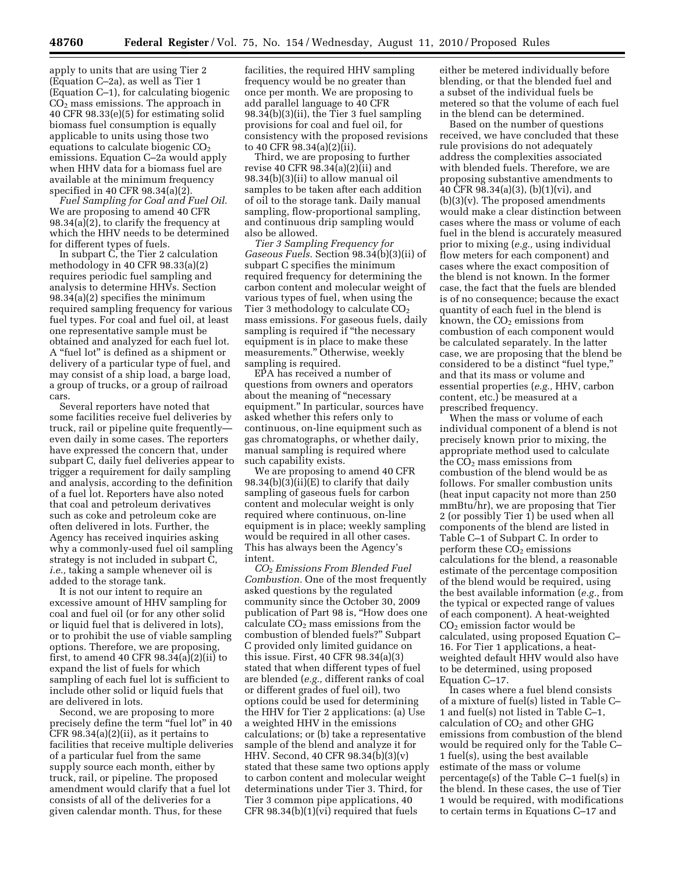apply to units that are using Tier 2 (Equation C–2a), as well as Tier 1 (Equation C–1), for calculating biogenic CO2 mass emissions. The approach in 40 CFR 98.33(e)(5) for estimating solid biomass fuel consumption is equally applicable to units using those two equations to calculate biogenic  $CO<sub>2</sub>$ emissions. Equation C–2a would apply when HHV data for a biomass fuel are available at the minimum frequency specified in 40 CFR 98.34(a)(2).

*Fuel Sampling for Coal and Fuel Oil.*  We are proposing to amend 40 CFR 98.34(a)(2), to clarify the frequency at which the HHV needs to be determined for different types of fuels.

In subpart C, the Tier 2 calculation methodology in 40 CFR 98.33(a)(2) requires periodic fuel sampling and analysis to determine HHVs. Section 98.34(a)(2) specifies the minimum required sampling frequency for various fuel types. For coal and fuel oil, at least one representative sample must be obtained and analyzed for each fuel lot. A ''fuel lot'' is defined as a shipment or delivery of a particular type of fuel, and may consist of a ship load, a barge load, a group of trucks, or a group of railroad cars.

Several reporters have noted that some facilities receive fuel deliveries by truck, rail or pipeline quite frequently even daily in some cases. The reporters have expressed the concern that, under subpart C, daily fuel deliveries appear to trigger a requirement for daily sampling and analysis, according to the definition of a fuel lot. Reporters have also noted that coal and petroleum derivatives such as coke and petroleum coke are often delivered in lots. Further, the Agency has received inquiries asking why a commonly-used fuel oil sampling strategy is not included in subpart C, *i.e.,* taking a sample whenever oil is added to the storage tank.

It is not our intent to require an excessive amount of HHV sampling for coal and fuel oil (or for any other solid or liquid fuel that is delivered in lots), or to prohibit the use of viable sampling options. Therefore, we are proposing, first, to amend 40 CFR  $98.34(a)(2)(ii)$  to expand the list of fuels for which sampling of each fuel lot is sufficient to include other solid or liquid fuels that are delivered in lots.

Second, we are proposing to more precisely define the term ''fuel lot'' in 40 CFR  $98.34(a)(2)(ii)$ , as it pertains to facilities that receive multiple deliveries of a particular fuel from the same supply source each month, either by truck, rail, or pipeline. The proposed amendment would clarify that a fuel lot consists of all of the deliveries for a given calendar month. Thus, for these

facilities, the required HHV sampling frequency would be no greater than once per month. We are proposing to add parallel language to 40 CFR 98.34(b)(3)(ii), the Tier 3 fuel sampling provisions for coal and fuel oil, for consistency with the proposed revisions to 40 CFR 98.34(a)(2)(ii).

Third, we are proposing to further revise 40 CFR 98.34(a)(2)(ii) and 98.34(b)(3)(ii) to allow manual oil samples to be taken after each addition of oil to the storage tank. Daily manual sampling, flow-proportional sampling, and continuous drip sampling would also be allowed.

*Tier 3 Sampling Frequency for Gaseous Fuels.* Section 98.34(b)(3)(ii) of subpart C specifies the minimum required frequency for determining the carbon content and molecular weight of various types of fuel, when using the Tier 3 methodology to calculate CO<sub>2</sub> mass emissions. For gaseous fuels, daily sampling is required if ''the necessary equipment is in place to make these measurements.'' Otherwise, weekly sampling is required.

EPA has received a number of questions from owners and operators about the meaning of ''necessary equipment.'' In particular, sources have asked whether this refers only to continuous, on-line equipment such as gas chromatographs, or whether daily, manual sampling is required where such capability exists.

We are proposing to amend 40 CFR 98.34(b)(3)(ii)(E) to clarify that daily sampling of gaseous fuels for carbon content and molecular weight is only required where continuous, on-line equipment is in place; weekly sampling would be required in all other cases. This has always been the Agency's intent.

*CO*2 *Emissions From Blended Fuel Combustion.* One of the most frequently asked questions by the regulated community since the October 30, 2009 publication of Part 98 is, ''How does one calculate  $CO<sub>2</sub>$  mass emissions from the combustion of blended fuels?'' Subpart C provided only limited guidance on this issue. First, 40 CFR 98.34(a)(3) stated that when different types of fuel are blended (*e.g.,* different ranks of coal or different grades of fuel oil), two options could be used for determining the HHV for Tier 2 applications: (a) Use a weighted HHV in the emissions calculations; or (b) take a representative sample of the blend and analyze it for HHV. Second, 40 CFR 98.34(b)(3)(v) stated that these same two options apply to carbon content and molecular weight determinations under Tier 3. Third, for Tier 3 common pipe applications, 40 CFR 98.34(b)(1)(vi) required that fuels

either be metered individually before blending, or that the blended fuel and a subset of the individual fuels be metered so that the volume of each fuel in the blend can be determined.

Based on the number of questions received, we have concluded that these rule provisions do not adequately address the complexities associated with blended fuels. Therefore, we are proposing substantive amendments to 40 CFR 98.34(a)(3), (b)(1)(vi), and  $(b)(3)(v)$ . The proposed amendments would make a clear distinction between cases where the mass or volume of each fuel in the blend is accurately measured prior to mixing (*e.g.,* using individual flow meters for each component) and cases where the exact composition of the blend is not known. In the former case, the fact that the fuels are blended is of no consequence; because the exact quantity of each fuel in the blend is known, the  $CO<sub>2</sub>$  emissions from combustion of each component would be calculated separately. In the latter case, we are proposing that the blend be considered to be a distinct "fuel type," and that its mass or volume and essential properties (*e.g.,* HHV, carbon content, etc.) be measured at a prescribed frequency.

When the mass or volume of each individual component of a blend is not precisely known prior to mixing, the appropriate method used to calculate the  $CO<sub>2</sub>$  mass emissions from combustion of the blend would be as follows. For smaller combustion units (heat input capacity not more than 250 mmBtu/hr), we are proposing that Tier 2 (or possibly Tier 1) be used when all components of the blend are listed in Table C–1 of Subpart C. In order to perform these  $CO<sub>2</sub>$  emissions calculations for the blend, a reasonable estimate of the percentage composition of the blend would be required, using the best available information (*e.g.,* from the typical or expected range of values of each component). A heat-weighted  $CO<sub>2</sub>$  emission factor would be calculated, using proposed Equation C– 16. For Tier 1 applications, a heatweighted default HHV would also have to be determined, using proposed Equation C–17.

In cases where a fuel blend consists of a mixture of fuel(s) listed in Table C– 1 and fuel(s) not listed in Table C–1, calculation of  $CO<sub>2</sub>$  and other GHG emissions from combustion of the blend would be required only for the Table C– 1 fuel(s), using the best available estimate of the mass or volume percentage(s) of the Table C–1 fuel(s) in the blend. In these cases, the use of Tier 1 would be required, with modifications to certain terms in Equations C–17 and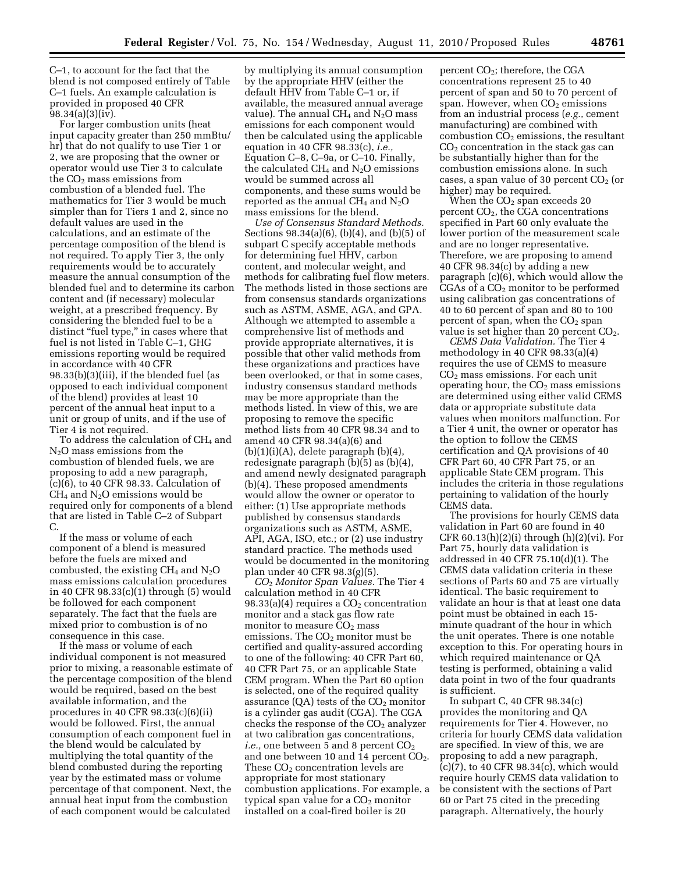C–1, to account for the fact that the blend is not composed entirely of Table C–1 fuels. An example calculation is provided in proposed 40 CFR 98.34(a)(3)(iv).

For larger combustion units (heat input capacity greater than 250 mmBtu/ hr) that do not qualify to use Tier 1 or 2, we are proposing that the owner or operator would use Tier 3 to calculate the  $CO<sub>2</sub>$  mass emissions from combustion of a blended fuel. The mathematics for Tier 3 would be much simpler than for Tiers 1 and 2, since no default values are used in the calculations, and an estimate of the percentage composition of the blend is not required. To apply Tier 3, the only requirements would be to accurately measure the annual consumption of the blended fuel and to determine its carbon content and (if necessary) molecular weight, at a prescribed frequency. By considering the blended fuel to be a distinct "fuel type," in cases where that fuel is not listed in Table C–1, GHG emissions reporting would be required in accordance with 40 CFR 98.33(b)(3)(iii), if the blended fuel (as opposed to each individual component of the blend) provides at least 10 percent of the annual heat input to a unit or group of units, and if the use of Tier 4 is not required.

To address the calculation of CH4 and N<sub>2</sub>O mass emissions from the combustion of blended fuels, we are proposing to add a new paragraph, (c)(6), to 40 CFR 98.33. Calculation of  $CH<sub>4</sub>$  and N<sub>2</sub>O emissions would be required only for components of a blend that are listed in Table C–2 of Subpart C.

If the mass or volume of each component of a blend is measured before the fuels are mixed and combusted, the existing  $CH_4$  and  $N_2O$ mass emissions calculation procedures in 40 CFR 98.33(c)(1) through (5) would be followed for each component separately. The fact that the fuels are mixed prior to combustion is of no consequence in this case.

If the mass or volume of each individual component is not measured prior to mixing, a reasonable estimate of the percentage composition of the blend would be required, based on the best available information, and the procedures in 40 CFR 98.33(c)(6)(ii) would be followed. First, the annual consumption of each component fuel in the blend would be calculated by multiplying the total quantity of the blend combusted during the reporting year by the estimated mass or volume percentage of that component. Next, the annual heat input from the combustion of each component would be calculated

by multiplying its annual consumption by the appropriate HHV (either the default HHV from Table C–1 or, if available, the measured annual average value). The annual  $CH_4$  and  $N_2O$  mass emissions for each component would then be calculated using the applicable equation in 40 CFR 98.33(c), *i.e.,*  Equation C–8, C–9a, or C–10. Finally, the calculated  $CH_4$  and  $N_2O$  emissions would be summed across all components, and these sums would be reported as the annual  $CH_4$  and  $N_2O$ mass emissions for the blend.

*Use of Consensus Standard Methods.*  Sections 98.34(a)(6), (b)(4), and (b)(5) of subpart C specify acceptable methods for determining fuel HHV, carbon content, and molecular weight, and methods for calibrating fuel flow meters. The methods listed in those sections are from consensus standards organizations such as ASTM, ASME, AGA, and GPA. Although we attempted to assemble a comprehensive list of methods and provide appropriate alternatives, it is possible that other valid methods from these organizations and practices have been overlooked, or that in some cases, industry consensus standard methods may be more appropriate than the methods listed. In view of this, we are proposing to remove the specific method lists from 40 CFR 98.34 and to amend 40 CFR 98.34(a)(6) and  $(b)(1)(i)(A)$ , delete paragraph  $(b)(4)$ , redesignate paragraph (b)(5) as (b)(4), and amend newly designated paragraph (b)(4). These proposed amendments would allow the owner or operator to either: (1) Use appropriate methods published by consensus standards organizations such as ASTM, ASME, API, AGA, ISO, etc.; or (2) use industry standard practice. The methods used would be documented in the monitoring plan under 40 CFR 98.3(g)(5).

*CO*2 *Monitor Span Values.* The Tier 4 calculation method in 40 CFR  $98.33(a)(4)$  requires a  $CO<sub>2</sub>$  concentration monitor and a stack gas flow rate monitor to measure  $CO<sub>2</sub>$  mass emissions. The  $CO<sub>2</sub>$  monitor must be certified and quality-assured according to one of the following: 40 CFR Part 60, 40 CFR Part 75, or an applicable State CEM program. When the Part 60 option is selected, one of the required quality assurance  $(QA)$  tests of the  $CO<sub>2</sub>$  monitor is a cylinder gas audit (CGA). The CGA checks the response of the  $CO<sub>2</sub>$  analyzer at two calibration gas concentrations, *i.e.*, one between 5 and 8 percent CO<sub>2</sub> and one between 10 and 14 percent  $CO<sub>2</sub>$ . These CO<sub>2</sub> concentration levels are appropriate for most stationary combustion applications. For example, a typical span value for a  $CO<sub>2</sub>$  monitor installed on a coal-fired boiler is 20

percent CO2; therefore, the CGA concentrations represent 25 to 40 percent of span and 50 to 70 percent of span. However, when  $CO<sub>2</sub>$  emissions from an industrial process (*e.g.,* cement manufacturing) are combined with combustion  $CO<sub>2</sub>$  emissions, the resultant  $CO<sub>2</sub>$  concentration in the stack gas can be substantially higher than for the combustion emissions alone. In such cases, a span value of 30 percent  $CO<sub>2</sub>$  (or higher) may be required.

When the  $CO<sub>2</sub>$  span exceeds 20 percent  $CO<sub>2</sub>$ , the CGA concentrations specified in Part 60 only evaluate the lower portion of the measurement scale and are no longer representative. Therefore, we are proposing to amend 40 CFR 98.34(c) by adding a new paragraph (c)(6), which would allow the  $CGAs of a CO<sub>2</sub> monitor to be performed$ using calibration gas concentrations of 40 to 60 percent of span and 80 to 100 percent of span, when the  $CO<sub>2</sub>$  span value is set higher than 20 percent  $CO<sub>2</sub>$ .

*CEMS Data Validation.* The Tier 4 methodology in 40 CFR 98.33(a)(4) requires the use of CEMS to measure CO2 mass emissions. For each unit operating hour, the  $CO<sub>2</sub>$  mass emissions are determined using either valid CEMS data or appropriate substitute data values when monitors malfunction. For a Tier 4 unit, the owner or operator has the option to follow the CEMS certification and QA provisions of 40 CFR Part 60, 40 CFR Part 75, or an applicable State CEM program. This includes the criteria in those regulations pertaining to validation of the hourly CEMS data.

The provisions for hourly CEMS data validation in Part 60 are found in 40 CFR  $60.13(h)(2)(i)$  through  $(h)(2)(vi)$ . For Part 75, hourly data validation is addressed in 40 CFR 75.10(d)(1). The CEMS data validation criteria in these sections of Parts 60 and 75 are virtually identical. The basic requirement to validate an hour is that at least one data point must be obtained in each 15 minute quadrant of the hour in which the unit operates. There is one notable exception to this. For operating hours in which required maintenance or QA testing is performed, obtaining a valid data point in two of the four quadrants is sufficient.

In subpart C, 40 CFR 98.34(c) provides the monitoring and QA requirements for Tier 4. However, no criteria for hourly CEMS data validation are specified. In view of this, we are proposing to add a new paragraph, (c)(7), to 40 CFR 98.34(c), which would require hourly CEMS data validation to be consistent with the sections of Part 60 or Part 75 cited in the preceding paragraph. Alternatively, the hourly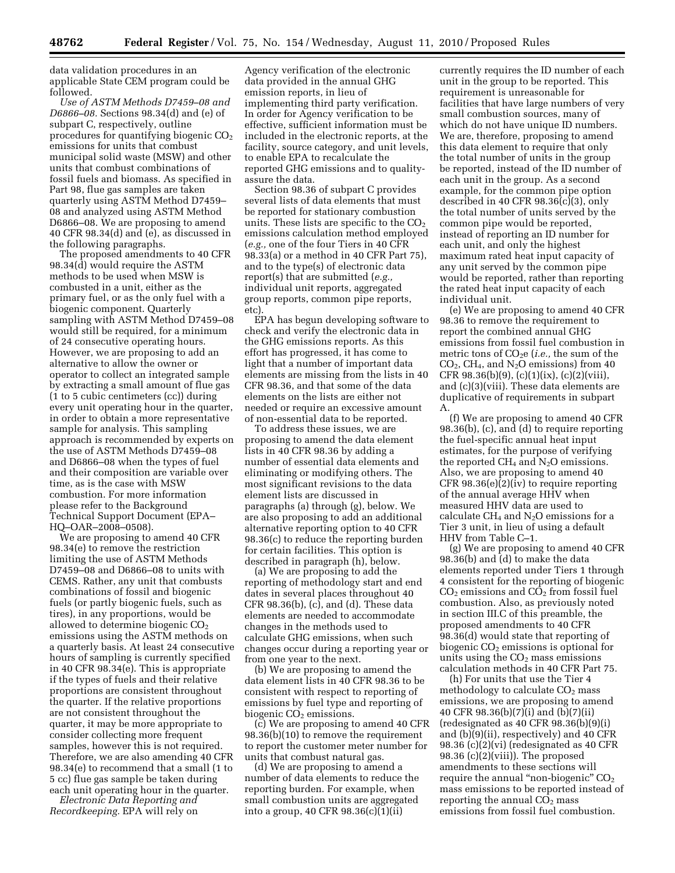data validation procedures in an applicable State CEM program could be followed.

*Use of ASTM Methods D7459–08 and D6866–08.* Sections 98.34(d) and (e) of subpart C, respectively, outline procedures for quantifying biogenic  $CO<sub>2</sub>$ emissions for units that combust municipal solid waste (MSW) and other units that combust combinations of fossil fuels and biomass. As specified in Part 98, flue gas samples are taken quarterly using ASTM Method D7459– 08 and analyzed using ASTM Method D6866–08. We are proposing to amend 40 CFR 98.34(d) and (e), as discussed in the following paragraphs.

The proposed amendments to 40 CFR 98.34(d) would require the ASTM methods to be used when MSW is combusted in a unit, either as the primary fuel, or as the only fuel with a biogenic component. Quarterly sampling with ASTM Method D7459–08 would still be required, for a minimum of 24 consecutive operating hours. However, we are proposing to add an alternative to allow the owner or operator to collect an integrated sample by extracting a small amount of flue gas  $(1$  to 5 cubic centimeters  $(cc)$ ) during every unit operating hour in the quarter, in order to obtain a more representative sample for analysis. This sampling approach is recommended by experts on the use of ASTM Methods D7459–08 and D6866–08 when the types of fuel and their composition are variable over time, as is the case with MSW combustion. For more information please refer to the Background Technical Support Document (EPA– HQ–OAR–2008–0508).

We are proposing to amend 40 CFR 98.34(e) to remove the restriction limiting the use of ASTM Methods D7459–08 and D6866–08 to units with CEMS. Rather, any unit that combusts combinations of fossil and biogenic fuels (or partly biogenic fuels, such as tires), in any proportions, would be allowed to determine biogenic  $CO<sub>2</sub>$ emissions using the ASTM methods on a quarterly basis. At least 24 consecutive hours of sampling is currently specified in 40 CFR 98.34(e). This is appropriate if the types of fuels and their relative proportions are consistent throughout the quarter. If the relative proportions are not consistent throughout the quarter, it may be more appropriate to consider collecting more frequent samples, however this is not required. Therefore, we are also amending 40 CFR 98.34(e) to recommend that a small (1 to 5 cc) flue gas sample be taken during each unit operating hour in the quarter.

*Electronic Data Reporting and Recordkeeping.* EPA will rely on

Agency verification of the electronic data provided in the annual GHG emission reports, in lieu of implementing third party verification. In order for Agency verification to be effective, sufficient information must be included in the electronic reports, at the facility, source category, and unit levels, to enable EPA to recalculate the reported GHG emissions and to qualityassure the data.

Section 98.36 of subpart C provides several lists of data elements that must be reported for stationary combustion units. These lists are specific to the  $CO<sub>2</sub>$ emissions calculation method employed (*e.g.,* one of the four Tiers in 40 CFR 98.33(a) or a method in 40 CFR Part 75), and to the type(s) of electronic data report(s) that are submitted (*e.g.,*  individual unit reports, aggregated group reports, common pipe reports, etc).

EPA has begun developing software to check and verify the electronic data in the GHG emissions reports. As this effort has progressed, it has come to light that a number of important data elements are missing from the lists in 40 CFR 98.36, and that some of the data elements on the lists are either not needed or require an excessive amount of non-essential data to be reported.

To address these issues, we are proposing to amend the data element lists in 40 CFR 98.36 by adding a number of essential data elements and eliminating or modifying others. The most significant revisions to the data element lists are discussed in paragraphs (a) through (g), below. We are also proposing to add an additional alternative reporting option to 40 CFR 98.36(c) to reduce the reporting burden for certain facilities. This option is described in paragraph (h), below.

(a) We are proposing to add the reporting of methodology start and end dates in several places throughout 40 CFR 98.36(b), (c), and (d). These data elements are needed to accommodate changes in the methods used to calculate GHG emissions, when such changes occur during a reporting year or from one year to the next.

(b) We are proposing to amend the data element lists in 40 CFR 98.36 to be consistent with respect to reporting of emissions by fuel type and reporting of biogenic  $CO<sub>2</sub>$  emissions.

(c) We are proposing to amend 40 CFR 98.36(b)(10) to remove the requirement to report the customer meter number for units that combust natural gas.

(d) We are proposing to amend a number of data elements to reduce the reporting burden. For example, when small combustion units are aggregated into a group, 40 CFR 98.36(c)(1)(ii)

currently requires the ID number of each unit in the group to be reported. This requirement is unreasonable for facilities that have large numbers of very small combustion sources, many of which do not have unique ID numbers. We are, therefore, proposing to amend this data element to require that only the total number of units in the group be reported, instead of the ID number of each unit in the group. As a second example, for the common pipe option described in 40 CFR 98.36(c)(3), only the total number of units served by the common pipe would be reported, instead of reporting an ID number for each unit, and only the highest maximum rated heat input capacity of any unit served by the common pipe would be reported, rather than reporting the rated heat input capacity of each individual unit.

(e) We are proposing to amend 40 CFR 98.36 to remove the requirement to report the combined annual GHG emissions from fossil fuel combustion in metric tons of CO2e (*i.e.,* the sum of the  $CO<sub>2</sub>$ , CH<sub>4</sub>, and N<sub>2</sub>O emissions) from 40 CFR 98.36(b)(9), (c)(1)(ix), (c)(2)(viii), and (c)(3)(viii). These data elements are duplicative of requirements in subpart A.

(f) We are proposing to amend 40 CFR 98.36(b), (c), and (d) to require reporting the fuel-specific annual heat input estimates, for the purpose of verifying the reported  $CH_4$  and  $N_2O$  emissions. Also, we are proposing to amend 40 CFR 98.36(e)(2)(iv) to require reporting of the annual average HHV when measured HHV data are used to calculate  $CH_4$  and  $N_2O$  emissions for a Tier 3 unit, in lieu of using a default HHV from Table C–1.

(g) We are proposing to amend 40 CFR 98.36(b) and (d) to make the data elements reported under Tiers 1 through 4 consistent for the reporting of biogenic  $CO<sub>2</sub>$  emissions and  $CO<sub>2</sub>$  from fossil fuel combustion. Also, as previously noted in section III.C of this preamble, the proposed amendments to 40 CFR 98.36(d) would state that reporting of biogenic  $CO<sub>2</sub>$  emissions is optional for units using the  $CO<sub>2</sub>$  mass emissions calculation methods in 40 CFR Part 75.

(h) For units that use the Tier 4 methodology to calculate  $CO<sub>2</sub>$  mass emissions, we are proposing to amend 40 CFR 98.36(b)(7)(i) and (b)(7)(ii) (redesignated as 40 CFR 98.36(b)(9)(i) and (b)(9)(ii), respectively) and 40 CFR 98.36 (c)(2)(vi) (redesignated as 40 CFR 98.36  $(c)(2)(viii)$ . The proposed amendments to these sections will require the annual "non-biogenic"  $CO<sub>2</sub>$ mass emissions to be reported instead of reporting the annual  $CO<sub>2</sub>$  mass emissions from fossil fuel combustion.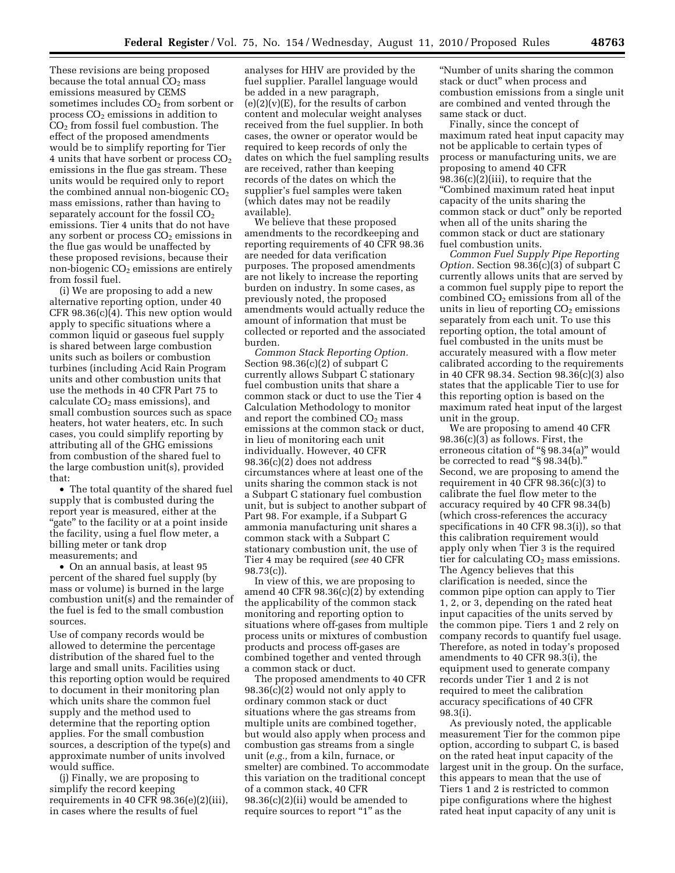These revisions are being proposed because the total annual  $CO<sub>2</sub>$  mass emissions measured by CEMS sometimes includes  $CO<sub>2</sub>$  from sorbent or process  $CO<sub>2</sub>$  emissions in addition to  $CO<sub>2</sub>$  from fossil fuel combustion. The effect of the proposed amendments would be to simplify reporting for Tier 4 units that have sorbent or process  $CO<sub>2</sub>$ emissions in the flue gas stream. These units would be required only to report the combined annual non-biogenic  $CO<sub>2</sub>$ mass emissions, rather than having to separately account for the fossil  $CO<sub>2</sub>$ emissions. Tier 4 units that do not have any sorbent or process  $CO<sub>2</sub>$  emissions in the flue gas would be unaffected by these proposed revisions, because their non-biogenic CO<sub>2</sub> emissions are entirely from fossil fuel.

(i) We are proposing to add a new alternative reporting option, under 40 CFR 98.36(c)(4). This new option would apply to specific situations where a common liquid or gaseous fuel supply is shared between large combustion units such as boilers or combustion turbines (including Acid Rain Program units and other combustion units that use the methods in 40 CFR Part 75 to calculate CO<sub>2</sub> mass emissions), and small combustion sources such as space heaters, hot water heaters, etc. In such cases, you could simplify reporting by attributing all of the GHG emissions from combustion of the shared fuel to the large combustion unit(s), provided that:

• The total quantity of the shared fuel supply that is combusted during the report year is measured, either at the ''gate'' to the facility or at a point inside the facility, using a fuel flow meter, a billing meter or tank drop measurements; and

• On an annual basis, at least 95 percent of the shared fuel supply (by mass or volume) is burned in the large combustion unit(s) and the remainder of the fuel is fed to the small combustion sources.

Use of company records would be allowed to determine the percentage distribution of the shared fuel to the large and small units. Facilities using this reporting option would be required to document in their monitoring plan which units share the common fuel supply and the method used to determine that the reporting option applies. For the small combustion sources, a description of the type(s) and approximate number of units involved would suffice.

(j) Finally, we are proposing to simplify the record keeping requirements in 40 CFR 98.36(e)(2)(iii), in cases where the results of fuel

analyses for HHV are provided by the fuel supplier. Parallel language would be added in a new paragraph,  $(e)(2)(v)(E)$ , for the results of carbon content and molecular weight analyses received from the fuel supplier. In both cases, the owner or operator would be required to keep records of only the dates on which the fuel sampling results are received, rather than keeping records of the dates on which the supplier's fuel samples were taken (which dates may not be readily available).

We believe that these proposed amendments to the recordkeeping and reporting requirements of 40 CFR 98.36 are needed for data verification purposes. The proposed amendments are not likely to increase the reporting burden on industry. In some cases, as previously noted, the proposed amendments would actually reduce the amount of information that must be collected or reported and the associated burden.

*Common Stack Reporting Option.*  Section 98.36(c)(2) of subpart C currently allows Subpart C stationary fuel combustion units that share a common stack or duct to use the Tier 4 Calculation Methodology to monitor and report the combined  $CO<sub>2</sub>$  mass emissions at the common stack or duct, in lieu of monitoring each unit individually. However, 40 CFR 98.36(c)(2) does not address circumstances where at least one of the units sharing the common stack is not a Subpart C stationary fuel combustion unit, but is subject to another subpart of Part 98. For example, if a Subpart G ammonia manufacturing unit shares a common stack with a Subpart C stationary combustion unit, the use of Tier 4 may be required (*see* 40 CFR 98.73(c)).

In view of this, we are proposing to amend 40 CFR 98.36(c)(2) by extending the applicability of the common stack monitoring and reporting option to situations where off-gases from multiple process units or mixtures of combustion products and process off-gases are combined together and vented through a common stack or duct.

The proposed amendments to 40 CFR 98.36(c)(2) would not only apply to ordinary common stack or duct situations where the gas streams from multiple units are combined together, but would also apply when process and combustion gas streams from a single unit (*e.g.,* from a kiln, furnace, or smelter) are combined. To accommodate this variation on the traditional concept of a common stack, 40 CFR 98.36(c)(2)(ii) would be amended to require sources to report "1" as the

''Number of units sharing the common stack or duct'' when process and combustion emissions from a single unit are combined and vented through the same stack or duct.

Finally, since the concept of maximum rated heat input capacity may not be applicable to certain types of process or manufacturing units, we are proposing to amend 40 CFR 98.36(c)(2)(iii), to require that the ''Combined maximum rated heat input capacity of the units sharing the common stack or duct'' only be reported when all of the units sharing the common stack or duct are stationary fuel combustion units.

*Common Fuel Supply Pipe Reporting Option.* Section 98.36(c)(3) of subpart C currently allows units that are served by a common fuel supply pipe to report the combined  $CO<sub>2</sub>$  emissions from all of the units in lieu of reporting  $CO<sub>2</sub>$  emissions separately from each unit. To use this reporting option, the total amount of fuel combusted in the units must be accurately measured with a flow meter calibrated according to the requirements in 40 CFR 98.34. Section 98.36(c)(3) also states that the applicable Tier to use for this reporting option is based on the maximum rated heat input of the largest unit in the group.

We are proposing to amend 40 CFR 98.36(c)(3) as follows. First, the erroneous citation of "§ 98.34(a)" would be corrected to read ''§ 98.34(b).'' Second, we are proposing to amend the requirement in 40 CFR  $98.36(c)(3)$  to calibrate the fuel flow meter to the accuracy required by 40 CFR 98.34(b) (which cross-references the accuracy specifications in 40 CFR 98.3(i)), so that this calibration requirement would apply only when Tier 3 is the required tier for calculating  $CO<sub>2</sub>$  mass emissions. The Agency believes that this clarification is needed, since the common pipe option can apply to Tier 1, 2, or 3, depending on the rated heat input capacities of the units served by the common pipe. Tiers 1 and 2 rely on company records to quantify fuel usage. Therefore, as noted in today's proposed amendments to 40 CFR 98.3(i), the equipment used to generate company records under Tier 1 and 2 is not required to meet the calibration accuracy specifications of 40 CFR 98.3(i).

As previously noted, the applicable measurement Tier for the common pipe option, according to subpart C, is based on the rated heat input capacity of the largest unit in the group. On the surface, this appears to mean that the use of Tiers 1 and 2 is restricted to common pipe configurations where the highest rated heat input capacity of any unit is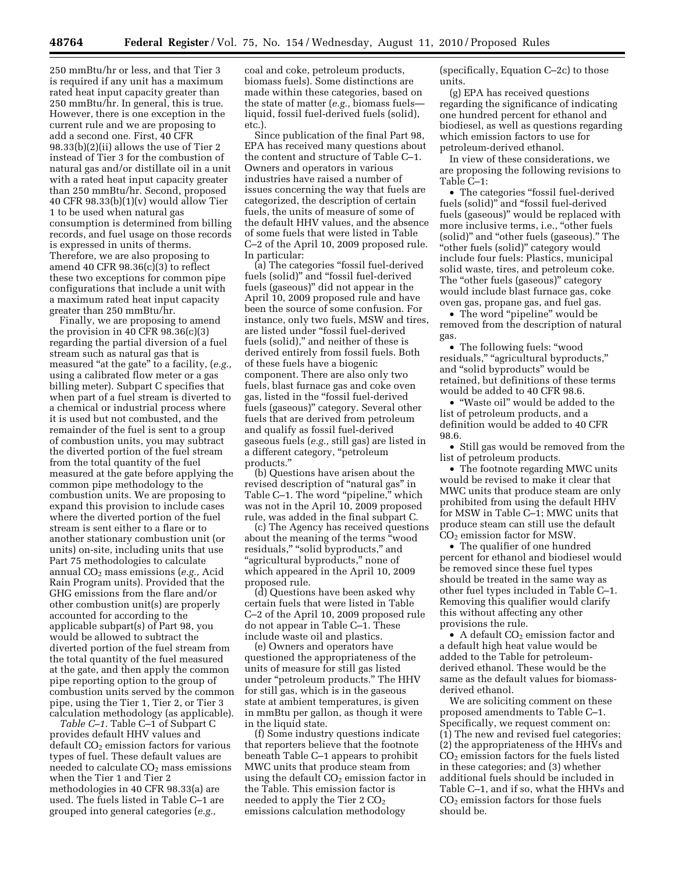250 mmBtu/hr or less, and that Tier 3 is required if any unit has a maximum rated heat input capacity greater than 250 mmBtu/hr. In general, this is true. However, there is one exception in the current rule and we are proposing to add a second one. First, 40 CFR 98.33(b)(2)(ii) allows the use of Tier 2 instead of Tier 3 for the combustion of natural gas and/or distillate oil in a unit with a rated heat input capacity greater than 250 mmBtu/hr. Second, proposed 40 CFR 98.33(b)(1)(v) would allow Tier 1 to be used when natural gas consumption is determined from billing records, and fuel usage on those records is expressed in units of therms. Therefore, we are also proposing to amend 40 CFR 98.36(c)(3) to reflect these two exceptions for common pipe configurations that include a unit with a maximum rated heat input capacity greater than 250 mmBtu/hr.

Finally, we are proposing to amend the provision in 40 CFR  $98.36(c)(3)$ regarding the partial diversion of a fuel stream such as natural gas that is measured "at the gate" to a facility,  $(e.g.,)$ using a calibrated flow meter or a gas billing meter). Subpart C specifies that when part of a fuel stream is diverted to a chemical or industrial process where it is used but not combusted, and the remainder of the fuel is sent to a group of combustion units, you may subtract the diverted portion of the fuel stream from the total quantity of the fuel measured at the gate before applying the common pipe methodology to the combustion units. We are proposing to expand this provision to include cases where the diverted portion of the fuel stream is sent either to a flare or to another stationary combustion unit (or units) on-site, including units that use Part 75 methodologies to calculate annual CO2 mass emissions (*e.g.,* Acid Rain Program units). Provided that the GHG emissions from the flare and/or other combustion unit(s) are properly accounted for according to the applicable subpart(s) of Part 98, you would be allowed to subtract the diverted portion of the fuel stream from the total quantity of the fuel measured at the gate, and then apply the common pipe reporting option to the group of combustion units served by the common pipe, using the Tier 1, Tier 2, or Tier 3 calculation methodology (as applicable).

*Table C–1.* Table C–1 of Subpart C provides default HHV values and default  $CO<sub>2</sub>$  emission factors for various types of fuel. These default values are needed to calculate CO<sub>2</sub> mass emissions when the Tier 1 and Tier 2 methodologies in 40 CFR 98.33(a) are used. The fuels listed in Table C–1 are grouped into general categories (*e.g.,* 

coal and coke, petroleum products, biomass fuels). Some distinctions are made within these categories, based on the state of matter (*e.g.,* biomass fuels liquid, fossil fuel-derived fuels (solid), etc.).

Since publication of the final Part 98, EPA has received many questions about the content and structure of Table C–1. Owners and operators in various industries have raised a number of issues concerning the way that fuels are categorized, the description of certain fuels, the units of measure of some of the default HHV values, and the absence of some fuels that were listed in Table C–2 of the April 10, 2009 proposed rule. In particular:

(a) The categories ''fossil fuel-derived fuels (solid)'' and ''fossil fuel-derived fuels (gaseous)'' did not appear in the April 10, 2009 proposed rule and have been the source of some confusion. For instance, only two fuels, MSW and tires, are listed under ''fossil fuel-derived fuels (solid)," and neither of these is derived entirely from fossil fuels. Both of these fuels have a biogenic component. There are also only two fuels, blast furnace gas and coke oven gas, listed in the ''fossil fuel-derived fuels (gaseous)'' category. Several other fuels that are derived from petroleum and qualify as fossil fuel-derived gaseous fuels (*e.g.,* still gas) are listed in a different category, "petroleum products.''

(b) Questions have arisen about the revised description of "natural gas" in Table C-1. The word "pipeline," which was not in the April 10, 2009 proposed rule, was added in the final subpart C.

(c) The Agency has received questions about the meaning of the terms ''wood residuals," "solid byproducts," and ''agricultural byproducts,'' none of which appeared in the April 10, 2009 proposed rule.

(d) Questions have been asked why certain fuels that were listed in Table C–2 of the April 10, 2009 proposed rule do not appear in Table C–1. These include waste oil and plastics.

(e) Owners and operators have questioned the appropriateness of the units of measure for still gas listed under "petroleum products." The HHV for still gas, which is in the gaseous state at ambient temperatures, is given in mmBtu per gallon, as though it were in the liquid state.

(f) Some industry questions indicate that reporters believe that the footnote beneath Table C–1 appears to prohibit MWC units that produce steam from using the default  $CO<sub>2</sub>$  emission factor in the Table. This emission factor is needed to apply the Tier  $2 CO<sub>2</sub>$ emissions calculation methodology

(specifically, Equation C–2c) to those units.

(g) EPA has received questions regarding the significance of indicating one hundred percent for ethanol and biodiesel, as well as questions regarding which emission factors to use for petroleum-derived ethanol.

In view of these considerations, we are proposing the following revisions to Table C–1:

• The categories "fossil fuel-derived fuels (solid)'' and ''fossil fuel-derived fuels (gaseous)'' would be replaced with more inclusive terms, i.e., "other fuels (solid)'' and ''other fuels (gaseous).'' The "other fuels (solid)" category would include four fuels: Plastics, municipal solid waste, tires, and petroleum coke. The ''other fuels (gaseous)'' category would include blast furnace gas, coke oven gas, propane gas, and fuel gas.

• The word "pipeline" would be removed from the description of natural gas

• The following fuels: ''wood residuals," "agricultural byproducts," and ''solid byproducts'' would be retained, but definitions of these terms would be added to 40 CFR 98.6.

• ''Waste oil'' would be added to the list of petroleum products, and a definition would be added to 40 CFR 98.6.

• Still gas would be removed from the list of petroleum products.

• The footnote regarding MWC units would be revised to make it clear that MWC units that produce steam are only prohibited from using the default HHV for MSW in Table C–1; MWC units that produce steam can still use the default  $CO<sub>2</sub>$  emission factor for MSW.

• The qualifier of one hundred percent for ethanol and biodiesel would be removed since these fuel types should be treated in the same way as other fuel types included in Table C–1. Removing this qualifier would clarify this without affecting any other provisions the rule.

• A default  $CO<sub>2</sub>$  emission factor and a default high heat value would be added to the Table for petroleumderived ethanol. These would be the same as the default values for biomassderived ethanol.

We are soliciting comment on these proposed amendments to Table C–1. Specifically, we request comment on: (1) The new and revised fuel categories; (2) the appropriateness of the HHVs and CO2 emission factors for the fuels listed in these categories; and (3) whether additional fuels should be included in Table C–1, and if so, what the HHVs and  $CO<sub>2</sub>$  emission factors for those fuels should be.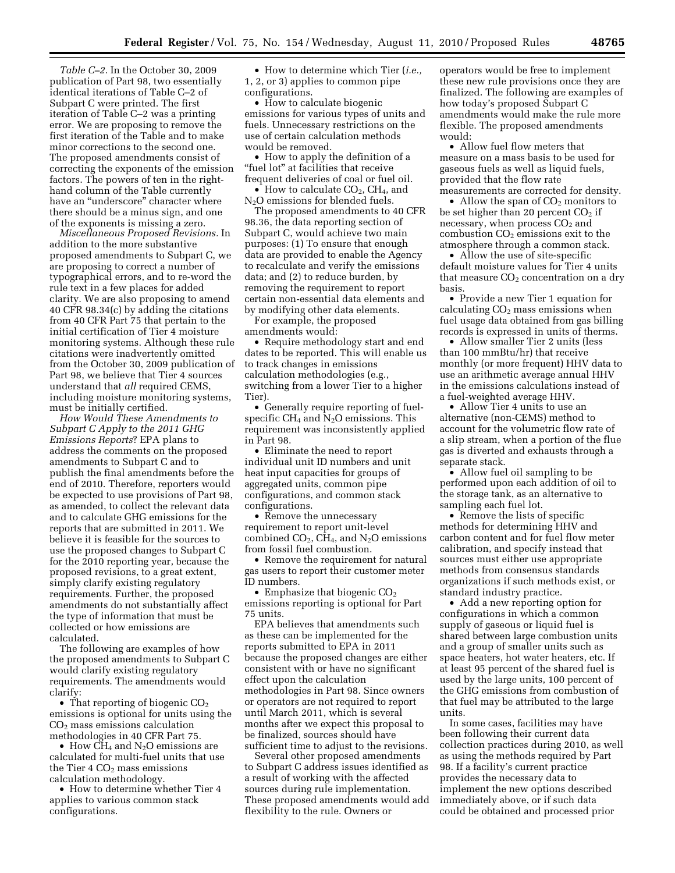*Table C–2.* In the October 30, 2009 publication of Part 98, two essentially identical iterations of Table C–2 of Subpart C were printed. The first iteration of Table C–2 was a printing error. We are proposing to remove the first iteration of the Table and to make minor corrections to the second one. The proposed amendments consist of correcting the exponents of the emission factors. The powers of ten in the righthand column of the Table currently have an ''underscore'' character where there should be a minus sign, and one of the exponents is missing a zero.

*Miscellaneous Proposed Revisions.* In addition to the more substantive proposed amendments to Subpart C, we are proposing to correct a number of typographical errors, and to re-word the rule text in a few places for added clarity. We are also proposing to amend 40 CFR 98.34(c) by adding the citations from 40 CFR Part 75 that pertain to the initial certification of Tier 4 moisture monitoring systems. Although these rule citations were inadvertently omitted from the October 30, 2009 publication of Part 98, we believe that Tier 4 sources understand that *all* required CEMS, including moisture monitoring systems, must be initially certified.

*How Would These Amendments to Subpart C Apply to the 2011 GHG Emissions Reports*? EPA plans to address the comments on the proposed amendments to Subpart C and to publish the final amendments before the end of 2010. Therefore, reporters would be expected to use provisions of Part 98, as amended, to collect the relevant data and to calculate GHG emissions for the reports that are submitted in 2011. We believe it is feasible for the sources to use the proposed changes to Subpart C for the 2010 reporting year, because the proposed revisions, to a great extent, simply clarify existing regulatory requirements. Further, the proposed amendments do not substantially affect the type of information that must be collected or how emissions are calculated.

The following are examples of how the proposed amendments to Subpart C would clarify existing regulatory requirements. The amendments would clarify:

• That reporting of biogenic  $CO<sub>2</sub>$ emissions is optional for units using the  $CO<sub>2</sub>$  mass emissions calculation methodologies in 40 CFR Part 75.

• How  $CH_4$  and  $N_2O$  emissions are calculated for multi-fuel units that use the Tier  $4 \text{ CO}_2$  mass emissions calculation methodology.

• How to determine whether Tier 4 applies to various common stack configurations.

• How to determine which Tier (*i.e.,*  1, 2, or 3) applies to common pipe configurations.

• How to calculate biogenic emissions for various types of units and fuels. Unnecessary restrictions on the use of certain calculation methods would be removed.

• How to apply the definition of a "fuel lot" at facilities that receive frequent deliveries of coal or fuel oil.

 $\bullet$  How to calculate CO<sub>2</sub>, CH<sub>4</sub>, and N2O emissions for blended fuels.

The proposed amendments to 40 CFR 98.36, the data reporting section of Subpart C, would achieve two main purposes: (1) To ensure that enough data are provided to enable the Agency to recalculate and verify the emissions data; and (2) to reduce burden, by removing the requirement to report certain non-essential data elements and by modifying other data elements.

For example, the proposed amendments would:

• Require methodology start and end dates to be reported. This will enable us to track changes in emissions calculation methodologies (e.g., switching from a lower Tier to a higher Tier).

• Generally require reporting of fuelspecific  $CH_4$  and  $N_2O$  emissions. This requirement was inconsistently applied in Part 98.

• Eliminate the need to report individual unit ID numbers and unit heat input capacities for groups of aggregated units, common pipe configurations, and common stack configurations.

• Remove the unnecessary requirement to report unit-level combined  $CO<sub>2</sub>$ ,  $CH<sub>4</sub>$ , and  $N<sub>2</sub>O$  emissions from fossil fuel combustion.

• Remove the requirement for natural gas users to report their customer meter ID numbers.

• Emphasize that biogenic  $CO<sub>2</sub>$ emissions reporting is optional for Part 75 units.

EPA believes that amendments such as these can be implemented for the reports submitted to EPA in 2011 because the proposed changes are either consistent with or have no significant effect upon the calculation methodologies in Part 98. Since owners or operators are not required to report until March 2011, which is several months after we expect this proposal to be finalized, sources should have sufficient time to adjust to the revisions.

Several other proposed amendments to Subpart C address issues identified as a result of working with the affected sources during rule implementation. These proposed amendments would add flexibility to the rule. Owners or

operators would be free to implement these new rule provisions once they are finalized. The following are examples of how today's proposed Subpart C amendments would make the rule more flexible. The proposed amendments would:

• Allow fuel flow meters that measure on a mass basis to be used for gaseous fuels as well as liquid fuels, provided that the flow rate measurements are corrected for density.

• Allow the span of  $CO<sub>2</sub>$  monitors to be set higher than 20 percent  $CO<sub>2</sub>$  if necessary, when process  $CO<sub>2</sub>$  and combustion  $CO<sub>2</sub>$  emissions exit to the atmosphere through a common stack.

• Allow the use of site-specific default moisture values for Tier 4 units that measure  $CO<sub>2</sub>$  concentration on a dry basis.

• Provide a new Tier 1 equation for calculating  $CO<sub>2</sub>$  mass emissions when fuel usage data obtained from gas billing records is expressed in units of therms.

• Allow smaller Tier 2 units (less than 100 mmBtu/hr) that receive monthly (or more frequent) HHV data to use an arithmetic average annual HHV in the emissions calculations instead of a fuel-weighted average HHV.

• Allow Tier 4 units to use an alternative (non-CEMS) method to account for the volumetric flow rate of a slip stream, when a portion of the flue gas is diverted and exhausts through a separate stack.

• Allow fuel oil sampling to be performed upon each addition of oil to the storage tank, as an alternative to sampling each fuel lot.

• Remove the lists of specific methods for determining HHV and carbon content and for fuel flow meter calibration, and specify instead that sources must either use appropriate methods from consensus standards organizations if such methods exist, or standard industry practice.

• Add a new reporting option for configurations in which a common supply of gaseous or liquid fuel is shared between large combustion units and a group of smaller units such as space heaters, hot water heaters, etc. If at least 95 percent of the shared fuel is used by the large units, 100 percent of the GHG emissions from combustion of that fuel may be attributed to the large units.

In some cases, facilities may have been following their current data collection practices during 2010, as well as using the methods required by Part 98. If a facility's current practice provides the necessary data to implement the new options described immediately above, or if such data could be obtained and processed prior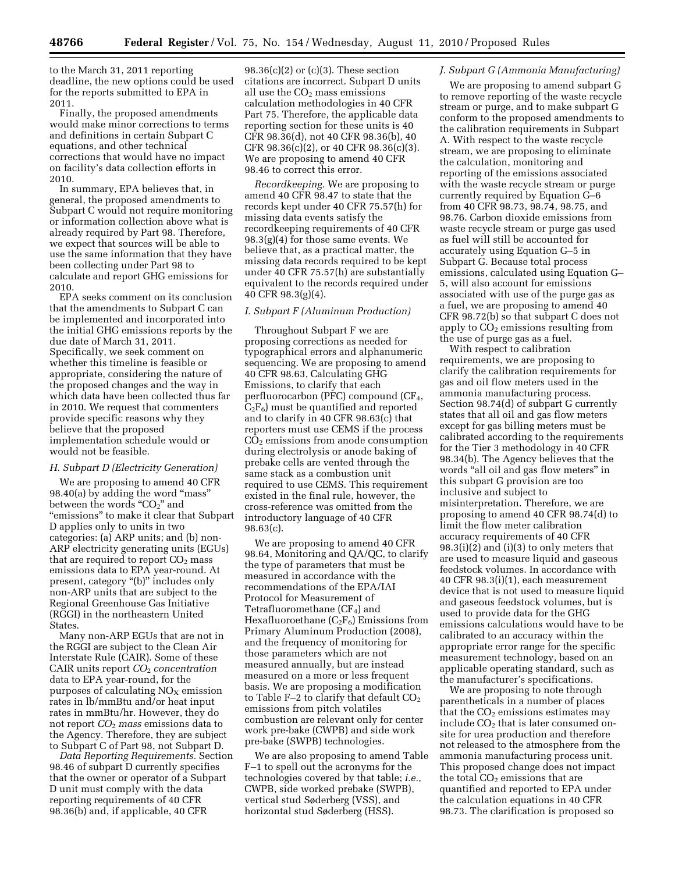to the March 31, 2011 reporting deadline, the new options could be used for the reports submitted to EPA in 2011.

Finally, the proposed amendments would make minor corrections to terms and definitions in certain Subpart C equations, and other technical corrections that would have no impact on facility's data collection efforts in 2010.

In summary, EPA believes that, in general, the proposed amendments to Subpart C would not require monitoring or information collection above what is already required by Part 98. Therefore, we expect that sources will be able to use the same information that they have been collecting under Part 98 to calculate and report GHG emissions for 2010.

EPA seeks comment on its conclusion that the amendments to Subpart C can be implemented and incorporated into the initial GHG emissions reports by the due date of March 31, 2011. Specifically, we seek comment on whether this timeline is feasible or appropriate, considering the nature of the proposed changes and the way in which data have been collected thus far in 2010. We request that commenters provide specific reasons why they believe that the proposed implementation schedule would or would not be feasible.

#### *H. Subpart D (Electricity Generation)*

We are proposing to amend 40 CFR 98.40(a) by adding the word "mass" between the words " $CO<sub>2</sub>$ " and ''emissions'' to make it clear that Subpart D applies only to units in two categories: (a) ARP units; and (b) non-ARP electricity generating units (EGUs) that are required to report  $CO<sub>2</sub>$  mass emissions data to EPA year-round. At present, category "(b)" includes only non-ARP units that are subject to the Regional Greenhouse Gas Initiative (RGGI) in the northeastern United States.

Many non-ARP EGUs that are not in the RGGI are subject to the Clean Air Interstate Rule (CAIR). Some of these CAIR units report *CO*2 *concentration*  data to EPA year-round, for the purposes of calculating  $NO<sub>X</sub>$  emission rates in lb/mmBtu and/or heat input rates in mmBtu/hr. However, they do not report *CO*2 *mass* emissions data to the Agency. Therefore, they are subject to Subpart C of Part 98, not Subpart D.

*Data Reporting Requirements.* Section 98.46 of subpart D currently specifies that the owner or operator of a Subpart D unit must comply with the data reporting requirements of 40 CFR 98.36(b) and, if applicable, 40 CFR

98.36(c)(2) or (c)(3). These section citations are incorrect. Subpart D units all use the  $CO<sub>2</sub>$  mass emissions calculation methodologies in 40 CFR Part 75. Therefore, the applicable data reporting section for these units is 40 CFR 98.36(d), not 40 CFR 98.36(b), 40 CFR  $98.36(c)(2)$ , or  $40$  CFR  $98.36(c)(3)$ . We are proposing to amend 40 CFR 98.46 to correct this error.

*Recordkeeping.* We are proposing to amend 40 CFR 98.47 to state that the records kept under 40 CFR 75.57(h) for missing data events satisfy the recordkeeping requirements of 40 CFR 98.3(g)(4) for those same events. We believe that, as a practical matter, the missing data records required to be kept under 40 CFR 75.57(h) are substantially equivalent to the records required under 40 CFR 98.3(g)(4).

#### *I. Subpart F (Aluminum Production)*

Throughout Subpart F we are proposing corrections as needed for typographical errors and alphanumeric sequencing. We are proposing to amend 40 CFR 98.63, Calculating GHG Emissions, to clarify that each perfluorocarbon (PFC) compound (CF<sub>4</sub>,  $C_2F_6$ ) must be quantified and reported and to clarify in 40 CFR 98.63(c) that reporters must use CEMS if the process CO2 emissions from anode consumption during electrolysis or anode baking of prebake cells are vented through the same stack as a combustion unit required to use CEMS. This requirement existed in the final rule, however, the cross-reference was omitted from the introductory language of 40 CFR 98.63(c).

We are proposing to amend 40 CFR 98.64, Monitoring and QA/QC, to clarify the type of parameters that must be measured in accordance with the recommendations of the EPA/IAI Protocol for Measurement of Tetrafluoromethane  $(CF_4)$  and Hexafluoroethane  $(C_2F_6)$  Emissions from Primary Aluminum Production (2008), and the frequency of monitoring for those parameters which are not measured annually, but are instead measured on a more or less frequent basis. We are proposing a modification to Table F-2 to clarify that default  $CO<sub>2</sub>$ emissions from pitch volatiles combustion are relevant only for center work pre-bake (CWPB) and side work pre-bake (SWPB) technologies.

We are also proposing to amend Table F–1 to spell out the acronyms for the technologies covered by that table; *i.e.,*  CWPB, side worked prebake (SWPB), vertical stud Søderberg (VSS), and horizontal stud Søderberg (HSS).

# *J. Subpart G (Ammonia Manufacturing)*

We are proposing to amend subpart G to remove reporting of the waste recycle stream or purge, and to make subpart G conform to the proposed amendments to the calibration requirements in Subpart A. With respect to the waste recycle stream, we are proposing to eliminate the calculation, monitoring and reporting of the emissions associated with the waste recycle stream or purge currently required by Equation G–6 from 40 CFR 98.73, 98.74, 98.75, and 98.76. Carbon dioxide emissions from waste recycle stream or purge gas used as fuel will still be accounted for accurately using Equation G–5 in Subpart G. Because total process emissions, calculated using Equation G– 5, will also account for emissions associated with use of the purge gas as a fuel, we are proposing to amend 40 CFR 98.72(b) so that subpart C does not apply to  $CO<sub>2</sub>$  emissions resulting from the use of purge gas as a fuel.

With respect to calibration requirements, we are proposing to clarify the calibration requirements for gas and oil flow meters used in the ammonia manufacturing process. Section 98.74(d) of subpart G currently states that all oil and gas flow meters except for gas billing meters must be calibrated according to the requirements for the Tier 3 methodology in 40 CFR 98.34(b). The Agency believes that the words "all oil and gas flow meters" in this subpart G provision are too inclusive and subject to misinterpretation. Therefore, we are proposing to amend 40 CFR 98.74(d) to limit the flow meter calibration accuracy requirements of 40 CFR 98.3(i)(2) and (i)(3) to only meters that are used to measure liquid and gaseous feedstock volumes. In accordance with 40 CFR 98.3(i)(1), each measurement device that is not used to measure liquid and gaseous feedstock volumes, but is used to provide data for the GHG emissions calculations would have to be calibrated to an accuracy within the appropriate error range for the specific measurement technology, based on an applicable operating standard, such as the manufacturer's specifications.

We are proposing to note through parentheticals in a number of places that the  $CO<sub>2</sub>$  emissions estimates may include  $CO<sub>2</sub>$  that is later consumed onsite for urea production and therefore not released to the atmosphere from the ammonia manufacturing process unit. This proposed change does not impact the total  $CO<sub>2</sub>$  emissions that are quantified and reported to EPA under the calculation equations in 40 CFR 98.73. The clarification is proposed so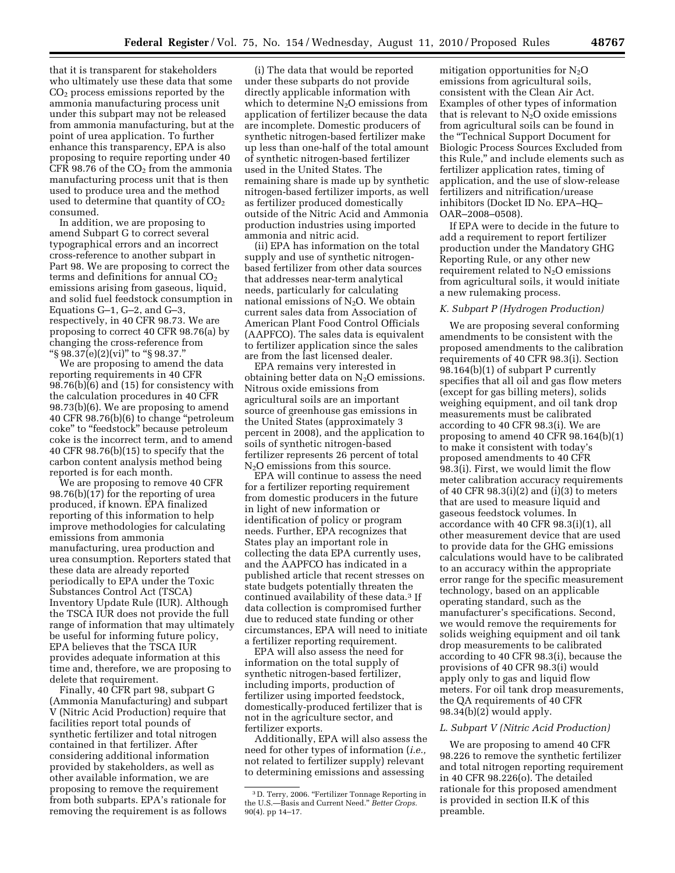that it is transparent for stakeholders who ultimately use these data that some  $CO<sub>2</sub>$  process emissions reported by the ammonia manufacturing process unit under this subpart may not be released from ammonia manufacturing, but at the point of urea application. To further enhance this transparency, EPA is also proposing to require reporting under 40 CFR 98.76 of the  $CO<sub>2</sub>$  from the ammonia manufacturing process unit that is then used to produce urea and the method used to determine that quantity of  $CO<sub>2</sub>$ consumed.

In addition, we are proposing to amend Subpart G to correct several typographical errors and an incorrect cross-reference to another subpart in Part 98. We are proposing to correct the terms and definitions for annual  $CO<sub>2</sub>$ emissions arising from gaseous, liquid, and solid fuel feedstock consumption in Equations G–1, G–2, and G–3, respectively, in 40 CFR 98.73. We are proposing to correct 40 CFR 98.76(a) by changing the cross-reference from "§  $98.37(e)(2)(vi)$ " to "§  $98.37$ ."

We are proposing to amend the data reporting requirements in 40 CFR 98.76(b)(6) and (15) for consistency with the calculation procedures in 40 CFR 98.73(b)(6). We are proposing to amend 40 CFR 98.76(b)(6) to change ''petroleum coke'' to ''feedstock'' because petroleum coke is the incorrect term, and to amend 40 CFR 98.76(b)(15) to specify that the carbon content analysis method being reported is for each month.

We are proposing to remove 40 CFR 98.76(b)(17) for the reporting of urea produced, if known. EPA finalized reporting of this information to help improve methodologies for calculating emissions from ammonia manufacturing, urea production and urea consumption. Reporters stated that these data are already reported periodically to EPA under the Toxic Substances Control Act (TSCA) Inventory Update Rule (IUR). Although the TSCA IUR does not provide the full range of information that may ultimately be useful for informing future policy, EPA believes that the TSCA IUR provides adequate information at this time and, therefore, we are proposing to delete that requirement.

Finally, 40 CFR part 98, subpart G (Ammonia Manufacturing) and subpart V (Nitric Acid Production) require that facilities report total pounds of synthetic fertilizer and total nitrogen contained in that fertilizer. After considering additional information provided by stakeholders, as well as other available information, we are proposing to remove the requirement from both subparts. EPA's rationale for removing the requirement is as follows

(i) The data that would be reported under these subparts do not provide directly applicable information with which to determine  $N_2O$  emissions from application of fertilizer because the data are incomplete. Domestic producers of synthetic nitrogen-based fertilizer make up less than one-half of the total amount of synthetic nitrogen-based fertilizer used in the United States. The remaining share is made up by synthetic nitrogen-based fertilizer imports, as well as fertilizer produced domestically outside of the Nitric Acid and Ammonia production industries using imported ammonia and nitric acid.

(ii) EPA has information on the total supply and use of synthetic nitrogenbased fertilizer from other data sources that addresses near-term analytical needs, particularly for calculating national emissions of  $N_2O$ . We obtain current sales data from Association of American Plant Food Control Officials (AAPFCO). The sales data is equivalent to fertilizer application since the sales are from the last licensed dealer.

EPA remains very interested in obtaining better data on  $N_2O$  emissions. Nitrous oxide emissions from agricultural soils are an important source of greenhouse gas emissions in the United States (approximately 3 percent in 2008), and the application to soils of synthetic nitrogen-based fertilizer represents 26 percent of total  $N<sub>2</sub>O$  emissions from this source.

EPA will continue to assess the need for a fertilizer reporting requirement from domestic producers in the future in light of new information or identification of policy or program needs. Further, EPA recognizes that States play an important role in collecting the data EPA currently uses, and the AAPFCO has indicated in a published article that recent stresses on state budgets potentially threaten the continued availability of these data.3 If data collection is compromised further due to reduced state funding or other circumstances, EPA will need to initiate a fertilizer reporting requirement.

EPA will also assess the need for information on the total supply of synthetic nitrogen-based fertilizer, including imports, production of fertilizer using imported feedstock, domestically-produced fertilizer that is not in the agriculture sector, and fertilizer exports.

Additionally, EPA will also assess the need for other types of information (*i.e.,*  not related to fertilizer supply) relevant to determining emissions and assessing

mitigation opportunities for  $N_2O$ emissions from agricultural soils, consistent with the Clean Air Act. Examples of other types of information that is relevant to  $N_2O$  oxide emissions from agricultural soils can be found in the ''Technical Support Document for Biologic Process Sources Excluded from this Rule,'' and include elements such as fertilizer application rates, timing of application, and the use of slow-release fertilizers and nitrification/urease inhibitors (Docket ID No. EPA–HQ– OAR–2008–0508).

If EPA were to decide in the future to add a requirement to report fertilizer production under the Mandatory GHG Reporting Rule, or any other new requirement related to  $N_2O$  emissions from agricultural soils, it would initiate a new rulemaking process.

#### *K. Subpart P (Hydrogen Production)*

We are proposing several conforming amendments to be consistent with the proposed amendments to the calibration requirements of 40 CFR 98.3(i). Section 98.164(b)(1) of subpart P currently specifies that all oil and gas flow meters (except for gas billing meters), solids weighing equipment, and oil tank drop measurements must be calibrated according to 40 CFR 98.3(i). We are proposing to amend 40 CFR 98.164(b)(1) to make it consistent with today's proposed amendments to 40 CFR 98.3(i). First, we would limit the flow meter calibration accuracy requirements of 40 CFR  $98.3(i)(2)$  and  $(i)(3)$  to meters that are used to measure liquid and gaseous feedstock volumes. In accordance with 40 CFR 98.3(i)(1), all other measurement device that are used to provide data for the GHG emissions calculations would have to be calibrated to an accuracy within the appropriate error range for the specific measurement technology, based on an applicable operating standard, such as the manufacturer's specifications. Second, we would remove the requirements for solids weighing equipment and oil tank drop measurements to be calibrated according to 40 CFR 98.3(i), because the provisions of 40 CFR 98.3(i) would apply only to gas and liquid flow meters. For oil tank drop measurements, the QA requirements of 40 CFR 98.34(b)(2) would apply.

# *L. Subpart V (Nitric Acid Production)*

We are proposing to amend 40 CFR 98.226 to remove the synthetic fertilizer and total nitrogen reporting requirement in 40 CFR 98.226(o). The detailed rationale for this proposed amendment is provided in section II.K of this preamble.

<sup>&</sup>lt;sup>3</sup> D. Terry, 2006. "Fertilizer Tonnage Reporting in the U.S.—Basis and Current Need.'' *Better Crops.*  90(4). pp 14–17.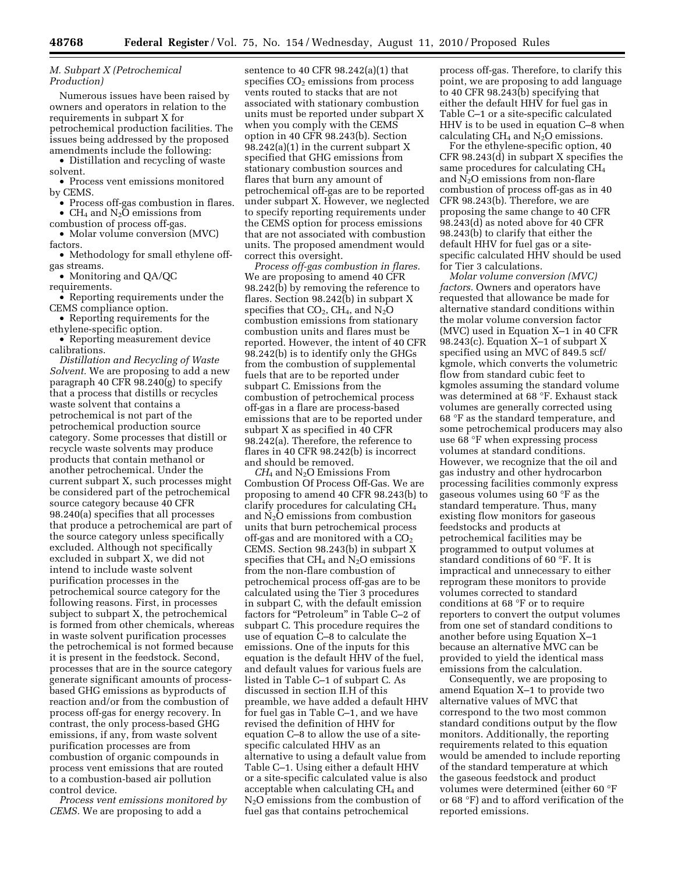# *M. Subpart X (Petrochemical Production)*

Numerous issues have been raised by owners and operators in relation to the requirements in subpart X for petrochemical production facilities. The issues being addressed by the proposed amendments include the following:

• Distillation and recycling of waste solvent.

• Process vent emissions monitored by CEMS.

• Process off-gas combustion in flares.

• CH<sub>4</sub> and N<sub>2</sub>O emissions from

combustion of process off-gas. • Molar volume conversion (MVC) factors.

• Methodology for small ethylene offgas streams.

• Monitoring and QA/QC

requirements.

• Reporting requirements under the CEMS compliance option.

• Reporting requirements for the ethylene-specific option.

• Reporting measurement device calibrations.

*Distillation and Recycling of Waste Solvent.* We are proposing to add a new paragraph 40 CFR 98.240(g) to specify that a process that distills or recycles waste solvent that contains a petrochemical is not part of the petrochemical production source category. Some processes that distill or recycle waste solvents may produce products that contain methanol or another petrochemical. Under the current subpart X, such processes might be considered part of the petrochemical source category because 40 CFR 98.240(a) specifies that all processes that produce a petrochemical are part of the source category unless specifically excluded. Although not specifically excluded in subpart X, we did not intend to include waste solvent purification processes in the petrochemical source category for the following reasons. First, in processes subject to subpart X, the petrochemical is formed from other chemicals, whereas in waste solvent purification processes the petrochemical is not formed because it is present in the feedstock. Second, processes that are in the source category generate significant amounts of processbased GHG emissions as byproducts of reaction and/or from the combustion of process off-gas for energy recovery. In contrast, the only process-based GHG emissions, if any, from waste solvent purification processes are from combustion of organic compounds in process vent emissions that are routed to a combustion-based air pollution control device.

*Process vent emissions monitored by CEMS.* We are proposing to add a

sentence to 40 CFR 98.242(a)(1) that specifies  $CO<sub>2</sub>$  emissions from process vents routed to stacks that are not associated with stationary combustion units must be reported under subpart X when you comply with the CEMS option in 40 CFR 98.243(b). Section 98.242(a)(1) in the current subpart X specified that GHG emissions from stationary combustion sources and flares that burn any amount of petrochemical off-gas are to be reported under subpart X. However, we neglected to specify reporting requirements under the CEMS option for process emissions that are not associated with combustion units. The proposed amendment would correct this oversight.

*Process off-gas combustion in flares.*  We are proposing to amend 40 CFR 98.242(b) by removing the reference to flares. Section 98.242(b) in subpart X specifies that  $CO<sub>2</sub>$ , CH<sub>4</sub>, and N<sub>2</sub>O combustion emissions from stationary combustion units and flares must be reported. However, the intent of 40 CFR 98.242(b) is to identify only the GHGs from the combustion of supplemental fuels that are to be reported under subpart C. Emissions from the combustion of petrochemical process off-gas in a flare are process-based emissions that are to be reported under subpart X as specified in 40 CFR 98.242(a). Therefore, the reference to flares in 40 CFR 98.242(b) is incorrect and should be removed.

*CH*4 and N2O Emissions From Combustion Of Process Off-Gas. We are proposing to amend 40 CFR 98.243(b) to clarify procedures for calculating CH4 and  $N_2O$  emissions from combustion units that burn petrochemical process off-gas and are monitored with a  $CO<sub>2</sub>$ CEMS. Section 98.243(b) in subpart X specifies that  $CH_4$  and  $N_2O$  emissions from the non-flare combustion of petrochemical process off-gas are to be calculated using the Tier 3 procedures in subpart C, with the default emission factors for "Petroleum" in Table C-2 of subpart C. This procedure requires the use of equation C–8 to calculate the emissions. One of the inputs for this equation is the default HHV of the fuel, and default values for various fuels are listed in Table C–1 of subpart C. As discussed in section II.H of this preamble, we have added a default HHV for fuel gas in Table C–1, and we have revised the definition of HHV for equation C–8 to allow the use of a sitespecific calculated HHV as an alternative to using a default value from Table C–1. Using either a default HHV or a site-specific calculated value is also acceptable when calculating  $CH<sub>4</sub>$  and  $N<sub>2</sub>O$  emissions from the combustion of fuel gas that contains petrochemical

process off-gas. Therefore, to clarify this point, we are proposing to add language to 40 CFR 98.243(b) specifying that either the default HHV for fuel gas in Table C–1 or a site-specific calculated HHV is to be used in equation C–8 when calculating  $CH_4$  and  $N_2O$  emissions.

For the ethylene-specific option, 40 CFR 98.243(d) in subpart X specifies the same procedures for calculating CH4 and  $N_2O$  emissions from non-flare combustion of process off-gas as in 40 CFR 98.243(b). Therefore, we are proposing the same change to 40 CFR 98.243(d) as noted above for 40 CFR 98.243(b) to clarify that either the default HHV for fuel gas or a sitespecific calculated HHV should be used for Tier 3 calculations.

*Molar volume conversion (MVC) factors.* Owners and operators have requested that allowance be made for alternative standard conditions within the molar volume conversion factor (MVC) used in Equation X–1 in 40 CFR 98.243(c). Equation X–1 of subpart X specified using an MVC of 849.5 scf/ kgmole, which converts the volumetric flow from standard cubic feet to kgmoles assuming the standard volume was determined at 68 °F. Exhaust stack volumes are generally corrected using 68 °F as the standard temperature, and some petrochemical producers may also use 68 °F when expressing process volumes at standard conditions. However, we recognize that the oil and gas industry and other hydrocarbon processing facilities commonly express gaseous volumes using 60 °F as the standard temperature. Thus, many existing flow monitors for gaseous feedstocks and products at petrochemical facilities may be programmed to output volumes at standard conditions of 60 °F. It is impractical and unnecessary to either reprogram these monitors to provide volumes corrected to standard conditions at 68 °F or to require reporters to convert the output volumes from one set of standard conditions to another before using Equation X–1 because an alternative MVC can be provided to yield the identical mass emissions from the calculation.

Consequently, we are proposing to amend Equation X–1 to provide two alternative values of MVC that correspond to the two most common standard conditions output by the flow monitors. Additionally, the reporting requirements related to this equation would be amended to include reporting of the standard temperature at which the gaseous feedstock and product volumes were determined (either 60 °F or 68 °F) and to afford verification of the reported emissions.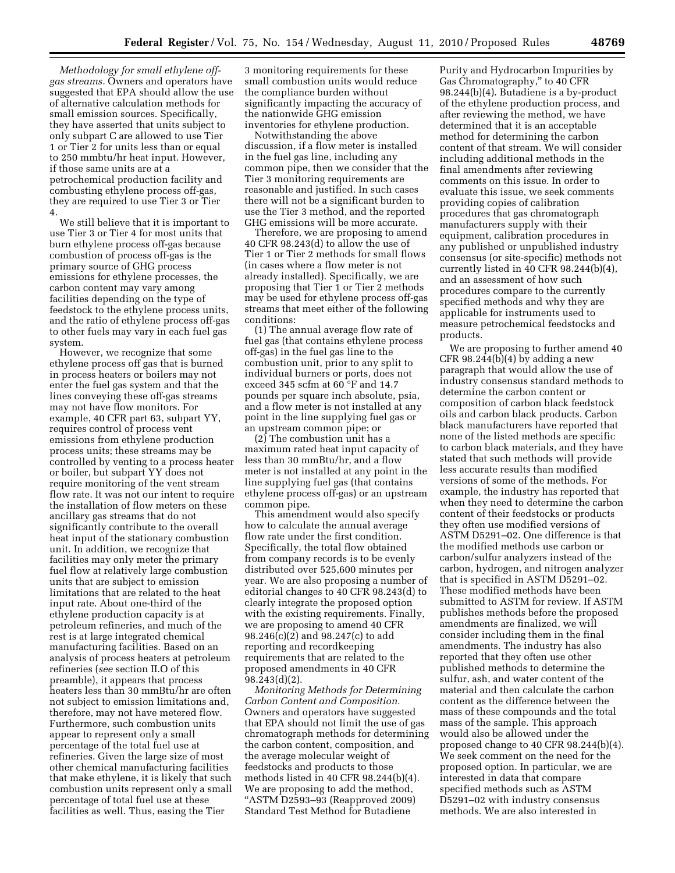*Methodology for small ethylene offgas streams.* Owners and operators have suggested that EPA should allow the use of alternative calculation methods for small emission sources. Specifically, they have asserted that units subject to only subpart C are allowed to use Tier 1 or Tier 2 for units less than or equal to 250 mmbtu/hr heat input. However, if those same units are at a petrochemical production facility and combusting ethylene process off-gas, they are required to use Tier 3 or Tier 4.

We still believe that it is important to use Tier 3 or Tier 4 for most units that burn ethylene process off-gas because combustion of process off-gas is the primary source of GHG process emissions for ethylene processes, the carbon content may vary among facilities depending on the type of feedstock to the ethylene process units, and the ratio of ethylene process off-gas to other fuels may vary in each fuel gas system.

However, we recognize that some ethylene process off gas that is burned in process heaters or boilers may not enter the fuel gas system and that the lines conveying these off-gas streams may not have flow monitors. For example, 40 CFR part 63, subpart YY, requires control of process vent emissions from ethylene production process units; these streams may be controlled by venting to a process heater or boiler, but subpart YY does not require monitoring of the vent stream flow rate. It was not our intent to require the installation of flow meters on these ancillary gas streams that do not significantly contribute to the overall heat input of the stationary combustion unit. In addition, we recognize that facilities may only meter the primary fuel flow at relatively large combustion units that are subject to emission limitations that are related to the heat input rate. About one-third of the ethylene production capacity is at petroleum refineries, and much of the rest is at large integrated chemical manufacturing facilities. Based on an analysis of process heaters at petroleum refineries (*see* section II.O of this preamble), it appears that process heaters less than 30 mmBtu/hr are often not subject to emission limitations and, therefore, may not have metered flow. Furthermore, such combustion units appear to represent only a small percentage of the total fuel use at refineries. Given the large size of most other chemical manufacturing facilities that make ethylene, it is likely that such combustion units represent only a small percentage of total fuel use at these facilities as well. Thus, easing the Tier

3 monitoring requirements for these small combustion units would reduce the compliance burden without significantly impacting the accuracy of the nationwide GHG emission inventories for ethylene production.

Notwithstanding the above discussion, if a flow meter is installed in the fuel gas line, including any common pipe, then we consider that the Tier 3 monitoring requirements are reasonable and justified. In such cases there will not be a significant burden to use the Tier 3 method, and the reported GHG emissions will be more accurate.

Therefore, we are proposing to amend 40 CFR 98.243(d) to allow the use of Tier 1 or Tier 2 methods for small flows (in cases where a flow meter is not already installed). Specifically, we are proposing that Tier 1 or Tier 2 methods may be used for ethylene process off-gas streams that meet either of the following conditions:

(1) The annual average flow rate of fuel gas (that contains ethylene process off-gas) in the fuel gas line to the combustion unit, prior to any split to individual burners or ports, does not exceed 345 scfm at 60 °F and 14.7 pounds per square inch absolute, psia, and a flow meter is not installed at any point in the line supplying fuel gas or an upstream common pipe; or

(2) The combustion unit has a maximum rated heat input capacity of less than 30 mmBtu/hr, and a flow meter is not installed at any point in the line supplying fuel gas (that contains ethylene process off-gas) or an upstream common pipe.

This amendment would also specify how to calculate the annual average flow rate under the first condition. Specifically, the total flow obtained from company records is to be evenly distributed over 525,600 minutes per year. We are also proposing a number of editorial changes to 40 CFR 98.243(d) to clearly integrate the proposed option with the existing requirements. Finally, we are proposing to amend 40 CFR 98.246(c)(2) and 98.247(c) to add reporting and recordkeeping requirements that are related to the proposed amendments in 40 CFR 98.243(d)(2).

*Monitoring Methods for Determining Carbon Content and Composition.*  Owners and operators have suggested that EPA should not limit the use of gas chromatograph methods for determining the carbon content, composition, and the average molecular weight of feedstocks and products to those methods listed in 40 CFR 98.244(b)(4). We are proposing to add the method, ''ASTM D2593–93 (Reapproved 2009) Standard Test Method for Butadiene

Purity and Hydrocarbon Impurities by Gas Chromatography,'' to 40 CFR 98.244(b)(4). Butadiene is a by-product of the ethylene production process, and after reviewing the method, we have determined that it is an acceptable method for determining the carbon content of that stream. We will consider including additional methods in the final amendments after reviewing comments on this issue. In order to evaluate this issue, we seek comments providing copies of calibration procedures that gas chromatograph manufacturers supply with their equipment, calibration procedures in any published or unpublished industry consensus (or site-specific) methods not currently listed in 40 CFR 98.244(b)(4), and an assessment of how such procedures compare to the currently specified methods and why they are applicable for instruments used to measure petrochemical feedstocks and products.

We are proposing to further amend 40 CFR 98.244(b)(4) by adding a new paragraph that would allow the use of industry consensus standard methods to determine the carbon content or composition of carbon black feedstock oils and carbon black products. Carbon black manufacturers have reported that none of the listed methods are specific to carbon black materials, and they have stated that such methods will provide less accurate results than modified versions of some of the methods. For example, the industry has reported that when they need to determine the carbon content of their feedstocks or products they often use modified versions of ASTM D5291–02. One difference is that the modified methods use carbon or carbon/sulfur analyzers instead of the carbon, hydrogen, and nitrogen analyzer that is specified in ASTM D5291–02. These modified methods have been submitted to ASTM for review. If ASTM publishes methods before the proposed amendments are finalized, we will consider including them in the final amendments. The industry has also reported that they often use other published methods to determine the sulfur, ash, and water content of the material and then calculate the carbon content as the difference between the mass of these compounds and the total mass of the sample. This approach would also be allowed under the proposed change to 40 CFR 98.244(b)(4). We seek comment on the need for the proposed option. In particular, we are interested in data that compare specified methods such as ASTM D5291–02 with industry consensus methods. We are also interested in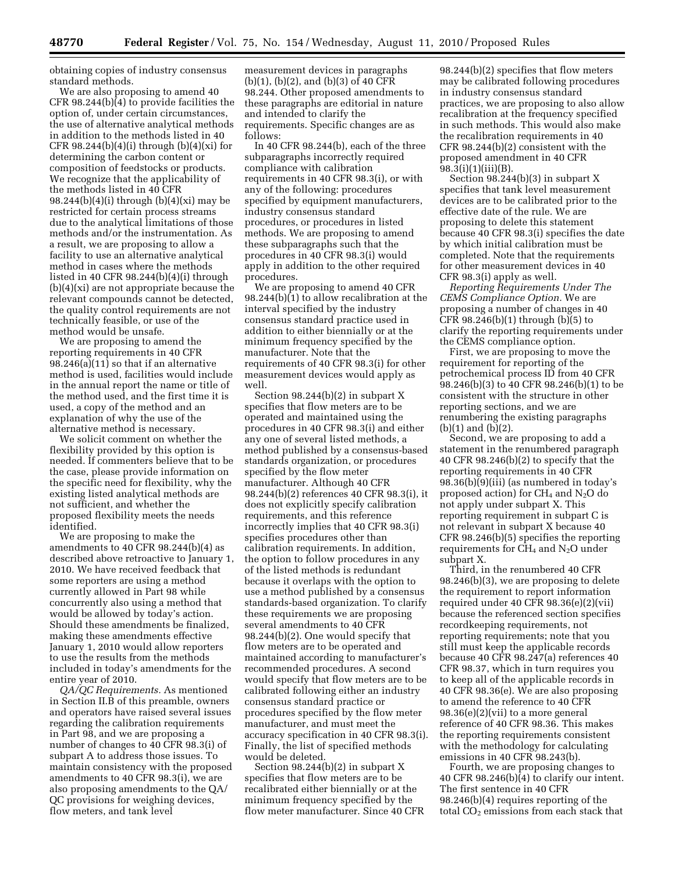obtaining copies of industry consensus standard methods.

We are also proposing to amend 40 CFR 98.244(b)(4) to provide facilities the option of, under certain circumstances, the use of alternative analytical methods in addition to the methods listed in 40 CFR  $98.244(b)(4)(i)$  through  $(b)(4)(xi)$  for determining the carbon content or composition of feedstocks or products. We recognize that the applicability of the methods listed in 40 CFR 98.244 $(b)(4)(i)$  through  $(b)(4)(xi)$  may be restricted for certain process streams due to the analytical limitations of those methods and/or the instrumentation. As a result, we are proposing to allow a facility to use an alternative analytical method in cases where the methods listed in 40 CFR 98.244(b)(4)(i) through (b)(4)(xi) are not appropriate because the relevant compounds cannot be detected, the quality control requirements are not technically feasible, or use of the method would be unsafe.

We are proposing to amend the reporting requirements in 40 CFR 98.246(a)(11) so that if an alternative method is used, facilities would include in the annual report the name or title of the method used, and the first time it is used, a copy of the method and an explanation of why the use of the alternative method is necessary.

We solicit comment on whether the flexibility provided by this option is needed. If commenters believe that to be the case, please provide information on the specific need for flexibility, why the existing listed analytical methods are not sufficient, and whether the proposed flexibility meets the needs identified.

We are proposing to make the amendments to 40 CFR 98.244(b)(4) as described above retroactive to January 1, 2010. We have received feedback that some reporters are using a method currently allowed in Part 98 while concurrently also using a method that would be allowed by today's action. Should these amendments be finalized, making these amendments effective January 1, 2010 would allow reporters to use the results from the methods included in today's amendments for the entire year of 2010.

*QA/QC Requirements.* As mentioned in Section II.B of this preamble, owners and operators have raised several issues regarding the calibration requirements in Part 98, and we are proposing a number of changes to 40 CFR 98.3(i) of subpart A to address those issues. To maintain consistency with the proposed amendments to 40 CFR 98.3(i), we are also proposing amendments to the QA/ QC provisions for weighing devices, flow meters, and tank level

measurement devices in paragraphs  $(b)(1)$ ,  $(b)(2)$ , and  $(b)(3)$  of 40 CFR 98.244. Other proposed amendments to these paragraphs are editorial in nature and intended to clarify the requirements. Specific changes are as follows:

In 40 CFR 98.244(b), each of the three subparagraphs incorrectly required compliance with calibration requirements in 40 CFR 98.3(i), or with any of the following: procedures specified by equipment manufacturers, industry consensus standard procedures, or procedures in listed methods. We are proposing to amend these subparagraphs such that the procedures in 40 CFR 98.3(i) would apply in addition to the other required procedures.

We are proposing to amend 40 CFR 98.244(b)(1) to allow recalibration at the interval specified by the industry consensus standard practice used in addition to either biennially or at the minimum frequency specified by the manufacturer. Note that the requirements of 40 CFR 98.3(i) for other measurement devices would apply as well.

Section 98.244(b)(2) in subpart X specifies that flow meters are to be operated and maintained using the procedures in 40 CFR 98.3(i) and either any one of several listed methods, a method published by a consensus-based standards organization, or procedures specified by the flow meter manufacturer. Although 40 CFR 98.244(b)(2) references 40 CFR 98.3(i), it does not explicitly specify calibration requirements, and this reference incorrectly implies that 40 CFR 98.3(i) specifies procedures other than calibration requirements. In addition, the option to follow procedures in any of the listed methods is redundant because it overlaps with the option to use a method published by a consensus standards-based organization. To clarify these requirements we are proposing several amendments to 40 CFR 98.244(b)(2). One would specify that flow meters are to be operated and maintained according to manufacturer's recommended procedures. A second would specify that flow meters are to be calibrated following either an industry consensus standard practice or procedures specified by the flow meter manufacturer, and must meet the accuracy specification in 40 CFR 98.3(i). Finally, the list of specified methods would be deleted.

Section 98.244(b)(2) in subpart X specifies that flow meters are to be recalibrated either biennially or at the minimum frequency specified by the flow meter manufacturer. Since 40 CFR 98.244(b)(2) specifies that flow meters may be calibrated following procedures in industry consensus standard practices, we are proposing to also allow recalibration at the frequency specified in such methods. This would also make the recalibration requirements in 40 CFR 98.244(b)(2) consistent with the proposed amendment in 40 CFR 98.3(i)(1)(iii)(B).

Section 98.244(b)(3) in subpart X specifies that tank level measurement devices are to be calibrated prior to the effective date of the rule. We are proposing to delete this statement because 40 CFR 98.3(i) specifies the date by which initial calibration must be completed. Note that the requirements for other measurement devices in 40 CFR 98.3(i) apply as well.

*Reporting Requirements Under The CEMS Compliance Option.* We are proposing a number of changes in 40 CFR 98.246(b)(1) through (b)(5) to clarify the reporting requirements under the CEMS compliance option.

First, we are proposing to move the requirement for reporting of the petrochemical process ID from 40 CFR 98.246(b)(3) to 40 CFR 98.246(b)(1) to be consistent with the structure in other reporting sections, and we are renumbering the existing paragraphs  $(b)(1)$  and  $(b)(2)$ .

Second, we are proposing to add a statement in the renumbered paragraph 40 CFR 98.246(b)(2) to specify that the reporting requirements in 40 CFR 98.36(b)(9)(iii) (as numbered in today's proposed action) for  $CH_4$  and  $N_2O$  do not apply under subpart X. This reporting requirement in subpart C is not relevant in subpart X because 40 CFR 98.246(b)(5) specifies the reporting requirements for  $CH_4$  and  $N_2O$  under subpart X.

Third, in the renumbered 40 CFR 98.246(b)(3), we are proposing to delete the requirement to report information required under 40 CFR 98.36(e)(2)(vii) because the referenced section specifies recordkeeping requirements, not reporting requirements; note that you still must keep the applicable records because 40 CFR 98.247(a) references 40 CFR 98.37, which in turn requires you to keep all of the applicable records in 40 CFR 98.36(e). We are also proposing to amend the reference to 40 CFR 98.36(e)(2)(vii) to a more general reference of 40 CFR 98.36. This makes the reporting requirements consistent with the methodology for calculating emissions in 40 CFR 98.243(b).

Fourth, we are proposing changes to 40 CFR 98.246(b)(4) to clarify our intent. The first sentence in 40 CFR 98.246(b)(4) requires reporting of the total CO<sub>2</sub> emissions from each stack that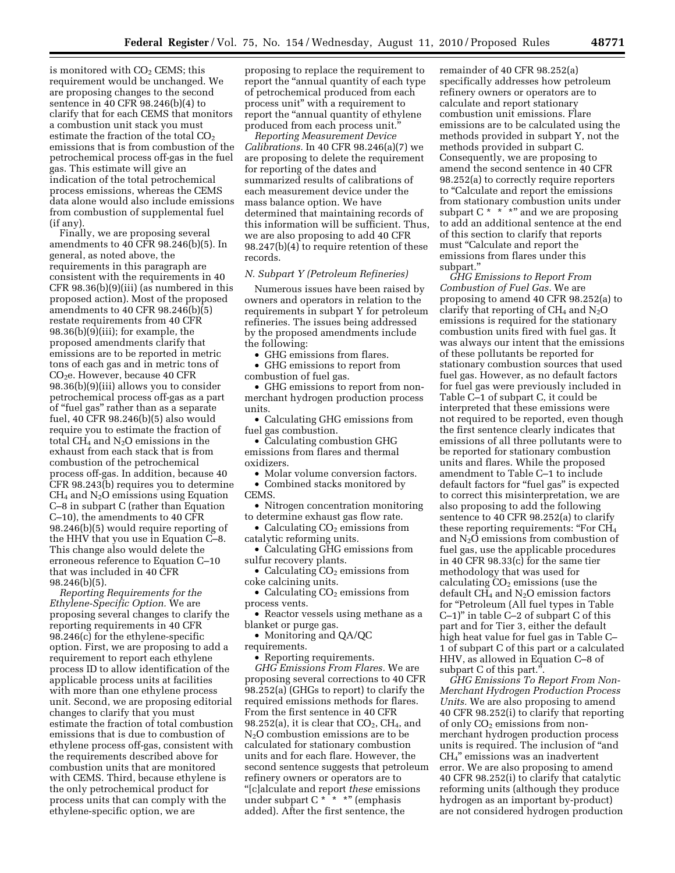is monitored with CO<sub>2</sub> CEMS; this requirement would be unchanged. We are proposing changes to the second sentence in 40 CFR 98.246(b)(4) to clarify that for each CEMS that monitors a combustion unit stack you must estimate the fraction of the total  $CO<sub>2</sub>$ emissions that is from combustion of the petrochemical process off-gas in the fuel gas. This estimate will give an indication of the total petrochemical process emissions, whereas the CEMS data alone would also include emissions from combustion of supplemental fuel (if any).

Finally, we are proposing several amendments to 40 CFR 98.246(b)(5). In general, as noted above, the requirements in this paragraph are consistent with the requirements in 40 CFR 98.36(b)(9)(iii) (as numbered in this proposed action). Most of the proposed amendments to 40 CFR 98.246(b)(5) restate requirements from 40 CFR 98.36(b)(9)(iii); for example, the proposed amendments clarify that emissions are to be reported in metric tons of each gas and in metric tons of CO<sub>2</sub>e. However, because 40 CFR 98.36(b)(9)(iii) allows you to consider petrochemical process off-gas as a part of ''fuel gas'' rather than as a separate fuel, 40 CFR 98.246(b)(5) also would require you to estimate the fraction of total  $CH_4$  and  $N_2O$  emissions in the exhaust from each stack that is from combustion of the petrochemical process off-gas. In addition, because 40 CFR 98.243(b) requires you to determine  $CH<sub>4</sub>$  and  $N<sub>2</sub>O$  emissions using Equation C–8 in subpart C (rather than Equation C–10), the amendments to 40 CFR 98.246(b)(5) would require reporting of the HHV that you use in Equation C–8. This change also would delete the erroneous reference to Equation C–10 that was included in 40 CFR 98.246(b)(5).

*Reporting Requirements for the Ethylene-Specific Option.* We are proposing several changes to clarify the reporting requirements in 40 CFR 98.246(c) for the ethylene-specific option. First, we are proposing to add a requirement to report each ethylene process ID to allow identification of the applicable process units at facilities with more than one ethylene process unit. Second, we are proposing editorial changes to clarify that you must estimate the fraction of total combustion emissions that is due to combustion of ethylene process off-gas, consistent with the requirements described above for combustion units that are monitored with CEMS. Third, because ethylene is the only petrochemical product for process units that can comply with the ethylene-specific option, we are

proposing to replace the requirement to report the ''annual quantity of each type of petrochemical produced from each process unit'' with a requirement to report the "annual quantity of ethylene" produced from each process unit.''

*Reporting Measurement Device Calibrations.* In 40 CFR 98.246(a)(7) we are proposing to delete the requirement for reporting of the dates and summarized results of calibrations of each measurement device under the mass balance option. We have determined that maintaining records of this information will be sufficient. Thus, we are also proposing to add 40 CFR 98.247(b)(4) to require retention of these records.

#### *N. Subpart Y (Petroleum Refineries)*

Numerous issues have been raised by owners and operators in relation to the requirements in subpart Y for petroleum refineries. The issues being addressed by the proposed amendments include the following:

• GHG emissions from flares.

• GHG emissions to report from combustion of fuel gas.

• GHG emissions to report from nonmerchant hydrogen production process units.

• Calculating GHG emissions from fuel gas combustion.

• Calculating combustion GHG emissions from flares and thermal oxidizers.

• Molar volume conversion factors.

• Combined stacks monitored by CEMS.

• Nitrogen concentration monitoring to determine exhaust gas flow rate.

• Calculating  $CO<sub>2</sub>$  emissions from catalytic reforming units.

• Calculating GHG emissions from sulfur recovery plants.

• Calculating  $CO<sub>2</sub>$  emissions from coke calcining units.

• Calculating  $CO<sub>2</sub>$  emissions from process vents.

• Reactor vessels using methane as a

blanket or purge gas. • Monitoring and QA/QC

requirements.

• Reporting requirements.

*GHG Emissions From Flares.* We are proposing several corrections to 40 CFR 98.252(a) (GHGs to report) to clarify the required emissions methods for flares. From the first sentence in 40 CFR 98.252(a), it is clear that  $CO<sub>2</sub>$ , CH<sub>4</sub>, and N2O combustion emissions are to be calculated for stationary combustion units and for each flare. However, the second sentence suggests that petroleum refinery owners or operators are to ''[c]alculate and report *these* emissions under subpart  $C \times \times \times \times$ " (emphasis added). After the first sentence, the

remainder of 40 CFR 98.252(a) specifically addresses how petroleum refinery owners or operators are to calculate and report stationary combustion unit emissions. Flare emissions are to be calculated using the methods provided in subpart Y, not the methods provided in subpart C. Consequently, we are proposing to amend the second sentence in 40 CFR 98.252(a) to correctly require reporters to ''Calculate and report the emissions from stationary combustion units under subpart  $C \times \cdot \cdot \cdot$  and we are proposing to add an additional sentence at the end of this section to clarify that reports must ''Calculate and report the emissions from flares under this subpart.''

*GHG Emissions to Report From Combustion of Fuel Gas.* We are proposing to amend 40 CFR 98.252(a) to clarify that reporting of  $CH_4$  and  $N_2O$ emissions is required for the stationary combustion units fired with fuel gas. It was always our intent that the emissions of these pollutants be reported for stationary combustion sources that used fuel gas. However, as no default factors for fuel gas were previously included in Table C–1 of subpart C, it could be interpreted that these emissions were not required to be reported, even though the first sentence clearly indicates that emissions of all three pollutants were to be reported for stationary combustion units and flares. While the proposed amendment to Table C–1 to include default factors for "fuel gas" is expected to correct this misinterpretation, we are also proposing to add the following sentence to 40 CFR 98.252(a) to clarify these reporting requirements: "For CH<sub>4</sub> and  $N_2O$  emissions from combustion of fuel gas, use the applicable procedures in 40 CFR 98.33(c) for the same tier methodology that was used for calculating  $CO<sub>2</sub>$  emissions (use the default  $CH_4$  and  $N_2O$  emission factors for "Petroleum (All fuel types in Table C–1)'' in table C–2 of subpart C of this part and for Tier 3, either the default high heat value for fuel gas in Table C– 1 of subpart C of this part or a calculated HHV, as allowed in Equation C–8 of subpart C of this part.''.

*GHG Emissions To Report From Non-Merchant Hydrogen Production Process Units.* We are also proposing to amend 40 CFR 98.252(i) to clarify that reporting of only  $CO<sub>2</sub>$  emissions from nonmerchant hydrogen production process units is required. The inclusion of ''and CH4'' emissions was an inadvertent error. We are also proposing to amend 40 CFR 98.252(i) to clarify that catalytic reforming units (although they produce hydrogen as an important by-product) are not considered hydrogen production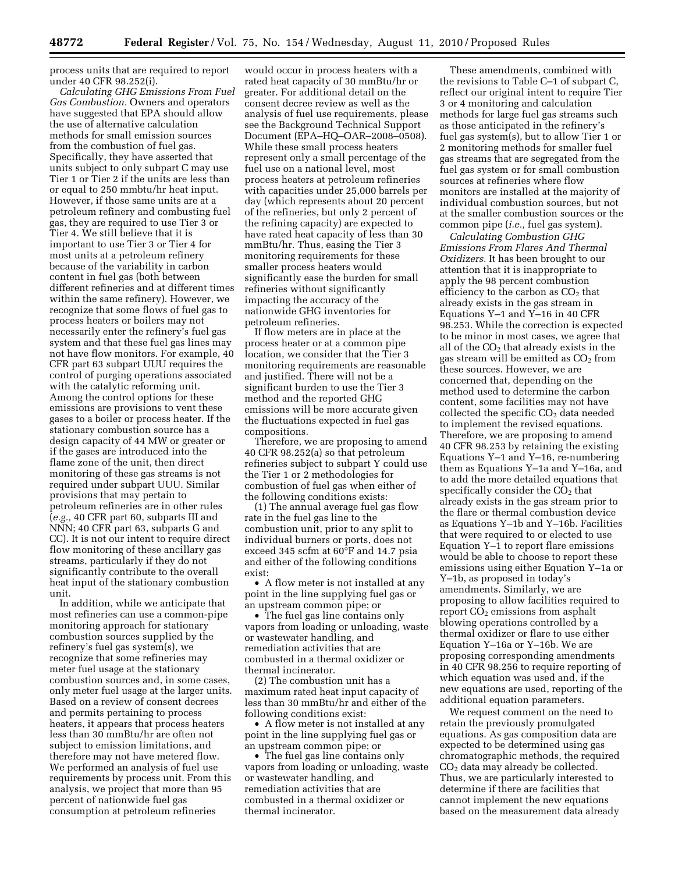process units that are required to report under 40 CFR 98.252(i).

*Calculating GHG Emissions From Fuel Gas Combustion.* Owners and operators have suggested that EPA should allow the use of alternative calculation methods for small emission sources from the combustion of fuel gas. Specifically, they have asserted that units subject to only subpart C may use Tier 1 or Tier 2 if the units are less than or equal to 250 mmbtu/hr heat input. However, if those same units are at a petroleum refinery and combusting fuel gas, they are required to use Tier 3 or Tier 4. We still believe that it is important to use Tier 3 or Tier 4 for most units at a petroleum refinery because of the variability in carbon content in fuel gas (both between different refineries and at different times within the same refinery). However, we recognize that some flows of fuel gas to process heaters or boilers may not necessarily enter the refinery's fuel gas system and that these fuel gas lines may not have flow monitors. For example, 40 CFR part 63 subpart UUU requires the control of purging operations associated with the catalytic reforming unit. Among the control options for these emissions are provisions to vent these gases to a boiler or process heater. If the stationary combustion source has a design capacity of 44 MW or greater or if the gases are introduced into the flame zone of the unit, then direct monitoring of these gas streams is not required under subpart UUU. Similar provisions that may pertain to petroleum refineries are in other rules (*e.g.,* 40 CFR part 60, subparts III and NNN; 40 CFR part 63, subparts G and CC). It is not our intent to require direct flow monitoring of these ancillary gas streams, particularly if they do not significantly contribute to the overall heat input of the stationary combustion unit.

In addition, while we anticipate that most refineries can use a common-pipe monitoring approach for stationary combustion sources supplied by the refinery's fuel gas system(s), we recognize that some refineries may meter fuel usage at the stationary combustion sources and, in some cases, only meter fuel usage at the larger units. Based on a review of consent decrees and permits pertaining to process heaters, it appears that process heaters less than 30 mmBtu/hr are often not subject to emission limitations, and therefore may not have metered flow. We performed an analysis of fuel use requirements by process unit. From this analysis, we project that more than 95 percent of nationwide fuel gas consumption at petroleum refineries

would occur in process heaters with a rated heat capacity of 30 mmBtu/hr or greater. For additional detail on the consent decree review as well as the analysis of fuel use requirements, please see the Background Technical Support Document (EPA–HQ–OAR–2008–0508). While these small process heaters represent only a small percentage of the fuel use on a national level, most process heaters at petroleum refineries with capacities under 25,000 barrels per day (which represents about 20 percent of the refineries, but only 2 percent of the refining capacity) are expected to have rated heat capacity of less than 30 mmBtu/hr. Thus, easing the Tier 3 monitoring requirements for these smaller process heaters would significantly ease the burden for small refineries without significantly impacting the accuracy of the nationwide GHG inventories for petroleum refineries.

If flow meters are in place at the process heater or at a common pipe location, we consider that the Tier 3 monitoring requirements are reasonable and justified. There will not be a significant burden to use the Tier 3 method and the reported GHG emissions will be more accurate given the fluctuations expected in fuel gas compositions.

Therefore, we are proposing to amend 40 CFR 98.252(a) so that petroleum refineries subject to subpart Y could use the Tier 1 or 2 methodologies for combustion of fuel gas when either of the following conditions exists:

(1) The annual average fuel gas flow rate in the fuel gas line to the combustion unit, prior to any split to individual burners or ports, does not exceed 345 scfm at 60°F and 14.7 psia and either of the following conditions exist:

• A flow meter is not installed at any point in the line supplying fuel gas or an upstream common pipe; or

• The fuel gas line contains only vapors from loading or unloading, waste or wastewater handling, and remediation activities that are combusted in a thermal oxidizer or thermal incinerator.

(2) The combustion unit has a maximum rated heat input capacity of less than 30 mmBtu/hr and either of the following conditions exist:

• A flow meter is not installed at any point in the line supplying fuel gas or an upstream common pipe; or

• The fuel gas line contains only vapors from loading or unloading, waste or wastewater handling, and remediation activities that are combusted in a thermal oxidizer or thermal incinerator.

These amendments, combined with the revisions to Table C–1 of subpart C, reflect our original intent to require Tier 3 or 4 monitoring and calculation methods for large fuel gas streams such as those anticipated in the refinery's fuel gas system(s), but to allow Tier 1 or 2 monitoring methods for smaller fuel gas streams that are segregated from the fuel gas system or for small combustion sources at refineries where flow monitors are installed at the majority of individual combustion sources, but not at the smaller combustion sources or the common pipe (*i.e.,* fuel gas system).

*Calculating Combustion GHG Emissions From Flares And Thermal Oxidizers.* It has been brought to our attention that it is inappropriate to apply the 98 percent combustion efficiency to the carbon as  $CO<sub>2</sub>$  that already exists in the gas stream in Equations Y–1 and Y–16 in 40 CFR 98.253. While the correction is expected to be minor in most cases, we agree that all of the  $CO<sub>2</sub>$  that already exists in the gas stream will be emitted as  $CO<sub>2</sub>$  from these sources. However, we are concerned that, depending on the method used to determine the carbon content, some facilities may not have collected the specific  $CO<sub>2</sub>$  data needed to implement the revised equations. Therefore, we are proposing to amend 40 CFR 98.253 by retaining the existing Equations Y–1 and Y–16, re-numbering them as Equations Y–1a and Y–16a, and to add the more detailed equations that specifically consider the  $CO<sub>2</sub>$  that already exists in the gas stream prior to the flare or thermal combustion device as Equations Y–1b and Y–16b. Facilities that were required to or elected to use Equation Y–1 to report flare emissions would be able to choose to report these emissions using either Equation Y–1a or Y–1b, as proposed in today's amendments. Similarly, we are proposing to allow facilities required to report  $CO<sub>2</sub>$  emissions from asphalt blowing operations controlled by a thermal oxidizer or flare to use either Equation Y–16a or Y–16b. We are proposing corresponding amendments in 40 CFR 98.256 to require reporting of which equation was used and, if the new equations are used, reporting of the additional equation parameters.

We request comment on the need to retain the previously promulgated equations. As gas composition data are expected to be determined using gas chromatographic methods, the required CO2 data may already be collected. Thus, we are particularly interested to determine if there are facilities that cannot implement the new equations based on the measurement data already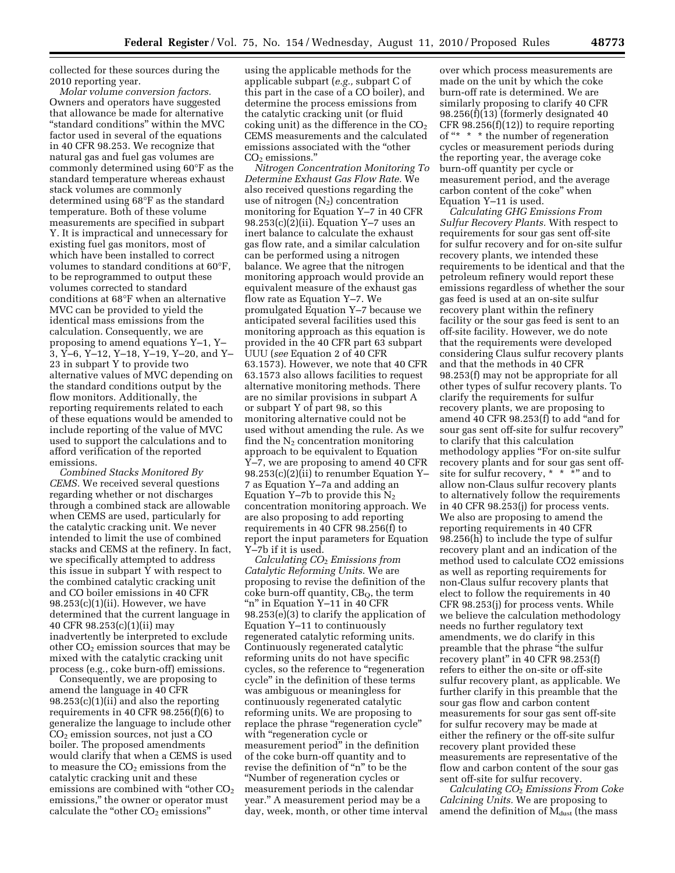collected for these sources during the 2010 reporting year.

*Molar volume conversion factors.*  Owners and operators have suggested that allowance be made for alternative ''standard conditions'' within the MVC factor used in several of the equations in 40 CFR 98.253. We recognize that natural gas and fuel gas volumes are commonly determined using 60°F as the standard temperature whereas exhaust stack volumes are commonly determined using 68°F as the standard temperature. Both of these volume measurements are specified in subpart Y. It is impractical and unnecessary for existing fuel gas monitors, most of which have been installed to correct volumes to standard conditions at 60°F, to be reprogrammed to output these volumes corrected to standard conditions at 68°F when an alternative MVC can be provided to yield the identical mass emissions from the calculation. Consequently, we are proposing to amend equations Y–1, Y– 3, Y–6, Y–12, Y–18, Y–19, Y–20, and Y– 23 in subpart Y to provide two alternative values of MVC depending on the standard conditions output by the flow monitors. Additionally, the reporting requirements related to each of these equations would be amended to include reporting of the value of MVC used to support the calculations and to afford verification of the reported emissions.

*Combined Stacks Monitored By CEMS.* We received several questions regarding whether or not discharges through a combined stack are allowable when CEMS are used, particularly for the catalytic cracking unit. We never intended to limit the use of combined stacks and CEMS at the refinery. In fact, we specifically attempted to address this issue in subpart Y with respect to the combined catalytic cracking unit and CO boiler emissions in 40 CFR  $98.253(c)(1)(ii)$ . However, we have determined that the current language in 40 CFR 98.253(c)(1)(ii) may inadvertently be interpreted to exclude other  $CO<sub>2</sub>$  emission sources that may be mixed with the catalytic cracking unit process (e.g., coke burn-off) emissions.

Consequently, we are proposing to amend the language in 40 CFR 98.253(c)(1)(ii) and also the reporting requirements in 40 CFR 98.256(f)(6) to generalize the language to include other  $CO<sub>2</sub>$  emission sources, not just a  $CO$ boiler. The proposed amendments would clarify that when a CEMS is used to measure the  $CO<sub>2</sub>$  emissions from the catalytic cracking unit and these emissions are combined with "other  $CO<sub>2</sub>$ emissions,'' the owner or operator must calculate the "other  $CO<sub>2</sub>$  emissions"

using the applicable methods for the applicable subpart (*e.g.,* subpart C of this part in the case of a CO boiler), and determine the process emissions from the catalytic cracking unit (or fluid coking unit) as the difference in the  $CO<sub>2</sub>$ CEMS measurements and the calculated emissions associated with the ''other  $CO<sub>2</sub>$  emissions."

*Nitrogen Concentration Monitoring To Determine Exhaust Gas Flow Rate.* We also received questions regarding the use of nitrogen  $(N_2)$  concentration monitoring for Equation Y–7 in 40 CFR  $98.253(c)(2)(ii)$ . Equation Y-7 uses an inert balance to calculate the exhaust gas flow rate, and a similar calculation can be performed using a nitrogen balance. We agree that the nitrogen monitoring approach would provide an equivalent measure of the exhaust gas flow rate as Equation Y–7. We promulgated Equation Y–7 because we anticipated several facilities used this monitoring approach as this equation is provided in the 40 CFR part 63 subpart UUU (*see* Equation 2 of 40 CFR 63.1573). However, we note that 40 CFR 63.1573 also allows facilities to request alternative monitoring methods. There are no similar provisions in subpart A or subpart Y of part 98, so this monitoring alternative could not be used without amending the rule. As we find the  $N_2$  concentration monitoring approach to be equivalent to Equation Y–7, we are proposing to amend 40 CFR 98.253(c)(2)(ii) to renumber Equation Y– 7 as Equation Y–7a and adding an Equation Y-7b to provide this  $N_2$ concentration monitoring approach. We are also proposing to add reporting requirements in 40 CFR 98.256(f) to report the input parameters for Equation Y–7b if it is used.

*Calculating CO*2 *Emissions from Catalytic Reforming Units*. We are proposing to revise the definition of the  $\csc$  burn-off quantity,  $CB<sub>O</sub>$ , the term "n" in Equation Y-11 in 40 CFR  $98.253(e)(3)$  to clarify the application of Equation Y–11 to continuously regenerated catalytic reforming units. Continuously regenerated catalytic reforming units do not have specific cycles, so the reference to ''regeneration cycle'' in the definition of these terms was ambiguous or meaningless for continuously regenerated catalytic reforming units. We are proposing to replace the phrase "regeneration cycle" with ''regeneration cycle or measurement period'' in the definition of the coke burn-off quantity and to revise the definition of ''n'' to be the ''Number of regeneration cycles or measurement periods in the calendar year.'' A measurement period may be a day, week, month, or other time interval

over which process measurements are made on the unit by which the coke burn-off rate is determined. We are similarly proposing to clarify 40 CFR 98.256(f)(13) (formerly designated 40 CFR 98.256(f)(12)) to require reporting of "\* \* \* the number of regeneration cycles or measurement periods during the reporting year, the average coke burn-off quantity per cycle or measurement period, and the average carbon content of the coke'' when Equation Y–11 is used.

*Calculating GHG Emissions From Sulfur Recovery Plants.* With respect to requirements for sour gas sent off-site for sulfur recovery and for on-site sulfur recovery plants, we intended these requirements to be identical and that the petroleum refinery would report these emissions regardless of whether the sour gas feed is used at an on-site sulfur recovery plant within the refinery facility or the sour gas feed is sent to an off-site facility. However, we do note that the requirements were developed considering Claus sulfur recovery plants and that the methods in 40 CFR 98.253(f) may not be appropriate for all other types of sulfur recovery plants. To clarify the requirements for sulfur recovery plants, we are proposing to amend 40 CFR 98.253(f) to add ''and for sour gas sent off-site for sulfur recovery'' to clarify that this calculation methodology applies "For on-site sulfur recovery plants and for sour gas sent offsite for sulfur recovery, \* \* \*" and to allow non-Claus sulfur recovery plants to alternatively follow the requirements in 40 CFR 98.253(j) for process vents. We also are proposing to amend the reporting requirements in 40 CFR 98.256(h) to include the type of sulfur recovery plant and an indication of the method used to calculate CO2 emissions as well as reporting requirements for non-Claus sulfur recovery plants that elect to follow the requirements in 40 CFR 98.253(j) for process vents. While we believe the calculation methodology needs no further regulatory text amendments, we do clarify in this preamble that the phrase ''the sulfur recovery plant'' in 40 CFR 98.253(f) refers to either the on-site or off-site sulfur recovery plant, as applicable. We further clarify in this preamble that the sour gas flow and carbon content measurements for sour gas sent off-site for sulfur recovery may be made at either the refinery or the off-site sulfur recovery plant provided these measurements are representative of the flow and carbon content of the sour gas sent off-site for sulfur recovery.

*Calculating CO*2 *Emissions From Coke Calcining Units.* We are proposing to amend the definition of M<sub>dust</sub> (the mass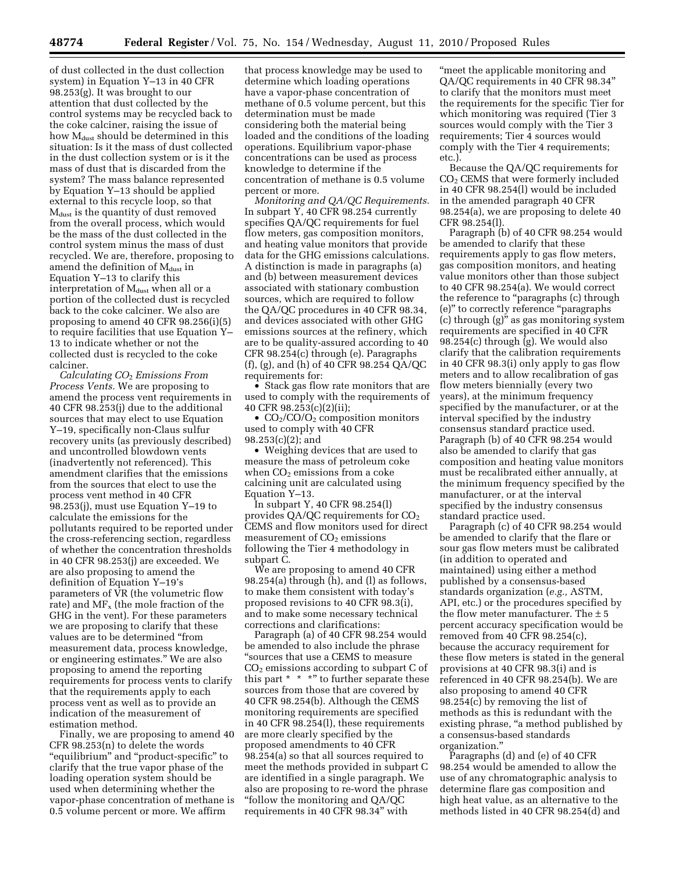of dust collected in the dust collection system) in Equation Y–13 in 40 CFR 98.253(g). It was brought to our attention that dust collected by the control systems may be recycled back to the coke calciner, raising the issue of how  $M_{\text{dust}}$  should be determined in this situation: Is it the mass of dust collected in the dust collection system or is it the mass of dust that is discarded from the system? The mass balance represented by Equation Y–13 should be applied external to this recycle loop, so that  $M<sub>dust</sub>$  is the quantity of dust removed from the overall process, which would be the mass of the dust collected in the control system minus the mass of dust recycled. We are, therefore, proposing to amend the definition of  $M_{\text{dust}}$  in Equation Y–13 to clarify this interpretation of M<sub>dust</sub> when all or a portion of the collected dust is recycled back to the coke calciner. We also are proposing to amend 40 CFR 98.256(i)(5) to require facilities that use Equation Y– 13 to indicate whether or not the collected dust is recycled to the coke calciner.

*Calculating CO*2 *Emissions From Process Vents.* We are proposing to amend the process vent requirements in 40 CFR 98.253(j) due to the additional sources that may elect to use Equation Y–19, specifically non-Claus sulfur recovery units (as previously described) and uncontrolled blowdown vents (inadvertently not referenced). This amendment clarifies that the emissions from the sources that elect to use the process vent method in 40 CFR 98.253(j), must use Equation Y–19 to calculate the emissions for the pollutants required to be reported under the cross-referencing section, regardless of whether the concentration thresholds in 40 CFR 98.253(j) are exceeded. We are also proposing to amend the definition of Equation Y–19's parameters of VR (the volumetric flow rate) and  $MF_x$  (the mole fraction of the GHG in the vent). For these parameters we are proposing to clarify that these values are to be determined ''from measurement data, process knowledge, or engineering estimates.'' We are also proposing to amend the reporting requirements for process vents to clarify that the requirements apply to each process vent as well as to provide an indication of the measurement of estimation method.

Finally, we are proposing to amend 40 CFR 98.253(n) to delete the words ''equilibrium'' and ''product-specific'' to clarify that the true vapor phase of the loading operation system should be used when determining whether the vapor-phase concentration of methane is 0.5 volume percent or more. We affirm

that process knowledge may be used to determine which loading operations have a vapor-phase concentration of methane of 0.5 volume percent, but this determination must be made considering both the material being loaded and the conditions of the loading operations. Equilibrium vapor-phase concentrations can be used as process knowledge to determine if the concentration of methane is 0.5 volume percent or more.

*Monitoring and QA/QC Requirements.*  In subpart Y, 40 CFR 98.254 currently specifies QA/QC requirements for fuel flow meters, gas composition monitors, and heating value monitors that provide data for the GHG emissions calculations. A distinction is made in paragraphs (a) and (b) between measurement devices associated with stationary combustion sources, which are required to follow the QA/QC procedures in 40 CFR 98.34, and devices associated with other GHG emissions sources at the refinery, which are to be quality-assured according to 40 CFR 98.254(c) through (e). Paragraphs (f), (g), and (h) of 40 CFR 98.254 QA/QC requirements for:

• Stack gas flow rate monitors that are used to comply with the requirements of 40 CFR 98.253(c)(2)(ii);

•  $CO<sub>2</sub>/CO/O<sub>2</sub>$  composition monitors used to comply with 40 CFR 98.253(c)(2); and

• Weighing devices that are used to measure the mass of petroleum coke when  $CO<sub>2</sub>$  emissions from a coke calcining unit are calculated using Equation Y–13.

In subpart Y, 40 CFR 98.254(l) provides  $QA/QC$  requirements for  $CO<sub>2</sub>$ CEMS and flow monitors used for direct measurement of  $CO<sub>2</sub>$  emissions following the Tier 4 methodology in subpart C.

We are proposing to amend 40 CFR 98.254(a) through (h), and (l) as follows, to make them consistent with today's proposed revisions to 40 CFR 98.3(i), and to make some necessary technical corrections and clarifications:

Paragraph (a) of 40 CFR 98.254 would be amended to also include the phrase ''sources that use a CEMS to measure CO2 emissions according to subpart C of this part \* \* \*" to further separate these sources from those that are covered by 40 CFR 98.254(b). Although the CEMS monitoring requirements are specified in 40 CFR 98.254(l), these requirements are more clearly specified by the proposed amendments to 40 CFR 98.254(a) so that all sources required to meet the methods provided in subpart C are identified in a single paragraph. We also are proposing to re-word the phrase ''follow the monitoring and QA/QC requirements in 40 CFR 98.34'' with

''meet the applicable monitoring and QA/QC requirements in 40 CFR 98.34'' to clarify that the monitors must meet the requirements for the specific Tier for which monitoring was required (Tier 3 sources would comply with the Tier 3 requirements; Tier 4 sources would comply with the Tier 4 requirements; etc.).

Because the QA/QC requirements for CO2 CEMS that were formerly included in 40 CFR 98.254(l) would be included in the amended paragraph 40 CFR 98.254(a), we are proposing to delete 40 CFR 98.254(l).

Paragraph (b) of 40 CFR 98.254 would be amended to clarify that these requirements apply to gas flow meters, gas composition monitors, and heating value monitors other than those subject to 40 CFR 98.254(a). We would correct the reference to "paragraphs (c) through (e)'' to correctly reference ''paragraphs (c) through (g)'' as gas monitoring system requirements are specified in 40 CFR 98.254(c) through (g). We would also clarify that the calibration requirements in 40 CFR 98.3(i) only apply to gas flow meters and to allow recalibration of gas flow meters biennially (every two years), at the minimum frequency specified by the manufacturer, or at the interval specified by the industry consensus standard practice used. Paragraph (b) of 40 CFR 98.254 would also be amended to clarify that gas composition and heating value monitors must be recalibrated either annually, at the minimum frequency specified by the manufacturer, or at the interval specified by the industry consensus standard practice used.

Paragraph (c) of 40 CFR 98.254 would be amended to clarify that the flare or sour gas flow meters must be calibrated (in addition to operated and maintained) using either a method published by a consensus-based standards organization (*e.g.,* ASTM, API, etc.) or the procedures specified by the flow meter manufacturer. The  $\pm$  5 percent accuracy specification would be removed from 40 CFR 98.254(c), because the accuracy requirement for these flow meters is stated in the general provisions at 40 CFR 98.3(i) and is referenced in 40 CFR 98.254(b). We are also proposing to amend 40 CFR 98.254(c) by removing the list of methods as this is redundant with the existing phrase, "a method published by a consensus-based standards organization.''

Paragraphs (d) and (e) of 40 CFR 98.254 would be amended to allow the use of any chromatographic analysis to determine flare gas composition and high heat value, as an alternative to the methods listed in 40 CFR 98.254(d) and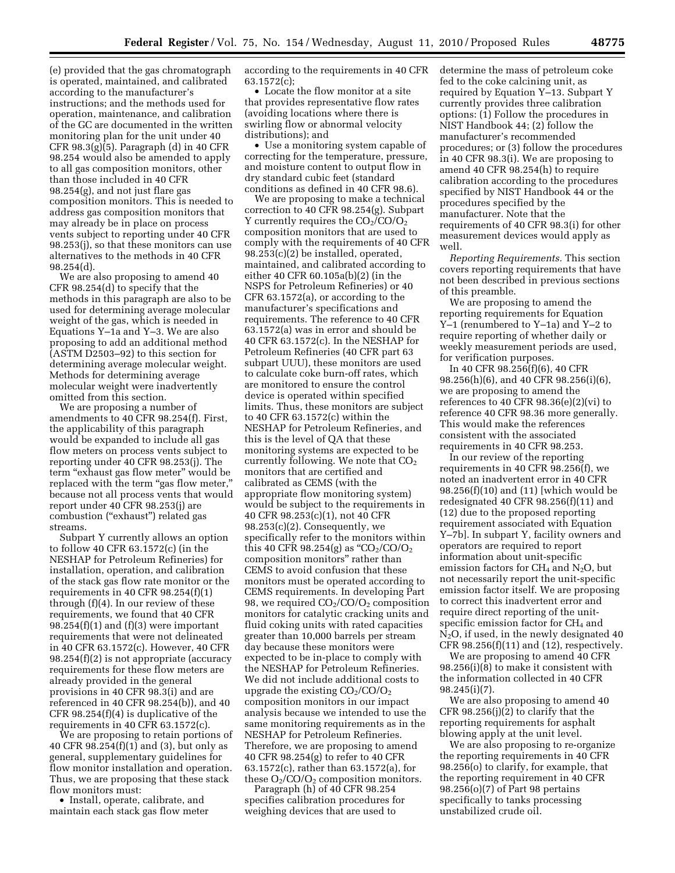(e) provided that the gas chromatograph is operated, maintained, and calibrated according to the manufacturer's instructions; and the methods used for operation, maintenance, and calibration of the GC are documented in the written monitoring plan for the unit under 40 CFR 98.3(g)(5). Paragraph (d) in 40 CFR 98.254 would also be amended to apply to all gas composition monitors, other than those included in 40 CFR 98.254(g), and not just flare gas composition monitors. This is needed to address gas composition monitors that may already be in place on process vents subject to reporting under 40 CFR 98.253(j), so that these monitors can use alternatives to the methods in 40 CFR 98.254(d).

We are also proposing to amend 40 CFR 98.254(d) to specify that the methods in this paragraph are also to be used for determining average molecular weight of the gas, which is needed in Equations Y–1a and Y–3. We are also proposing to add an additional method (ASTM D2503–92) to this section for determining average molecular weight. Methods for determining average molecular weight were inadvertently omitted from this section.

We are proposing a number of amendments to 40 CFR 98.254(f). First, the applicability of this paragraph would be expanded to include all gas flow meters on process vents subject to reporting under 40 CFR 98.253(j). The term "exhaust gas flow meter" would be replaced with the term "gas flow meter," because not all process vents that would report under 40 CFR 98.253(j) are combustion (''exhaust'') related gas streams.

Subpart Y currently allows an option to follow 40 CFR 63.1572(c) (in the NESHAP for Petroleum Refineries) for installation, operation, and calibration of the stack gas flow rate monitor or the requirements in 40 CFR  $98.254(f)(1)$ through (f)(4). In our review of these requirements, we found that 40 CFR  $98.254(f)(1)$  and  $(f)(3)$  were important requirements that were not delineated in 40 CFR 63.1572(c). However, 40 CFR 98.254(f)(2) is not appropriate (accuracy requirements for these flow meters are already provided in the general provisions in 40 CFR 98.3(i) and are referenced in 40 CFR 98.254(b)), and 40 CFR 98.254(f)(4) is duplicative of the requirements in 40 CFR 63.1572(c).

We are proposing to retain portions of 40 CFR 98.254(f)(1) and (3), but only as general, supplementary guidelines for flow monitor installation and operation. Thus, we are proposing that these stack flow monitors must:

• Install, operate, calibrate, and maintain each stack gas flow meter according to the requirements in 40 CFR 63.1572(c);

• Locate the flow monitor at a site that provides representative flow rates (avoiding locations where there is swirling flow or abnormal velocity distributions); and

• Use a monitoring system capable of correcting for the temperature, pressure, and moisture content to output flow in dry standard cubic feet (standard conditions as defined in 40 CFR 98.6).

We are proposing to make a technical correction to 40 CFR 98.254(g). Subpart Y currently requires the  $CO<sub>2</sub>/CO/O<sub>2</sub>$ composition monitors that are used to comply with the requirements of 40 CFR 98.253(c)(2) be installed, operated, maintained, and calibrated according to either 40 CFR 60.105a(b)(2) (in the NSPS for Petroleum Refineries) or 40 CFR 63.1572(a), or according to the manufacturer's specifications and requirements. The reference to 40 CFR 63.1572(a) was in error and should be 40 CFR 63.1572(c). In the NESHAP for Petroleum Refineries (40 CFR part 63 subpart UUU), these monitors are used to calculate coke burn-off rates, which are monitored to ensure the control device is operated within specified limits. Thus, these monitors are subject to 40 CFR 63.1572(c) within the NESHAP for Petroleum Refineries, and this is the level of QA that these monitoring systems are expected to be currently following. We note that  $CO<sub>2</sub>$ monitors that are certified and calibrated as CEMS (with the appropriate flow monitoring system) would be subject to the requirements in 40 CFR 98.253(c)(1), not 40 CFR  $98.253(c)(2)$ . Consequently, we specifically refer to the monitors within this 40 CFR 98.254(g) as "CO<sub>2</sub>/CO/O<sub>2</sub> composition monitors'' rather than CEMS to avoid confusion that these monitors must be operated according to CEMS requirements. In developing Part 98, we required CO<sub>2</sub>/CO/O<sub>2</sub> composition monitors for catalytic cracking units and fluid coking units with rated capacities greater than 10,000 barrels per stream day because these monitors were expected to be in-place to comply with the NESHAP for Petroleum Refineries. We did not include additional costs to upgrade the existing  $CO<sub>2</sub>/CO/O<sub>2</sub>$ composition monitors in our impact analysis because we intended to use the same monitoring requirements as in the NESHAP for Petroleum Refineries. Therefore, we are proposing to amend 40 CFR 98.254(g) to refer to 40 CFR 63.1572(c), rather than 63.1572(a), for these  $O_2$ /CO/ $O_2$  composition monitors.

Paragraph (h) of 40 CFR 98.254 specifies calibration procedures for weighing devices that are used to

determine the mass of petroleum coke fed to the coke calcining unit, as required by Equation Y–13. Subpart Y currently provides three calibration options: (1) Follow the procedures in NIST Handbook 44; (2) follow the manufacturer's recommended procedures; or (3) follow the procedures in 40 CFR 98.3(i). We are proposing to amend 40 CFR 98.254(h) to require calibration according to the procedures specified by NIST Handbook 44 or the procedures specified by the manufacturer. Note that the requirements of 40 CFR 98.3(i) for other measurement devices would apply as well.

*Reporting Requirements.* This section covers reporting requirements that have not been described in previous sections of this preamble.

We are proposing to amend the reporting requirements for Equation Y–1 (renumbered to Y–1a) and Y–2 to require reporting of whether daily or weekly measurement periods are used, for verification purposes.

In 40 CFR 98.256(f)(6), 40 CFR 98.256(h)(6), and 40 CFR 98.256(i)(6), we are proposing to amend the references to 40 CFR  $98.36(e)(2)(vi)$  to reference 40 CFR 98.36 more generally. This would make the references consistent with the associated requirements in 40 CFR 98.253.

In our review of the reporting requirements in 40 CFR 98.256(f), we noted an inadvertent error in 40 CFR 98.256(f)(10) and (11) [which would be redesignated 40 CFR 98.256(f)(11) and (12) due to the proposed reporting requirement associated with Equation Y–7b]. In subpart Y, facility owners and operators are required to report information about unit-specific emission factors for  $CH_4$  and  $N_2O$ , but not necessarily report the unit-specific emission factor itself. We are proposing to correct this inadvertent error and require direct reporting of the unitspecific emission factor for  $CH<sub>4</sub>$  and  $N<sub>2</sub>O$ , if used, in the newly designated 40 CFR  $98.256(f)(11)$  and  $(12)$ , respectively.

We are proposing to amend 40 CFR 98.256(i)(8) to make it consistent with the information collected in 40 CFR 98.245(i)(7).

We are also proposing to amend 40 CFR 98.256(j)(2) to clarify that the reporting requirements for asphalt blowing apply at the unit level.

We are also proposing to re-organize the reporting requirements in 40 CFR 98.256(o) to clarify, for example, that the reporting requirement in 40 CFR 98.256(o)(7) of Part 98 pertains specifically to tanks processing unstabilized crude oil.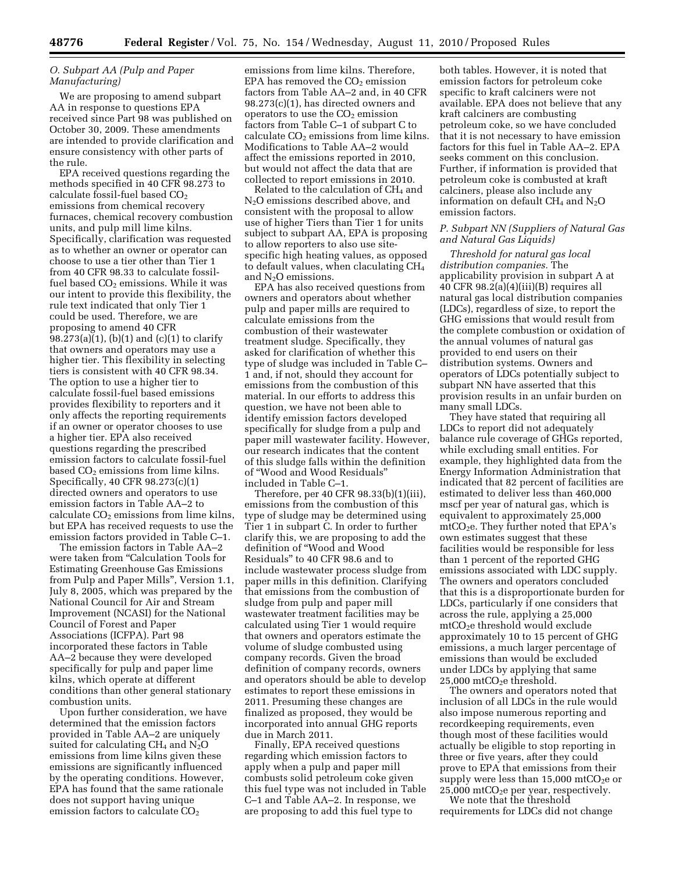# *O. Subpart AA (Pulp and Paper Manufacturing)*

We are proposing to amend subpart AA in response to questions EPA received since Part 98 was published on October 30, 2009. These amendments are intended to provide clarification and ensure consistency with other parts of the rule.

EPA received questions regarding the methods specified in 40 CFR 98.273 to calculate fossil-fuel based  $CO<sub>2</sub>$ emissions from chemical recovery furnaces, chemical recovery combustion units, and pulp mill lime kilns. Specifically, clarification was requested as to whether an owner or operator can choose to use a tier other than Tier 1 from 40 CFR 98.33 to calculate fossilfuel based  $CO<sub>2</sub>$  emissions. While it was our intent to provide this flexibility, the rule text indicated that only Tier 1 could be used. Therefore, we are proposing to amend 40 CFR 98.273(a)(1), (b)(1) and (c)(1) to clarify that owners and operators may use a higher tier. This flexibility in selecting tiers is consistent with 40 CFR 98.34. The option to use a higher tier to calculate fossil-fuel based emissions provides flexibility to reporters and it only affects the reporting requirements if an owner or operator chooses to use a higher tier. EPA also received questions regarding the prescribed emission factors to calculate fossil-fuel based CO<sub>2</sub> emissions from lime kilns. Specifically, 40 CFR 98.273(c)(1) directed owners and operators to use emission factors in Table AA–2 to calculate  $CO<sub>2</sub>$  emissions from lime kilns, but EPA has received requests to use the emission factors provided in Table C–1.

The emission factors in Table AA–2 were taken from "Calculation Tools for Estimating Greenhouse Gas Emissions from Pulp and Paper Mills'', Version 1.1, July 8, 2005, which was prepared by the National Council for Air and Stream Improvement (NCASI) for the National Council of Forest and Paper Associations (ICFPA). Part 98 incorporated these factors in Table AA–2 because they were developed specifically for pulp and paper lime kilns, which operate at different conditions than other general stationary combustion units.

Upon further consideration, we have determined that the emission factors provided in Table AA–2 are uniquely suited for calculating  $CH_4$  and  $N_2O$ emissions from lime kilns given these emissions are significantly influenced by the operating conditions. However, EPA has found that the same rationale does not support having unique emission factors to calculate CO<sub>2</sub>

emissions from lime kilns. Therefore, EPA has removed the  $CO<sub>2</sub>$  emission factors from Table AA–2 and, in 40 CFR 98.273(c)(1), has directed owners and operators to use the  $CO<sub>2</sub>$  emission factors from Table C–1 of subpart C to calculate  $CO<sub>2</sub>$  emissions from lime kilns. Modifications to Table AA–2 would affect the emissions reported in 2010, but would not affect the data that are collected to report emissions in 2010.

Related to the calculation of  $CH<sub>4</sub>$  and N2O emissions described above, and consistent with the proposal to allow use of higher Tiers than Tier 1 for units subject to subpart AA, EPA is proposing to allow reporters to also use sitespecific high heating values, as opposed to default values, when claculating CH4 and  $N<sub>2</sub>O$  emissions.

EPA has also received questions from owners and operators about whether pulp and paper mills are required to calculate emissions from the combustion of their wastewater treatment sludge. Specifically, they asked for clarification of whether this type of sludge was included in Table C– 1 and, if not, should they account for emissions from the combustion of this material. In our efforts to address this question, we have not been able to identify emission factors developed specifically for sludge from a pulp and paper mill wastewater facility. However, our research indicates that the content of this sludge falls within the definition of ''Wood and Wood Residuals'' included in Table C–1.

Therefore, per 40 CFR 98.33(b)(1)(iii), emissions from the combustion of this type of sludge may be determined using Tier 1 in subpart C. In order to further clarify this, we are proposing to add the definition of ''Wood and Wood Residuals'' to 40 CFR 98.6 and to include wastewater process sludge from paper mills in this definition. Clarifying that emissions from the combustion of sludge from pulp and paper mill wastewater treatment facilities may be calculated using Tier 1 would require that owners and operators estimate the volume of sludge combusted using company records. Given the broad definition of company records, owners and operators should be able to develop estimates to report these emissions in 2011. Presuming these changes are finalized as proposed, they would be incorporated into annual GHG reports due in March 2011.

Finally, EPA received questions regarding which emission factors to apply when a pulp and paper mill combusts solid petroleum coke given this fuel type was not included in Table C–1 and Table AA–2. In response, we are proposing to add this fuel type to

both tables. However, it is noted that emission factors for petroleum coke specific to kraft calciners were not available. EPA does not believe that any kraft calciners are combusting petroleum coke, so we have concluded that it is not necessary to have emission factors for this fuel in Table AA–2. EPA seeks comment on this conclusion. Further, if information is provided that petroleum coke is combusted at kraft calciners, please also include any information on default  $CH_4$  and  $N_2O$ emission factors.

# *P. Subpart NN (Suppliers of Natural Gas and Natural Gas Liquids)*

*Threshold for natural gas local distribution companies.* The applicability provision in subpart A at 40 CFR 98.2(a)(4)(iii)(B) requires all natural gas local distribution companies (LDCs), regardless of size, to report the GHG emissions that would result from the complete combustion or oxidation of the annual volumes of natural gas provided to end users on their distribution systems. Owners and operators of LDCs potentially subject to subpart NN have asserted that this provision results in an unfair burden on many small LDCs.

They have stated that requiring all LDCs to report did not adequately balance rule coverage of GHGs reported, while excluding small entities. For example, they highlighted data from the Energy Information Administration that indicated that 82 percent of facilities are estimated to deliver less than 460,000 mscf per year of natural gas, which is equivalent to approximately 25,000  $mtCO<sub>2</sub>e$ . They further noted that EPA's own estimates suggest that these facilities would be responsible for less than 1 percent of the reported GHG emissions associated with LDC supply. The owners and operators concluded that this is a disproportionate burden for LDCs, particularly if one considers that across the rule, applying a 25,000 mtCO2e threshold would exclude approximately 10 to 15 percent of GHG emissions, a much larger percentage of emissions than would be excluded under LDCs by applying that same  $25,000$  mtCO<sub>2</sub>e threshold.

The owners and operators noted that inclusion of all LDCs in the rule would also impose numerous reporting and recordkeeping requirements, even though most of these facilities would actually be eligible to stop reporting in three or five years, after they could prove to EPA that emissions from their supply were less than  $15,000$  mtCO<sub>2</sub>e or  $25,000$  mtCO<sub>2</sub>e per year, respectively.

We note that the threshold requirements for LDCs did not change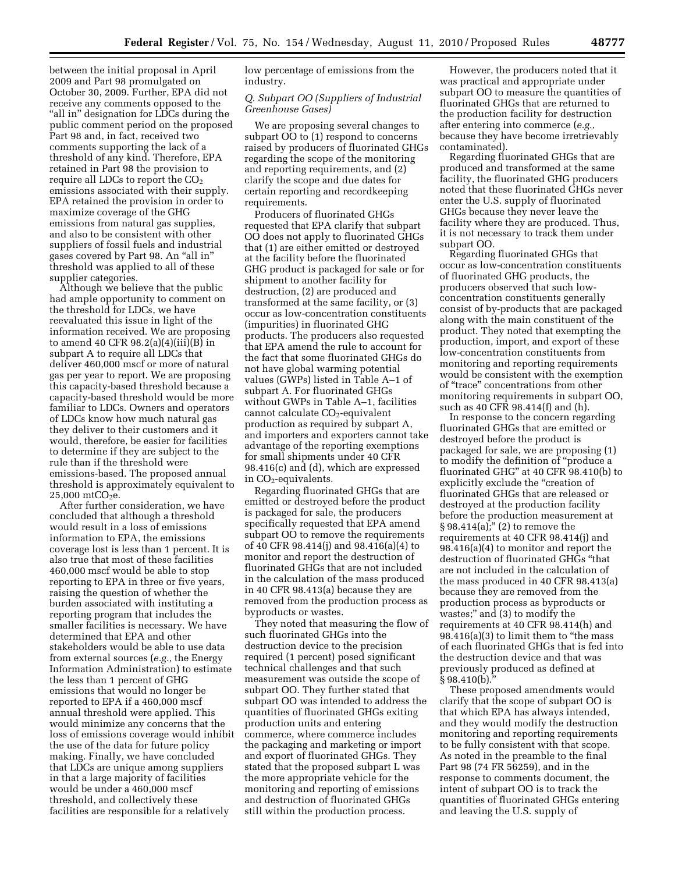between the initial proposal in April 2009 and Part 98 promulgated on October 30, 2009. Further, EPA did not receive any comments opposed to the "all in" designation for LDCs during the public comment period on the proposed Part 98 and, in fact, received two comments supporting the lack of a threshold of any kind. Therefore, EPA retained in Part 98 the provision to require all LDCs to report the  $CO<sub>2</sub>$ emissions associated with their supply. EPA retained the provision in order to maximize coverage of the GHG emissions from natural gas supplies, and also to be consistent with other suppliers of fossil fuels and industrial gases covered by Part 98. An ''all in'' threshold was applied to all of these supplier categories.

Although we believe that the public had ample opportunity to comment on the threshold for LDCs, we have reevaluated this issue in light of the information received. We are proposing to amend 40 CFR 98.2(a)(4)(iii)(B) in subpart A to require all LDCs that deliver 460,000 mscf or more of natural gas per year to report. We are proposing this capacity-based threshold because a capacity-based threshold would be more familiar to LDCs. Owners and operators of LDCs know how much natural gas they deliver to their customers and it would, therefore, be easier for facilities to determine if they are subject to the rule than if the threshold were emissions-based. The proposed annual threshold is approximately equivalent to  $25,000 \text{ mtCO}_{2}$ e.

After further consideration, we have concluded that although a threshold would result in a loss of emissions information to EPA, the emissions coverage lost is less than 1 percent. It is also true that most of these facilities 460,000 mscf would be able to stop reporting to EPA in three or five years, raising the question of whether the burden associated with instituting a reporting program that includes the smaller facilities is necessary. We have determined that EPA and other stakeholders would be able to use data from external sources (*e.g.,* the Energy Information Administration) to estimate the less than 1 percent of GHG emissions that would no longer be reported to EPA if a 460,000 mscf annual threshold were applied. This would minimize any concerns that the loss of emissions coverage would inhibit the use of the data for future policy making. Finally, we have concluded that LDCs are unique among suppliers in that a large majority of facilities would be under a 460,000 mscf threshold, and collectively these facilities are responsible for a relatively

low percentage of emissions from the industry.

#### *Q. Subpart OO (Suppliers of Industrial Greenhouse Gases)*

We are proposing several changes to subpart OO to (1) respond to concerns raised by producers of fluorinated GHGs regarding the scope of the monitoring and reporting requirements, and (2) clarify the scope and due dates for certain reporting and recordkeeping requirements.

Producers of fluorinated GHGs requested that EPA clarify that subpart OO does not apply to fluorinated GHGs that (1) are either emitted or destroyed at the facility before the fluorinated GHG product is packaged for sale or for shipment to another facility for destruction, (2) are produced and transformed at the same facility, or (3) occur as low-concentration constituents (impurities) in fluorinated GHG products. The producers also requested that EPA amend the rule to account for the fact that some fluorinated GHGs do not have global warming potential values (GWPs) listed in Table A–1 of subpart A. For fluorinated GHGs without GWPs in Table A–1, facilities cannot calculate CO<sub>2</sub>-equivalent production as required by subpart A, and importers and exporters cannot take advantage of the reporting exemptions for small shipments under 40 CFR 98.416(c) and (d), which are expressed in  $CO<sub>2</sub>$ -equivalents.

Regarding fluorinated GHGs that are emitted or destroyed before the product is packaged for sale, the producers specifically requested that EPA amend subpart OO to remove the requirements of 40 CFR 98.414(j) and 98.416(a)(4) to monitor and report the destruction of fluorinated GHGs that are not included in the calculation of the mass produced in 40 CFR 98.413(a) because they are removed from the production process as byproducts or wastes.

They noted that measuring the flow of such fluorinated GHGs into the destruction device to the precision required (1 percent) posed significant technical challenges and that such measurement was outside the scope of subpart OO. They further stated that subpart OO was intended to address the quantities of fluorinated GHGs exiting production units and entering commerce, where commerce includes the packaging and marketing or import and export of fluorinated GHGs. They stated that the proposed subpart L was the more appropriate vehicle for the monitoring and reporting of emissions and destruction of fluorinated GHGs still within the production process.

However, the producers noted that it was practical and appropriate under subpart OO to measure the quantities of fluorinated GHGs that are returned to the production facility for destruction after entering into commerce (*e.g.,*  because they have become irretrievably contaminated).

Regarding fluorinated GHGs that are produced and transformed at the same facility, the fluorinated GHG producers noted that these fluorinated GHGs never enter the U.S. supply of fluorinated GHGs because they never leave the facility where they are produced. Thus, it is not necessary to track them under subpart OO.

Regarding fluorinated GHGs that occur as low-concentration constituents of fluorinated GHG products, the producers observed that such lowconcentration constituents generally consist of by-products that are packaged along with the main constituent of the product. They noted that exempting the production, import, and export of these low-concentration constituents from monitoring and reporting requirements would be consistent with the exemption of ''trace'' concentrations from other monitoring requirements in subpart OO, such as 40 CFR 98.414(f) and (h).

In response to the concern regarding fluorinated GHGs that are emitted or destroyed before the product is packaged for sale, we are proposing (1) to modify the definition of ''produce a fluorinated GHG'' at 40 CFR 98.410(b) to explicitly exclude the "creation of fluorinated GHGs that are released or destroyed at the production facility before the production measurement at  $§ 98.414(a);''$  (2) to remove the requirements at 40 CFR 98.414(j) and 98.416(a)(4) to monitor and report the destruction of fluorinated GHGs ''that are not included in the calculation of the mass produced in 40 CFR 98.413(a) because they are removed from the production process as byproducts or wastes;" and (3) to modify the requirements at 40 CFR 98.414(h) and  $98.416(a)(3)$  to limit them to "the mass" of each fluorinated GHGs that is fed into the destruction device and that was previously produced as defined at  $§ 98.410(b).$ 

These proposed amendments would clarify that the scope of subpart OO is that which EPA has always intended, and they would modify the destruction monitoring and reporting requirements to be fully consistent with that scope. As noted in the preamble to the final Part 98 (74 FR 56259), and in the response to comments document, the intent of subpart OO is to track the quantities of fluorinated GHGs entering and leaving the U.S. supply of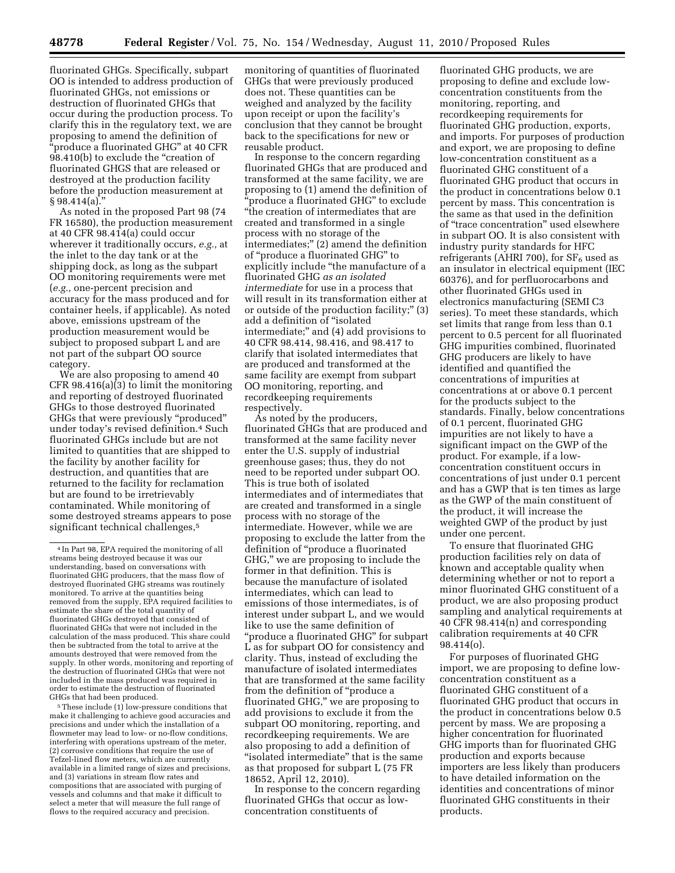fluorinated GHGs. Specifically, subpart OO is intended to address production of fluorinated GHGs, not emissions or destruction of fluorinated GHGs that occur during the production process. To clarify this in the regulatory text, we are proposing to amend the definition of ''produce a fluorinated GHG'' at 40 CFR 98.410(b) to exclude the "creation of fluorinated GHGS that are released or destroyed at the production facility before the production measurement at § 98.414(a).''

As noted in the proposed Part 98 (74 FR 16580), the production measurement at 40 CFR 98.414(a) could occur wherever it traditionally occurs, *e.g.,* at the inlet to the day tank or at the shipping dock, as long as the subpart OO monitoring requirements were met (*e.g.,* one-percent precision and accuracy for the mass produced and for container heels, if applicable). As noted above, emissions upstream of the production measurement would be subject to proposed subpart L and are not part of the subpart OO source category.

We are also proposing to amend 40 CFR 98.416(a)(3) to limit the monitoring and reporting of destroyed fluorinated GHGs to those destroyed fluorinated GHGs that were previously ''produced'' under today's revised definition.4 Such fluorinated GHGs include but are not limited to quantities that are shipped to the facility by another facility for destruction, and quantities that are returned to the facility for reclamation but are found to be irretrievably contaminated. While monitoring of some destroyed streams appears to pose significant technical challenges,<sup>5</sup>

5These include (1) low-pressure conditions that make it challenging to achieve good accuracies and precisions and under which the installation of a flowmeter may lead to low- or no-flow conditions, interfering with operations upstream of the meter, (2) corrosive conditions that require the use of Tefzel-lined flow meters, which are currently available in a limited range of sizes and precisions, and (3) variations in stream flow rates and compositions that are associated with purging of vessels and columns and that make it difficult to select a meter that will measure the full range of flows to the required accuracy and precision.

monitoring of quantities of fluorinated GHGs that were previously produced does not. These quantities can be weighed and analyzed by the facility upon receipt or upon the facility's conclusion that they cannot be brought back to the specifications for new or reusable product.

In response to the concern regarding fluorinated GHGs that are produced and transformed at the same facility, we are proposing to (1) amend the definition of ''produce a fluorinated GHG'' to exclude ''the creation of intermediates that are created and transformed in a single process with no storage of the intermediates;'' (2) amend the definition of ''produce a fluorinated GHG'' to explicitly include ''the manufacture of a fluorinated GHG *as an isolated intermediate* for use in a process that will result in its transformation either at or outside of the production facility;'' (3) add a definition of ''isolated intermediate;'' and (4) add provisions to 40 CFR 98.414, 98.416, and 98.417 to clarify that isolated intermediates that are produced and transformed at the same facility are exempt from subpart OO monitoring, reporting, and recordkeeping requirements respectively.

As noted by the producers, fluorinated GHGs that are produced and transformed at the same facility never enter the U.S. supply of industrial greenhouse gases; thus, they do not need to be reported under subpart OO. This is true both of isolated intermediates and of intermediates that are created and transformed in a single process with no storage of the intermediate. However, while we are proposing to exclude the latter from the definition of ''produce a fluorinated GHG,'' we are proposing to include the former in that definition. This is because the manufacture of isolated intermediates, which can lead to emissions of those intermediates, is of interest under subpart L, and we would like to use the same definition of "produce a fluorinated GHG" for subpart L as for subpart OO for consistency and clarity. Thus, instead of excluding the manufacture of isolated intermediates that are transformed at the same facility from the definition of ''produce a fluorinated GHG," we are proposing to add provisions to exclude it from the subpart OO monitoring, reporting, and recordkeeping requirements. We are also proposing to add a definition of "isolated intermediate" that is the same as that proposed for subpart L (75 FR 18652, April 12, 2010).

In response to the concern regarding fluorinated GHGs that occur as lowconcentration constituents of

fluorinated GHG products, we are proposing to define and exclude lowconcentration constituents from the monitoring, reporting, and recordkeeping requirements for fluorinated GHG production, exports, and imports. For purposes of production and export, we are proposing to define low-concentration constituent as a fluorinated GHG constituent of a fluorinated GHG product that occurs in the product in concentrations below 0.1 percent by mass. This concentration is the same as that used in the definition of ''trace concentration'' used elsewhere in subpart OO. It is also consistent with industry purity standards for HFC refrigerants (AHRI 700), for  $SF<sub>6</sub>$  used as an insulator in electrical equipment (IEC 60376), and for perfluorocarbons and other fluorinated GHGs used in electronics manufacturing (SEMI C3 series). To meet these standards, which set limits that range from less than 0.1 percent to 0.5 percent for all fluorinated GHG impurities combined, fluorinated GHG producers are likely to have identified and quantified the concentrations of impurities at concentrations at or above 0.1 percent for the products subject to the standards. Finally, below concentrations of 0.1 percent, fluorinated GHG impurities are not likely to have a significant impact on the GWP of the product. For example, if a lowconcentration constituent occurs in concentrations of just under 0.1 percent and has a GWP that is ten times as large as the GWP of the main constituent of the product, it will increase the weighted GWP of the product by just under one percent.

To ensure that fluorinated GHG production facilities rely on data of known and acceptable quality when determining whether or not to report a minor fluorinated GHG constituent of a product, we are also proposing product sampling and analytical requirements at 40 CFR 98.414(n) and corresponding calibration requirements at 40 CFR 98.414(o).

For purposes of fluorinated GHG import, we are proposing to define lowconcentration constituent as a fluorinated GHG constituent of a fluorinated GHG product that occurs in the product in concentrations below 0.5 percent by mass. We are proposing a higher concentration for fluorinated GHG imports than for fluorinated GHG production and exports because importers are less likely than producers to have detailed information on the identities and concentrations of minor fluorinated GHG constituents in their products.

<sup>4</sup> In Part 98, EPA required the monitoring of all streams being destroyed because it was our understanding, based on conversations with fluorinated GHG producers, that the mass flow of destroyed fluorinated GHG streams was routinely monitored. To arrive at the quantities being removed from the supply, EPA required facilities to estimate the share of the total quantity of fluorinated GHGs destroyed that consisted of fluorinated GHGs that were not included in the calculation of the mass produced. This share could then be subtracted from the total to arrive at the amounts destroyed that were removed from the supply. In other words, monitoring and reporting of the destruction of fluorinated GHGs that were not included in the mass produced was required in order to estimate the destruction of fluorinated GHGs that had been produced.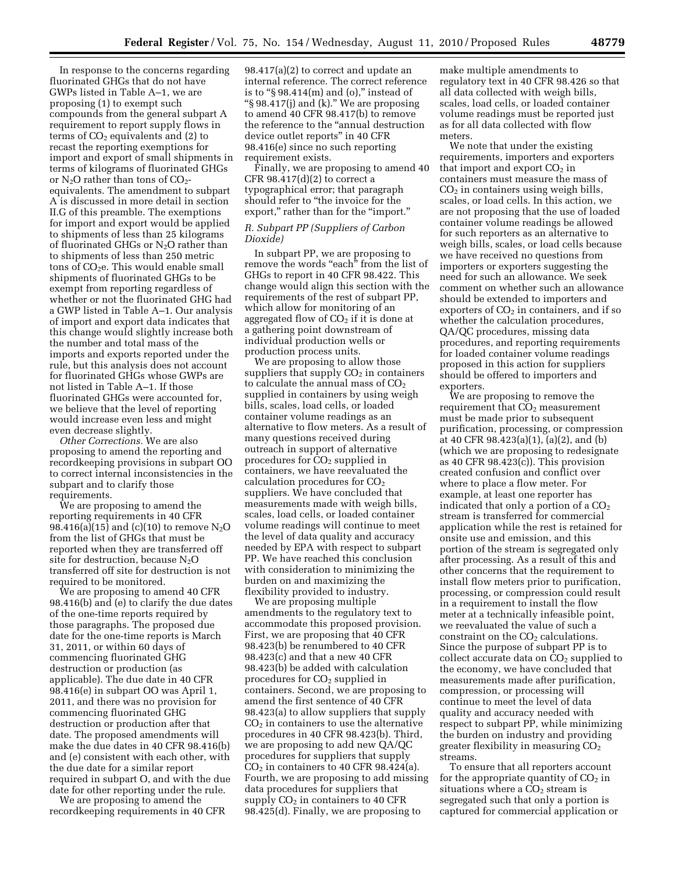In response to the concerns regarding fluorinated GHGs that do not have GWPs listed in Table A–1, we are proposing (1) to exempt such compounds from the general subpart A requirement to report supply flows in terms of  $CO<sub>2</sub>$  equivalents and (2) to recast the reporting exemptions for import and export of small shipments in terms of kilograms of fluorinated GHGs or  $N_2O$  rather than tons of  $CO_2$ equivalents. The amendment to subpart A is discussed in more detail in section II.G of this preamble. The exemptions for import and export would be applied to shipments of less than 25 kilograms of fluorinated GHGs or  $N_2O$  rather than to shipments of less than 250 metric tons of  $CO<sub>2</sub>e$ . This would enable small shipments of fluorinated GHGs to be exempt from reporting regardless of whether or not the fluorinated GHG had a GWP listed in Table A–1. Our analysis of import and export data indicates that this change would slightly increase both the number and total mass of the imports and exports reported under the rule, but this analysis does not account for fluorinated GHGs whose GWPs are not listed in Table A–1. If those fluorinated GHGs were accounted for, we believe that the level of reporting would increase even less and might even decrease slightly.

*Other Corrections.* We are also proposing to amend the reporting and recordkeeping provisions in subpart OO to correct internal inconsistencies in the subpart and to clarify those requirements.

We are proposing to amend the reporting requirements in 40 CFR 98.416(a)(15) and (c)(10) to remove  $N_2O$ from the list of GHGs that must be reported when they are transferred off site for destruction, because  $N_2O$ transferred off site for destruction is not required to be monitored.

We are proposing to amend 40 CFR 98.416(b) and (e) to clarify the due dates of the one-time reports required by those paragraphs. The proposed due date for the one-time reports is March 31, 2011, or within 60 days of commencing fluorinated GHG destruction or production (as applicable). The due date in 40 CFR 98.416(e) in subpart OO was April 1, 2011, and there was no provision for commencing fluorinated GHG destruction or production after that date. The proposed amendments will make the due dates in 40 CFR 98.416(b) and (e) consistent with each other, with the due date for a similar report required in subpart O, and with the due date for other reporting under the rule.

We are proposing to amend the recordkeeping requirements in 40 CFR

98.417(a)(2) to correct and update an internal reference. The correct reference is to "§  $98.414(m)$  and  $(o)$ ," instead of ''§ 98.417(j) and (k).'' We are proposing to amend 40 CFR 98.417(b) to remove the reference to the ''annual destruction device outlet reports'' in 40 CFR 98.416(e) since no such reporting requirement exists.

Finally, we are proposing to amend 40 CFR  $98.417(d)(2)$  to correct a typographical error; that paragraph should refer to ''the invoice for the export," rather than for the "import."

## *R. Subpart PP (Suppliers of Carbon Dioxide)*

In subpart PP, we are proposing to remove the words "each" from the list of GHGs to report in 40 CFR 98.422. This change would align this section with the requirements of the rest of subpart PP, which allow for monitoring of an aggregated flow of  $CO<sub>2</sub>$  if it is done at a gathering point downstream of individual production wells or production process units.

We are proposing to allow those suppliers that supply  $CO<sub>2</sub>$  in containers to calculate the annual mass of  $CO<sub>2</sub>$ supplied in containers by using weigh bills, scales, load cells, or loaded container volume readings as an alternative to flow meters. As a result of many questions received during outreach in support of alternative procedures for CO<sub>2</sub> supplied in containers, we have reevaluated the calculation procedures for  $CO<sub>2</sub>$ suppliers. We have concluded that measurements made with weigh bills, scales, load cells, or loaded container volume readings will continue to meet the level of data quality and accuracy needed by EPA with respect to subpart PP. We have reached this conclusion with consideration to minimizing the burden on and maximizing the flexibility provided to industry.

We are proposing multiple amendments to the regulatory text to accommodate this proposed provision. First, we are proposing that 40 CFR 98.423(b) be renumbered to 40 CFR 98.423(c) and that a new 40 CFR 98.423(b) be added with calculation procedures for CO<sub>2</sub> supplied in containers. Second, we are proposing to amend the first sentence of 40 CFR 98.423(a) to allow suppliers that supply  $CO<sub>2</sub>$  in containers to use the alternative procedures in 40 CFR 98.423(b). Third, we are proposing to add new QA/QC procedures for suppliers that supply  $CO<sub>2</sub>$  in containers to 40 CFR 98.424(a). Fourth, we are proposing to add missing data procedures for suppliers that supply  $CO<sub>2</sub>$  in containers to 40 CFR 98.425(d). Finally, we are proposing to

make multiple amendments to regulatory text in 40 CFR 98.426 so that all data collected with weigh bills, scales, load cells, or loaded container volume readings must be reported just as for all data collected with flow meters.

We note that under the existing requirements, importers and exporters that import and export  $CO<sub>2</sub>$  in containers must measure the mass of  $CO<sub>2</sub>$  in containers using weigh bills, scales, or load cells. In this action, we are not proposing that the use of loaded container volume readings be allowed for such reporters as an alternative to weigh bills, scales, or load cells because we have received no questions from importers or exporters suggesting the need for such an allowance. We seek comment on whether such an allowance should be extended to importers and exporters of  $CO<sub>2</sub>$  in containers, and if so whether the calculation procedures, QA/QC procedures, missing data procedures, and reporting requirements for loaded container volume readings proposed in this action for suppliers should be offered to importers and exporters.

We are proposing to remove the requirement that  $CO<sub>2</sub>$  measurement must be made prior to subsequent purification, processing, or compression at 40 CFR 98.423(a)(1), (a)(2), and (b) (which we are proposing to redesignate as 40 CFR 98.423(c)). This provision created confusion and conflict over where to place a flow meter. For example, at least one reporter has indicated that only a portion of a  $CO<sub>2</sub>$ stream is transferred for commercial application while the rest is retained for onsite use and emission, and this portion of the stream is segregated only after processing. As a result of this and other concerns that the requirement to install flow meters prior to purification, processing, or compression could result in a requirement to install the flow meter at a technically infeasible point, we reevaluated the value of such a constraint on the  $CO<sub>2</sub>$  calculations. Since the purpose of subpart PP is to collect accurate data on  $CO<sub>2</sub>$  supplied to the economy, we have concluded that measurements made after purification, compression, or processing will continue to meet the level of data quality and accuracy needed with respect to subpart PP, while minimizing the burden on industry and providing greater flexibility in measuring  $CO<sub>2</sub>$ streams.

To ensure that all reporters account for the appropriate quantity of  $CO<sub>2</sub>$  in situations where a  $CO<sub>2</sub>$  stream is segregated such that only a portion is captured for commercial application or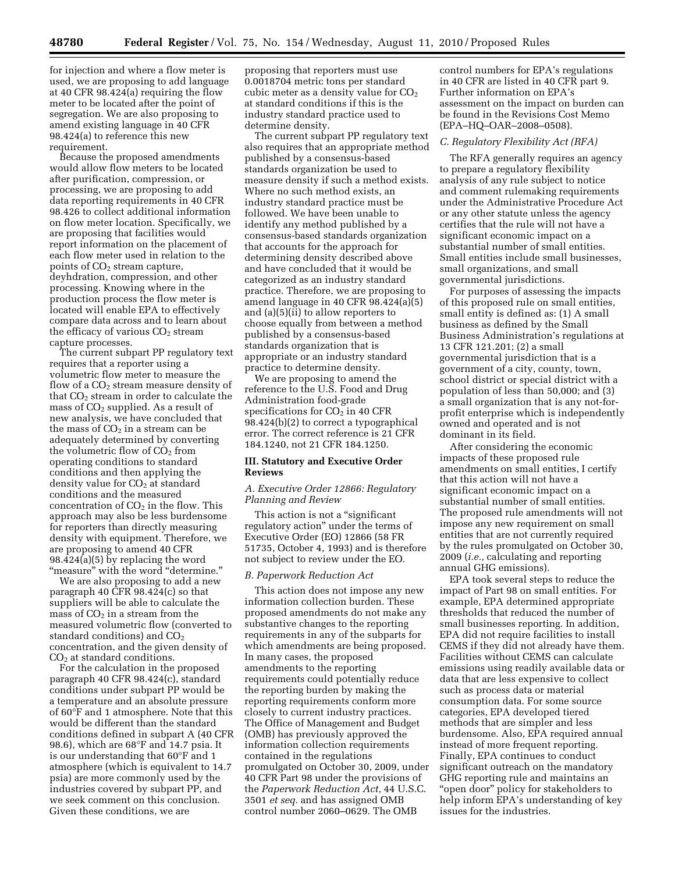for injection and where a flow meter is used, we are proposing to add language at 40 CFR 98.424(a) requiring the flow meter to be located after the point of segregation. We are also proposing to amend existing language in 40 CFR 98.424(a) to reference this new requirement.

Because the proposed amendments would allow flow meters to be located after purification, compression, or processing, we are proposing to add data reporting requirements in 40 CFR 98.426 to collect additional information on flow meter location. Specifically, we are proposing that facilities would report information on the placement of each flow meter used in relation to the points of  $CO<sub>2</sub>$  stream capture, deyhdration, compression, and other processing. Knowing where in the production process the flow meter is located will enable EPA to effectively compare data across and to learn about the efficacy of various  $CO<sub>2</sub>$  stream capture processes.

The current subpart PP regulatory text requires that a reporter using a volumetric flow meter to measure the flow of a CO<sub>2</sub> stream measure density of that  $CO<sub>2</sub>$  stream in order to calculate the mass of  $CO<sub>2</sub>$  supplied. As a result of new analysis, we have concluded that the mass of  $CO<sub>2</sub>$  in a stream can be adequately determined by converting the volumetric flow of  $CO<sub>2</sub>$  from operating conditions to standard conditions and then applying the density value for  $CO<sub>2</sub>$  at standard conditions and the measured concentration of  $CO<sub>2</sub>$  in the flow. This approach may also be less burdensome for reporters than directly measuring density with equipment. Therefore, we are proposing to amend 40 CFR 98.424(a)(5) by replacing the word ''measure'' with the word ''determine.''

We are also proposing to add a new paragraph 40 CFR 98.424(c) so that suppliers will be able to calculate the mass of  $CO<sub>2</sub>$  in a stream from the measured volumetric flow (converted to standard conditions) and  $CO<sub>2</sub>$ concentration, and the given density of  $CO<sub>2</sub>$  at standard conditions.

For the calculation in the proposed paragraph 40 CFR 98.424(c), standard conditions under subpart PP would be a temperature and an absolute pressure of 60°F and 1 atmosphere. Note that this would be different than the standard conditions defined in subpart A (40 CFR 98.6), which are 68°F and 14.7 psia. It is our understanding that 60°F and 1 atmosphere (which is equivalent to 14.7 psia) are more commonly used by the industries covered by subpart PP, and we seek comment on this conclusion. Given these conditions, we are

proposing that reporters must use 0.0018704 metric tons per standard cubic meter as a density value for  $CO<sub>2</sub>$ at standard conditions if this is the industry standard practice used to determine density.

The current subpart PP regulatory text also requires that an appropriate method published by a consensus-based standards organization be used to measure density if such a method exists. Where no such method exists, an industry standard practice must be followed. We have been unable to identify any method published by a consensus-based standards organization that accounts for the approach for determining density described above and have concluded that it would be categorized as an industry standard practice. Therefore, we are proposing to amend language in 40 CFR 98.424(a)(5) and (a)(5)(ii) to allow reporters to choose equally from between a method published by a consensus-based standards organization that is appropriate or an industry standard practice to determine density.

We are proposing to amend the reference to the U.S. Food and Drug Administration food-grade specifications for  $CO<sub>2</sub>$  in 40 CFR 98.424(b)(2) to correct a typographical error. The correct reference is 21 CFR 184.1240, not 21 CFR 184.1250.

#### **III. Statutory and Executive Order Reviews**

## *A. Executive Order 12866: Regulatory Planning and Review*

This action is not a "significant" regulatory action'' under the terms of Executive Order (EO) 12866 (58 FR 51735, October 4, 1993) and is therefore not subject to review under the EO.

## *B. Paperwork Reduction Act*

This action does not impose any new information collection burden. These proposed amendments do not make any substantive changes to the reporting requirements in any of the subparts for which amendments are being proposed. In many cases, the proposed amendments to the reporting requirements could potentially reduce the reporting burden by making the reporting requirements conform more closely to current industry practices. The Office of Management and Budget (OMB) has previously approved the information collection requirements contained in the regulations promulgated on October 30, 2009, under 40 CFR Part 98 under the provisions of the *Paperwork Reduction Act,* 44 U.S.C. 3501 *et seq.* and has assigned OMB control number 2060–0629. The OMB

control numbers for EPA's regulations in 40 CFR are listed in 40 CFR part 9. Further information on EPA's assessment on the impact on burden can be found in the Revisions Cost Memo (EPA–HQ–OAR–2008–0508).

#### *C. Regulatory Flexibility Act (RFA)*

The RFA generally requires an agency to prepare a regulatory flexibility analysis of any rule subject to notice and comment rulemaking requirements under the Administrative Procedure Act or any other statute unless the agency certifies that the rule will not have a significant economic impact on a substantial number of small entities. Small entities include small businesses, small organizations, and small governmental jurisdictions.

For purposes of assessing the impacts of this proposed rule on small entities, small entity is defined as: (1) A small business as defined by the Small Business Administration's regulations at 13 CFR 121.201; (2) a small governmental jurisdiction that is a government of a city, county, town, school district or special district with a population of less than 50,000; and (3) a small organization that is any not-forprofit enterprise which is independently owned and operated and is not dominant in its field.

After considering the economic impacts of these proposed rule amendments on small entities, I certify that this action will not have a significant economic impact on a substantial number of small entities. The proposed rule amendments will not impose any new requirement on small entities that are not currently required by the rules promulgated on October 30, 2009 (*i.e.,* calculating and reporting annual GHG emissions).

EPA took several steps to reduce the impact of Part 98 on small entities. For example, EPA determined appropriate thresholds that reduced the number of small businesses reporting. In addition, EPA did not require facilities to install CEMS if they did not already have them. Facilities without CEMS can calculate emissions using readily available data or data that are less expensive to collect such as process data or material consumption data. For some source categories, EPA developed tiered methods that are simpler and less burdensome. Also, EPA required annual instead of more frequent reporting. Finally, EPA continues to conduct significant outreach on the mandatory GHG reporting rule and maintains an "open door" policy for stakeholders to help inform EPA's understanding of key issues for the industries.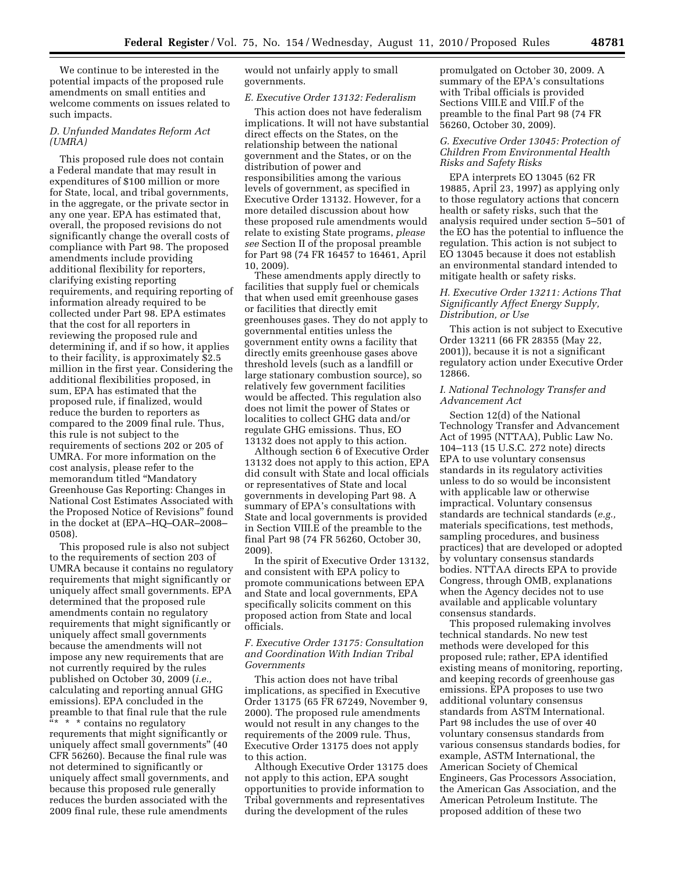We continue to be interested in the potential impacts of the proposed rule amendments on small entities and welcome comments on issues related to such impacts.

## *D. Unfunded Mandates Reform Act (UMRA)*

This proposed rule does not contain a Federal mandate that may result in expenditures of \$100 million or more for State, local, and tribal governments, in the aggregate, or the private sector in any one year. EPA has estimated that, overall, the proposed revisions do not significantly change the overall costs of compliance with Part 98. The proposed amendments include providing additional flexibility for reporters, clarifying existing reporting requirements, and requiring reporting of information already required to be collected under Part 98. EPA estimates that the cost for all reporters in reviewing the proposed rule and determining if, and if so how, it applies to their facility, is approximately \$2.5 million in the first year. Considering the additional flexibilities proposed, in sum, EPA has estimated that the proposed rule, if finalized, would reduce the burden to reporters as compared to the 2009 final rule. Thus, this rule is not subject to the requirements of sections 202 or 205 of UMRA. For more information on the cost analysis, please refer to the memorandum titled ''Mandatory Greenhouse Gas Reporting: Changes in National Cost Estimates Associated with the Proposed Notice of Revisions'' found in the docket at (EPA–HQ–OAR–2008– 0508).

This proposed rule is also not subject to the requirements of section 203 of UMRA because it contains no regulatory requirements that might significantly or uniquely affect small governments. EPA determined that the proposed rule amendments contain no regulatory requirements that might significantly or uniquely affect small governments because the amendments will not impose any new requirements that are not currently required by the rules published on October 30, 2009 (*i.e.,*  calculating and reporting annual GHG emissions). EPA concluded in the preamble to that final rule that the rule  $\frac{a_{*} \cdot \cdot \cdot}{a_{*} \cdot \cdot \cdot}$  contains no regulatory requrements that might significantly or uniquely affect small governments'' (40 CFR 56260). Because the final rule was not determined to significantly or uniquely affect small governments, and because this proposed rule generally reduces the burden associated with the 2009 final rule, these rule amendments

would not unfairly apply to small governments.

#### *E. Executive Order 13132: Federalism*

This action does not have federalism implications. It will not have substantial direct effects on the States, on the relationship between the national government and the States, or on the distribution of power and responsibilities among the various levels of government, as specified in Executive Order 13132. However, for a more detailed discussion about how these proposed rule amendments would relate to existing State programs, *please see* Section II of the proposal preamble for Part 98 (74 FR 16457 to 16461, April 10, 2009).

These amendments apply directly to facilities that supply fuel or chemicals that when used emit greenhouse gases or facilities that directly emit greenhouses gases. They do not apply to governmental entities unless the government entity owns a facility that directly emits greenhouse gases above threshold levels (such as a landfill or large stationary combustion source), so relatively few government facilities would be affected. This regulation also does not limit the power of States or localities to collect GHG data and/or regulate GHG emissions. Thus, EO 13132 does not apply to this action.

Although section 6 of Executive Order 13132 does not apply to this action, EPA did consult with State and local officials or representatives of State and local governments in developing Part 98. A summary of EPA's consultations with State and local governments is provided in Section VIII.E of the preamble to the final Part 98 (74 FR 56260, October 30, 2009).

In the spirit of Executive Order 13132, and consistent with EPA policy to promote communications between EPA and State and local governments, EPA specifically solicits comment on this proposed action from State and local officials.

## *F. Executive Order 13175: Consultation and Coordination With Indian Tribal Governments*

This action does not have tribal implications, as specified in Executive Order 13175 (65 FR 67249, November 9, 2000). The proposed rule amendments would not result in any changes to the requirements of the 2009 rule. Thus, Executive Order 13175 does not apply to this action.

Although Executive Order 13175 does not apply to this action, EPA sought opportunities to provide information to Tribal governments and representatives during the development of the rules

promulgated on October 30, 2009. A summary of the EPA's consultations with Tribal officials is provided Sections VIII.E and VIII.F of the preamble to the final Part 98 (74 FR 56260, October 30, 2009).

## *G. Executive Order 13045: Protection of Children From Environmental Health Risks and Safety Risks*

EPA interprets EO 13045 (62 FR 19885, April 23, 1997) as applying only to those regulatory actions that concern health or safety risks, such that the analysis required under section 5–501 of the EO has the potential to influence the regulation. This action is not subject to EO 13045 because it does not establish an environmental standard intended to mitigate health or safety risks.

## *H. Executive Order 13211: Actions That Significantly Affect Energy Supply, Distribution, or Use*

This action is not subject to Executive Order 13211 (66 FR 28355 (May 22, 2001)), because it is not a significant regulatory action under Executive Order 12866.

## *I. National Technology Transfer and Advancement Act*

Section 12(d) of the National Technology Transfer and Advancement Act of 1995 (NTTAA), Public Law No. 104–113 (15 U.S.C. 272 note) directs EPA to use voluntary consensus standards in its regulatory activities unless to do so would be inconsistent with applicable law or otherwise impractical. Voluntary consensus standards are technical standards (*e.g.,*  materials specifications, test methods, sampling procedures, and business practices) that are developed or adopted by voluntary consensus standards bodies. NTTAA directs EPA to provide Congress, through OMB, explanations when the Agency decides not to use available and applicable voluntary consensus standards.

This proposed rulemaking involves technical standards. No new test methods were developed for this proposed rule; rather, EPA identified existing means of monitoring, reporting, and keeping records of greenhouse gas emissions. EPA proposes to use two additional voluntary consensus standards from ASTM International. Part 98 includes the use of over 40 voluntary consensus standards from various consensus standards bodies, for example, ASTM International, the American Society of Chemical Engineers, Gas Processors Association, the American Gas Association, and the American Petroleum Institute. The proposed addition of these two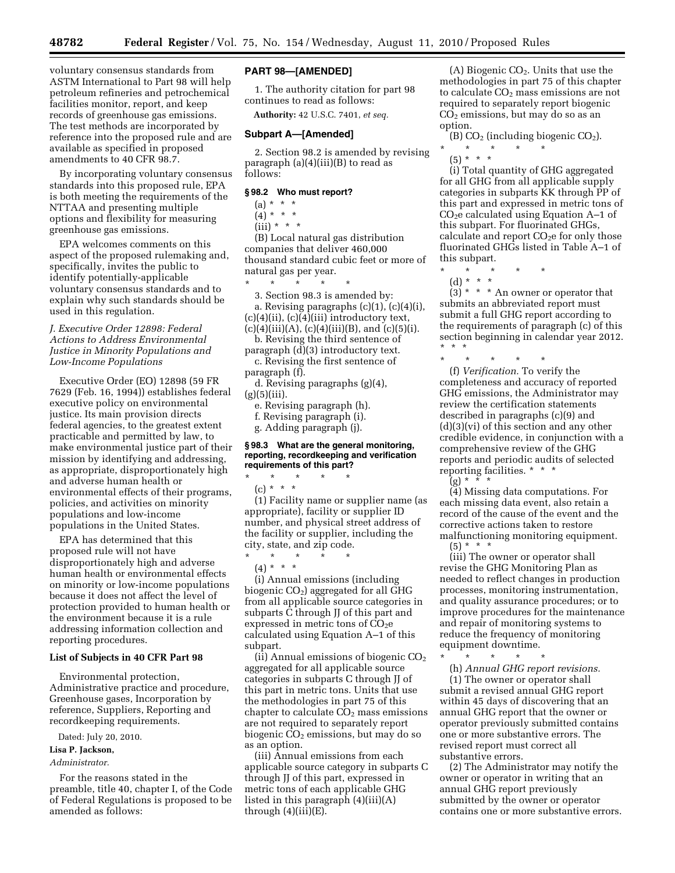voluntary consensus standards from ASTM International to Part 98 will help petroleum refineries and petrochemical facilities monitor, report, and keep records of greenhouse gas emissions. The test methods are incorporated by reference into the proposed rule and are available as specified in proposed amendments to 40 CFR 98.7.

By incorporating voluntary consensus standards into this proposed rule, EPA is both meeting the requirements of the NTTAA and presenting multiple options and flexibility for measuring greenhouse gas emissions.

EPA welcomes comments on this aspect of the proposed rulemaking and, specifically, invites the public to identify potentially-applicable voluntary consensus standards and to explain why such standards should be used in this regulation.

## *J. Executive Order 12898: Federal Actions to Address Environmental Justice in Minority Populations and Low-Income Populations*

Executive Order (EO) 12898 (59 FR 7629 (Feb. 16, 1994)) establishes federal executive policy on environmental justice. Its main provision directs federal agencies, to the greatest extent practicable and permitted by law, to make environmental justice part of their mission by identifying and addressing, as appropriate, disproportionately high and adverse human health or environmental effects of their programs, policies, and activities on minority populations and low-income populations in the United States.

EPA has determined that this proposed rule will not have disproportionately high and adverse human health or environmental effects on minority or low-income populations because it does not affect the level of protection provided to human health or the environment because it is a rule addressing information collection and reporting procedures.

## **List of Subjects in 40 CFR Part 98**

Environmental protection, Administrative practice and procedure, Greenhouse gases, Incorporation by reference, Suppliers, Reporting and recordkeeping requirements.

Dated: July 20, 2010.

# **Lisa P. Jackson,**

*Administrator.* 

For the reasons stated in the preamble, title 40, chapter I, of the Code of Federal Regulations is proposed to be amended as follows:

### **PART 98—[AMENDED]**

1. The authority citation for part 98 continues to read as follows:

**Authority:** 42 U.S.C. 7401, *et seq.* 

#### **Subpart A—[Amended]**

2. Section 98.2 is amended by revising paragraph  $(a)(4)(iii)(B)$  to read as follows:

## **§ 98.2 Who must report?**

 $(a) * * * *$ 

 $(4) * * * *$ 

 $(iii) * * * *$ 

(B) Local natural gas distribution companies that deliver 460,000 thousand standard cubic feet or more of natural gas per year.

\* \* \* \* \* 3. Section 98.3 is amended by:

a. Revising paragraphs (c)(1), (c)(4)(i),  $(c)(4)(ii)$ ,  $(c)(4)(iii)$  introductory text,

 $(c)(4)(iii)(A), (c)(4)(iii)(B), and (c)(5)(i).$ b. Revising the third sentence of

paragraph (d)(3) introductory text. c. Revising the first sentence of paragraph (f).

d. Revising paragraphs (g)(4),  $(g)(5)(iii)$ .

e. Revising paragraph (h).

f. Revising paragraph (i).

g. Adding paragraph (j).

\* \* \* \* \*

 $\star$   $\star$   $\star$ 

## **§ 98.3 What are the general monitoring, reporting, recordkeeping and verification requirements of this part?**

(c) \* \* \* (1) Facility name or supplier name (as appropriate), facility or supplier ID number, and physical street address of the facility or supplier, including the city, state, and zip code.

 $(4) * * * *$ (i) Annual emissions (including biogenic  $CO<sub>2</sub>$ ) aggregated for all GHG from all applicable source categories in subparts C through JJ of this part and expressed in metric tons of  $CO<sub>2</sub>e$ calculated using Equation A–1 of this subpart.

(ii) Annual emissions of biogenic  $CO<sub>2</sub>$ aggregated for all applicable source categories in subparts C through JJ of this part in metric tons. Units that use the methodologies in part 75 of this chapter to calculate  $CO<sub>2</sub>$  mass emissions are not required to separately report biogenic CO<sub>2</sub> emissions, but may do so as an option.

(iii) Annual emissions from each applicable source category in subparts C through JJ of this part, expressed in metric tons of each applicable GHG listed in this paragraph (4)(iii)(A) through  $(4)(iii)(E)$ .

(A) Biogenic  $CO<sub>2</sub>$ . Units that use the methodologies in part 75 of this chapter to calculate  $CO<sub>2</sub>$  mass emissions are not required to separately report biogenic  $CO<sub>2</sub>$  emissions, but may do so as an option.

(B)  $CO<sub>2</sub>$  (including biogenic  $CO<sub>2</sub>$ ).

\* \* \* \* \*  $(5) * * * *$ 

(i) Total quantity of GHG aggregated for all GHG from all applicable supply categories in subparts KK through PP of this part and expressed in metric tons of  $CO<sub>2</sub>e$  calculated using Equation A–1 of this subpart. For fluorinated GHGs, calculate and report  $CO<sub>2</sub>e$  for only those fluorinated GHGs listed in Table A–1 of this subpart.

\* \* \* \* \*

(d) \* \* \*

 $(3) * * * An owner or operator that$ submits an abbreviated report must submit a full GHG report according to the requirements of paragraph (c) of this section beginning in calendar year 2012. \* \* \*

\* \* \* \* \* (f) *Verification.* To verify the completeness and accuracy of reported GHG emissions, the Administrator may review the certification statements described in paragraphs (c)(9) and (d)(3)(vi) of this section and any other credible evidence, in conjunction with a comprehensive review of the GHG reports and periodic audits of selected reporting facilities. \* \* \*  $(g) * * * * *$ 

(4) Missing data computations. For each missing data event, also retain a record of the cause of the event and the corrective actions taken to restore malfunctioning monitoring equipment.

 $(5) * * * *$ 

(iii) The owner or operator shall revise the GHG Monitoring Plan as needed to reflect changes in production processes, monitoring instrumentation, and quality assurance procedures; or to improve procedures for the maintenance and repair of monitoring systems to reduce the frequency of monitoring equipment downtime.

\* \* \* \* \*

(h) *Annual GHG report revisions.* 

(1) The owner or operator shall submit a revised annual GHG report within 45 days of discovering that an annual GHG report that the owner or operator previously submitted contains one or more substantive errors. The revised report must correct all substantive errors.

(2) The Administrator may notify the owner or operator in writing that an annual GHG report previously submitted by the owner or operator contains one or more substantive errors.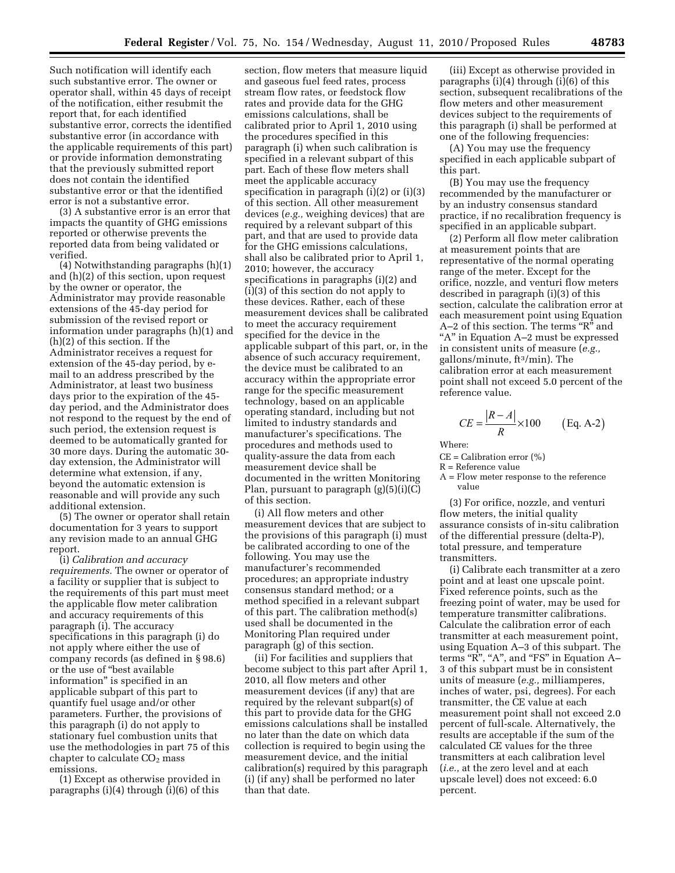Such notification will identify each such substantive error. The owner or operator shall, within 45 days of receipt of the notification, either resubmit the report that, for each identified substantive error, corrects the identified substantive error (in accordance with the applicable requirements of this part) or provide information demonstrating that the previously submitted report does not contain the identified substantive error or that the identified error is not a substantive error.

(3) A substantive error is an error that impacts the quantity of GHG emissions reported or otherwise prevents the reported data from being validated or verified.

(4) Notwithstanding paragraphs (h)(1) and (h)(2) of this section, upon request by the owner or operator, the Administrator may provide reasonable extensions of the 45-day period for submission of the revised report or information under paragraphs (h)(1) and (h)(2) of this section. If the Administrator receives a request for extension of the 45-day period, by email to an address prescribed by the Administrator, at least two business days prior to the expiration of the 45 day period, and the Administrator does not respond to the request by the end of such period, the extension request is deemed to be automatically granted for 30 more days. During the automatic 30 day extension, the Administrator will determine what extension, if any, beyond the automatic extension is reasonable and will provide any such additional extension.

(5) The owner or operator shall retain documentation for 3 years to support any revision made to an annual GHG report.

(i) *Calibration and accuracy requirements.* The owner or operator of a facility or supplier that is subject to the requirements of this part must meet the applicable flow meter calibration and accuracy requirements of this paragraph (i). The accuracy specifications in this paragraph (i) do not apply where either the use of company records (as defined in § 98.6) or the use of ''best available information'' is specified in an applicable subpart of this part to quantify fuel usage and/or other parameters. Further, the provisions of this paragraph (i) do not apply to stationary fuel combustion units that use the methodologies in part 75 of this chapter to calculate  $CO<sub>2</sub>$  mass emissions.

(1) Except as otherwise provided in paragraphs (i)(4) through (i)(6) of this

section, flow meters that measure liquid and gaseous fuel feed rates, process stream flow rates, or feedstock flow rates and provide data for the GHG emissions calculations, shall be calibrated prior to April 1, 2010 using the procedures specified in this paragraph (i) when such calibration is specified in a relevant subpart of this part. Each of these flow meters shall meet the applicable accuracy specification in paragraph (i)(2) or (i)(3) of this section. All other measurement devices (*e.g.,* weighing devices) that are required by a relevant subpart of this part, and that are used to provide data for the GHG emissions calculations, shall also be calibrated prior to April 1, 2010; however, the accuracy specifications in paragraphs (i)(2) and (i)(3) of this section do not apply to these devices. Rather, each of these measurement devices shall be calibrated to meet the accuracy requirement specified for the device in the applicable subpart of this part, or, in the absence of such accuracy requirement, the device must be calibrated to an accuracy within the appropriate error range for the specific measurement technology, based on an applicable operating standard, including but not limited to industry standards and manufacturer's specifications. The procedures and methods used to quality-assure the data from each measurement device shall be documented in the written Monitoring Plan, pursuant to paragraph  $(g)(5)(i)(C)$ of this section.

(i) All flow meters and other measurement devices that are subject to the provisions of this paragraph (i) must be calibrated according to one of the following. You may use the manufacturer's recommended procedures; an appropriate industry consensus standard method; or a method specified in a relevant subpart of this part. The calibration method(s) used shall be documented in the Monitoring Plan required under paragraph (g) of this section.

(ii) For facilities and suppliers that become subject to this part after April 1, 2010, all flow meters and other measurement devices (if any) that are required by the relevant subpart(s) of this part to provide data for the GHG emissions calculations shall be installed no later than the date on which data collection is required to begin using the measurement device, and the initial calibration(s) required by this paragraph (i) (if any) shall be performed no later than that date.

(iii) Except as otherwise provided in paragraphs (i)(4) through (i)(6) of this section, subsequent recalibrations of the flow meters and other measurement devices subject to the requirements of this paragraph (i) shall be performed at one of the following frequencies:

(A) You may use the frequency specified in each applicable subpart of this part.

(B) You may use the frequency recommended by the manufacturer or by an industry consensus standard practice, if no recalibration frequency is specified in an applicable subpart.

(2) Perform all flow meter calibration at measurement points that are representative of the normal operating range of the meter. Except for the orifice, nozzle, and venturi flow meters described in paragraph (i)(3) of this section, calculate the calibration error at each measurement point using Equation A–2 of this section. The terms "R" and "A" in Equation A–2 must be expressed in consistent units of measure (*e.g.,*  gallons/minute, ft3/min). The calibration error at each measurement point shall not exceed 5.0 percent of the reference value.

$$
CE = \frac{|R - A|}{R} \times 100 \qquad \text{(Eq. A-2)}
$$

Where:

 $CE = California$  calibration error  $(\% )$ 

R = Reference value

A = Flow meter response to the reference value

(3) For orifice, nozzle, and venturi flow meters, the initial quality assurance consists of in-situ calibration of the differential pressure (delta-P), total pressure, and temperature transmitters.

(i) Calibrate each transmitter at a zero point and at least one upscale point. Fixed reference points, such as the freezing point of water, may be used for temperature transmitter calibrations. Calculate the calibration error of each transmitter at each measurement point, using Equation A–3 of this subpart. The terms "R", "A", and "FS" in Equation A-3 of this subpart must be in consistent units of measure (*e.g.,* milliamperes, inches of water, psi, degrees). For each transmitter, the CE value at each measurement point shall not exceed 2.0 percent of full-scale. Alternatively, the results are acceptable if the sum of the calculated CE values for the three transmitters at each calibration level (*i.e.,* at the zero level and at each upscale level) does not exceed: 6.0 percent.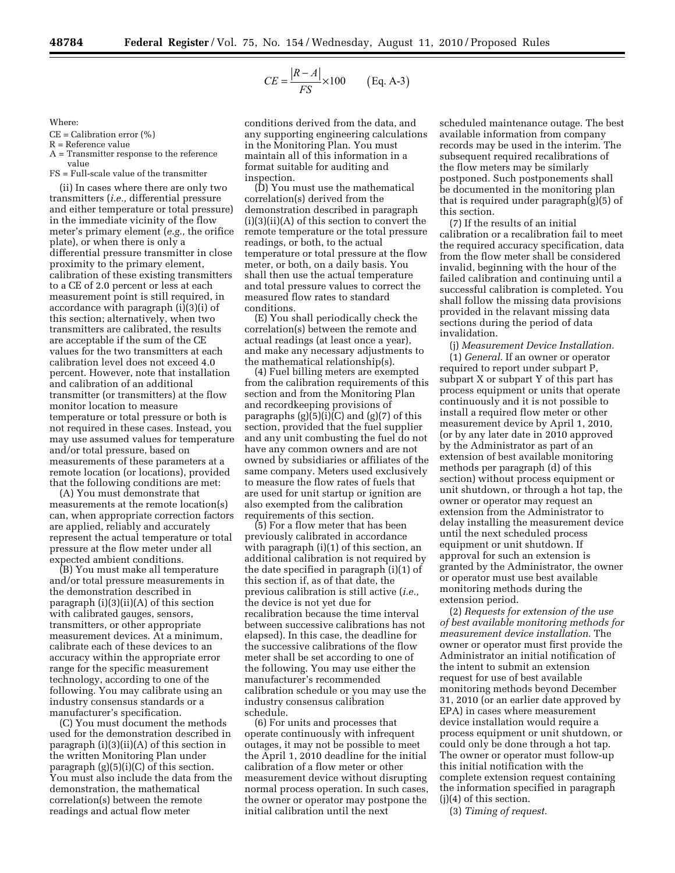$$
CE = \frac{|R - A|}{FS} \times 100 \qquad \text{(Eq. A-3)}
$$

Where:

 $CE = California$  calibration error  $(\% )$ 

R = Reference value

A = Transmitter response to the reference value

FS = Full-scale value of the transmitter

(ii) In cases where there are only two transmitters (*i.e.,* differential pressure and either temperature or total pressure) in the immediate vicinity of the flow meter's primary element (*e.g.,* the orifice plate), or when there is only a differential pressure transmitter in close proximity to the primary element, calibration of these existing transmitters to a CE of 2.0 percent or less at each measurement point is still required, in accordance with paragraph (i)(3)(i) of this section; alternatively, when two transmitters are calibrated, the results are acceptable if the sum of the CE values for the two transmitters at each calibration level does not exceed 4.0 percent. However, note that installation and calibration of an additional transmitter (or transmitters) at the flow monitor location to measure temperature or total pressure or both is not required in these cases. Instead, you may use assumed values for temperature and/or total pressure, based on measurements of these parameters at a remote location (or locations), provided that the following conditions are met:

(A) You must demonstrate that measurements at the remote location(s) can, when appropriate correction factors are applied, reliably and accurately represent the actual temperature or total pressure at the flow meter under all expected ambient conditions.

(B) You must make all temperature and/or total pressure measurements in the demonstration described in paragraph  $(i)(3)(ii)(A)$  of this section with calibrated gauges, sensors, transmitters, or other appropriate measurement devices. At a minimum, calibrate each of these devices to an accuracy within the appropriate error range for the specific measurement technology, according to one of the following. You may calibrate using an industry consensus standards or a manufacturer's specification.

(C) You must document the methods used for the demonstration described in paragraph (i)(3)(ii)(A) of this section in the written Monitoring Plan under paragraph  $(g)(5)(i)(C)$  of this section. You must also include the data from the demonstration, the mathematical correlation(s) between the remote readings and actual flow meter

conditions derived from the data, and any supporting engineering calculations in the Monitoring Plan. You must maintain all of this information in a format suitable for auditing and inspection.

(D) You must use the mathematical correlation(s) derived from the demonstration described in paragraph (i)(3)(ii)(A) of this section to convert the remote temperature or the total pressure readings, or both, to the actual temperature or total pressure at the flow meter, or both, on a daily basis. You shall then use the actual temperature and total pressure values to correct the measured flow rates to standard conditions.

(E) You shall periodically check the correlation(s) between the remote and actual readings (at least once a year), and make any necessary adjustments to the mathematical relationship(s).

(4) Fuel billing meters are exempted from the calibration requirements of this section and from the Monitoring Plan and recordkeeping provisions of paragraphs  $(g)(5)(i)(C)$  and  $(g)(7)$  of this section, provided that the fuel supplier and any unit combusting the fuel do not have any common owners and are not owned by subsidiaries or affiliates of the same company. Meters used exclusively to measure the flow rates of fuels that are used for unit startup or ignition are also exempted from the calibration requirements of this section.

(5) For a flow meter that has been previously calibrated in accordance with paragraph (i)(1) of this section, an additional calibration is not required by the date specified in paragraph (i)(1) of this section if, as of that date, the previous calibration is still active (*i.e.,*  the device is not yet due for recalibration because the time interval between successive calibrations has not elapsed). In this case, the deadline for the successive calibrations of the flow meter shall be set according to one of the following. You may use either the manufacturer's recommended calibration schedule or you may use the industry consensus calibration schedule.

(6) For units and processes that operate continuously with infrequent outages, it may not be possible to meet the April 1, 2010 deadline for the initial calibration of a flow meter or other measurement device without disrupting normal process operation. In such cases, the owner or operator may postpone the initial calibration until the next

scheduled maintenance outage. The best available information from company records may be used in the interim. The subsequent required recalibrations of the flow meters may be similarly postponed. Such postponements shall be documented in the monitoring plan that is required under paragraph(g)(5) of this section.

(7) If the results of an initial calibration or a recalibration fail to meet the required accuracy specification, data from the flow meter shall be considered invalid, beginning with the hour of the failed calibration and continuing until a successful calibration is completed. You shall follow the missing data provisions provided in the relavant missing data sections during the period of data invalidation.

(j) *Measurement Device Installation.*  (1) *General.* If an owner or operator required to report under subpart P, subpart X or subpart Y of this part has process equipment or units that operate continuously and it is not possible to install a required flow meter or other measurement device by April 1, 2010, (or by any later date in 2010 approved by the Administrator as part of an extension of best available monitoring methods per paragraph (d) of this section) without process equipment or unit shutdown, or through a hot tap, the owner or operator may request an extension from the Administrator to delay installing the measurement device until the next scheduled process equipment or unit shutdown. If approval for such an extension is granted by the Administrator, the owner or operator must use best available monitoring methods during the extension period.

(2) *Requests for extension of the use of best available monitoring methods for measurement device installation.* The owner or operator must first provide the Administrator an initial notification of the intent to submit an extension request for use of best available monitoring methods beyond December 31, 2010 (or an earlier date approved by EPA) in cases where measurement device installation would require a process equipment or unit shutdown, or could only be done through a hot tap. The owner or operator must follow-up this initial notification with the complete extension request containing the information specified in paragraph (j)(4) of this section.

(3) *Timing of request.*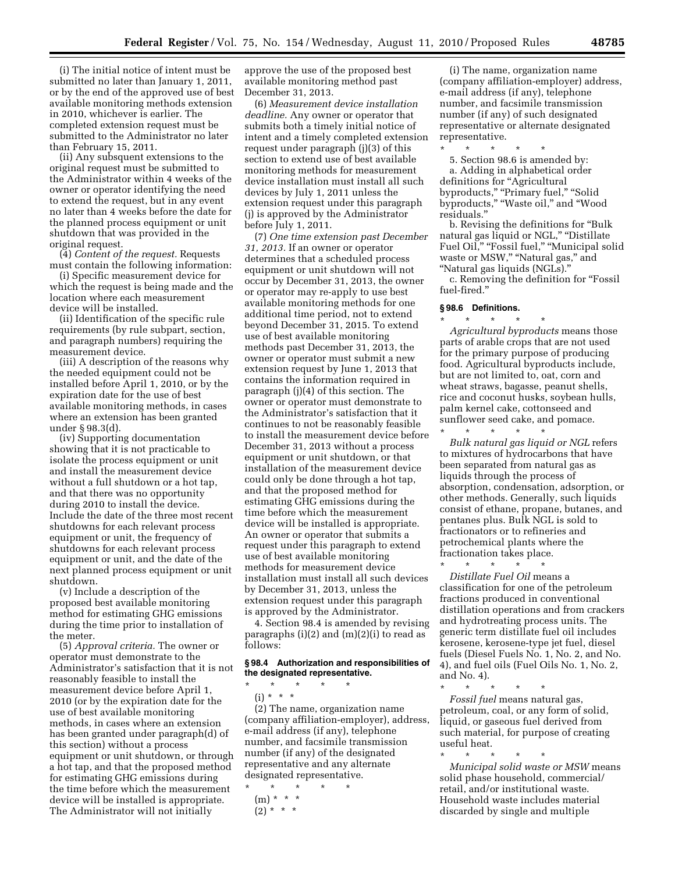(i) The initial notice of intent must be submitted no later than January 1, 2011, or by the end of the approved use of best available monitoring methods extension in 2010, whichever is earlier. The completed extension request must be submitted to the Administrator no later than February 15, 2011.

(ii) Any subsquent extensions to the original request must be submitted to the Administrator within 4 weeks of the owner or operator identifying the need to extend the request, but in any event no later than 4 weeks before the date for the planned process equipment or unit shutdown that was provided in the original request.

(4) *Content of the request.* Requests must contain the following information:

(i) Specific measurement device for which the request is being made and the location where each measurement device will be installed.

(ii) Identification of the specific rule requirements (by rule subpart, section, and paragraph numbers) requiring the measurement device.

(iii) A description of the reasons why the needed equipment could not be installed before April 1, 2010, or by the expiration date for the use of best available monitoring methods, in cases where an extension has been granted under § 98.3(d).

(iv) Supporting documentation showing that it is not practicable to isolate the process equipment or unit and install the measurement device without a full shutdown or a hot tap, and that there was no opportunity during 2010 to install the device. Include the date of the three most recent shutdowns for each relevant process equipment or unit, the frequency of shutdowns for each relevant process equipment or unit, and the date of the next planned process equipment or unit shutdown.

(v) Include a description of the proposed best available monitoring method for estimating GHG emissions during the time prior to installation of the meter.

(5) *Approval criteria.* The owner or operator must demonstrate to the Administrator's satisfaction that it is not reasonably feasible to install the measurement device before April 1, 2010 (or by the expiration date for the use of best available monitoring methods, in cases where an extension has been granted under paragraph(d) of this section) without a process equipment or unit shutdown, or through a hot tap, and that the proposed method for estimating GHG emissions during the time before which the measurement device will be installed is appropriate. The Administrator will not initially

approve the use of the proposed best available monitoring method past December 31, 2013.

(6) *Measurement device installation deadline.* Any owner or operator that submits both a timely initial notice of intent and a timely completed extension request under paragraph (j)(3) of this section to extend use of best available monitoring methods for measurement device installation must install all such devices by July 1, 2011 unless the extension request under this paragraph (j) is approved by the Administrator before July 1, 2011.

(7) *One time extension past December 31, 2013.* If an owner or operator determines that a scheduled process equipment or unit shutdown will not occur by December 31, 2013, the owner or operator may re-apply to use best available monitoring methods for one additional time period, not to extend beyond December 31, 2015. To extend use of best available monitoring methods past December 31, 2013, the owner or operator must submit a new extension request by June 1, 2013 that contains the information required in paragraph (j)(4) of this section. The owner or operator must demonstrate to the Administrator's satisfaction that it continues to not be reasonably feasible to install the measurement device before December 31, 2013 without a process equipment or unit shutdown, or that installation of the measurement device could only be done through a hot tap, and that the proposed method for estimating GHG emissions during the time before which the measurement device will be installed is appropriate. An owner or operator that submits a request under this paragraph to extend use of best available monitoring methods for measurement device installation must install all such devices by December 31, 2013, unless the extension request under this paragraph is approved by the Administrator.

4. Section 98.4 is amended by revising paragraphs  $(i)(2)$  and  $(m)(2)(i)$  to read as follows:

### **§ 98.4 Authorization and responsibilities of the designated representative.**

\* \* \* \* \*

(i) \* \* \*

(2) The name, organization name (company affiliation-employer), address, e-mail address (if any), telephone number, and facsimile transmission number (if any) of the designated representative and any alternate designated representative.

\* \* \* \* \*  $(m) * * * *$  $(2) * * * *$ 

(i) The name, organization name (company affiliation-employer) address, e-mail address (if any), telephone number, and facsimile transmission number (if any) of such designated representative or alternate designated representative.

\* \* \* \* \* 5. Section 98.6 is amended by: a. Adding in alphabetical order definitions for "Agricultural byproducts," "Primary fuel," "Solid byproducts,'' ''Waste oil,'' and ''Wood residuals.''

b. Revising the definitions for ''Bulk natural gas liquid or NGL," "Distillate Fuel Oil," "Fossil fuel," "Municipal solid waste or MSW," "Natural gas," and ''Natural gas liquids (NGLs).''

c. Removing the definition for ''Fossil fuel-fired.''

## **§ 98.6 Definitions.**

\* \* \* \* \* *Agricultural byproducts* means those parts of arable crops that are not used for the primary purpose of producing food. Agricultural byproducts include, but are not limited to, oat, corn and wheat straws, bagasse, peanut shells, rice and coconut husks, soybean hulls, palm kernel cake, cottonseed and sunflower seed cake, and pomace.

\* \* \* \* \* *Bulk natural gas liquid or NGL* refers to mixtures of hydrocarbons that have been separated from natural gas as liquids through the process of absorption, condensation, adsorption, or other methods. Generally, such liquids consist of ethane, propane, butanes, and pentanes plus. Bulk NGL is sold to fractionators or to refineries and petrochemical plants where the fractionation takes place. \* \* \* \* \*

*Distillate Fuel Oil* means a classification for one of the petroleum fractions produced in conventional distillation operations and from crackers and hydrotreating process units. The generic term distillate fuel oil includes kerosene, kerosene-type jet fuel, diesel fuels (Diesel Fuels No. 1, No. 2, and No. 4), and fuel oils (Fuel Oils No. 1, No. 2, and No. 4).

\* \* \* \* \* *Fossil fuel* means natural gas, petroleum, coal, or any form of solid, liquid, or gaseous fuel derived from such material, for purpose of creating useful heat.

\* \* \* \* \* *Municipal solid waste or MSW* means solid phase household, commercial/ retail, and/or institutional waste. Household waste includes material discarded by single and multiple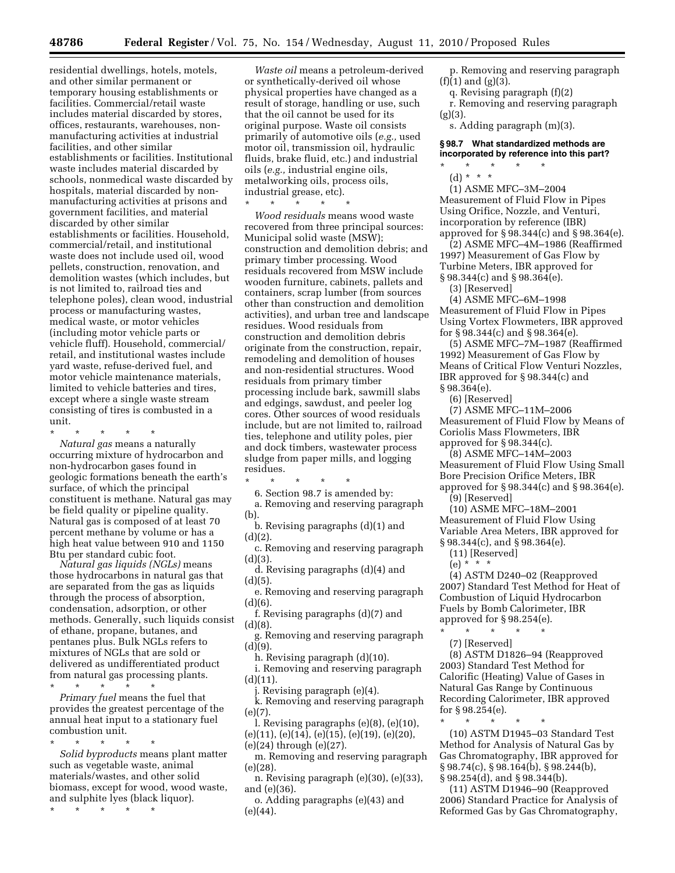residential dwellings, hotels, motels, and other similar permanent or temporary housing establishments or facilities. Commercial/retail waste includes material discarded by stores, offices, restaurants, warehouses, nonmanufacturing activities at industrial facilities, and other similar establishments or facilities. Institutional waste includes material discarded by schools, nonmedical waste discarded by hospitals, material discarded by nonmanufacturing activities at prisons and government facilities, and material discarded by other similar establishments or facilities. Household, commercial/retail, and institutional waste does not include used oil, wood pellets, construction, renovation, and demolition wastes (which includes, but is not limited to, railroad ties and telephone poles), clean wood, industrial process or manufacturing wastes, medical waste, or motor vehicles (including motor vehicle parts or vehicle fluff). Household, commercial/ retail, and institutional wastes include yard waste, refuse-derived fuel, and motor vehicle maintenance materials, limited to vehicle batteries and tires, except where a single waste stream consisting of tires is combusted in a unit.

\* \* \* \* \*

*Natural gas* means a naturally occurring mixture of hydrocarbon and non-hydrocarbon gases found in geologic formations beneath the earth's surface, of which the principal constituent is methane. Natural gas may be field quality or pipeline quality. Natural gas is composed of at least 70 percent methane by volume or has a high heat value between 910 and 1150 Btu per standard cubic foot.

*Natural gas liquids (NGLs)* means those hydrocarbons in natural gas that are separated from the gas as liquids through the process of absorption, condensation, adsorption, or other methods. Generally, such liquids consist of ethane, propane, butanes, and pentanes plus. Bulk NGLs refers to mixtures of NGLs that are sold or delivered as undifferentiated product from natural gas processing plants.

\* \* \* \* \*

*Primary fuel* means the fuel that provides the greatest percentage of the annual heat input to a stationary fuel combustion unit.

\* \* \* \* \* *Solid byproducts* means plant matter such as vegetable waste, animal materials/wastes, and other solid biomass, except for wood, wood waste, and sulphite lyes (black liquor).

\* \* \* \* \*

*Waste oil* means a petroleum-derived or synthetically-derived oil whose physical properties have changed as a result of storage, handling or use, such that the oil cannot be used for its original purpose. Waste oil consists primarily of automotive oils (*e.g.,* used motor oil, transmission oil, hydraulic fluids, brake fluid, etc.) and industrial oils (*e.g.,* industrial engine oils, metalworking oils, process oils, industrial grease, etc).

\* \* \* \* \* *Wood residuals* means wood waste recovered from three principal sources: Municipal solid waste (MSW); construction and demolition debris; and primary timber processing. Wood residuals recovered from MSW include wooden furniture, cabinets, pallets and containers, scrap lumber (from sources other than construction and demolition activities), and urban tree and landscape residues. Wood residuals from construction and demolition debris originate from the construction, repair, remodeling and demolition of houses and non-residential structures. Wood residuals from primary timber processing include bark, sawmill slabs and edgings, sawdust, and peeler log cores. Other sources of wood residuals include, but are not limited to, railroad ties, telephone and utility poles, pier and dock timbers, wastewater process sludge from paper mills, and logging residues.

\* \* \* \* \*

6. Section 98.7 is amended by: a. Removing and reserving paragraph (b).

b. Revising paragraphs (d)(1) and (d)(2).

c. Removing and reserving paragraph  $(d)(3)$ .

d. Revising paragraphs (d)(4) and  $(d)(5)$ .

e. Removing and reserving paragraph (d)(6).

f. Revising paragraphs (d)(7) and (d)(8).

g. Removing and reserving paragraph  $(d)(9)$ .

h. Revising paragraph (d)(10).

i. Removing and reserving paragraph  $(d)(11)$ .

j. Revising paragraph (e)(4).

k. Removing and reserving paragraph (e)(7).

l. Revising paragraphs (e)(8), (e)(10),  $(e)(11), (e)(14), (e)(15), (e)(19), (e)(20),$ (e)(24) through (e)(27).

m. Removing and reserving paragraph (e)(28).

n. Revising paragraph (e)(30), (e)(33), and (e)(36).

o. Adding paragraphs (e)(43) and (e)(44).

p. Removing and reserving paragraph  $(f)(1)$  and  $(g)(3)$ .

q. Revising paragraph (f)(2)

r. Removing and reserving paragraph  $(g)(3)$ .

s. Adding paragraph (m)(3).

**§ 98.7 What standardized methods are incorporated by reference into this part?**  \* \* \* \* \*

(d) \* \* \*

(1) ASME MFC–3M–2004 Measurement of Fluid Flow in Pipes Using Orifice, Nozzle, and Venturi, incorporation by reference (IBR) approved for § 98.344(c) and § 98.364(e).

(2) ASME MFC–4M–1986 (Reaffirmed 1997) Measurement of Gas Flow by Turbine Meters, IBR approved for § 98.344(c) and § 98.364(e).

(3) [Reserved]

(4) ASME MFC–6M–1998 Measurement of Fluid Flow in Pipes Using Vortex Flowmeters, IBR approved for § 98.344(c) and § 98.364(e).

(5) ASME MFC–7M–1987 (Reaffirmed 1992) Measurement of Gas Flow by Means of Critical Flow Venturi Nozzles, IBR approved for § 98.344(c) and § 98.364(e).

(6) [Reserved]

(7) ASME MFC–11M–2006 Measurement of Fluid Flow by Means of Coriolis Mass Flowmeters, IBR approved for § 98.344(c).

(8) ASME MFC–14M–2003 Measurement of Fluid Flow Using Small Bore Precision Orifice Meters, IBR approved for § 98.344(c) and § 98.364(e).

(9) [Reserved]

(10) ASME MFC–18M–2001 Measurement of Fluid Flow Using Variable Area Meters, IBR approved for § 98.344(c), and § 98.364(e).

(11) [Reserved]

(e) \* \* \*

(4) ASTM D240–02 (Reapproved 2007) Standard Test Method for Heat of Combustion of Liquid Hydrocarbon Fuels by Bomb Calorimeter, IBR approved for § 98.254(e).

\* \* \* \* \*

(7) [Reserved]

(8) ASTM D1826–94 (Reapproved 2003) Standard Test Method for Calorific (Heating) Value of Gases in Natural Gas Range by Continuous Recording Calorimeter, IBR approved for § 98.254(e).

\* \* \* \* \* (10) ASTM D1945–03 Standard Test Method for Analysis of Natural Gas by Gas Chromatography, IBR approved for § 98.74(c), § 98.164(b), § 98.244(b), § 98.254(d), and § 98.344(b).

(11) ASTM D1946–90 (Reapproved 2006) Standard Practice for Analysis of Reformed Gas by Gas Chromatography,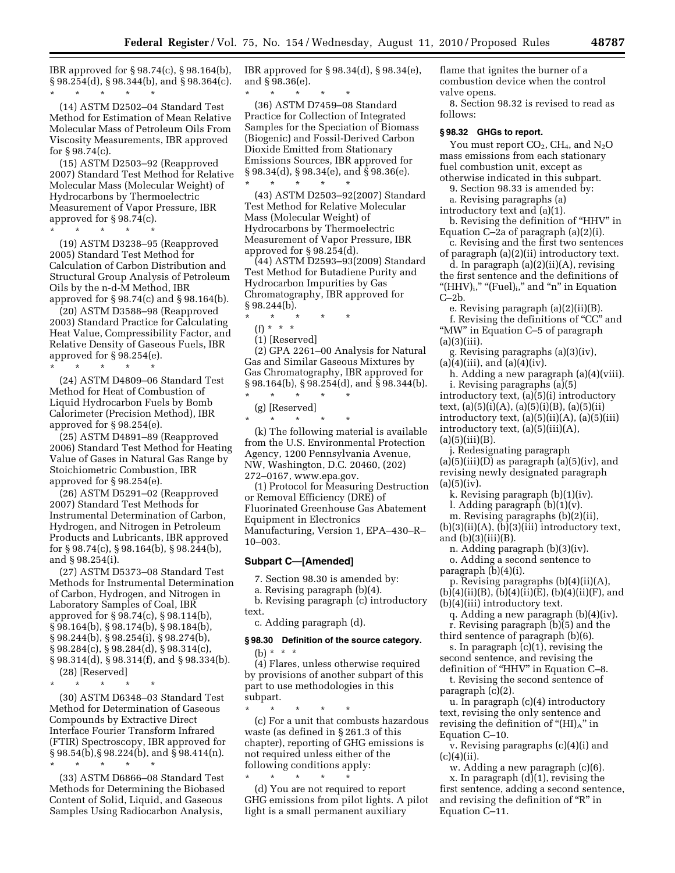IBR approved for § 98.74(c), § 98.164(b), § 98.254(d), § 98.344(b), and § 98.364(c). \* \* \* \* \*

(14) ASTM D2502–04 Standard Test Method for Estimation of Mean Relative Molecular Mass of Petroleum Oils From Viscosity Measurements, IBR approved for § 98.74(c).

(15) ASTM D2503–92 (Reapproved 2007) Standard Test Method for Relative Molecular Mass (Molecular Weight) of Hydrocarbons by Thermoelectric Measurement of Vapor Pressure, IBR approved for § 98.74(c).

\* \* \* \* \* (19) ASTM D3238–95 (Reapproved 2005) Standard Test Method for Calculation of Carbon Distribution and Structural Group Analysis of Petroleum Oils by the n-d-M Method, IBR approved for § 98.74(c) and § 98.164(b).

(20) ASTM D3588–98 (Reapproved 2003) Standard Practice for Calculating Heat Value, Compressibility Factor, and Relative Density of Gaseous Fuels, IBR approved for § 98.254(e).

\* \* \* \* \* (24) ASTM D4809–06 Standard Test Method for Heat of Combustion of Liquid Hydrocarbon Fuels by Bomb Calorimeter (Precision Method), IBR approved for § 98.254(e).

(25) ASTM D4891–89 (Reapproved 2006) Standard Test Method for Heating Value of Gases in Natural Gas Range by Stoichiometric Combustion, IBR approved for § 98.254(e).

(26) ASTM D5291–02 (Reapproved 2007) Standard Test Methods for Instrumental Determination of Carbon, Hydrogen, and Nitrogen in Petroleum Products and Lubricants, IBR approved for § 98.74(c), § 98.164(b), § 98.244(b), and § 98.254(i).

(27) ASTM D5373–08 Standard Test Methods for Instrumental Determination of Carbon, Hydrogen, and Nitrogen in Laboratory Samples of Coal, IBR approved for § 98.74(c), § 98.114(b), § 98.164(b), § 98.174(b), § 98.184(b), § 98.244(b), § 98.254(i), § 98.274(b), § 98.284(c), § 98.284(d), § 98.314(c), § 98.314(d), § 98.314(f), and § 98.334(b).

(28) [Reserved]

\* \* \* \* \* (30) ASTM D6348–03 Standard Test Method for Determination of Gaseous Compounds by Extractive Direct Interface Fourier Transform Infrared (FTIR) Spectroscopy, IBR approved for § 98.54(b),§ 98.224(b), and § 98.414(n). \* \* \* \* \*

(33) ASTM D6866–08 Standard Test Methods for Determining the Biobased Content of Solid, Liquid, and Gaseous Samples Using Radiocarbon Analysis,

IBR approved for § 98.34(d), § 98.34(e), and § 98.36(e).

\* \* \* \* \* (36) ASTM D7459–08 Standard Practice for Collection of Integrated Samples for the Speciation of Biomass (Biogenic) and Fossil-Derived Carbon Dioxide Emitted from Stationary Emissions Sources, IBR approved for  $\S 98.34(d), \S 98.34(e), \text{ and } \overline{\S 98.36(e)}$ . \* \* \* \* \*

(43) ASTM D2503–92(2007) Standard Test Method for Relative Molecular Mass (Molecular Weight) of Hydrocarbons by Thermoelectric Measurement of Vapor Pressure, IBR approved for § 98.254(d).

(44) ASTM D2593–93(2009) Standard Test Method for Butadiene Purity and Hydrocarbon Impurities by Gas Chromatography, IBR approved for § 98.244(b).

\* \* \* \* \*

- (f) \* \* \*
- (1) [Reserved]

(2) GPA 2261–00 Analysis for Natural Gas and Similar Gaseous Mixtures by Gas Chromatography, IBR approved for § 98.164(b), § 98.254(d), and § 98.344(b).

\* \* \* \* \* (g) [Reserved]

\* \* \* \* \*

(k) The following material is available from the U.S. Environmental Protection Agency, 1200 Pennsylvania Avenue, NW, Washington, D.C. 20460, (202) 272–0167, www.epa.gov.

(1) Protocol for Measuring Destruction or Removal Efficiency (DRE) of Fluorinated Greenhouse Gas Abatement Equipment in Electronics Manufacturing, Version 1, EPA–430–R– 10–003.

#### **Subpart C—[Amended]**

7. Section 98.30 is amended by:

a. Revising paragraph (b)(4).

b. Revising paragraph (c) introductory text.

c. Adding paragraph (d).

## **§ 98.30 Definition of the source category.**

(b) \* \* \* (4) Flares, unless otherwise required by provisions of another subpart of this part to use methodologies in this subpart.

\* \* \* \* \* (c) For a unit that combusts hazardous waste (as defined in § 261.3 of this chapter), reporting of GHG emissions is not required unless either of the following conditions apply:

\* \* \* \* \* (d) You are not required to report GHG emissions from pilot lights. A pilot light is a small permanent auxiliary

flame that ignites the burner of a combustion device when the control valve opens.

8. Section 98.32 is revised to read as follows:

#### **§ 98.32 GHGs to report.**

You must report  $CO<sub>2</sub>$ , CH<sub>4</sub>, and N<sub>2</sub>O mass emissions from each stationary fuel combustion unit, except as otherwise indicated in this subpart.

9. Section 98.33 is amended by:

a. Revising paragraphs (a) introductory text and (a)(1).

b. Revising the definition of ''HHV'' in Equation C–2a of paragraph (a)(2)(i).

c. Revising and the first two sentences of paragraph (a)(2)(ii) introductory text.

d. In paragraph (a)(2)(ii)(A), revising the first sentence and the definitions of "(HHV) $_{\rm i}$ ," "(Fuel) $_{\rm i}$ ," and "n" in Equation  $C-2h$ .

e. Revising paragraph (a)(2)(ii)(B).

f. Revising the definitions of "CC" and ''MW'' in Equation C–5 of paragraph  $(a)(3)(iii)$ .

g. Revising paragraphs (a)(3)(iv),  $(a)(4)(iii)$ , and  $(a)(4)(iv)$ .

h. Adding a new paragraph (a)(4)(viii). i. Revising paragraphs (a)(5) introductory text, (a)(5)(i) introductory text,  $(a)(5)(i)(A)$ ,  $(a)(5)(i)(B)$ ,  $(a)(5)(ii)$ introductory text,  $(a)(5)(ii)(A)$ ,  $(a)(5)(iii)$ 

introductory text, (a)(5)(iii)(A),

 $(a)(5)(iii)(B).$ 

j. Redesignating paragraph  $(a)(5)(iii)(D)$  as paragraph  $(a)(5)(iv)$ , and revising newly designated paragraph  $(a)(5)(iv).$ 

k. Revising paragraph (b)(1)(iv).

l. Adding paragraph (b)(1)(v).

m. Revising paragraphs (b)(2)(ii),  $(b)(3)(ii)(A), (b)(3)(iii)$  introductory text,

and  $(b)(3)(iii)(B)$ .

n. Adding paragraph (b)(3)(iv). o. Adding a second sentence to

paragraph (b)(4)(i).

p. Revising paragraphs (b)(4)(ii)(A),  $(b)(4)(ii)(B), (b)(4)(ii)(E), (b)(4)(ii)(F), and$ (b)(4)(iii) introductory text.

q. Adding a new paragraph (b)(4)(iv).

r. Revising paragraph (b)(5) and the

third sentence of paragraph (b)(6). s. In paragraph (c)(1), revising the second sentence, and revising the

definition of ''HHV'' in Equation C–8. t. Revising the second sentence of paragraph (c)(2).

u. In paragraph (c)(4) introductory text, revising the only sentence and revising the definition of " $(HI)_{A}$ " in Equation C–10.

v. Revising paragraphs (c)(4)(i) and  $(c)(4)(ii)$ .

w. Adding a new paragraph (c)(6). x. In paragraph (d)(1), revising the first sentence, adding a second sentence, and revising the definition of "R" in Equation C–11.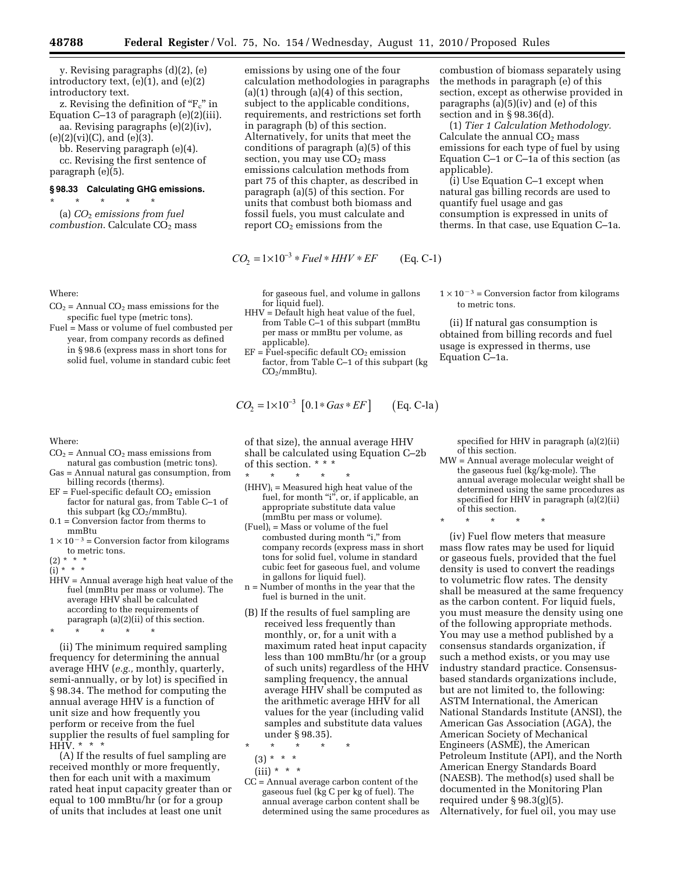y. Revising paragraphs (d)(2), (e) introductory text, (e)(1), and (e)(2) introductory text.

z. Revising the definition of  $F_c$ " in Equation C–13 of paragraph (e)(2)(iii). aa. Revising paragraphs (e)(2)(iv),

 $(e)(2)(vi)(C)$ , and  $(e)(3)$ .

bb. Reserving paragraph (e)(4).

cc. Revising the first sentence of paragraph (e)(5).

# **§ 98.33 Calculating GHG emissions.**  \* \* \* \* \*

(a) *CO*2 *emissions from fuel combustion*. Calculate CO<sub>2</sub> mass

Where:

 $CO<sub>2</sub>$  = Annual  $CO<sub>2</sub>$  mass emissions for the specific fuel type (metric tons).

Fuel = Mass or volume of fuel combusted per year, from company records as defined in § 98.6 (express mass in short tons for solid fuel, volume in standard cubic feet

- Where:
- $CO<sub>2</sub>$  = Annual  $CO<sub>2</sub>$  mass emissions from natural gas combustion (metric tons).
- Gas = Annual natural gas consumption, from billing records (therms).
- $EF = Fuel-specific default CO<sub>2</sub> emission$ factor for natural gas, from Table C–1 of this subpart (kg  $CO<sub>2</sub>/mmBtu$ ).
- 0.1 = Conversion factor from therms to mmBtu
- $1 \times 10^{-3}$  = Conversion factor from kilograms to metric tons.

 $(2) * * * *$ 

 $(i) * * * *$ 

HHV = Annual average high heat value of the fuel (mmBtu per mass or volume). The average HHV shall be calculated according to the requirements of paragraph (a)(2)(ii) of this section.

\* \* \* \* \*

(ii) The minimum required sampling frequency for determining the annual average HHV (*e.g.,* monthly, quarterly, semi-annually, or by lot) is specified in § 98.34. The method for computing the annual average HHV is a function of unit size and how frequently you perform or receive from the fuel supplier the results of fuel sampling for HHV. \* \* \*

(A) If the results of fuel sampling are received monthly or more frequently, then for each unit with a maximum rated heat input capacity greater than or equal to 100 mmBtu/hr (or for a group of units that includes at least one unit

emissions by using one of the four calculation methodologies in paragraphs  $(a)(1)$  through  $(a)(4)$  of this section, subject to the applicable conditions, requirements, and restrictions set forth in paragraph (b) of this section. Alternatively, for units that meet the conditions of paragraph (a)(5) of this section, you may use  $CO<sub>2</sub>$  mass emissions calculation methods from part 75 of this chapter, as described in paragraph (a)(5) of this section. For units that combust both biomass and fossil fuels, you must calculate and report  $CO<sub>2</sub>$  emissions from the

$$
CO_2 = 1 \times 10^{-3} * Fuel * HHV * EF
$$
 (Eq. C-1)

for gaseous fuel, and volume in gallons for liquid fuel).

- HHV = Default high heat value of the fuel, from Table C–1 of this subpart (mmBtu per mass or mmBtu per volume, as applicable).
- $EF = \overline{F}$ uel-specific default CO<sub>2</sub> emission factor, from Table C–1 of this subpart (kg  $CO<sub>2</sub>/mmBtu$ ).

$$
CO_2 = 1 \times 10^{-3}
$$
 [0.1\**Gas*\**EF*] (Eq. C-la)

of that size), the annual average HHV shall be calculated using Equation C–2b of this section. \* \* \* \* \*

- \* \* \* \* \*  $(HHV)_i = Measured$  high heat value of the fuel, for month "i", or, if applicable, an appropriate substitute data value (mmBtu per mass or volume).
- $(Fuel)_{i} = Mass$  or volume of the fuel combusted during month "i," from company records (express mass in short tons for solid fuel, volume in standard cubic feet for gaseous fuel, and volume in gallons for liquid fuel).
- n = Number of months in the year that the fuel is burned in the unit.
- (B) If the results of fuel sampling are received less frequently than monthly, or, for a unit with a maximum rated heat input capacity less than 100 mmBtu/hr (or a group of such units) regardless of the HHV sampling frequency, the annual average HHV shall be computed as the arithmetic average HHV for all values for the year (including valid samples and substitute data values under § 98.35).

\* \* \* \* \*

 $(3) * * * *$ 

- $(iii) * * * *$
- CC = Annual average carbon content of the gaseous fuel (kg C per kg of fuel). The annual average carbon content shall be determined using the same procedures as

combustion of biomass separately using the methods in paragraph (e) of this section, except as otherwise provided in paragraphs (a)(5)(iv) and (e) of this section and in § 98.36(d).

(1) *Tier 1 Calculation Methodology.*  Calculate the annual  $CO<sub>2</sub>$  mass emissions for each type of fuel by using Equation C–1 or C–1a of this section (as applicable).

(i) Use Equation C–1 except when natural gas billing records are used to quantify fuel usage and gas consumption is expressed in units of therms. In that case, use Equation C–1a.

 $1 \times 10^{-3}$  = Conversion factor from kilograms to metric tons.

(ii) If natural gas consumption is obtained from billing records and fuel usage is expressed in therms, use Equation C–1a.

specified for HHV in paragraph (a)(2)(ii) of this section.

MW = Annual average molecular weight of the gaseous fuel (kg/kg-mole). The annual average molecular weight shall be determined using the same procedures as specified for HHV in paragraph (a)(2)(ii) of this section.

\* \* \* \* \*

(iv) Fuel flow meters that measure mass flow rates may be used for liquid or gaseous fuels, provided that the fuel density is used to convert the readings to volumetric flow rates. The density shall be measured at the same frequency as the carbon content. For liquid fuels, you must measure the density using one of the following appropriate methods. You may use a method published by a consensus standards organization, if such a method exists, or you may use industry standard practice. Consensusbased standards organizations include, but are not limited to, the following: ASTM International, the American National Standards Institute (ANSI), the American Gas Association (AGA), the American Society of Mechanical Engineers (ASME), the American Petroleum Institute (API), and the North American Energy Standards Board (NAESB). The method(s) used shall be documented in the Monitoring Plan required under § 98.3(g)(5). Alternatively, for fuel oil, you may use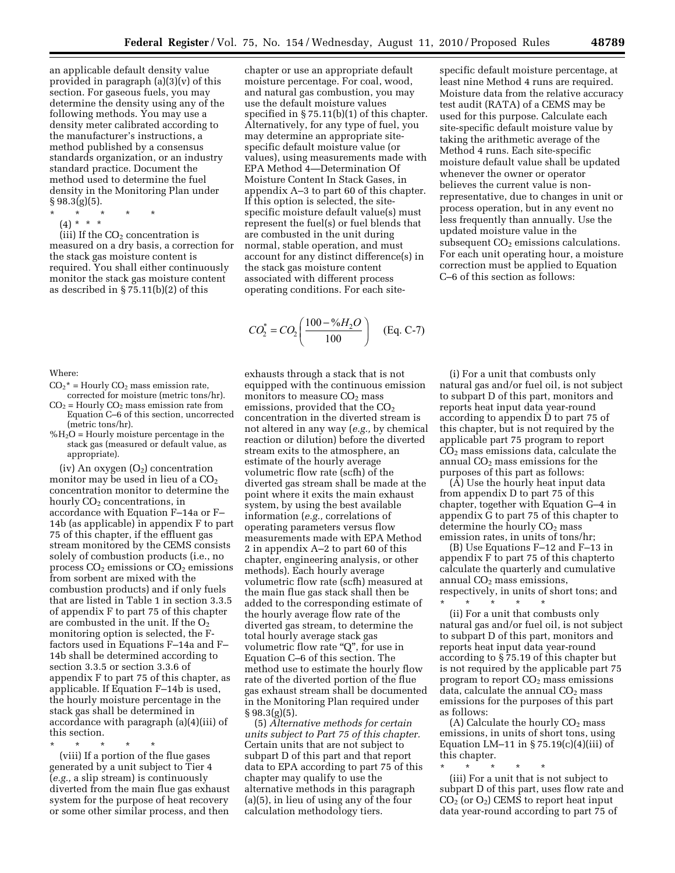an applicable default density value provided in paragraph (a)(3)(v) of this section. For gaseous fuels, you may determine the density using any of the following methods. You may use a density meter calibrated according to the manufacturer's instructions, a method published by a consensus standards organization, or an industry standard practice. Document the method used to determine the fuel density in the Monitoring Plan under  $§ 98.3(g)(5).$ 

- \* \* \* \* \*
- $(4) * * * *$

(iii) If the  $CO<sub>2</sub>$  concentration is measured on a dry basis, a correction for the stack gas moisture content is required. You shall either continuously monitor the stack gas moisture content as described in § 75.11(b)(2) of this

#### Where:

- $CO<sub>2</sub><sup>*</sup> = Hourly CO<sub>2</sub> mass emission rate,$ corrected for moisture (metric tons/hr).
- $CO<sub>2</sub>$  = Hourly  $CO<sub>2</sub>$  mass emission rate from Equation C–6 of this section, uncorrected (metric tons/hr).
- $%H<sub>2</sub>O$  = Hourly moisture percentage in the stack gas (measured or default value, as appropriate).

(iv) An oxygen  $(O_2)$  concentration monitor may be used in lieu of a  $CO<sub>2</sub>$ concentration monitor to determine the hourly  $CO<sub>2</sub>$  concentrations, in accordance with Equation F–14a or F– 14b (as applicable) in appendix F to part 75 of this chapter, if the effluent gas stream monitored by the CEMS consists solely of combustion products (i.e., no process  $CO<sub>2</sub>$  emissions or  $CO<sub>2</sub>$  emissions from sorbent are mixed with the combustion products) and if only fuels that are listed in Table 1 in section 3.3.5 of appendix F to part 75 of this chapter are combusted in the unit. If the  $O<sub>2</sub>$ monitoring option is selected, the Ffactors used in Equations F–14a and F– 14b shall be determined according to section 3.3.5 or section 3.3.6 of appendix F to part 75 of this chapter, as applicable. If Equation F–14b is used, the hourly moisture percentage in the stack gas shall be determined in accordance with paragraph (a)(4)(iii) of this section.

\* \* \* \* \* (viii) If a portion of the flue gases generated by a unit subject to Tier 4 (*e.g.,* a slip stream) is continuously diverted from the main flue gas exhaust system for the purpose of heat recovery or some other similar process, and then

chapter or use an appropriate default moisture percentage. For coal, wood, and natural gas combustion, you may use the default moisture values specified in § 75.11(b)(1) of this chapter. Alternatively, for any type of fuel, you may determine an appropriate sitespecific default moisture value (or values), using measurements made with EPA Method 4—Determination Of Moisture Content In Stack Gases, in appendix A–3 to part 60 of this chapter. If this option is selected, the sitespecific moisture default value(s) must represent the fuel(s) or fuel blends that are combusted in the unit during normal, stable operation, and must account for any distinct difference(s) in the stack gas moisture content associated with different process operating conditions. For each site-

$$
CO_2^* = CO_2 \left( \frac{100 - \%H_2O}{100} \right)
$$
 (Eq. C-7)

exhausts through a stack that is not equipped with the continuous emission monitors to measure  $CO<sub>2</sub>$  mass emissions, provided that the  $CO<sub>2</sub>$ concentration in the diverted stream is not altered in any way (*e.g.,* by chemical reaction or dilution) before the diverted stream exits to the atmosphere, an estimate of the hourly average volumetric flow rate (scfh) of the diverted gas stream shall be made at the point where it exits the main exhaust system, by using the best available information (*e.g.,* correlations of operating parameters versus flow measurements made with EPA Method 2 in appendix A–2 to part 60 of this chapter, engineering analysis, or other methods). Each hourly average volumetric flow rate (scfh) measured at the main flue gas stack shall then be added to the corresponding estimate of the hourly average flow rate of the diverted gas stream, to determine the total hourly average stack gas volumetric flow rate "Q", for use in Equation C–6 of this section. The method use to estimate the hourly flow rate of the diverted portion of the flue gas exhaust stream shall be documented in the Monitoring Plan required under § 98.3(g)(5).

(5) *Alternative methods for certain units subject to Part 75 of this chapter.*  Certain units that are not subject to subpart D of this part and that report data to EPA according to part 75 of this chapter may qualify to use the alternative methods in this paragraph (a)(5), in lieu of using any of the four calculation methodology tiers.

specific default moisture percentage, at least nine Method 4 runs are required. Moisture data from the relative accuracy test audit (RATA) of a CEMS may be used for this purpose. Calculate each site-specific default moisture value by taking the arithmetic average of the Method 4 runs. Each site-specific moisture default value shall be updated whenever the owner or operator believes the current value is nonrepresentative, due to changes in unit or process operation, but in any event no less frequently than annually. Use the updated moisture value in the subsequent CO<sub>2</sub> emissions calculations. For each unit operating hour, a moisture correction must be applied to Equation C–6 of this section as follows:

(i) For a unit that combusts only natural gas and/or fuel oil, is not subject to subpart D of this part, monitors and reports heat input data year-round according to appendix D to part 75 of this chapter, but is not required by the applicable part 75 program to report CO2 mass emissions data, calculate the annual  $CO<sub>2</sub>$  mass emissions for the purposes of this part as follows:

(A) Use the hourly heat input data from appendix D to part 75 of this chapter, together with Equation G–4 in appendix G to part 75 of this chapter to determine the hourly  $CO<sub>2</sub>$  mass emission rates, in units of tons/hr;

(B) Use Equations F–12 and F–13 in appendix F to part 75 of this chapterto calculate the quarterly and cumulative annual  $CO<sub>2</sub>$  mass emissions, respectively, in units of short tons; and

\* \* \* \* \* (ii) For a unit that combusts only natural gas and/or fuel oil, is not subject to subpart D of this part, monitors and reports heat input data year-round according to § 75.19 of this chapter but is not required by the applicable part 75 program to report  $CO<sub>2</sub>$  mass emissions data, calculate the annual  $CO<sub>2</sub>$  mass emissions for the purposes of this part as follows:

(A) Calculate the hourly  $CO<sub>2</sub>$  mass emissions, in units of short tons, using Equation LM-11 in  $\S 75.19(c)(4)(iii)$  of this chapter.

\* \* \* \* \* (iii) For a unit that is not subject to subpart D of this part, uses flow rate and  $CO<sub>2</sub>$  (or  $O<sub>2</sub>$ ) CEMS to report heat input data year-round according to part 75 of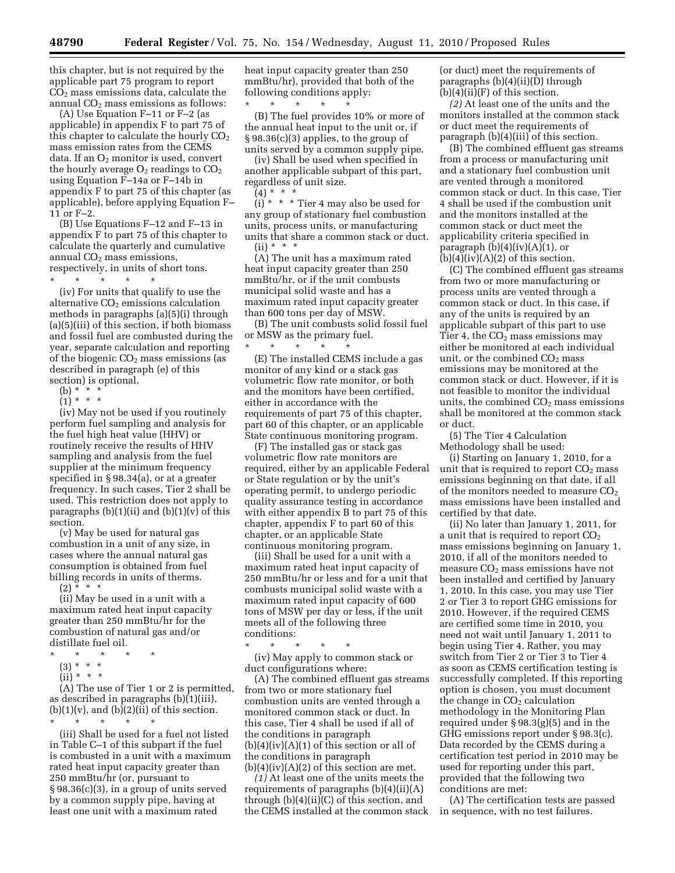this chapter, but is not required by the applicable part 75 program to report  $CO<sub>2</sub>$  mass emissions data, calculate the annual  $CO<sub>2</sub>$  mass emissions as follows:

(A) Use Equation F–11 or F–2 (as applicable) in appendix F to part 75 of this chapter to calculate the hourly  $CO<sub>2</sub>$ mass emission rates from the CEMS data. If an  $O_2$  monitor is used, convert the hourly average  $O_2$  readings to  $CO_2$ using Equation F–14a or F–14b in appendix F to part 75 of this chapter (as applicable), before applying Equation F– 11 or F–2.

(B) Use Equations F–12 and F–13 in appendix F to part 75 of this chapter to calculate the quarterly and cumulative annual  $CO<sub>2</sub>$  mass emissions, respectively, in units of short tons.

\* \* \* \* \*

(iv) For units that qualify to use the alternative  $CO<sub>2</sub>$  emissions calculation methods in paragraphs (a)(5)(i) through (a)(5)(iii) of this section, if both biomass and fossil fuel are combusted during the year, separate calculation and reporting of the biogenic CO<sub>2</sub> mass emissions (as described in paragraph (e) of this section) is optional.

- (b) \* \* \*
- (1) \* \* \*

(iv) May not be used if you routinely perform fuel sampling and analysis for the fuel high heat value (HHV) or routinely receive the results of HHV sampling and analysis from the fuel supplier at the minimum frequency specified in § 98.34(a), or at a greater frequency. In such cases, Tier 2 shall be used. This restriction does not apply to paragraphs  $(b)(1)(ii)$  and  $(b)(1)(v)$  of this section.

(v) May be used for natural gas combustion in a unit of any size, in cases where the annual natural gas consumption is obtained from fuel billing records in units of therms.

 $(2) * * * *$ 

(ii) May be used in a unit with a maximum rated heat input capacity greater than 250 mmBtu/hr for the combustion of natural gas and/or distillate fuel oil.

- \* \* \* \* \*
- (3) \* \* \*
- $(ii)* **$

(A) The use of Tier 1 or 2 is permitted, as described in paragraphs (b)(1)(iii),  $(b)(1)(v)$ , and  $(b)(2)(ii)$  of this section.

\* \* \* \* \* (iii) Shall be used for a fuel not listed in Table C–1 of this subpart if the fuel is combusted in a unit with a maximum rated heat input capacity greater than 250 mmBtu/hr (or, pursuant to § 98.36(c)(3), in a group of units served by a common supply pipe, having at least one unit with a maximum rated

heat input capacity greater than 250 mmBtu/hr), provided that both of the following conditions apply:

\* \* \* \* \* (B) The fuel provides 10% or more of the annual heat input to the unit or, if § 98.36(c)(3) applies, to the group of units served by a common supply pipe.

(iv) Shall be used when specified in another applicable subpart of this part, regardless of unit size.

 $(4) * * * *$ 

 $(i) * * *$  Tier 4 may also be used for any group of stationary fuel combustion units, process units, or manufacturing units that share a common stack or duct. (ii) \* \* \*

(A) The unit has a maximum rated heat input capacity greater than 250 mmBtu/hr, or if the unit combusts municipal solid waste and has a maximum rated input capacity greater than 600 tons per day of MSW.

(B) The unit combusts solid fossil fuel or MSW as the primary fuel.

\* \* \* \* \* (E) The installed CEMS include a gas monitor of any kind or a stack gas volumetric flow rate monitor, or both and the monitors have been certified, either in accordance with the requirements of part 75 of this chapter, part 60 of this chapter, or an applicable State continuous monitoring program.

(F) The installed gas or stack gas volumetric flow rate monitors are required, either by an applicable Federal or State regulation or by the unit's operating permit, to undergo periodic quality assurance testing in accordance with either appendix B to part 75 of this chapter, appendix F to part 60 of this chapter, or an applicable State continuous monitoring program.

(iii) Shall be used for a unit with a maximum rated heat input capacity of 250 mmBtu/hr or less and for a unit that combusts municipal solid waste with a maximum rated input capacity of 600 tons of MSW per day or less, if the unit meets all of the following three conditions:

\* \* \* \* \*

(iv) May apply to common stack or duct configurations where:

(A) The combined effluent gas streams from two or more stationary fuel combustion units are vented through a monitored common stack or duct. In this case, Tier 4 shall be used if all of the conditions in paragraph  $(b)(4)(iv)(A)(1)$  of this section or all of the conditions in paragraph  $(b)(4)(iv)(A)(2)$  of this section are met.

*(1)* At least one of the units meets the requirements of paragraphs (b)(4)(ii)(A) through (b)(4)(ii)(C) of this section, and the CEMS installed at the common stack (or duct) meet the requirements of paragraphs (b)(4)(ii)(D) through  $(b)(4)(ii)(F)$  of this section.

*(2)* At least one of the units and the monitors installed at the common stack or duct meet the requirements of paragraph (b)(4)(iii) of this section.

(B) The combined effluent gas streams from a process or manufacturing unit and a stationary fuel combustion unit are vented through a monitored common stack or duct. In this case, Tier 4 shall be used if the combustion unit and the monitors installed at the common stack or duct meet the applicability criteria specified in paragraph  $(b)(4)(iv)(A)(1)$ , or  $(b)(4)(iv)(A)(2)$  of this section.

(C) The combined effluent gas streams from two or more manufacturing or process units are vented through a common stack or duct. In this case, if any of the units is required by an applicable subpart of this part to use Tier 4, the  $CO<sub>2</sub>$  mass emissions may either be monitored at each individual unit, or the combined  $CO<sub>2</sub>$  mass emissions may be monitored at the common stack or duct. However, if it is not feasible to monitor the individual units, the combined  $CO<sub>2</sub>$  mass emissions shall be monitored at the common stack or duct.

(5) The Tier 4 Calculation Methodology shall be used:

(i) Starting on January 1, 2010, for a unit that is required to report  $CO<sub>2</sub>$  mass emissions beginning on that date, if all of the monitors needed to measure  $CO<sub>2</sub>$ mass emissions have been installed and certified by that date.

(ii) No later than January 1, 2011, for a unit that is required to report  $CO<sub>2</sub>$ mass emissions beginning on January 1, 2010, if all of the monitors needed to measure  $CO<sub>2</sub>$  mass emissions have not been installed and certified by January 1, 2010. In this case, you may use Tier 2 or Tier 3 to report GHG emissions for 2010. However, if the required CEMS are certified some time in 2010, you need not wait until January 1, 2011 to begin using Tier 4. Rather, you may switch from Tier 2 or Tier 3 to Tier 4 as soon as CEMS certification testing is successfully completed. If this reporting option is chosen, you must document the change in  $CO<sub>2</sub>$  calculation methodology in the Monitoring Plan required under § 98.3(g)(5) and in the GHG emissions report under § 98.3(c). Data recorded by the CEMS during a certification test period in 2010 may be used for reporting under this part, provided that the following two conditions are met:

(A) The certification tests are passed in sequence, with no test failures.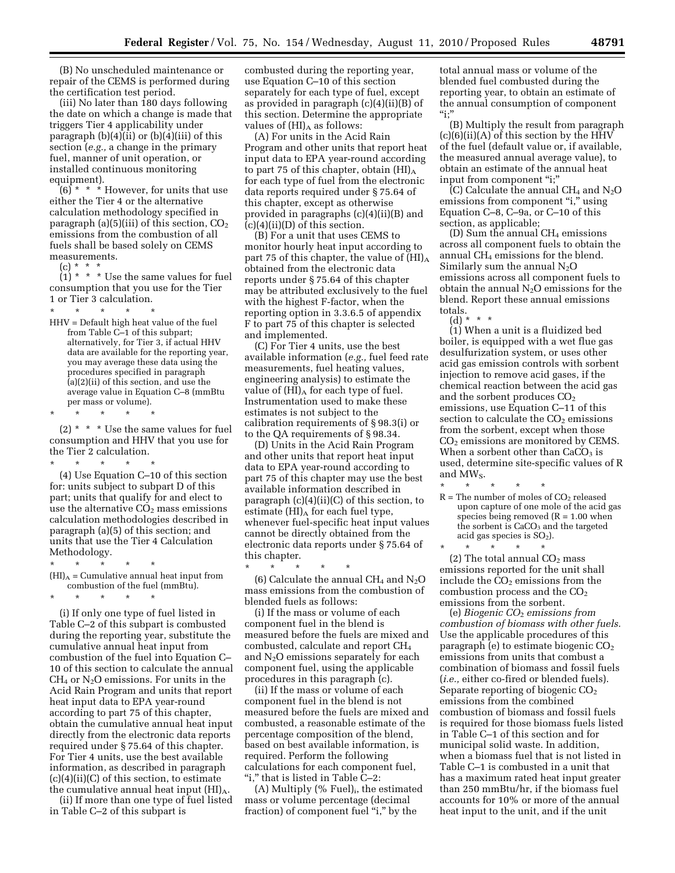(B) No unscheduled maintenance or repair of the CEMS is performed during the certification test period.

(iii) No later than 180 days following the date on which a change is made that triggers Tier 4 applicability under paragraph  $(b)(4)(ii)$  or  $(b)(4)(iii)$  of this section (*e.g.,* a change in the primary fuel, manner of unit operation, or installed continuous monitoring equipment).

(6) \* \* \* However, for units that use either the Tier 4 or the alternative calculation methodology specified in paragraph (a)(5)(iii) of this section,  $CO<sub>2</sub>$ emissions from the combustion of all fuels shall be based solely on CEMS measurements.

(c) \* \* \*

 $(1) * * *$  Use the same values for fuel consumption that you use for the Tier 1 or Tier 3 calculation.

\* \* \* \* \* HHV = Default high heat value of the fuel from Table C–1 of this subpart; alternatively, for Tier 3, if actual HHV data are available for the reporting year, you may average these data using the procedures specified in paragraph (a)(2)(ii) of this section, and use the average value in Equation C–8 (mmBtu per mass or volume).

\* \* \* \* \*

(2)  $*$   $*$   $*$  Use the same values for fuel consumption and HHV that you use for the Tier 2 calculation.

\* \* \* \* \* (4) Use Equation C–10 of this section for: units subject to subpart D of this part; units that qualify for and elect to use the alternative  $CO<sub>2</sub>$  mass emissions calculation methodologies described in paragraph (a)(5) of this section; and units that use the Tier 4 Calculation Methodology.  $*$  \*

- $(HI)_{A} =$  Cumulative annual heat input from combustion of the fuel (mmBtu).
- \* \* \* \* \*

(i) If only one type of fuel listed in Table C–2 of this subpart is combusted during the reporting year, substitute the cumulative annual heat input from combustion of the fuel into Equation C– 10 of this section to calculate the annual  $CH<sub>4</sub>$  or  $N<sub>2</sub>O$  emissions. For units in the Acid Rain Program and units that report heat input data to EPA year-round according to part 75 of this chapter, obtain the cumulative annual heat input directly from the electronic data reports required under § 75.64 of this chapter. For Tier 4 units, use the best available information, as described in paragraph (c)(4)(ii)(C) of this section, to estimate the cumulative annual heat input  $(HI)_{A}$ .

(ii) If more than one type of fuel listed in Table C–2 of this subpart is

combusted during the reporting year, use Equation C–10 of this section separately for each type of fuel, except as provided in paragraph (c)(4)(ii)(B) of this section. Determine the appropriate values of  $(HI)$ <sup>A</sup> as follows:

(A) For units in the Acid Rain Program and other units that report heat input data to EPA year-round according to part 75 of this chapter, obtain  $(HI)_{A}$ for each type of fuel from the electronic data reports required under § 75.64 of this chapter, except as otherwise provided in paragraphs (c)(4)(ii)(B) and  $(c)(4)(ii)(D)$  of this section.

(B) For a unit that uses CEMS to monitor hourly heat input according to part 75 of this chapter, the value of  $(HI)_{A}$ obtained from the electronic data reports under § 75.64 of this chapter may be attributed exclusively to the fuel with the highest F-factor, when the reporting option in 3.3.6.5 of appendix F to part 75 of this chapter is selected and implemented.

(C) For Tier 4 units, use the best available information (*e.g.,* fuel feed rate measurements, fuel heating values, engineering analysis) to estimate the value of  $(HI)_{A}$  for each type of fuel. Instrumentation used to make these estimates is not subject to the calibration requirements of § 98.3(i) or to the QA requirements of § 98.34.

(D) Units in the Acid Rain Program and other units that report heat input data to EPA year-round according to part 75 of this chapter may use the best available information described in paragraph (c)(4)(ii)(C) of this section, to estimate  $(HI)_{A}$  for each fuel type, whenever fuel-specific heat input values cannot be directly obtained from the electronic data reports under § 75.64 of this chapter.

\* \* \* \* \* (6) Calculate the annual CH<sub>4</sub> and  $N_2O$ mass emissions from the combustion of blended fuels as follows:

(i) If the mass or volume of each component fuel in the blend is measured before the fuels are mixed and combusted, calculate and report CH4 and  $N_2O$  emissions separately for each component fuel, using the applicable procedures in this paragraph (c).

(ii) If the mass or volume of each component fuel in the blend is not measured before the fuels are mixed and combusted, a reasonable estimate of the percentage composition of the blend, based on best available information, is required. Perform the following calculations for each component fuel, "i," that is listed in Table C–2:

 $(A)$  Multiply  $(\%$  Fuel)<sub>i</sub>, the estimated mass or volume percentage (decimal fraction) of component fuel "i," by the

total annual mass or volume of the blended fuel combusted during the reporting year, to obtain an estimate of the annual consumption of component  $\mathbf{``i;}''$ 

(B) Multiply the result from paragraph  $(c)(6)(ii)(A)$  of this section by the HHV of the fuel (default value or, if available, the measured annual average value), to obtain an estimate of the annual heat input from component "i;"

 $\overline{C}$  Calculate the annual CH<sub>4</sub> and N<sub>2</sub>O emissions from component "i," using Equation C–8, C–9a, or C–10 of this section, as applicable;

(D) Sum the annual CH4 emissions across all component fuels to obtain the annual CH4 emissions for the blend. Similarly sum the annual  $N_2O$ emissions across all component fuels to obtain the annual  $N<sub>2</sub>O$  emissions for the blend. Report these annual emissions totals.

(d) \* \* \*

(1) When a unit is a fluidized bed boiler, is equipped with a wet flue gas desulfurization system, or uses other acid gas emission controls with sorbent injection to remove acid gases, if the chemical reaction between the acid gas and the sorbent produces  $CO<sub>2</sub>$ emissions, use Equation C–11 of this section to calculate the  $CO<sub>2</sub>$  emissions from the sorbent, except when those CO2 emissions are monitored by CEMS. When a sorbent other than  $CaCO<sub>3</sub>$  is used, determine site-specific values of R and MWS.

- \* \* \* \* \*  $R =$  The number of moles of  $CO<sub>2</sub>$  released upon capture of one mole of the acid gas species being removed  $(R = 1.00$  when the sorbent is  $CaCO<sub>3</sub>$  and the targeted acid gas species is  $SO<sub>2</sub>$ ).
- \* \* \* \* \* (2) The total annual  $CO<sub>2</sub>$  mass emissions reported for the unit shall include the  $CO<sub>2</sub>$  emissions from the combustion process and the  $CO<sub>2</sub>$ emissions from the sorbent.

(e) *Biogenic CO*2 *emissions from combustion of biomass with other fuels.*  Use the applicable procedures of this paragraph (e) to estimate biogenic  $CO<sub>2</sub>$ emissions from units that combust a combination of biomass and fossil fuels (*i.e.,* either co-fired or blended fuels). Separate reporting of biogenic CO<sub>2</sub> emissions from the combined combustion of biomass and fossil fuels is required for those biomass fuels listed in Table C–1 of this section and for municipal solid waste. In addition, when a biomass fuel that is not listed in Table C–1 is combusted in a unit that has a maximum rated heat input greater than 250 mmBtu/hr, if the biomass fuel accounts for 10% or more of the annual heat input to the unit, and if the unit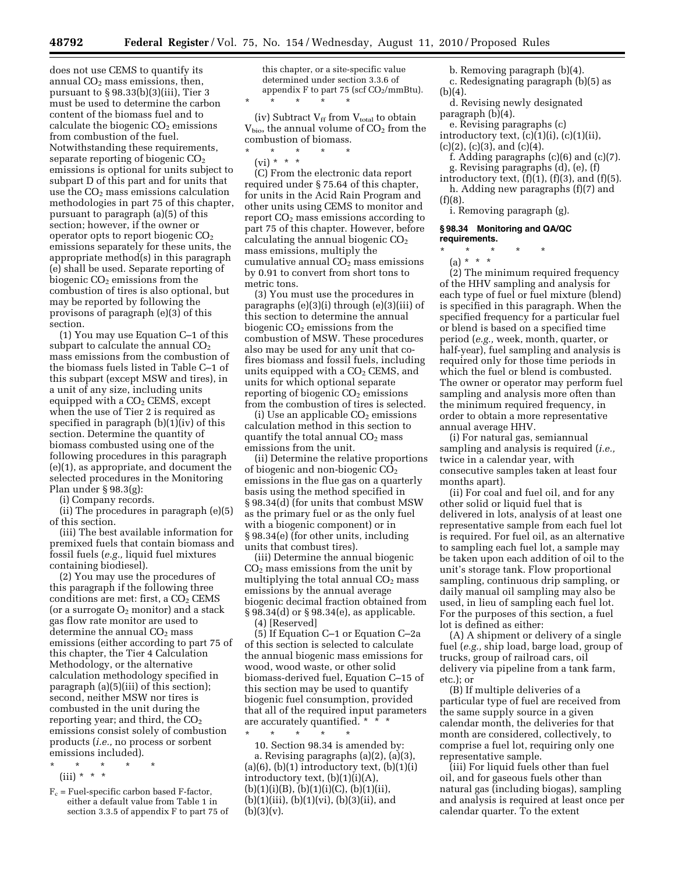does not use CEMS to quantify its annual  $CO<sub>2</sub>$  mass emissions, then, pursuant to § 98.33(b)(3)(iii), Tier 3 must be used to determine the carbon content of the biomass fuel and to calculate the biogenic  $CO<sub>2</sub>$  emissions from combustion of the fuel. Notwithstanding these requirements, separate reporting of biogenic  $CO<sub>2</sub>$ emissions is optional for units subject to subpart D of this part and for units that use the  $CO<sub>2</sub>$  mass emissions calculation methodologies in part 75 of this chapter, pursuant to paragraph (a)(5) of this section; however, if the owner or operator opts to report biogenic CO2 emissions separately for these units, the appropriate method(s) in this paragraph (e) shall be used. Separate reporting of biogenic  $CO<sub>2</sub>$  emissions from the combustion of tires is also optional, but may be reported by following the provisons of paragraph (e)(3) of this section.

(1) You may use Equation C–1 of this subpart to calculate the annual  $CO<sub>2</sub>$ mass emissions from the combustion of the biomass fuels listed in Table C–1 of this subpart (except MSW and tires), in a unit of any size, including units equipped with a  $CO<sub>2</sub>$  CEMS, except when the use of Tier 2 is required as specified in paragraph (b)(1)(iv) of this section. Determine the quantity of biomass combusted using one of the following procedures in this paragraph (e)(1), as appropriate, and document the selected procedures in the Monitoring Plan under § 98.3(g):

(i) Company records.

(ii) The procedures in paragraph (e)(5) of this section.

(iii) The best available information for premixed fuels that contain biomass and fossil fuels (*e.g.,* liquid fuel mixtures containing biodiesel).

(2) You may use the procedures of this paragraph if the following three conditions are met: first, a  $CO<sub>2</sub>$  CEMS (or a surrogate  $O_2$  monitor) and a stack gas flow rate monitor are used to determine the annual  $CO<sub>2</sub>$  mass emissions (either according to part 75 of this chapter, the Tier 4 Calculation Methodology, or the alternative calculation methodology specified in paragraph (a)(5)(iii) of this section); second, neither MSW nor tires is combusted in the unit during the reporting year; and third, the  $CO<sub>2</sub>$ emissions consist solely of combustion products (*i.e.,* no process or sorbent emissions included).

- \* \* \* \* \*
- (iii) \* \* \*
- $F_c$  = Fuel-specific carbon based F-factor, either a default value from Table 1 in section 3.3.5 of appendix F to part 75 of

this chapter, or a site-specific value determined under section 3.3.6 of appendix F to part 75 (scf  $CO<sub>2</sub>/mmBtu$ ). \* \* \* \* \*

(iv) Subtract  $V_{ff}$  from  $V_{total}$  to obtain  $V_{bio}$ , the annual volume of  $CO<sub>2</sub>$  from the combustion of biomass.

- \* \* \* \* \*
	- (vi) \* \* \*

(C) From the electronic data report required under § 75.64 of this chapter, for units in the Acid Rain Program and other units using CEMS to monitor and report CO2 mass emissions according to part 75 of this chapter. However, before calculating the annual biogenic  $CO<sub>2</sub>$ mass emissions, multiply the cumulative annual  $CO<sub>2</sub>$  mass emissions by 0.91 to convert from short tons to metric tons.

(3) You must use the procedures in paragraphs (e)(3)(i) through (e)(3)(iii) of this section to determine the annual biogenic  $CO<sub>2</sub>$  emissions from the combustion of MSW. These procedures also may be used for any unit that cofires biomass and fossil fuels, including units equipped with a  $CO<sub>2</sub>$  CEMS, and units for which optional separate reporting of biogenic  $CO<sub>2</sub>$  emissions from the combustion of tires is selected.

(i) Use an applicable  $CO<sub>2</sub>$  emissions calculation method in this section to quantify the total annual  $CO<sub>2</sub>$  mass emissions from the unit.

(ii) Determine the relative proportions of biogenic and non-biogenic  $CO<sub>2</sub>$ emissions in the flue gas on a quarterly basis using the method specified in § 98.34(d) (for units that combust MSW as the primary fuel or as the only fuel with a biogenic component) or in § 98.34(e) (for other units, including units that combust tires).

(iii) Determine the annual biogenic  $CO<sub>2</sub>$  mass emissions from the unit by multiplying the total annual  $CO<sub>2</sub>$  mass emissions by the annual average biogenic decimal fraction obtained from § 98.34(d) or § 98.34(e), as applicable. (4) [Reserved]

(5) If Equation C–1 or Equation C–2a of this section is selected to calculate the annual biogenic mass emissions for wood, wood waste, or other solid biomass-derived fuel, Equation C–15 of this section may be used to quantify biogenic fuel consumption, provided that all of the required input parameters are accurately quantified. \* \* \*

\* \* \* \* \* 10. Section 98.34 is amended by: a. Revising paragraphs (a)(2), (a)(3),  $(a)(6)$ ,  $(b)(1)$  introductory text,  $(b)(1)(i)$ introductory text,  $(b)(1)(i)(A)$ ,  $(b)(1)(i)(B), (b)(1)(i)(C), (b)(1)(ii),$  $(b)(1)(iii), (b)(1)(vi), (b)(3)(ii), and$  $(b)(3)(v).$ 

- b. Removing paragraph (b)(4).
- c. Redesignating paragraph (b)(5) as  $(b)(4)$ .
- d. Revising newly designated paragraph  $(b)(4)$ .
- e. Revising paragraphs (c)
- introductory text, (c)(1)(i), (c)(1)(ii),

 $(c)(2)$ ,  $(c)(3)$ , and  $(c)(4)$ .

- f. Adding paragraphs (c)(6) and (c)(7). g. Revising paragraphs (d), (e), (f)
- introductory text,  $(f)(1)$ ,  $(f)(3)$ , and  $(f)(5)$ .
- h. Adding new paragraphs (f)(7) and  $(f)(8)$ .

i. Removing paragraph (g).

#### **§ 98.34 Monitoring and QA/QC requirements.**

\* \* \* \* \*

(a) \* \* \*

(2) The minimum required frequency of the HHV sampling and analysis for each type of fuel or fuel mixture (blend) is specified in this paragraph. When the specified frequency for a particular fuel or blend is based on a specified time period (*e.g.,* week, month, quarter, or half-year), fuel sampling and analysis is required only for those time periods in which the fuel or blend is combusted. The owner or operator may perform fuel sampling and analysis more often than the minimum required frequency, in order to obtain a more representative annual average HHV.

(i) For natural gas, semiannual sampling and analysis is required (*i.e.,*  twice in a calendar year, with consecutive samples taken at least four months apart).

(ii) For coal and fuel oil, and for any other solid or liquid fuel that is delivered in lots, analysis of at least one representative sample from each fuel lot is required. For fuel oil, as an alternative to sampling each fuel lot, a sample may be taken upon each addition of oil to the unit's storage tank. Flow proportional sampling, continuous drip sampling, or daily manual oil sampling may also be used, in lieu of sampling each fuel lot. For the purposes of this section, a fuel lot is defined as either:

(A) A shipment or delivery of a single fuel (*e.g.,* ship load, barge load, group of trucks, group of railroad cars, oil delivery via pipeline from a tank farm, etc.); or

(B) If multiple deliveries of a particular type of fuel are received from the same supply source in a given calendar month, the deliveries for that month are considered, collectively, to comprise a fuel lot, requiring only one representative sample.

(iii) For liquid fuels other than fuel oil, and for gaseous fuels other than natural gas (including biogas), sampling and analysis is required at least once per calendar quarter. To the extent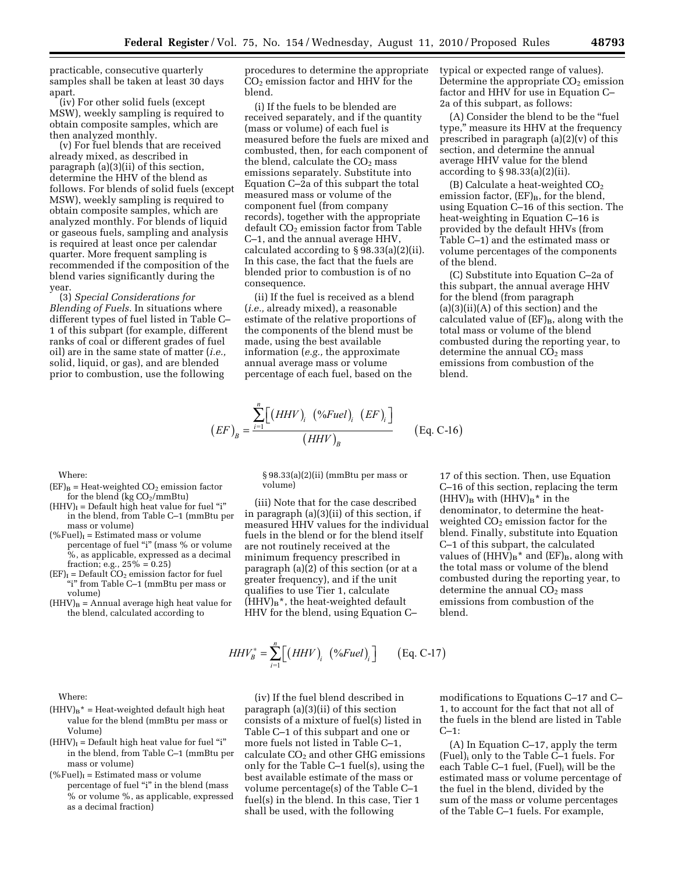practicable, consecutive quarterly samples shall be taken at least 30 days apart.

(iv) For other solid fuels (except MSW), weekly sampling is required to obtain composite samples, which are then analyzed monthly.

(v) For fuel blends that are received already mixed, as described in paragraph (a)(3)(ii) of this section, determine the HHV of the blend as follows. For blends of solid fuels (except MSW), weekly sampling is required to obtain composite samples, which are analyzed monthly. For blends of liquid or gaseous fuels, sampling and analysis is required at least once per calendar quarter. More frequent sampling is recommended if the composition of the blend varies significantly during the year.

(3) *Special Considerations for Blending of Fuels.* In situations where different types of fuel listed in Table C– 1 of this subpart (for example, different ranks of coal or different grades of fuel oil) are in the same state of matter (*i.e.,*  solid, liquid, or gas), and are blended prior to combustion, use the following

 $\rm (EF)_{\rm B}$  = Heat-weighted CO<sub>2</sub> emission factor for the blend (kg  $CO<sub>2</sub>/mmBtu$ )  $(HHV)$ <sub>I</sub> = Default high heat value for fuel "i" in the blend, from Table C–1 (mmBtu per

percentage of fuel "i" (mass % or volume %, as applicable, expressed as a decimal

 $(HHV)_B = Annual average high heat value for$ the blend, calculated according to

 $(\% \text{Full})_I$  = Estimated mass or volume

fraction; e.g.,  $25\% = 0.25$ )  $(EF)$ <sub>I</sub> = Default  $CO_2$  emission factor for fuel ''i'' from Table C–1 (mmBtu per mass or

procedures to determine the appropriate  $CO<sub>2</sub>$  emission factor and HHV for the blend.

(i) If the fuels to be blended are received separately, and if the quantity (mass or volume) of each fuel is measured before the fuels are mixed and combusted, then, for each component of the blend, calculate the  $CO<sub>2</sub>$  mass emissions separately. Substitute into Equation C–2a of this subpart the total measured mass or volume of the component fuel (from company records), together with the appropriate default  $CO<sub>2</sub>$  emission factor from Table C–1, and the annual average HHV, calculated according to § 98.33(a)(2)(ii). In this case, the fact that the fuels are blended prior to combustion is of no consequence.

(ii) If the fuel is received as a blend (*i.e.,* already mixed), a reasonable estimate of the relative proportions of the components of the blend must be made, using the best available information (*e.g.,* the approximate annual average mass or volume percentage of each fuel, based on the

$$
(EF)_{B} = \frac{\sum_{i=1}^{n} [(HHV)_{i} (%Fuel)_{i} (EF)_{i}]}{(HHV)_{B}} \qquad (Eq. C-16)
$$

§ 98.33(a)(2)(ii) (mmBtu per mass or volume)

(iii) Note that for the case described in paragraph (a)(3)(ii) of this section, if measured HHV values for the individual fuels in the blend or for the blend itself are not routinely received at the minimum frequency prescribed in paragraph (a)(2) of this section (or at a greater frequency), and if the unit qualifies to use Tier 1, calculate  $(HHV)_{B}$ <sup>\*</sup>, the heat-weighted default HHV for the blend, using Equation C–

17 of this section. Then, use Equation C–16 of this section, replacing the term  $(HHV)_{B}$  with  $(HHV)_{B}^*$  in the denominator, to determine the heatweighted CO<sub>2</sub> emission factor for the blend. Finally, substitute into Equation C–1 of this subpart, the calculated values of  $(HHV)_B^*$  and  $(EF)_B$ , along with the total mass or volume of the blend combusted during the reporting year, to determine the annual  $CO<sub>2</sub>$  mass emissions from combustion of the blend.

Where:

Where:

mass or volume)

volume)

- $(HHV)_{B}$ <sup>\*</sup> = Heat-weighted default high heat value for the blend (mmBtu per mass or Volume)
- $(HHV)$ <sub>I</sub> = Default high heat value for fuel "i" in the blend, from Table C–1 (mmBtu per mass or volume)
- $(\% \text{Full})_I =$  Estimated mass or volume percentage of fuel "i" in the blend (mass % or volume %, as applicable, expressed as a decimal fraction)

(iv) If the fuel blend described in paragraph (a)(3)(ii) of this section consists of a mixture of fuel(s) listed in Table C–1 of this subpart and one or more fuels not listed in Table C–1, calculate  $CO<sub>2</sub>$  and other GHG emissions only for the Table C–1 fuel(s), using the best available estimate of the mass or volume percentage(s) of the Table C–1 fuel(s) in the blend. In this case, Tier 1 shall be used, with the following

 $HHV_B^* = \sum_{i=1}^n [(HHV)_i \ (%Fuel)_i] \qquad (Eq. C-17)$ 

modifications to Equations C–17 and C– 1, to account for the fact that not all of the fuels in the blend are listed in Table  $C-1$ :

(A) In Equation C–17, apply the term (Fuel)i only to the Table C–1 fuels. For each Table C–1 fuel,  $(Fuel)$ <sub>i</sub> will be the estimated mass or volume percentage of the fuel in the blend, divided by the sum of the mass or volume percentages of the Table C–1 fuels. For example,

typical or expected range of values). Determine the appropriate  $CO<sub>2</sub>$  emission factor and HHV for use in Equation C– 2a of this subpart, as follows:

(A) Consider the blend to be the ''fuel type,'' measure its HHV at the frequency prescribed in paragraph (a)(2)(v) of this section, and determine the annual average HHV value for the blend according to § 98.33(a)(2)(ii).

(B) Calculate a heat-weighted  $CO<sub>2</sub>$ emission factor,  $(EF)_B$ , for the blend, using Equation C–16 of this section. The heat-weighting in Equation C–16 is provided by the default HHVs (from Table C–1) and the estimated mass or volume percentages of the components of the blend.

(C) Substitute into Equation C–2a of this subpart, the annual average HHV for the blend (from paragraph  $(a)(3)(ii)(A)$  of this section) and the calculated value of  $(EF)_B$ , along with the total mass or volume of the blend combusted during the reporting year, to determine the annual  $CO<sub>2</sub>$  mass emissions from combustion of the blend.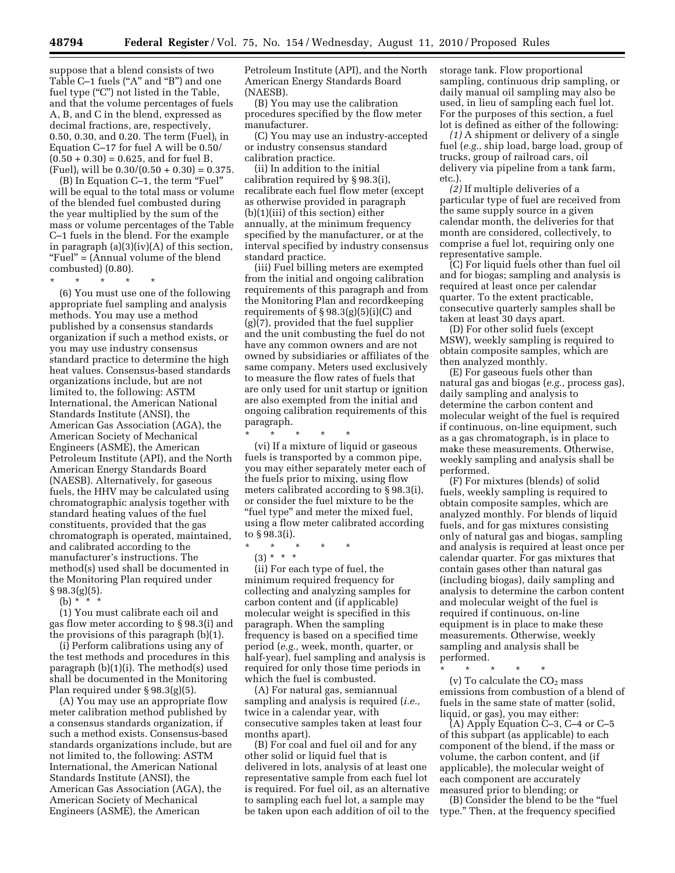suppose that a blend consists of two Table C–1 fuels ("A" and "B") and one fuel type ("C") not listed in the Table, and that the volume percentages of fuels A, B, and C in the blend, expressed as decimal fractions, are, respectively, 0.50, 0.30, and 0.20. The term  $(Fuel)$  in Equation C–17 for fuel A will be 0.50/  $(0.50 + 0.30) = 0.625$ , and for fuel B,  $(Fuel)$ <sub>i</sub> will be  $0.30/(0.50 + 0.30) = 0.375$ .

(B) In Equation C-1, the term "Fuel" will be equal to the total mass or volume of the blended fuel combusted during the year multiplied by the sum of the mass or volume percentages of the Table C–1 fuels in the blend. For the example in paragraph (a)(3)(iv)(A) of this section, "Fuel" = (Annual volume of the blend combusted) (0.80).

\* \* \* \* \*

(6) You must use one of the following appropriate fuel sampling and analysis methods. You may use a method published by a consensus standards organization if such a method exists, or you may use industry consensus standard practice to determine the high heat values. Consensus-based standards organizations include, but are not limited to, the following: ASTM International, the American National Standards Institute (ANSI), the American Gas Association (AGA), the American Society of Mechanical Engineers (ASME), the American Petroleum Institute (API), and the North American Energy Standards Board (NAESB). Alternatively, for gaseous fuels, the HHV may be calculated using chromatographic analysis together with standard heating values of the fuel constituents, provided that the gas chromatograph is operated, maintained, and calibrated according to the manufacturer's instructions. The method(s) used shall be documented in the Monitoring Plan required under § 98.3(g)(5).

(b)  $*^{-}$ 

(1) You must calibrate each oil and gas flow meter according to § 98.3(i) and the provisions of this paragraph (b)(1).

(i) Perform calibrations using any of the test methods and procedures in this paragraph (b)(1)(i). The method(s) used shall be documented in the Monitoring Plan required under § 98.3(g)(5).

(A) You may use an appropriate flow meter calibration method published by a consensus standards organization, if such a method exists. Consensus-based standards organizations include, but are not limited to, the following: ASTM International, the American National Standards Institute (ANSI), the American Gas Association (AGA), the American Society of Mechanical Engineers (ASME), the American

Petroleum Institute (API), and the North American Energy Standards Board (NAESB).

(B) You may use the calibration procedures specified by the flow meter manufacturer.

(C) You may use an industry-accepted or industry consensus standard calibration practice.

(ii) In addition to the initial calibration required by § 98.3(i), recalibrate each fuel flow meter (except as otherwise provided in paragraph (b)(1)(iii) of this section) either annually, at the minimum frequency specified by the manufacturer, or at the interval specified by industry consensus standard practice.

(iii) Fuel billing meters are exempted from the initial and ongoing calibration requirements of this paragraph and from the Monitoring Plan and recordkeeping requirements of  $\S 98.3(g)(5)(i)(C)$  and (g)(7), provided that the fuel supplier and the unit combusting the fuel do not have any common owners and are not owned by subsidiaries or affiliates of the same company. Meters used exclusively to measure the flow rates of fuels that are only used for unit startup or ignition are also exempted from the initial and ongoing calibration requirements of this paragraph.

\* \* \* \* \* (vi) If a mixture of liquid or gaseous fuels is transported by a common pipe, you may either separately meter each of the fuels prior to mixing, using flow meters calibrated according to § 98.3(i), or consider the fuel mixture to be the ''fuel type'' and meter the mixed fuel, using a flow meter calibrated according to § 98.3(i).

- \* \* \* \* \*
- (3) \* \* \*

(ii) For each type of fuel, the minimum required frequency for collecting and analyzing samples for carbon content and (if applicable) molecular weight is specified in this paragraph. When the sampling frequency is based on a specified time period (*e.g.,* week, month, quarter, or half-year), fuel sampling and analysis is required for only those time periods in which the fuel is combusted.

(A) For natural gas, semiannual sampling and analysis is required (*i.e.,*  twice in a calendar year, with consecutive samples taken at least four months apart).

(B) For coal and fuel oil and for any other solid or liquid fuel that is delivered in lots, analysis of at least one representative sample from each fuel lot is required. For fuel oil, as an alternative to sampling each fuel lot, a sample may be taken upon each addition of oil to the storage tank. Flow proportional sampling, continuous drip sampling, or daily manual oil sampling may also be used, in lieu of sampling each fuel lot. For the purposes of this section, a fuel lot is defined as either of the following:

*(1)* A shipment or delivery of a single fuel (*e.g.,* ship load, barge load, group of trucks, group of railroad cars, oil delivery via pipeline from a tank farm, etc.).

*(2)* If multiple deliveries of a particular type of fuel are received from the same supply source in a given calendar month, the deliveries for that month are considered, collectively, to comprise a fuel lot, requiring only one representative sample.

(C) For liquid fuels other than fuel oil and for biogas; sampling and analysis is required at least once per calendar quarter. To the extent practicable, consecutive quarterly samples shall be taken at least 30 days apart.

(D) For other solid fuels (except MSW), weekly sampling is required to obtain composite samples, which are then analyzed monthly.

(E) For gaseous fuels other than natural gas and biogas (*e.g.,* process gas), daily sampling and analysis to determine the carbon content and molecular weight of the fuel is required if continuous, on-line equipment, such as a gas chromatograph, is in place to make these measurements. Otherwise, weekly sampling and analysis shall be performed.

(F) For mixtures (blends) of solid fuels, weekly sampling is required to obtain composite samples, which are analyzed monthly. For blends of liquid fuels, and for gas mixtures consisting only of natural gas and biogas, sampling and analysis is required at least once per calendar quarter. For gas mixtures that contain gases other than natural gas (including biogas), daily sampling and analysis to determine the carbon content and molecular weight of the fuel is required if continuous, on-line equipment is in place to make these measurements. Otherwise, weekly sampling and analysis shall be performed.

\* \* \* \* \* (v) To calculate the  $CO<sub>2</sub>$  mass emissions from combustion of a blend of fuels in the same state of matter (solid, liquid, or gas), you may either:

(A) Apply Equation C–3, C–4 or C–5 of this subpart (as applicable) to each component of the blend, if the mass or volume, the carbon content, and (if applicable), the molecular weight of each component are accurately measured prior to blending; or

(B) Consider the blend to be the ''fuel type.'' Then, at the frequency specified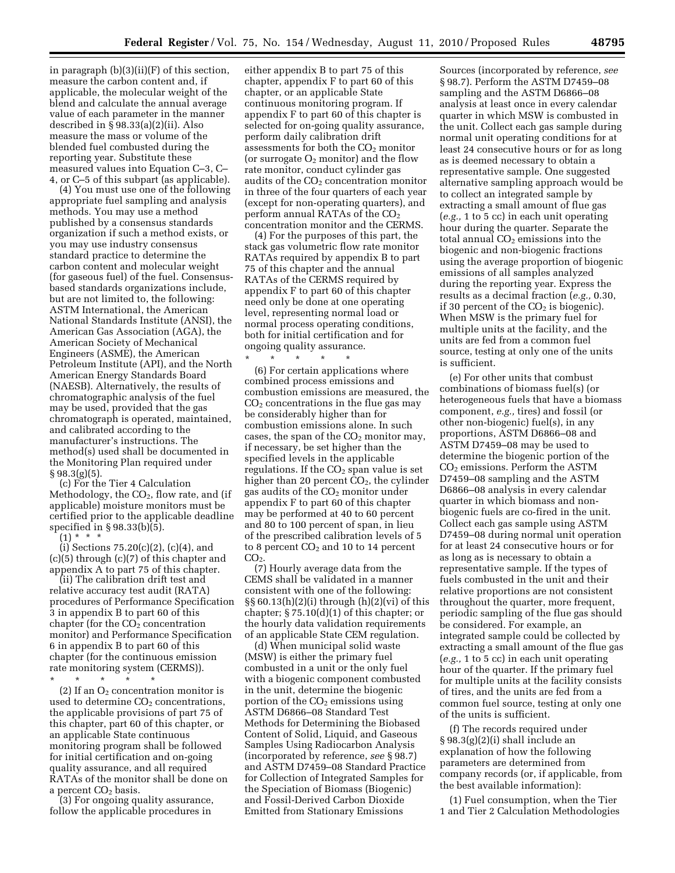in paragraph (b)(3)(ii)(F) of this section, measure the carbon content and, if applicable, the molecular weight of the blend and calculate the annual average value of each parameter in the manner described in § 98.33(a)(2)(ii). Also measure the mass or volume of the blended fuel combusted during the reporting year. Substitute these measured values into Equation C–3, C– 4, or C–5 of this subpart (as applicable).

(4) You must use one of the following appropriate fuel sampling and analysis methods. You may use a method published by a consensus standards organization if such a method exists, or you may use industry consensus standard practice to determine the carbon content and molecular weight (for gaseous fuel) of the fuel. Consensusbased standards organizations include, but are not limited to, the following: ASTM International, the American National Standards Institute (ANSI), the American Gas Association (AGA), the American Society of Mechanical Engineers (ASME), the American Petroleum Institute (API), and the North American Energy Standards Board (NAESB). Alternatively, the results of chromatographic analysis of the fuel may be used, provided that the gas chromatograph is operated, maintained, and calibrated according to the manufacturer's instructions. The method(s) used shall be documented in the Monitoring Plan required under § 98.3(g)(5).

(c) For the Tier 4 Calculation Methodology, the  $CO<sub>2</sub>$ , flow rate, and (if applicable) moisture monitors must be certified prior to the applicable deadline specified in § 98.33(b)(5).

 $(1) * * * *$ 

(i) Sections  $75.20(c)(2)$ ,  $(c)(4)$ , and (c)(5) through (c)(7) of this chapter and appendix A to part 75 of this chapter.

(ii) The calibration drift test and relative accuracy test audit (RATA) procedures of Performance Specification 3 in appendix B to part 60 of this chapter (for the  $CO<sub>2</sub>$  concentration monitor) and Performance Specification 6 in appendix B to part 60 of this chapter (for the continuous emission rate monitoring system (CERMS)).

\* \* \* \* \*

(2) If an  $O_2$  concentration monitor is used to determine  $CO<sub>2</sub>$  concentrations, the applicable provisions of part 75 of this chapter, part 60 of this chapter, or an applicable State continuous monitoring program shall be followed for initial certification and on-going quality assurance, and all required RATAs of the monitor shall be done on a percent CO<sub>2</sub> basis.

(3) For ongoing quality assurance, follow the applicable procedures in

either appendix B to part 75 of this chapter, appendix F to part 60 of this chapter, or an applicable State continuous monitoring program. If appendix F to part 60 of this chapter is selected for on-going quality assurance, perform daily calibration drift assessments for both the  $CO<sub>2</sub>$  monitor (or surrogate  $O_2$  monitor) and the flow rate monitor, conduct cylinder gas audits of the  $CO<sub>2</sub>$  concentration monitor in three of the four quarters of each year (except for non-operating quarters), and perform annual RATAs of the  $CO<sub>2</sub>$ concentration monitor and the CERMS.

(4) For the purposes of this part, the stack gas volumetric flow rate monitor RATAs required by appendix B to part 75 of this chapter and the annual RATAs of the CERMS required by appendix F to part 60 of this chapter need only be done at one operating level, representing normal load or normal process operating conditions, both for initial certification and for ongoing quality assurance.

\* \* \* \* \* (6) For certain applications where combined process emissions and combustion emissions are measured, the  $CO<sub>2</sub>$  concentrations in the flue gas may be considerably higher than for combustion emissions alone. In such cases, the span of the  $CO<sub>2</sub>$  monitor may, if necessary, be set higher than the specified levels in the applicable regulations. If the  $CO<sub>2</sub>$  span value is set higher than 20 percent  $CO<sub>2</sub>$ , the cylinder gas audits of the  $CO<sub>2</sub>$  monitor under appendix F to part 60 of this chapter may be performed at 40 to 60 percent and 80 to 100 percent of span, in lieu of the prescribed calibration levels of 5 to 8 percent  $CO<sub>2</sub>$  and 10 to 14 percent  $CO<sub>2</sub>$ .

(7) Hourly average data from the CEMS shall be validated in a manner consistent with one of the following: §§ 60.13(h)(2)(i) through (h)(2)(vi) of this chapter; § 75.10(d)(1) of this chapter; or the hourly data validation requirements of an applicable State CEM regulation.

(d) When municipal solid waste (MSW) is either the primary fuel combusted in a unit or the only fuel with a biogenic component combusted in the unit, determine the biogenic portion of the  $CO<sub>2</sub>$  emissions using ASTM D6866–08 Standard Test Methods for Determining the Biobased Content of Solid, Liquid, and Gaseous Samples Using Radiocarbon Analysis (incorporated by reference, *see* § 98.7) and ASTM D7459–08 Standard Practice for Collection of Integrated Samples for the Speciation of Biomass (Biogenic) and Fossil-Derived Carbon Dioxide Emitted from Stationary Emissions

Sources (incorporated by reference, *see*  § 98.7). Perform the ASTM D7459–08 sampling and the ASTM D6866–08 analysis at least once in every calendar quarter in which MSW is combusted in the unit. Collect each gas sample during normal unit operating conditions for at least 24 consecutive hours or for as long as is deemed necessary to obtain a representative sample. One suggested alternative sampling approach would be to collect an integrated sample by extracting a small amount of flue gas (*e.g.,* 1 to 5 cc) in each unit operating hour during the quarter. Separate the total annual  $CO<sub>2</sub>$  emissions into the biogenic and non-biogenic fractions using the average proportion of biogenic emissions of all samples analyzed during the reporting year. Express the results as a decimal fraction (*e.g.,* 0.30, if 30 percent of the  $CO<sub>2</sub>$  is biogenic). When MSW is the primary fuel for multiple units at the facility, and the units are fed from a common fuel source, testing at only one of the units is sufficient.

(e) For other units that combust combinations of biomass fuel(s) (or heterogeneous fuels that have a biomass component, *e.g.,* tires) and fossil (or other non-biogenic) fuel(s), in any proportions, ASTM D6866–08 and ASTM D7459–08 may be used to determine the biogenic portion of the CO2 emissions. Perform the ASTM D7459–08 sampling and the ASTM D6866–08 analysis in every calendar quarter in which biomass and nonbiogenic fuels are co-fired in the unit. Collect each gas sample using ASTM D7459–08 during normal unit operation for at least 24 consecutive hours or for as long as is necessary to obtain a representative sample. If the types of fuels combusted in the unit and their relative proportions are not consistent throughout the quarter, more frequent, periodic sampling of the flue gas should be considered. For example, an integrated sample could be collected by extracting a small amount of the flue gas (*e.g.,* 1 to 5 cc) in each unit operating hour of the quarter. If the primary fuel for multiple units at the facility consists of tires, and the units are fed from a common fuel source, testing at only one of the units is sufficient.

(f) The records required under § 98.3(g)(2)(i) shall include an explanation of how the following parameters are determined from company records (or, if applicable, from the best available information):

(1) Fuel consumption, when the Tier 1 and Tier 2 Calculation Methodologies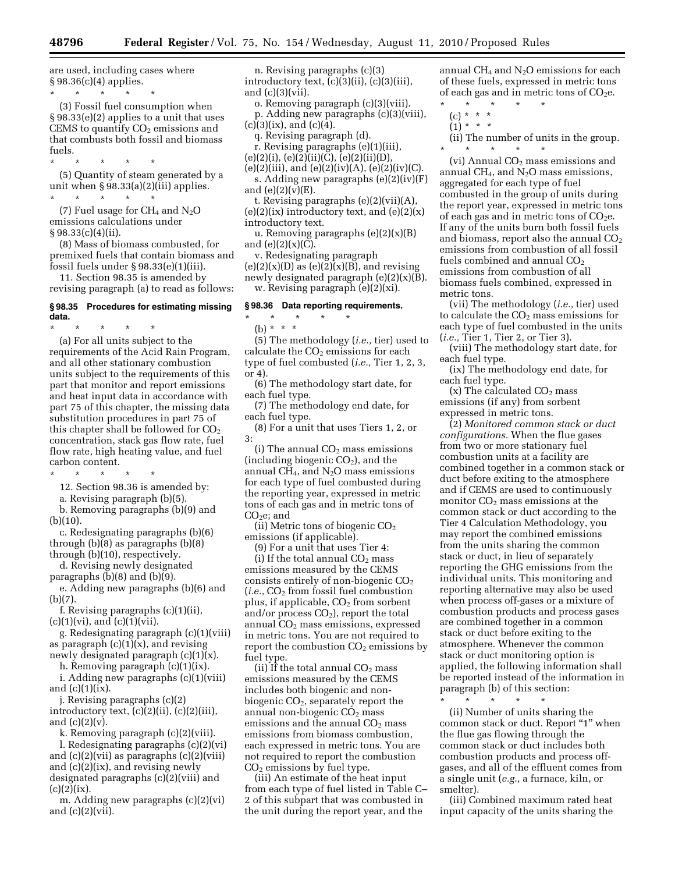are used, including cases where § 98.36(c)(4) applies.

\* \* \* \* \* (3) Fossil fuel consumption when § 98.33(e)(2) applies to a unit that uses CEMS to quantify  $CO<sub>2</sub>$  emissions and that combusts both fossil and biomass fuels.

\* \* \* \* \*

(5) Quantity of steam generated by a unit when § 98.33(a)(2)(iii) applies. \* \* \* \* \*

(7) Fuel usage for  $CH_4$  and  $N_2O$ emissions calculations under  $§ 98.33(c)(4)(ii).$ 

(8) Mass of biomass combusted, for premixed fuels that contain biomass and fossil fuels under § 98.33(e)(1)(iii).

11. Section 98.35 is amended by revising paragraph (a) to read as follows:

## **§ 98.35 Procedures for estimating missing data.**

\* \* \* \* \* (a) For all units subject to the requirements of the Acid Rain Program, and all other stationary combustion units subject to the requirements of this part that monitor and report emissions and heat input data in accordance with part 75 of this chapter, the missing data substitution procedures in part 75 of this chapter shall be followed for  $CO<sub>2</sub>$ concentration, stack gas flow rate, fuel flow rate, high heating value, and fuel carbon content.

\* \* \* \* \*

12. Section 98.36 is amended by:

a. Revising paragraph (b)(5). b. Removing paragraphs (b)(9) and

(b)(10). c. Redesignating paragraphs (b)(6)

through (b)(8) as paragraphs (b)(8) through (b)(10), respectively.

d. Revising newly designated paragraphs (b)(8) and (b)(9).

e. Adding new paragraphs (b)(6) and (b)(7).

f. Revising paragraphs (c)(1)(ii),  $(c)(1)(vi)$ , and  $(c)(1)(vii)$ .

g. Redesignating paragraph (c)(1)(viii) as paragraph  $(c)(1)(x)$ , and revising newly designated paragraph (c)(1)(x).

h. Removing paragraph (c)(1)(ix).

i. Adding new paragraphs (c)(1)(viii) and  $(c)(1)(ix)$ .

j. Revising paragraphs (c)(2) introductory text, (c)(2)(ii), (c)(2)(iii), and (c)(2)(v).

k. Removing paragraph (c)(2)(viii).

l. Redesignating paragraphs (c)(2)(vi) and  $(c)(2)(vii)$  as paragraphs  $(c)(2)(viii)$ and (c)(2)(ix), and revising newly designated paragraphs (c)(2)(viii) and  $(c)(2)(ix).$ 

m. Adding new paragraphs (c)(2)(vi) and  $(c)(2)(vii)$ .

n. Revising paragraphs (c)(3) introductory text, (c)(3)(ii), (c)(3)(iii), and (c)(3)(vii).

o. Removing paragraph (c)(3)(viii). p. Adding new paragraphs (c)(3)(viii),  $(c)(3)(ix)$ , and  $(c)(4)$ .

q. Revising paragraph (d).

- r. Revising paragraphs (e)(1)(iii), (e)(2)(i), (e)(2)(ii)(C), (e)(2)(ii)(D),
- $(e)(2)(iii)$ , and  $(e)(2)(iv)(A)$ ,  $(e)(2)(iv)(C)$ .
- s. Adding new paragraphs (e)(2)(iv)(F) and  $(e)(2)(v)(E)$ .

t. Revising paragraphs (e)(2)(vii)(A),  $(e)(2)(ix)$  introductory text, and  $(e)(2)(x)$ introductory text.

u. Removing paragraphs  $(e)(2)(x)(B)$ and (e)(2)(x)(C).

v. Redesignating paragraph  $(e)(2)(x)(D)$  as  $(e)(2)(x)(B)$ , and revising newly designated paragraph (e)(2)(x)(B). w. Revising paragraph (e)(2)(xi).

#### **§ 98.36 Data reporting requirements.**

\* \* \* \* \* (b) \* \* \*

(5) The methodology (*i.e.,* tier) used to calculate the  $CO<sub>2</sub>$  emissions for each type of fuel combusted (*i.e.,* Tier 1, 2, 3, or 4).

(6) The methodology start date, for each fuel type.

(7) The methodology end date, for each fuel type.

(8) For a unit that uses Tiers 1, 2, or 3:

(i) The annual  $CO<sub>2</sub>$  mass emissions (including biogenic  $CO<sub>2</sub>$ ), and the annual CH<sub>4</sub>, and  $N_2O$  mass emissions for each type of fuel combusted during the reporting year, expressed in metric tons of each gas and in metric tons of  $CO<sub>2</sub>e$ ; and

(ii) Metric tons of biogenic CO2 emissions (if applicable).

(9) For a unit that uses Tier 4:

(i) If the total annual  $CO<sub>2</sub>$  mass emissions measured by the CEMS consists entirely of non-biogenic  $CO<sub>2</sub>$  $(i.e., CO<sub>2</sub>$  from fossil fuel combustion plus, if applicable,  $CO<sub>2</sub>$  from sorbent and/or process  $CO<sub>2</sub>$ ), report the total annual  $CO<sub>2</sub>$  mass emissions, expressed in metric tons. You are not required to report the combustion  $CO<sub>2</sub>$  emissions by fuel type.

(ii) If the total annual  $CO<sub>2</sub>$  mass emissions measured by the CEMS includes both biogenic and nonbiogenic  $CO<sub>2</sub>$ , separately report the annual non-biogenic  $CO<sub>2</sub>$  mass emissions and the annual  $CO<sub>2</sub>$  mass emissions from biomass combustion, each expressed in metric tons. You are not required to report the combustion  $CO<sub>2</sub>$  emissions by fuel type.

(iii) An estimate of the heat input from each type of fuel listed in Table C– 2 of this subpart that was combusted in the unit during the report year, and the

annual CH<sub>4</sub> and  $N_2O$  emissions for each of these fuels, expressed in metric tons of each gas and in metric tons of  $CO<sub>2</sub>e$ .

- \* \* \* \* \*
	- (c) \* \* \*  $(1) * * * *$
	-
	- (ii) The number of units in the group. \* \* \* \* \*

(vi) Annual  $CO<sub>2</sub>$  mass emissions and annual CH<sub>4</sub>, and  $N_2O$  mass emissions, aggregated for each type of fuel combusted in the group of units during the report year, expressed in metric tons of each gas and in metric tons of  $CO<sub>2</sub>e$ . If any of the units burn both fossil fuels and biomass, report also the annual  $CO<sub>2</sub>$ emissions from combustion of all fossil fuels combined and annual  $CO<sub>2</sub>$ emissions from combustion of all biomass fuels combined, expressed in metric tons.

(vii) The methodology (*i.e.,* tier) used to calculate the CO2 mass emissions for each type of fuel combusted in the units (*i.e.,* Tier 1, Tier 2, or Tier 3).

(viii) The methodology start date, for each fuel type.

(ix) The methodology end date, for each fuel type.

(x) The calculated  $CO<sub>2</sub>$  mass emissions (if any) from sorbent expressed in metric tons.

(2) *Monitored common stack or duct configurations.* When the flue gases from two or more stationary fuel combustion units at a facility are combined together in a common stack or duct before exiting to the atmosphere and if CEMS are used to continuously monitor  $CO<sub>2</sub>$  mass emissions at the common stack or duct according to the Tier 4 Calculation Methodology, you may report the combined emissions from the units sharing the common stack or duct, in lieu of separately reporting the GHG emissions from the individual units. This monitoring and reporting alternative may also be used when process off-gases or a mixture of combustion products and process gases are combined together in a common stack or duct before exiting to the atmosphere. Whenever the common stack or duct monitoring option is applied, the following information shall be reported instead of the information in paragraph (b) of this section:

\* \* \* \* \*

(ii) Number of units sharing the common stack or duct. Report ''1'' when the flue gas flowing through the common stack or duct includes both combustion products and process offgases, and all of the effluent comes from a single unit (*e.g.,* a furnace, kiln, or smelter).

(iii) Combined maximum rated heat input capacity of the units sharing the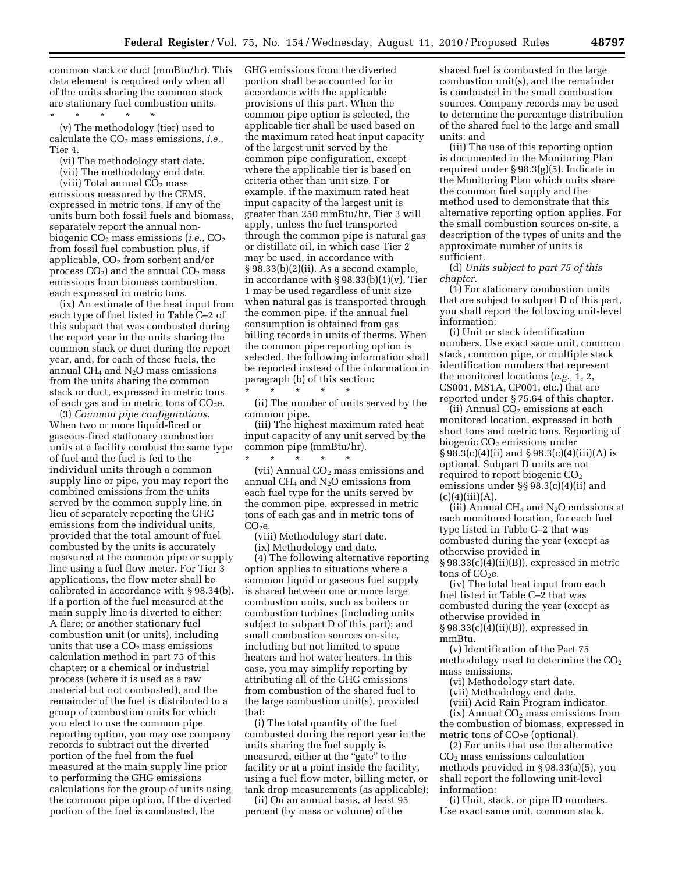common stack or duct (mmBtu/hr). This data element is required only when all of the units sharing the common stack are stationary fuel combustion units.

\* \* \* \* \* (v) The methodology (tier) used to calculate the CO<sub>2</sub> mass emissions, *i.e.*,

Tier 4.

(vi) The methodology start date.

(vii) The methodology end date.

(viii) Total annual  $CO<sub>2</sub>$  mass emissions measured by the CEMS, expressed in metric tons. If any of the units burn both fossil fuels and biomass, separately report the annual nonbiogenic CO<sub>2</sub> mass emissions (*i.e.*, CO<sub>2</sub> from fossil fuel combustion plus, if applicable,  $CO<sub>2</sub>$  from sorbent and/or process  $CO<sub>2</sub>$ ) and the annual  $CO<sub>2</sub>$  mass emissions from biomass combustion, each expressed in metric tons.

(ix) An estimate of the heat input from each type of fuel listed in Table C–2 of this subpart that was combusted during the report year in the units sharing the common stack or duct during the report year, and, for each of these fuels, the annual CH<sub>4</sub> and  $N_2O$  mass emissions from the units sharing the common stack or duct, expressed in metric tons of each gas and in metric tons of  $CO<sub>2</sub>e$ .

(3) *Common pipe configurations.*  When two or more liquid-fired or gaseous-fired stationary combustion units at a facility combust the same type of fuel and the fuel is fed to the individual units through a common supply line or pipe, you may report the combined emissions from the units served by the common supply line, in lieu of separately reporting the GHG emissions from the individual units, provided that the total amount of fuel combusted by the units is accurately measured at the common pipe or supply line using a fuel flow meter. For Tier 3 applications, the flow meter shall be calibrated in accordance with § 98.34(b). If a portion of the fuel measured at the main supply line is diverted to either: A flare; or another stationary fuel combustion unit (or units), including units that use a  $CO<sub>2</sub>$  mass emissions calculation method in part 75 of this chapter; or a chemical or industrial process (where it is used as a raw material but not combusted), and the remainder of the fuel is distributed to a group of combustion units for which you elect to use the common pipe reporting option, you may use company records to subtract out the diverted portion of the fuel from the fuel measured at the main supply line prior to performing the GHG emissions calculations for the group of units using the common pipe option. If the diverted portion of the fuel is combusted, the

GHG emissions from the diverted portion shall be accounted for in accordance with the applicable provisions of this part. When the common pipe option is selected, the applicable tier shall be used based on the maximum rated heat input capacity of the largest unit served by the common pipe configuration, except where the applicable tier is based on criteria other than unit size. For example, if the maximum rated heat input capacity of the largest unit is greater than 250 mmBtu/hr, Tier 3 will apply, unless the fuel transported through the common pipe is natural gas or distillate oil, in which case Tier 2 may be used, in accordance with § 98.33(b)(2)(ii). As a second example, in accordance with § 98.33(b)(1)(v), Tier 1 may be used regardless of unit size when natural gas is transported through the common pipe, if the annual fuel consumption is obtained from gas billing records in units of therms. When the common pipe reporting option is selected, the following information shall be reported instead of the information in paragraph (b) of this section:

\* \* \* \* \* (ii) The number of units served by the common pipe.

(iii) The highest maximum rated heat input capacity of any unit served by the common pipe (mmBtu/hr).

\* \* \* \* \* (vii) Annual  $CO<sub>2</sub>$  mass emissions and annual  $CH_4$  and  $N_2O$  emissions from each fuel type for the units served by the common pipe, expressed in metric tons of each gas and in metric tons of  $CO<sub>2</sub>e$ .

(viii) Methodology start date.

(ix) Methodology end date.

(4) The following alternative reporting option applies to situations where a common liquid or gaseous fuel supply is shared between one or more large combustion units, such as boilers or combustion turbines (including units subject to subpart D of this part); and small combustion sources on-site, including but not limited to space heaters and hot water heaters. In this case, you may simplify reporting by attributing all of the GHG emissions from combustion of the shared fuel to the large combustion unit(s), provided that:

(i) The total quantity of the fuel combusted during the report year in the units sharing the fuel supply is measured, either at the "gate" to the facility or at a point inside the facility, using a fuel flow meter, billing meter, or tank drop measurements (as applicable);

(ii) On an annual basis, at least 95 percent (by mass or volume) of the

shared fuel is combusted in the large combustion unit(s), and the remainder is combusted in the small combustion sources. Company records may be used to determine the percentage distribution of the shared fuel to the large and small units; and

(iii) The use of this reporting option is documented in the Monitoring Plan required under § 98.3(g)(5). Indicate in the Monitoring Plan which units share the common fuel supply and the method used to demonstrate that this alternative reporting option applies. For the small combustion sources on-site, a description of the types of units and the approximate number of units is sufficient.

(d) *Units subject to part 75 of this chapter.* 

(1) For stationary combustion units that are subject to subpart D of this part, you shall report the following unit-level information:

(i) Unit or stack identification numbers. Use exact same unit, common stack, common pipe, or multiple stack identification numbers that represent the monitored locations (*e.g.,* 1, 2, CS001, MS1A, CP001, etc.) that are reported under § 75.64 of this chapter.

(ii) Annual  $CO<sub>2</sub>$  emissions at each monitored location, expressed in both short tons and metric tons. Reporting of biogenic  $CO<sub>2</sub>$  emissions under § 98.3(c)(4)(ii) and § 98.3(c)(4)(iii)(A) is optional. Subpart D units are not required to report biogenic  $CO<sub>2</sub>$ emissions under §§ 98.3(c)(4)(ii) and  $(c)(4)(iii)(A).$ 

(iii) Annual CH<sub>4</sub> and  $N_2O$  emissions at each monitored location, for each fuel type listed in Table C–2 that was combusted during the year (except as otherwise provided in § 98.33(c)(4)(ii)(B)), expressed in metric

tons of  $CO<sub>2</sub>e$ . (iv) The total heat input from each

fuel listed in Table C–2 that was combusted during the year (except as otherwise provided in § 98.33(c)(4)(ii)(B)), expressed in

mmBtu. (v) Identification of the Part 75 methodology used to determine the  $CO<sub>2</sub>$ mass emissions.

(vi) Methodology start date.

(vii) Methodology end date.

(viii) Acid Rain Program indicator.

 $(ix)$  Annual  $CO<sub>2</sub>$  mass emissions from the combustion of biomass, expressed in metric tons of  $CO<sub>2</sub>e$  (optional).

(2) For units that use the alternative CO2 mass emissions calculation methods provided in § 98.33(a)(5), you shall report the following unit-level information:

(i) Unit, stack, or pipe ID numbers. Use exact same unit, common stack,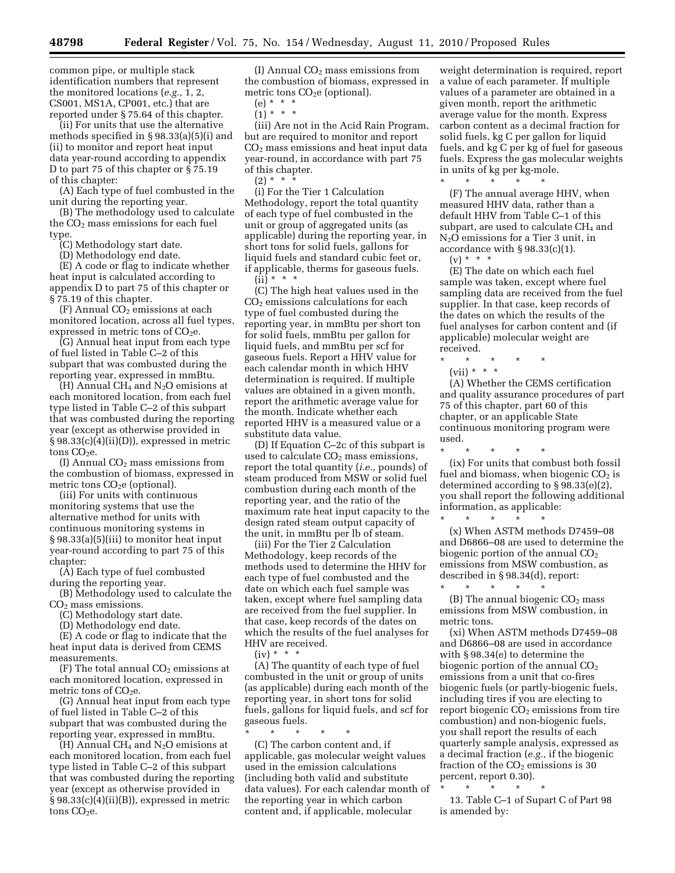common pipe, or multiple stack identification numbers that represent the monitored locations (*e.g.,* 1, 2, CS001, MS1A, CP001, etc.) that are reported under § 75.64 of this chapter.

(ii) For units that use the alternative methods specified in § 98.33(a)(5)(i) and (ii) to monitor and report heat input data year-round according to appendix D to part 75 of this chapter or § 75.19 of this chapter:

(A) Each type of fuel combusted in the unit during the reporting year.

(B) The methodology used to calculate the  $CO<sub>2</sub>$  mass emissions for each fuel type.

(C) Methodology start date.

(D) Methodology end date.

(E) A code or flag to indicate whether heat input is calculated according to appendix D to part 75 of this chapter or § 75.19 of this chapter.

 $(F)$  Annual  $CO<sub>2</sub>$  emissions at each monitored location, across all fuel types, expressed in metric tons of  $CO<sub>2</sub>e$ .

(G) Annual heat input from each type of fuel listed in Table C–2 of this subpart that was combusted during the reporting year, expressed in mmBtu.

(H) Annual  $CH_4$  and  $N_2O$  emisions at each monitored location, from each fuel type listed in Table C–2 of this subpart that was combusted during the reporting year (except as otherwise provided in § 98.33(c)(4)(ii)(D)), expressed in metric tons  $CO<sub>2</sub>e$ .

(I) Annual  $CO<sub>2</sub>$  mass emissions from the combustion of biomass, expressed in metric tons  $CO<sub>2</sub>e$  (optional).

(iii) For units with continuous monitoring systems that use the alternative method for units with continuous monitoring systems in § 98.33(a)(5)(iii) to monitor heat input year-round according to part 75 of this chapter:

(A) Each type of fuel combusted during the reporting year.

(B) Methodology used to calculate the  $CO<sub>2</sub>$  mass emissions.

(C) Methodology start date.

(D) Methodology end date.

(E) A code or flag to indicate that the heat input data is derived from CEMS measurements.

 $(F)$  The total annual  $CO<sub>2</sub>$  emissions at each monitored location, expressed in metric tons of  $CO<sub>2</sub>e$ .

(G) Annual heat input from each type of fuel listed in Table C–2 of this subpart that was combusted during the reporting year, expressed in mmBtu.

 $(H)$  Annual CH<sub>4</sub> and N<sub>2</sub>O emisions at each monitored location, from each fuel type listed in Table C–2 of this subpart that was combusted during the reporting year (except as otherwise provided in § 98.33(c)(4)(ii)(B)), expressed in metric tons CO<sub>2</sub>e.

(I) Annual CO2 mass emissions from the combustion of biomass, expressed in metric tons  $CO<sub>2</sub>e$  (optional).

 $(e) * * * *$ 

 $(1) * * * *$ 

(iii) Are not in the Acid Rain Program, but are required to monitor and report CO2 mass emissions and heat input data year-round, in accordance with part 75 of this chapter.

 $(2) * * *$ 

(i) For the Tier 1 Calculation Methodology, report the total quantity of each type of fuel combusted in the unit or group of aggregated units (as applicable) during the reporting year, in short tons for solid fuels, gallons for liquid fuels and standard cubic feet or, if applicable, therms for gaseous fuels.

 $(ii) * * * *$ 

(C) The high heat values used in the CO2 emissions calculations for each type of fuel combusted during the reporting year, in mmBtu per short ton for solid fuels, mmBtu per gallon for liquid fuels, and mmBtu per scf for gaseous fuels. Report a HHV value for each calendar month in which HHV determination is required. If multiple values are obtained in a given month, report the arithmetic average value for the month. Indicate whether each reported HHV is a measured value or a substitute data value.

(D) If Equation C–2c of this subpart is used to calculate  $CO<sub>2</sub>$  mass emissions, report the total quantity (*i.e.,* pounds) of steam produced from MSW or solid fuel combustion during each month of the reporting year, and the ratio of the maximum rate heat input capacity to the design rated steam output capacity of the unit, in mmBtu per lb of steam.

(iii) For the Tier 2 Calculation Methodology, keep records of the methods used to determine the HHV for each type of fuel combusted and the date on which each fuel sample was taken, except where fuel sampling data are received from the fuel supplier. In that case, keep records of the dates on which the results of the fuel analyses for HHV are received.

 $(iv) * * * *$ 

(A) The quantity of each type of fuel combusted in the unit or group of units (as applicable) during each month of the reporting year, in short tons for solid fuels, gallons for liquid fuels, and scf for gaseous fuels.

\* \* \* \* \* (C) The carbon content and, if applicable, gas molecular weight values used in the emission calculations (including both valid and substitute data values). For each calendar month of the reporting year in which carbon content and, if applicable, molecular

weight determination is required, report a value of each parameter. If multiple values of a parameter are obtained in a given month, report the arithmetic average value for the month. Express carbon content as a decimal fraction for solid fuels, kg C per gallon for liquid fuels, and kg C per kg of fuel for gaseous fuels. Express the gas molecular weights in units of kg per kg-mole.

\* \* \* \* \* (F) The annual average HHV, when measured HHV data, rather than a default HHV from Table C–1 of this subpart, are used to calculate  $CH<sub>4</sub>$  and N2O emissions for a Tier 3 unit, in accordance with § 98.33(c)(1).

 $(v) * * * *$ 

(E) The date on which each fuel sample was taken, except where fuel sampling data are received from the fuel supplier. In that case, keep records of the dates on which the results of the fuel analyses for carbon content and (if applicable) molecular weight are received.

\* \* \* \* \*

(vii) \* \* \*

(A) Whether the CEMS certification and quality assurance procedures of part 75 of this chapter, part 60 of this chapter, or an applicable State continuous monitoring program were used.

\* \* \* \* \* (ix) For units that combust both fossil fuel and biomass, when biogenic  $CO<sub>2</sub>$  is determined according to § 98.33(e)(2), you shall report the following additional information, as applicable: \* \* \* \* \*

(x) When ASTM methods D7459–08 and D6866–08 are used to determine the biogenic portion of the annual  $CO<sub>2</sub>$ emissions from MSW combustion, as described in § 98.34(d), report: \* \* \* \* \*

 $(B)$  The annual biogenic  $CO<sub>2</sub>$  mass emissions from MSW combustion, in metric tons.

(xi) When ASTM methods D7459–08 and D6866–08 are used in accordance with § 98.34(e) to determine the biogenic portion of the annual  $CO<sub>2</sub>$ emissions from a unit that co-fires biogenic fuels (or partly-biogenic fuels, including tires if you are electing to report biogenic  $CO<sub>2</sub>$  emissions from tire combustion) and non-biogenic fuels, you shall report the results of each quarterly sample analysis, expressed as a decimal fraction (*e.g.,* if the biogenic fraction of the  $CO<sub>2</sub>$  emissions is 30 percent, report 0.30).

\* \* \* \* \* 13. Table C–1 of Supart C of Part 98 is amended by: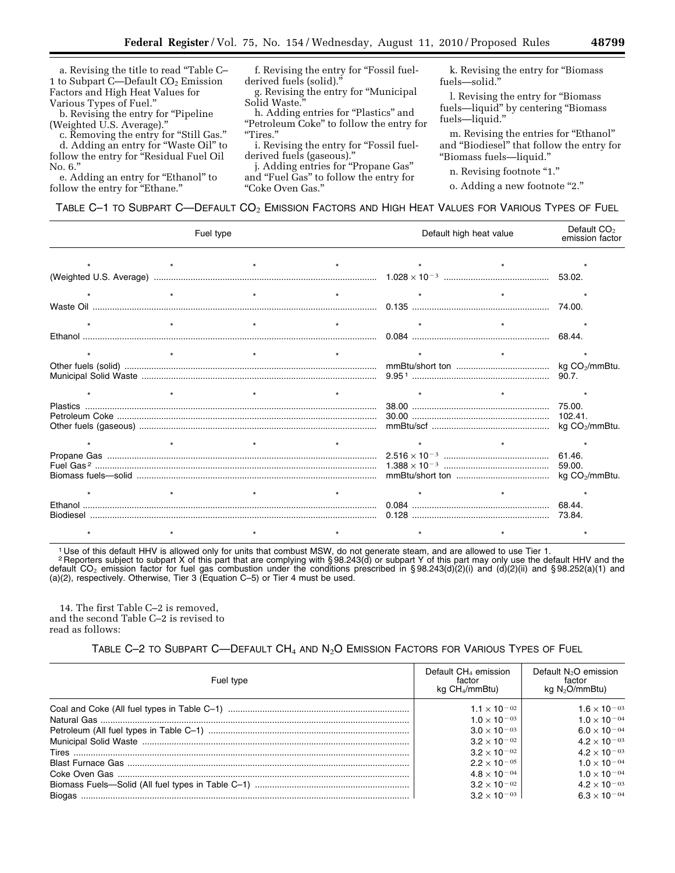a. Revising the title to read ''Table C– 1 to Subpart C—Default  $CO<sub>2</sub>$  Emission Factors and High Heat Values for Various Types of Fuel.''

b. Revising the entry for ''Pipeline (Weighted U.S. Average).''

c. Removing the entry for ''Still Gas.'' d. Adding an entry for ''Waste Oil'' to follow the entry for "Residual Fuel Oil No. 6.''

e. Adding an entry for "Ethanol" to follow the entry for "Ethane."

f. Revising the entry for "Fossil fuelderived fuels (solid).''

g. Revising the entry for ''Municipal Solid Waste.''

h. Adding entries for "Plastics" and "Petroleum Coke" to follow the entry for ''Tires.''

i. Revising the entry for "Fossil fuelderived fuels (gaseous).

j. Adding entries for ''Propane Gas'' and ''Fuel Gas'' to follow the entry for ''Coke Oven Gas.''

k. Revising the entry for ''Biomass fuels—solid.''

l. Revising the entry for ''Biomass fuels—liquid" by centering "Biomass fuels—liquid.''

m. Revising the entries for "Ethanol" and ''Biodiesel'' that follow the entry for ''Biomass fuels—liquid.''

n. Revising footnote "1."

o. Adding a new footnote "2."

# TABLE C-1 TO SUBPART C-DEFAULT CO<sub>2</sub> EMISSION FACTORS AND HIGH HEAT VALUES FOR VARIOUS TYPES OF FUEL

| Fuel type                      |         |         | Default high heat value |         | Default CO <sub>2</sub><br>emission factor |  |
|--------------------------------|---------|---------|-------------------------|---------|--------------------------------------------|--|
| $\star$ and $\star$<br>$\star$ |         |         | $\star$                 | $\star$ |                                            |  |
|                                |         |         |                         |         |                                            |  |
| $\star$                        |         |         | $\star$                 |         |                                            |  |
|                                |         |         |                         |         |                                            |  |
|                                | $\star$ | $\star$ | $\star$                 |         | $\star$                                    |  |
|                                |         |         |                         |         |                                            |  |
|                                | $\star$ |         | $\star$                 | $\star$ |                                            |  |
|                                |         |         |                         |         |                                            |  |
|                                |         |         |                         | $\star$ |                                            |  |
|                                |         |         |                         |         |                                            |  |
|                                |         |         |                         |         |                                            |  |
|                                |         |         |                         |         |                                            |  |
|                                | $\star$ | $\star$ | $\star$                 |         |                                            |  |
|                                |         |         |                         |         |                                            |  |
|                                |         |         |                         |         |                                            |  |

1 Use of this default HHV is allowed only for units that combust MSW, do not generate steam, and are allowed to use Tier 1.

2 Reporters subject to subpart X of this part that are complying with § 98.243(d) or subpart Y of this part may only use the default HHV and the default CO<sub>2</sub> emission factor for fuel gas combustion under the conditions prescribed in §98.243(d)(2)(i) and (d)(2)(ii) and §98.252(a)(1) and (a)(2), respectively. Otherwise, Tier 3 (Equation C–5) or Tier 4 must be used.

14. The first Table C–2 is removed, and the second Table C–2 is revised to read as follows:

# TABLE C-2 TO SUBPART C-DEFAULT CH<sub>4</sub> AND N<sub>2</sub>O EMISSION FACTORS FOR VARIOUS TYPES OF FUEL

| Fuel type | Default $CH4$ emission<br>factor<br>$kq CH_4/mmBtu$ | Default N <sub>2</sub> O emission<br>factor<br>kg $N_2O/mmBtu$ ) |  |
|-----------|-----------------------------------------------------|------------------------------------------------------------------|--|
|           | $1.1 \times 10^{-02}$                               | $1.6 \times 10^{-03}$                                            |  |
|           | $1.0 \times 10^{-03}$                               | $1.0 \times 10^{-04}$                                            |  |
|           | $3.0 \times 10^{-03}$                               | $6.0 \times 10^{-04}$                                            |  |
|           | $3.2 \times 10^{-02}$                               | $4.2 \times 10^{-03}$                                            |  |
|           | $3.2 \times 10^{-02}$                               | $4.2 \times 10^{-03}$                                            |  |
|           | $2.2 \times 10^{-05}$                               | $1.0 \times 10^{-04}$                                            |  |
|           | $4.8 \times 10^{-04}$                               | $1.0 \times 10^{-04}$                                            |  |
|           | $3.2 \times 10^{-02}$                               | $4.2 \times 10^{-03}$                                            |  |
|           | $3.2 \times 10^{-03}$                               | $6.3 \times 10^{-04}$                                            |  |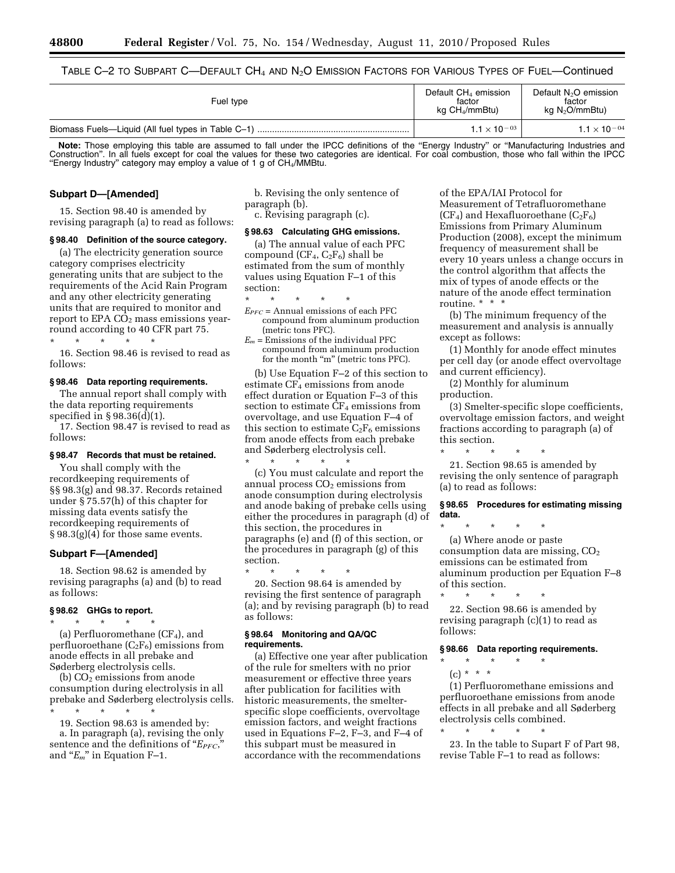TABLE C-2 TO SUBPART C—DEFAULT  $CH_4$  and  $N_2O$  EMISSION FACTORS FOR VARIOUS TYPES OF FUEL—Continued

| Fuel type | Default $CH4$ emission<br>factor<br>kg $CH_4/mmBtu$ ) | Default $N_2O$ emission<br>factor<br>kg $N_2O/mmBtu$ ) |
|-----------|-------------------------------------------------------|--------------------------------------------------------|
|           | $1.1 \times 10^{-03}$                                 | $1.1 \times 10^{-04}$                                  |

Note: Those employing this table are assumed to fall under the IPCC definitions of the "Energy Industry" or "Manufacturing Industries and Construction''. In all fuels except for coal the values for these two categories are identical. For coal combustion, those who fall within the IPCC "Energy Industry" category may employ a value of 1 g of CH4/MMBtu.

#### **Subpart D—[Amended]**

15. Section 98.40 is amended by revising paragraph (a) to read as follows:

#### **§ 98.40 Definition of the source category.**

(a) The electricity generation source category comprises electricity generating units that are subject to the requirements of the Acid Rain Program and any other electricity generating units that are required to monitor and report to  $EPA$   $CO<sub>2</sub>$  mass emissions yearround according to 40 CFR part 75. \* \* \* \* \*

16. Section 98.46 is revised to read as follows:

## **§ 98.46 Data reporting requirements.**

The annual report shall comply with the data reporting requirements specified in § 98.36(d)(1).

17. Section 98.47 is revised to read as follows:

#### **§ 98.47 Records that must be retained.**

You shall comply with the recordkeeping requirements of §§ 98.3(g) and 98.37. Records retained under § 75.57(h) of this chapter for missing data events satisfy the recordkeeping requirements of § 98.3(g)(4) for those same events.

#### **Subpart F—[Amended]**

18. Section 98.62 is amended by revising paragraphs (a) and (b) to read as follows:

## **§ 98.62 GHGs to report.**

\* \* \* \* \* (a) Perfluoromethane  $(CF_4)$ , and perfluoroethane  $(C_2F_6)$  emissions from anode effects in all prebake and Søderberg electrolysis cells.

(b)  $CO_2$  emissions from anode consumption during electrolysis in all prebake and Søderberg electrolysis cells.

\* \* \* \* \* 19. Section 98.63 is amended by:

a. In paragraph (a), revising the only sentence and the definitions of "*E<sub>PFC</sub>*," and " $E_m$ " in Equation F-1.

b. Revising the only sentence of paragraph (b).

c. Revising paragraph (c).

#### **§ 98.63 Calculating GHG emissions.**

(a) The annual value of each PFC compound  $(CF_4, C_2F_6)$  shall be estimated from the sum of monthly values using Equation F–1 of this section:

\* \* \* \* \*

- $E_{PFC}$  = Annual emissions of each PFC compound from aluminum production (metric tons PFC).
- $E_m$  = Emissions of the individual PFC compound from aluminum production for the month "m" (metric tons PFC).

(b) Use Equation F–2 of this section to estimate CF<sub>4</sub> emissions from anode effect duration or Equation F–3 of this section to estimate  $CF_4$  emissions from overvoltage, and use Equation F–4 of this section to estimate  $C_2F_6$  emissions from anode effects from each prebake and Søderberg electrolysis cell.

\* \* \* \* \* (c) You must calculate and report the annual process  $CO<sub>2</sub>$  emissions from anode consumption during electrolysis and anode baking of prebake cells using either the procedures in paragraph (d) of this section, the procedures in paragraphs (e) and (f) of this section, or the procedures in paragraph (g) of this section.

\* \* \* \* \* 20. Section 98.64 is amended by revising the first sentence of paragraph (a); and by revising paragraph (b) to read as follows:

#### **§ 98.64 Monitoring and QA/QC requirements.**

(a) Effective one year after publication of the rule for smelters with no prior measurement or effective three years after publication for facilities with historic measurements, the smelterspecific slope coefficients, overvoltage emission factors, and weight fractions used in Equations F–2, F–3, and F–4 of this subpart must be measured in accordance with the recommendations

of the EPA/IAI Protocol for Measurement of Tetrafluoromethane (CF<sub>4</sub>) and Hexafluoroethane (C<sub>2</sub>F<sub>6</sub>) Emissions from Primary Aluminum Production (2008), except the minimum frequency of measurement shall be every 10 years unless a change occurs in the control algorithm that affects the mix of types of anode effects or the nature of the anode effect termination routine. \* \* \*

(b) The minimum frequency of the measurement and analysis is annually except as follows:

(1) Monthly for anode effect minutes per cell day (or anode effect overvoltage and current efficiency).

(2) Monthly for aluminum production.

\* \* \* \* \*

(3) Smelter-specific slope coefficients, overvoltage emission factors, and weight fractions according to paragraph (a) of this section.

21. Section 98.65 is amended by revising the only sentence of paragraph (a) to read as follows:

#### **§ 98.65 Procedures for estimating missing data.**

\* \* \* \* \* (a) Where anode or paste consumption data are missing, CO<sub>2</sub> emissions can be estimated from aluminum production per Equation F–8 of this section.

\* \* \* \* \* 22. Section 98.66 is amended by revising paragraph (c)(1) to read as follows:

## **§ 98.66 Data reporting requirements.**

- \* \* \* \* \*
	- (c) \* \* \*

\* \* \* \* \*

(1) Perfluoromethane emissions and perfluoroethane emissions from anode effects in all prebake and all Søderberg electrolysis cells combined.

23. In the table to Supart F of Part 98, revise Table F–1 to read as follows: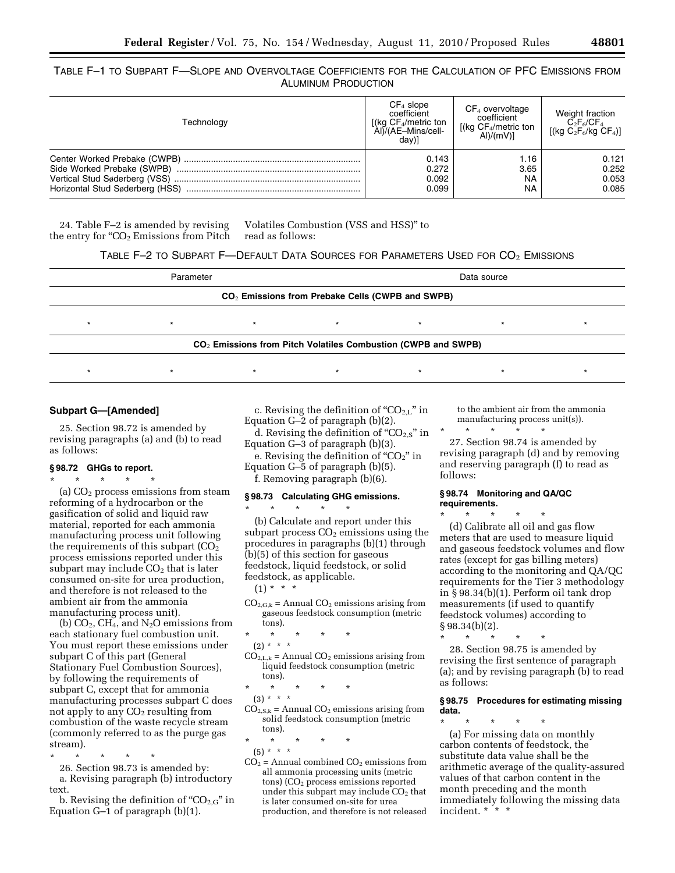TABLE F–1 TO SUBPART F—SLOPE AND OVERVOLTAGE COEFFICIENTS FOR THE CALCULATION OF PFC EMISSIONS FROM ALUMINUM PRODUCTION

| Technology | $CF4$ slope<br>coefficient<br>[(kg CF <sub>4</sub> /metric ton<br>Al)/(AE-Mins/cell-<br>dav)] | $CF4$ overvoltage<br>coefficient<br>[(kg CF <sub>4</sub> /metric ton<br>Al)/(mV) | Weight fraction<br>$C_2F_6/CF_4$<br>$[(kg C2F6/kg CF4)]$ |
|------------|-----------------------------------------------------------------------------------------------|----------------------------------------------------------------------------------|----------------------------------------------------------|
|            | 0.143                                                                                         | 1.16                                                                             | 0.121                                                    |
|            | 0.272                                                                                         | 3.65                                                                             | 0.252                                                    |
|            | 0.092                                                                                         | NA                                                                               | 0.053                                                    |
|            | 0.099                                                                                         | <b>NA</b>                                                                        | 0.085                                                    |

24. Table F–2 is amended by revising the entry for " $CO<sub>2</sub>$  Emissions from Pitch

Volatiles Combustion (VSS and HSS)'' to read as follows:

TABLE F–2 TO SUBPART F—DEFAULT DATA SOURCES FOR PARAMETERS USED FOR CO2 EMISSIONS

| Parameter                                                       |  |  |  | Data source |  |  |  |
|-----------------------------------------------------------------|--|--|--|-------------|--|--|--|
| $CO2$ Emissions from Prebake Cells (CWPB and SWPB)              |  |  |  |             |  |  |  |
|                                                                 |  |  |  |             |  |  |  |
| $CO2$ Emissions from Pitch Volatiles Combustion (CWPB and SWPB) |  |  |  |             |  |  |  |
|                                                                 |  |  |  |             |  |  |  |

# **Subpart G—[Amended]**

25. Section 98.72 is amended by revising paragraphs (a) and (b) to read as follows:

## **§ 98.72 GHGs to report.**

\* \* \* \* \*

(a)  $CO<sub>2</sub>$  process emissions from steam reforming of a hydrocarbon or the gasification of solid and liquid raw material, reported for each ammonia manufacturing process unit following the requirements of this subpart  $(CO<sub>2</sub>)$ process emissions reported under this subpart may include  $CO<sub>2</sub>$  that is later consumed on-site for urea production, and therefore is not released to the ambient air from the ammonia manufacturing process unit).

(b)  $CO<sub>2</sub>$ ,  $CH<sub>4</sub>$ , and N<sub>2</sub>O emissions from each stationary fuel combustion unit. You must report these emissions under subpart C of this part (General Stationary Fuel Combustion Sources), by following the requirements of subpart C, except that for ammonia manufacturing processes subpart C does not apply to any  $CO<sub>2</sub>$  resulting from combustion of the waste recycle stream (commonly referred to as the purge gas stream).

- \* \* \* \* \* 26. Section 98.73 is amended by: a. Revising paragraph (b) introductory
- text. b. Revising the definition of " $CO<sub>2.G</sub>$ " in Equation G–1 of paragraph (b)(1).

c. Revising the definition of " $CO_{2,L}$ " in Equation G–2 of paragraph (b)(2).

d. Revising the definition of " $CO<sub>2.5</sub>$ " in Equation G–3 of paragraph (b)(3). e. Revising the definition of " $CO<sub>2</sub>$ " in

Equation G–5 of paragraph (b)(5). f. Removing paragraph (b)(6).

## **§ 98.73 Calculating GHG emissions.**

 $\star$   $\star$   $\star$ 

(b) Calculate and report under this subpart process  $CO<sub>2</sub>$  emissions using the procedures in paragraphs (b)(1) through (b)(5) of this section for gaseous feedstock, liquid feedstock, or solid feedstock, as applicable.

- $(1) * * * *$
- $CO<sub>2, G,k</sub>$  = Annual  $CO<sub>2</sub>$  emissions arising from gaseous feedstock consumption (metric tons).
- \* \* \* \* \*
- (2) \* \* \*

 $CO<sub>2,L,k</sub> = Annual CO<sub>2</sub> emissions arising from$ liquid feedstock consumption (metric tons).

- \* \* \* \* \*
- (3) \* \* \*  $CO<sub>2,S,k</sub> = Annual CO<sub>2</sub> emissions arising from$ solid feedstock consumption (metric tons).

\* \* \* \* \*

- (5) \* \* \*
- $CO<sub>2</sub>$  = Annual combined  $CO<sub>2</sub>$  emissions from all ammonia processing units (metric tons) (CO<sub>2</sub> process emissions reported under this subpart may include  $CO<sub>2</sub>$  that is later consumed on-site for urea production, and therefore is not released

to the ambient air from the ammonia manufacturing process unit(s)).

\* \* \* \* \* 27. Section 98.74 is amended by

revising paragraph (d) and by removing and reserving paragraph (f) to read as follows:

#### **§ 98.74 Monitoring and QA/QC requirements.**

\* \* \* \* \* (d) Calibrate all oil and gas flow meters that are used to measure liquid and gaseous feedstock volumes and flow rates (except for gas billing meters) according to the monitoring and QA/QC requirements for the Tier 3 methodology in § 98.34(b)(1). Perform oil tank drop measurements (if used to quantify feedstock volumes) according to  $§ 98.34(b)(2).$ 

\* \* \* \* \* 28. Section 98.75 is amended by revising the first sentence of paragraph (a); and by revising paragraph (b) to read as follows:

#### **§ 98.75 Procedures for estimating missing data.**

\* \* \* \* \* (a) For missing data on monthly carbon contents of feedstock, the substitute data value shall be the arithmetic average of the quality-assured values of that carbon content in the month preceding and the month immediately following the missing data incident. \* \* \*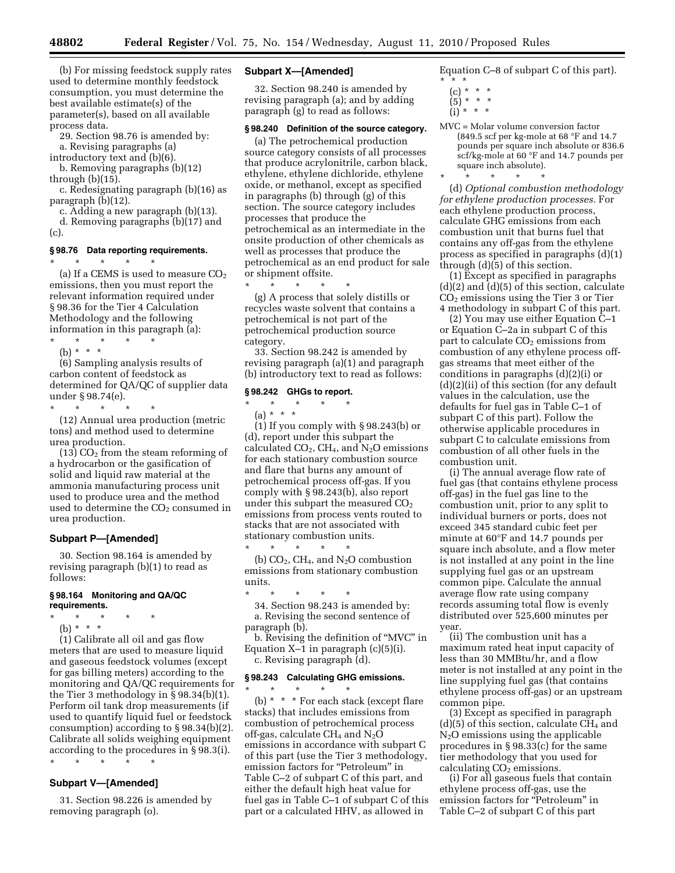(b) For missing feedstock supply rates used to determine monthly feedstock consumption, you must determine the best available estimate(s) of the parameter(s), based on all available process data.

29. Section 98.76 is amended by:

a. Revising paragraphs (a)

introductory text and (b)(6). b. Removing paragraphs (b)(12) through (b)(15).

c. Redesignating paragraph (b)(16) as paragraph (b)(12).

c. Adding a new paragraph (b)(13).

d. Removing paragraphs (b)(17) and (c).

#### **§ 98.76 Data reporting requirements.**

\* \* \* \* \* (a) If a CEMS is used to measure  $CO<sub>2</sub>$ emissions, then you must report the relevant information required under § 98.36 for the Tier 4 Calculation Methodology and the following information in this paragraph (a):

\* \* \* \* \* (b) \* \* \*

(6) Sampling analysis results of carbon content of feedstock as determined for QA/QC of supplier data under § 98.74(e).

\* \* \* \* \* (12) Annual urea production (metric tons) and method used to determine

urea production.  $(13)$  CO<sub>2</sub> from the steam reforming of a hydrocarbon or the gasification of solid and liquid raw material at the ammonia manufacturing process unit used to produce urea and the method used to determine the  $CO<sub>2</sub>$  consumed in urea production.

#### **Subpart P—[Amended]**

30. Section 98.164 is amended by revising paragraph (b)(1) to read as follows:

#### **§ 98.164 Monitoring and QA/QC requirements.**

- \* \* \* \* \*
	- (b) \* \* \*

(1) Calibrate all oil and gas flow meters that are used to measure liquid and gaseous feedstock volumes (except for gas billing meters) according to the monitoring and QA/QC requirements for the Tier 3 methodology in § 98.34(b)(1). Perform oil tank drop measurements (if used to quantify liquid fuel or feedstock consumption) according to § 98.34(b)(2). Calibrate all solids weighing equipment according to the procedures in § 98.3(i). \* \* \* \* \*

# **Subpart V—[Amended]**

31. Section 98.226 is amended by removing paragraph (o).

## **Subpart X—[Amended]**

32. Section 98.240 is amended by revising paragraph (a); and by adding paragraph (g) to read as follows:

## **§ 98.240 Definition of the source category.**

(a) The petrochemical production source category consists of all processes that produce acrylonitrile, carbon black, ethylene, ethylene dichloride, ethylene oxide, or methanol, except as specified in paragraphs (b) through (g) of this section. The source category includes processes that produce the petrochemical as an intermediate in the onsite production of other chemicals as well as processes that produce the petrochemical as an end product for sale or shipment offsite.

 $\star$   $\qquad$   $\star$   $\qquad$   $\star$ (g) A process that solely distills or recycles waste solvent that contains a petrochemical is not part of the petrochemical production source category.

33. Section 98.242 is amended by revising paragraph (a)(1) and paragraph (b) introductory text to read as follows:

## **§ 98.242 GHGs to report.**

\* \* \* \* \* (a) \* \* \*

(1) If you comply with § 98.243(b) or (d), report under this subpart the calculated  $CO<sub>2</sub>$ , CH<sub>4</sub>, and N<sub>2</sub>O emissions for each stationary combustion source and flare that burns any amount of petrochemical process off-gas. If you comply with § 98.243(b), also report under this subpart the measured  $CO<sub>2</sub>$ emissions from process vents routed to stacks that are not associated with stationary combustion units. \* \* \* \* \*

(b)  $CO<sub>2</sub>$ , CH<sub>4</sub>, and N<sub>2</sub>O combustion emissions from stationary combustion units.

\* \* \* \* \* 34. Section 98.243 is amended by:

a. Revising the second sentence of paragraph (b).

b. Revising the definition of ''MVC'' in Equation  $X-1$  in paragraph  $(c)(5)(i)$ . c. Revising paragraph (d).

### **§ 98.243 Calculating GHG emissions.**

\* \* \* \* \* (b) \* \* \* For each stack (except flare stacks) that includes emissions from combustion of petrochemical process off-gas, calculate  $CH_4$  and  $N_2O$ emissions in accordance with subpart C of this part (use the Tier 3 methodology, emission factors for "Petroleum" in Table C–2 of subpart C of this part, and either the default high heat value for fuel gas in Table C–1 of subpart C of this part or a calculated HHV, as allowed in

Equation C–8 of subpart C of this part). \* \* \*

- $(c) * * * *$
- $(5) * * *$
- $(i) * * * *$
- MVC = Molar volume conversion factor (849.5 scf per kg-mole at 68 °F and 14.7 pounds per square inch absolute or 836.6 scf/kg-mole at 60 °F and 14.7 pounds per square inch absolute).

\* \* \* \* \* (d) *Optional combustion methodology for ethylene production processes.* For each ethylene production process, calculate GHG emissions from each combustion unit that burns fuel that contains any off-gas from the ethylene process as specified in paragraphs (d)(1) through (d)(5) of this section.

(1) Except as specified in paragraphs (d)(2) and (d)(5) of this section, calculate CO2 emissions using the Tier 3 or Tier 4 methodology in subpart C of this part.

(2) You may use either Equation C–1 or Equation C–2a in subpart C of this part to calculate CO<sub>2</sub> emissions from combustion of any ethylene process offgas streams that meet either of the conditions in paragraphs (d)(2)(i) or (d)(2)(ii) of this section (for any default values in the calculation, use the defaults for fuel gas in Table C–1 of subpart C of this part). Follow the otherwise applicable procedures in subpart C to calculate emissions from combustion of all other fuels in the combustion unit.

(i) The annual average flow rate of fuel gas (that contains ethylene process off-gas) in the fuel gas line to the combustion unit, prior to any split to individual burners or ports, does not exceed 345 standard cubic feet per minute at 60°F and 14.7 pounds per square inch absolute, and a flow meter is not installed at any point in the line supplying fuel gas or an upstream common pipe. Calculate the annual average flow rate using company records assuming total flow is evenly distributed over 525,600 minutes per year.

(ii) The combustion unit has a maximum rated heat input capacity of less than 30 MMBtu/hr, and a flow meter is not installed at any point in the line supplying fuel gas (that contains ethylene process off-gas) or an upstream common pipe.

(3) Except as specified in paragraph  $(d)(5)$  of this section, calculate CH<sub>4</sub> and  $N<sub>2</sub>O$  emissions using the applicable procedures in § 98.33(c) for the same tier methodology that you used for calculating  $CO<sub>2</sub>$  emissions.

(i) For all gaseous fuels that contain ethylene process off-gas, use the emission factors for ''Petroleum'' in Table C–2 of subpart C of this part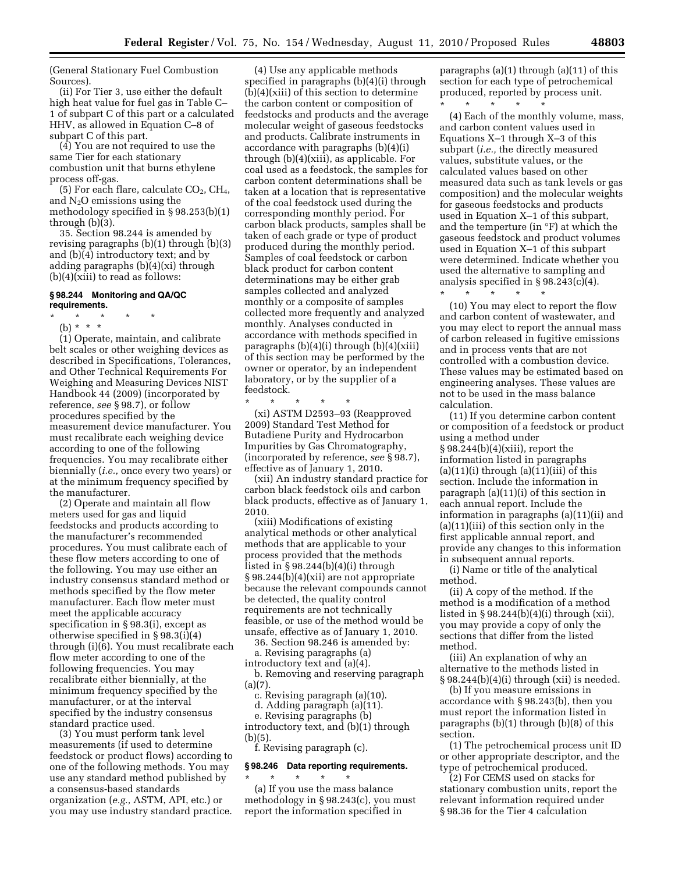(General Stationary Fuel Combustion Sources).

(ii) For Tier 3, use either the default high heat value for fuel gas in Table C– 1 of subpart C of this part or a calculated HHV, as allowed in Equation C–8 of subpart C of this part.

(4) You are not required to use the same Tier for each stationary combustion unit that burns ethylene process off-gas.

 $(5)$  For each flare, calculate  $CO<sub>2</sub>$ ,  $CH<sub>4</sub>$ , and  $N_2O$  emissions using the methodology specified in § 98.253(b)(1) through (b)(3).

35. Section 98.244 is amended by revising paragraphs (b)(1) through (b)(3) and (b)(4) introductory text; and by adding paragraphs (b)(4)(xi) through (b)(4)(xiii) to read as follows:

#### **§ 98.244 Monitoring and QA/QC requirements.**

- \* \* \* \* \*
- (b) \* \* \*

(1) Operate, maintain, and calibrate belt scales or other weighing devices as described in Specifications, Tolerances, and Other Technical Requirements For Weighing and Measuring Devices NIST Handbook 44 (2009) (incorporated by reference, *see* § 98.7), or follow procedures specified by the measurement device manufacturer. You must recalibrate each weighing device according to one of the following frequencies. You may recalibrate either biennially (*i.e.,* once every two years) or at the minimum frequency specified by the manufacturer.

(2) Operate and maintain all flow meters used for gas and liquid feedstocks and products according to the manufacturer's recommended procedures. You must calibrate each of these flow meters according to one of the following. You may use either an industry consensus standard method or methods specified by the flow meter manufacturer. Each flow meter must meet the applicable accuracy specification in § 98.3(i), except as otherwise specified in § 98.3(i)(4) through (i)(6). You must recalibrate each flow meter according to one of the following frequencies. You may recalibrate either biennially, at the minimum frequency specified by the manufacturer, or at the interval specified by the industry consensus standard practice used.

(3) You must perform tank level measurements (if used to determine feedstock or product flows) according to one of the following methods. You may use any standard method published by a consensus-based standards organization (*e.g.,* ASTM, API, etc.) or you may use industry standard practice.

(4) Use any applicable methods specified in paragraphs (b)(4)(i) through (b)(4)(xiii) of this section to determine the carbon content or composition of feedstocks and products and the average molecular weight of gaseous feedstocks and products. Calibrate instruments in accordance with paragraphs (b)(4)(i) through (b)(4)(xiii), as applicable. For coal used as a feedstock, the samples for carbon content determinations shall be taken at a location that is representative of the coal feedstock used during the corresponding monthly period. For carbon black products, samples shall be taken of each grade or type of product produced during the monthly period. Samples of coal feedstock or carbon black product for carbon content determinations may be either grab samples collected and analyzed monthly or a composite of samples collected more frequently and analyzed monthly. Analyses conducted in accordance with methods specified in paragraphs  $(b)(4)(i)$  through  $(b)(4)(xiii)$ of this section may be performed by the owner or operator, by an independent laboratory, or by the supplier of a feedstock.

\* \* \* \* \*

(xi) ASTM D2593–93 (Reapproved 2009) Standard Test Method for Butadiene Purity and Hydrocarbon Impurities by Gas Chromatography, (incorporated by reference, *see* § 98.7), effective as of January 1, 2010.

(xii) An industry standard practice for carbon black feedstock oils and carbon black products, effective as of January 1, 2010.

(xiii) Modifications of existing analytical methods or other analytical methods that are applicable to your process provided that the methods listed in § 98.244(b)(4)(i) through § 98.244(b)(4)(xii) are not appropriate because the relevant compounds cannot be detected, the quality control requirements are not technically feasible, or use of the method would be unsafe, effective as of January 1, 2010.

36. Section 98.246 is amended by: a. Revising paragraphs (a)

introductory text and (a)(4).

b. Removing and reserving paragraph (a)(7).

c. Revising paragraph (a)(10).

d. Adding paragraph (a)(11). e. Revising paragraphs (b)

introductory text, and (b)(1) through (b)(5).

f. Revising paragraph (c).

# **§ 98.246 Data reporting requirements.**  \* \* \* \* \*

(a) If you use the mass balance methodology in § 98.243(c), you must report the information specified in

paragraphs (a)(1) through (a)(11) of this section for each type of petrochemical produced, reported by process unit.

\* \* \* \* \* (4) Each of the monthly volume, mass, and carbon content values used in Equations X–1 through X–3 of this subpart (*i.e.,* the directly measured values, substitute values, or the calculated values based on other measured data such as tank levels or gas composition) and the molecular weights for gaseous feedstocks and products used in Equation X–1 of this subpart, and the temperture (in °F) at which the gaseous feedstock and product volumes used in Equation X–1 of this subpart were determined. Indicate whether you used the alternative to sampling and analysis specified in  $\S 98.243(c)(4)$ .

\* \* \* \* \* (10) You may elect to report the flow and carbon content of wastewater, and you may elect to report the annual mass of carbon released in fugitive emissions and in process vents that are not controlled with a combustion device. These values may be estimated based on engineering analyses. These values are not to be used in the mass balance calculation.

(11) If you determine carbon content or composition of a feedstock or product using a method under § 98.244(b)(4)(xiii), report the information listed in paragraphs  $(a)(11)(i)$  through  $(a)(11)(iii)$  of this section. Include the information in paragraph (a)(11)(i) of this section in each annual report. Include the information in paragraphs (a)(11)(ii) and (a)(11)(iii) of this section only in the first applicable annual report, and provide any changes to this information in subsequent annual reports.

(i) Name or title of the analytical method.

(ii) A copy of the method. If the method is a modification of a method listed in  $\S 98.244(b)(4)(i)$  through  $(xii)$ , you may provide a copy of only the sections that differ from the listed method.

(iii) An explanation of why an alternative to the methods listed in  $\S 98.244(b)(4)(i)$  through (xii) is needed.

(b) If you measure emissions in accordance with § 98.243(b), then you must report the information listed in paragraphs (b)(1) through (b)(8) of this section.

(1) The petrochemical process unit ID or other appropriate descriptor, and the type of petrochemical produced.

(2) For CEMS used on stacks for stationary combustion units, report the relevant information required under § 98.36 for the Tier 4 calculation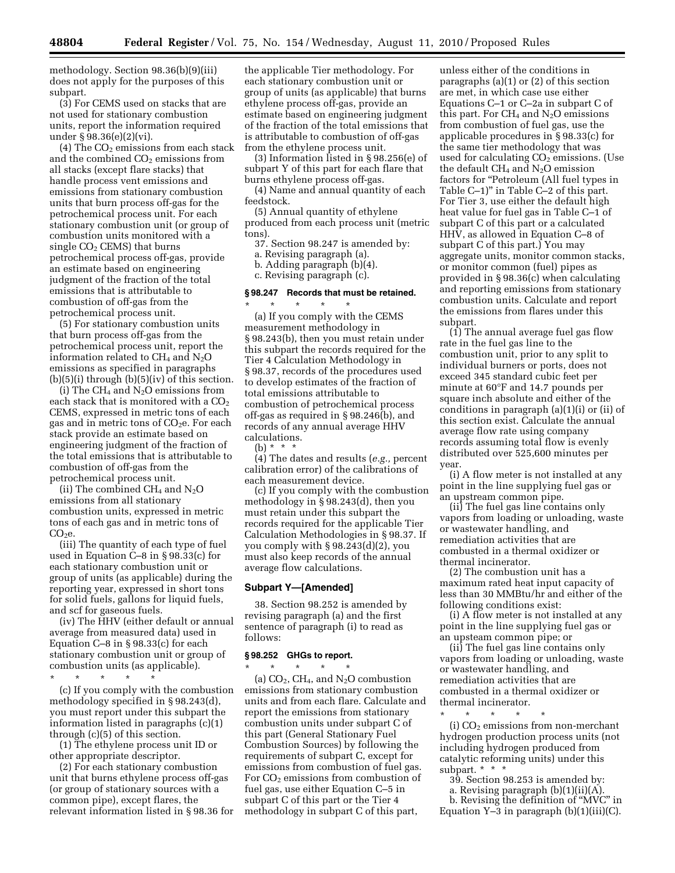methodology. Section 98.36(b)(9)(iii) does not apply for the purposes of this subpart.

(3) For CEMS used on stacks that are not used for stationary combustion units, report the information required under § 98.36(e)(2)(vi).

(4) The  $CO<sub>2</sub>$  emissions from each stack and the combined  $CO<sub>2</sub>$  emissions from all stacks (except flare stacks) that handle process vent emissions and emissions from stationary combustion units that burn process off-gas for the petrochemical process unit. For each stationary combustion unit (or group of combustion units monitored with a single  $CO<sub>2</sub>$  CEMS) that burns petrochemical process off-gas, provide an estimate based on engineering judgment of the fraction of the total emissions that is attributable to combustion of off-gas from the petrochemical process unit.

(5) For stationary combustion units that burn process off-gas from the petrochemical process unit, report the information related to  $CH_4$  and  $N_2O$ emissions as specified in paragraphs (b)(5)(i) through (b)(5)(iv) of this section.

(i) The CH<sub>4</sub> and N<sub>2</sub>O emissions from each stack that is monitored with a CO<sub>2</sub> CEMS, expressed in metric tons of each gas and in metric tons of  $CO<sub>2</sub>e$ . For each stack provide an estimate based on engineering judgment of the fraction of the total emissions that is attributable to combustion of off-gas from the petrochemical process unit.

(ii) The combined  $CH_4$  and  $N_2O$ emissions from all stationary combustion units, expressed in metric tons of each gas and in metric tons of  $CO<sub>2</sub>e.$ 

(iii) The quantity of each type of fuel used in Equation C–8 in § 98.33(c) for each stationary combustion unit or group of units (as applicable) during the reporting year, expressed in short tons for solid fuels, gallons for liquid fuels, and scf for gaseous fuels.

(iv) The HHV (either default or annual average from measured data) used in Equation C–8 in § 98.33(c) for each stationary combustion unit or group of combustion units (as applicable).

\* \* \* \* \*

(c) If you comply with the combustion methodology specified in § 98.243(d), you must report under this subpart the information listed in paragraphs (c)(1) through (c)(5) of this section.

(1) The ethylene process unit ID or other appropriate descriptor.

(2) For each stationary combustion unit that burns ethylene process off-gas (or group of stationary sources with a common pipe), except flares, the relevant information listed in § 98.36 for

the applicable Tier methodology. For each stationary combustion unit or group of units (as applicable) that burns ethylene process off-gas, provide an estimate based on engineering judgment of the fraction of the total emissions that is attributable to combustion of off-gas from the ethylene process unit.

(3) Information listed in § 98.256(e) of subpart Y of this part for each flare that burns ethylene process off-gas.

(4) Name and annual quantity of each feedstock.

(5) Annual quantity of ethylene produced from each process unit (metric tons).

37. Section 98.247 is amended by:

a. Revising paragraph (a).

b. Adding paragraph (b)(4).

c. Revising paragraph (c).

# **§ 98.247 Records that must be retained.**

\* \* \* \* \* (a) If you comply with the CEMS measurement methodology in § 98.243(b), then you must retain under this subpart the records required for the Tier 4 Calculation Methodology in § 98.37, records of the procedures used to develop estimates of the fraction of total emissions attributable to combustion of petrochemical process off-gas as required in § 98.246(b), and records of any annual average HHV calculations.

(b) \* \* \*

(4) The dates and results (*e.g.,* percent calibration error) of the calibrations of each measurement device.

(c) If you comply with the combustion methodology in § 98.243(d), then you must retain under this subpart the records required for the applicable Tier Calculation Methodologies in § 98.37. If you comply with § 98.243(d)(2), you must also keep records of the annual average flow calculations.

## **Subpart Y—[Amended]**

38. Section 98.252 is amended by revising paragraph (a) and the first sentence of paragraph (i) to read as follows:

## **§ 98.252 GHGs to report.**

\* \* \* \* \* (a) CO2, CH4, and N2O combustion emissions from stationary combustion units and from each flare. Calculate and report the emissions from stationary combustion units under subpart C of this part (General Stationary Fuel Combustion Sources) by following the requirements of subpart C, except for emissions from combustion of fuel gas. For CO<sub>2</sub> emissions from combustion of fuel gas, use either Equation C–5 in subpart C of this part or the Tier 4 methodology in subpart C of this part,

unless either of the conditions in paragraphs (a)(1) or (2) of this section are met, in which case use either Equations C–1 or C–2a in subpart C of this part. For  $CH_4$  and  $N_2O$  emissions from combustion of fuel gas, use the applicable procedures in § 98.33(c) for the same tier methodology that was used for calculating  $CO<sub>2</sub>$  emissions. (Use the default  $CH_4$  and  $N_2O$  emission factors for ''Petroleum (All fuel types in Table C–1)'' in Table C–2 of this part. For Tier 3, use either the default high heat value for fuel gas in Table C–1 of subpart C of this part or a calculated HHV, as allowed in Equation C–8 of subpart C of this part.) You may aggregate units, monitor common stacks, or monitor common (fuel) pipes as provided in § 98.36(c) when calculating and reporting emissions from stationary combustion units. Calculate and report the emissions from flares under this subpart.

(1) The annual average fuel gas flow rate in the fuel gas line to the combustion unit, prior to any split to individual burners or ports, does not exceed 345 standard cubic feet per minute at 60°F and 14.7 pounds per square inch absolute and either of the conditions in paragraph (a)(1)(i) or (ii) of this section exist. Calculate the annual average flow rate using company records assuming total flow is evenly distributed over 525,600 minutes per year.

(i) A flow meter is not installed at any point in the line supplying fuel gas or an upstream common pipe.

(ii) The fuel gas line contains only vapors from loading or unloading, waste or wastewater handling, and remediation activities that are combusted in a thermal oxidizer or thermal incinerator.

(2) The combustion unit has a maximum rated heat input capacity of less than 30 MMBtu/hr and either of the following conditions exist:

(i) A flow meter is not installed at any point in the line supplying fuel gas or an upsteam common pipe; or

(ii) The fuel gas line contains only vapors from loading or unloading, waste or wastewater handling, and remediation activities that are combusted in a thermal oxidizer or thermal incinerator.

\* \* \* \* \* (i)  $CO<sub>2</sub>$  emissions from non-merchant hydrogen production process units (not including hydrogen produced from catalytic reforming units) under this subpart. \* \* \*

- 39. Section 98.253 is amended by:
- a. Revising paragraph (b)(1)(ii)(A).

b. Revising the definition of ''MVC'' in Equation  $Y-3$  in paragraph  $(b)(1)(iii)(C)$ .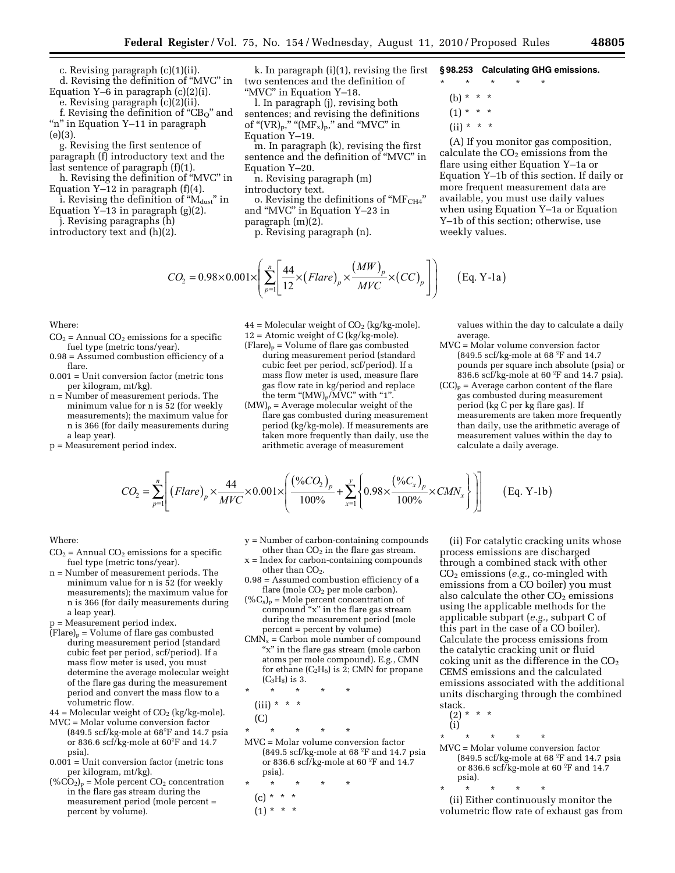c. Revising paragraph (c)(1)(ii). d. Revising the definition of ''MVC'' in Equation  $Y=6$  in paragraph  $(c)(2)(i)$ .

e. Revising paragraph (c)(2)(ii). f. Revising the definition of " $CB<sub>O</sub>$ " and "n" in Equation Y–11 in paragraph (e)(3).

g. Revising the first sentence of paragraph (f) introductory text and the last sentence of paragraph (f)(1).

h. Revising the definition of ''MVC'' in Equation  $Y-12$  in paragraph  $(f)(4)$ .

i. Revising the definition of "M<sub>dust</sub>" in Equation Y–13 in paragraph (g)(2).

j. Revising paragraphs (h) introductory text and (h)(2).

k. In paragraph (i)(1), revising the first two sentences and the definition of "MVC" in Equation Y-18.

l. In paragraph (j), revising both sentences; and revising the definitions of " $(VR)_p$ ," " $(MF_x)_p$ ," and "MVC" in Equation Y–19.

m. In paragraph (k), revising the first sentence and the definition of ''MVC'' in Equation Y–20.

n. Revising paragraph (m) introductory text.

o. Revising the definitions of " $MF<sub>CH4</sub>$ " and ''MVC'' in Equation Y–23 in

paragraph (m)(2). p. Revising paragraph (n).

## **§ 98.253 Calculating GHG emissions.**

\* \* \* \* \* (b) \* \* \*

 $(1) * * * *$ 

 $(ii) * * * *$ 

(A) If you monitor gas composition, calculate the  $CO<sub>2</sub>$  emissions from the flare using either Equation Y–1a or Equation Y–1b of this section. If daily or more frequent measurement data are available, you must use daily values when using Equation Y–1a or Equation Y–1b of this section; otherwise, use weekly values.

$$
CO_2 = 0.98 \times 0.001 \times \left( \sum_{p=1}^n \left[ \frac{44}{12} \times (Flare)_p \times \frac{(MW)_p}{MVC} \times (CC)_p \right] \right) \tag{Eq. Y-1a}
$$

Where:

- $CO<sub>2</sub>$  = Annual  $CO<sub>2</sub>$  emissions for a specific fuel type (metric tons/year).
- 0.98 = Assumed combustion efficiency of a flare.
- 0.001 = Unit conversion factor (metric tons per kilogram, mt/kg).
- n = Number of measurement periods. The minimum value for n is 52 (for weekly measurements); the maximum value for n is 366 (for daily measurements during a leap year).
- p = Measurement period index.

 $44 =$  Molecular weight of  $CO<sub>2</sub>$  (kg/kg-mole). 12 = Atomic weight of C (kg/kg-mole).

- $(Flare)_p = Volume of flare gas combined$ during measurement period (standard cubic feet per period, scf/period). If a mass flow meter is used, measure flare gas flow rate in kg/period and replace the term " $(MW)_p/MVC$ " with "1".
- $(MW)_p =$  Average molecular weight of the flare gas combusted during measurement period (kg/kg-mole). If measurements are taken more frequently than daily, use the arithmetic average of measurement

values within the day to calculate a daily average.

- MVC = Molar volume conversion factor (849.5 scf/kg-mole at 68  $\mathrm{P}$  and 14.7 pounds per square inch absolute (psia) or 836.6 scf/kg-mole at 60 $\degree$ F and 14.7 psia).
- $(CC)<sub>p</sub> = Average carbon content of the flare$ gas combusted during measurement period (kg C per kg flare gas). If measurements are taken more frequently than daily, use the arithmetic average of measurement values within the day to calculate a daily average.

$$
CO_2 = \sum_{p=1}^{n} \left[ \left( \text{Flare} \right)_p \times \frac{44}{MVC} \times 0.001 \times \left( \frac{\left( \%CO_2 \right)_p}{100\%} + \sum_{x=1}^{y} \left\{ 0.98 \times \frac{\left( \%C_x \right)_p}{100\%} \times CMN_x \right\} \right) \right] \tag{Eq. Y-1b}
$$

Where:

- $CO<sub>2</sub>$  = Annual  $CO<sub>2</sub>$  emissions for a specific fuel type (metric tons/year).
- n = Number of measurement periods. The minimum value for n is 52 (for weekly measurements); the maximum value for n is 366 (for daily measurements during a leap year).
- p = Measurement period index.
- $(Flare)_p = Volume of flare gas combined$ during measurement period (standard cubic feet per period, scf/period). If a mass flow meter is used, you must determine the average molecular weight of the flare gas during the measurement period and convert the mass flow to a volumetric flow.
- $44 =$  Molecular weight of  $CO<sub>2</sub>$  (kg/kg-mole).
- MVC = Molar volume conversion factor (849.5 scf/kg-mole at  $68^{\circ}$ F and 14.7 psia or 836.6 scf/kg-mole at  $60^{\circ}$ F and  $14.7$ psia).
- $0.001$  = Unit conversion factor (metric tons per kilogram, mt/kg).
- $(\%CO_2)_p = \overline{M}$ ole percent CO<sub>2</sub> concentration in the flare gas stream during the measurement period (mole percent = percent by volume).
- y = Number of carbon-containing compounds other than  $CO<sub>2</sub>$  in the flare gas stream.
- x = Index for carbon-containing compounds other than  $CO<sub>2</sub>$ .
- 0.98 = Assumed combustion efficiency of a flare (mole  $CO<sub>2</sub>$  per mole carbon).
- $({\%C_x})_p =$  Mole percent concentration of compound "x" in the flare gas stream during the measurement period (mole percent = percent by volume)
- $CMN<sub>x</sub> = Carbon mole number of compound$ "x" in the flare gas stream (mole carbon atoms per mole compound). E.g., CMN for ethane  $(C_2H_6)$  is 2; CMN for propane  $(C_3H_8)$  is 3.

\* \* \* \* \* \* \* \*

$$
(iii)
$$

(C)

\* \* \* \* \*

MVC = Molar volume conversion factor (849.5 scf/kg-mole at 68  $\mathrm{^{\circ}F}$  and 14.7 psia or 836.6 scf/kg-mole at 60  $\mathrm{P}$ F and 14.7 psia).

\* \* \* \* \*

$$
(c) * * * *
$$

(1) \* \* \*

(ii) For catalytic cracking units whose process emissions are discharged through a combined stack with other CO2 emissions (*e.g.,* co-mingled with emissions from a CO boiler) you must also calculate the other  $CO<sub>2</sub>$  emissions using the applicable methods for the applicable subpart (*e.g.,* subpart C of this part in the case of a CO boiler). Calculate the process emissions from the catalytic cracking unit or fluid coking unit as the difference in the  $CO<sub>2</sub>$ CEMS emissions and the calculated emissions associated with the additional units discharging through the combined stack.

 $(2) *$ (i)

- \* \* \* \* \* MVC = Molar volume conversion factor (849.5 scf/kg-mole at 68  $\mathrm{^{\circ}F}$  and 14.7 psia or 836.6 scf/kg-mole at 60  $\mathrm{P}$ F and 14.7 psia).
- \* \* \* \* \*

(ii) Either continuously monitor the volumetric flow rate of exhaust gas from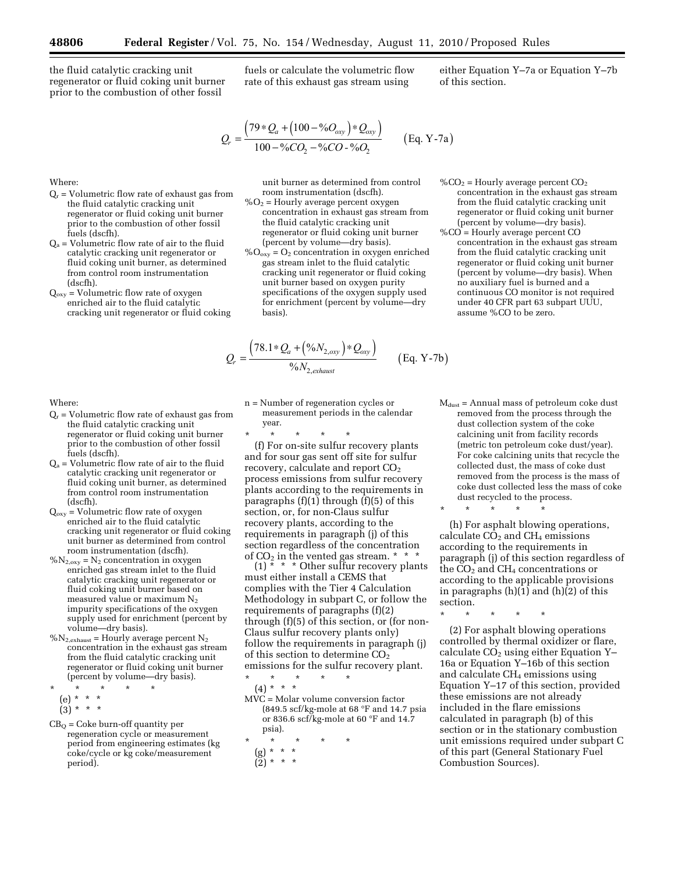Where:

fuels (dscfh).

(dscfh).

the fluid catalytic cracking unit regenerator or fluid coking unit burner prior to the combustion of other fossil

 $Q<sub>r</sub>$  = Volumetric flow rate of exhaust gas from the fluid catalytic cracking unit regenerator or fluid coking unit burner prior to the combustion of other fossil

 $Q_a$  = Volumetric flow rate of air to the fluid catalytic cracking unit regenerator or fluid coking unit burner, as determined from control room instrumentation

 $Q_{oxy}$  = Volumetric flow rate of oxygen enriched air to the fluid catalytic cracking unit regenerator or fluid coking fuels or calculate the volumetric flow rate of this exhaust gas stream using

$$
Q_r = \frac{(79 * Q_a + (100 - \%O_{oxy}) * Q_{oxy})}{100 - \%CO_2 - \%CO - \%O_2}
$$
 (Eq. Y-7a)

unit burner as determined from control room instrumentation (dscfh).

- $\%O<sub>2</sub>$  = Hourly average percent oxygen concentration in exhaust gas stream from the fluid catalytic cracking unit regenerator or fluid coking unit burner (percent by volume—dry basis).
- $\%$ O<sub>oxy</sub> = O<sub>2</sub> concentration in oxygen enriched gas stream inlet to the fluid catalytic cracking unit regenerator or fluid coking unit burner based on oxygen purity specifications of the oxygen supply used for enrichment (percent by volume—dry basis).

$$
Q_r = \frac{(78.1 * Q_a + (%N_{2,0xy}) * Q_{0xy})}{%N_{2,0x} + (eq. Y-7b)}
$$
 (Eq. Y-7b)

$$
\frac{+(^0\%N_{2,0xy})^*\mathcal{Q}_{0xy}}{\sqrt{N_{2,exhaust}}} \qquad \text{(Eq. Y-7)}
$$

$$
%CO_2
$$
 = Hourly average percent CO<sub>2</sub> concentration in the exhaust gas stream from the fluid catalytic cracking unit regenerator or fluid coking unit burner

either Equation Y–7a or Equation Y–7b

of this section.

(percent by volume—dry basis). %CO = Hourly average percent CO concentration in the exhaust gas stream from the fluid catalytic cracking unit regenerator or fluid coking unit burner (percent by volume—dry basis). When no auxiliary fuel is burned and a continuous CO monitor is not required under 40 CFR part 63 subpart UUU, assume %CO to be zero.

Where:

- $Q_r$  = Volumetric flow rate of exhaust gas from the fluid catalytic cracking unit regenerator or fluid coking unit burner prior to the combustion of other fossil fuels (dscfh).
- $Q_a$  = Volumetric flow rate of air to the fluid catalytic cracking unit regenerator or fluid coking unit burner, as determined from control room instrumentation (dscfh).
- $Q_{oxy}$  = Volumetric flow rate of oxygen enriched air to the fluid catalytic cracking unit regenerator or fluid coking unit burner as determined from control room instrumentation (dscfh).
- $\%N_{2,oxy} = N_2$  concentration in oxygen enriched gas stream inlet to the fluid catalytic cracking unit regenerator or fluid coking unit burner based on measured value or maximum N2 impurity specifications of the oxygen supply used for enrichment (percent by volume—dry basis).
- $\%$ N<sub>2,exhaust</sub> = Hourly average percent N<sub>2</sub> concentration in the exhaust gas stream from the fluid catalytic cracking unit regenerator or fluid coking unit burner (percent by volume—dry basis).
- \* \* \* \* \*
- (e) \* \* \*

 $(3) * * * *$ 

 $CB<sub>O</sub>$  = Coke burn-off quantity per regeneration cycle or measurement period from engineering estimates (kg coke/cycle or kg coke/measurement period).

n = Number of regeneration cycles or measurement periods in the calendar year.

\* \* \* \* \*

*Q*

(f) For on-site sulfur recovery plants and for sour gas sent off site for sulfur recovery, calculate and report  $CO<sub>2</sub>$ process emissions from sulfur recovery plants according to the requirements in paragraphs  $(f)(1)$  through  $(f)(5)$  of this section, or, for non-Claus sulfur recovery plants, according to the requirements in paragraph (j) of this section regardless of the concentration of  $CO<sub>2</sub>$  in the vented gas stream. \* \* \*

 $(1)$  \* \* \* Other sulfur recovery plants must either install a CEMS that complies with the Tier 4 Calculation Methodology in subpart C, or follow the requirements of paragraphs (f)(2) through (f)(5) of this section, or (for non-Claus sulfur recovery plants only) follow the requirements in paragraph (j) of this section to determine  $CO<sub>2</sub>$ emissions for the sulfur recovery plant.

\* \* \* \* \* (4) \* \* \*

- MVC = Molar volume conversion factor (849.5 scf/kg-mole at 68 °F and 14.7 psia or 836.6 scf/kg-mole at 60 °F and 14.7 psia).
- \* \* \* \* \* (g) \* \* \*  $(\bar{2})$  \* \*

 $M<sub>dust</sub>$  = Annual mass of petroleum coke dust removed from the process through the dust collection system of the coke calcining unit from facility records (metric ton petroleum coke dust/year). For coke calcining units that recycle the collected dust, the mass of coke dust removed from the process is the mass of coke dust collected less the mass of coke dust recycled to the process.

\* \* \* \* \*

(h) For asphalt blowing operations, calculate  $CO<sub>2</sub>$  and  $CH<sub>4</sub>$  emissions according to the requirements in paragraph (j) of this section regardless of the  $CO<sub>2</sub>$  and  $CH<sub>4</sub>$  concentrations or according to the applicable provisions in paragraphs  $(h)(1)$  and  $(h)(2)$  of this section.

\* \* \* \* \*

(2) For asphalt blowing operations controlled by thermal oxidizer or flare, calculate  $CO<sub>2</sub>$  using either Equation Y-16a or Equation Y–16b of this section and calculate CH4 emissions using Equation Y–17 of this section, provided these emissions are not already included in the flare emissions calculated in paragraph (b) of this section or in the stationary combustion unit emissions required under subpart C of this part (General Stationary Fuel Combustion Sources).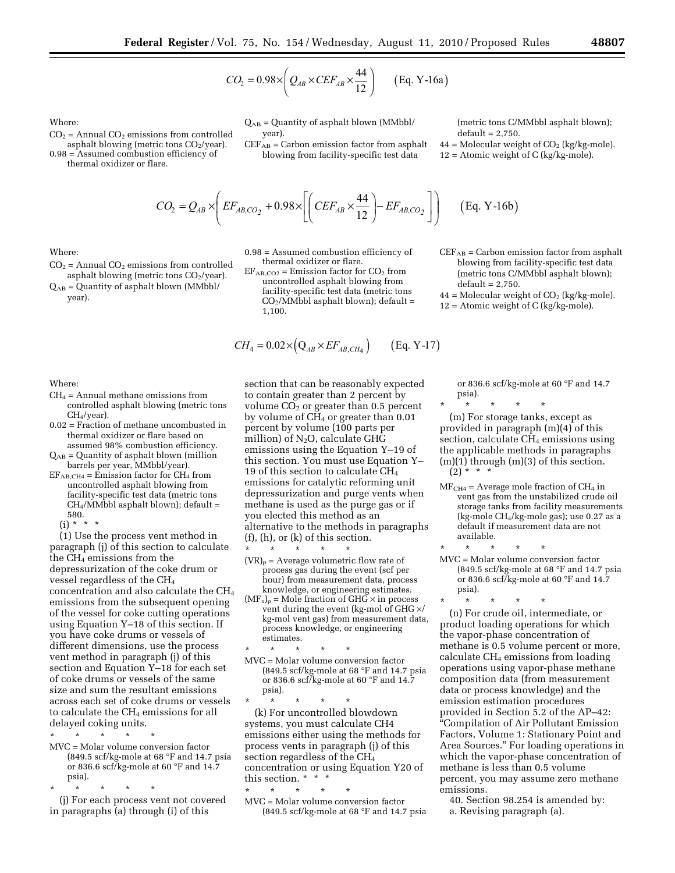$$
CO_2 = 0.98 \times \left(Q_{AB} \times CEF_{AB} \times \frac{44}{12}\right) \qquad \text{(Eq. Y-16a)}
$$

Where:

- $CO<sub>2</sub>$  = Annual  $CO<sub>2</sub>$  emissions from controlled asphalt blowing (metric tons  $CO<sub>2</sub>/year$ ).
- 0.98 = Assumed combustion efficiency of thermal oxidizer or flare.

QAB = Quantity of asphalt blown (MMbbl/ year).

 $\text{CEF}_{\text{AB}}$  = Carbon emission factor from asphalt blowing from facility-specific test data

(metric tons C/MMbbl asphalt blown);  $default = 2,750.$ 

 $44 =$  Molecular weight of  $CO<sub>2</sub>$  (kg/kg-mole).  $12 =$  Atomic weight of C (kg/kg-mole).

$$
CO_2 = Q_{AB} \times \left( EF_{AB,CO_2} + 0.98 \times \left[ \left( CEF_{AB} \times \frac{44}{12} \right) - EF_{AB,CO_2} \right] \right) \quad \text{(Eq. Y-16b)}
$$

Where:

- $CO<sub>2</sub>$  = Annual  $CO<sub>2</sub>$  emissions from controlled asphalt blowing (metric tons  $CO<sub>2</sub>/year$ ).
- $Q_{AB} =$  Quantity of asphalt blown (MMbbl/ year).

 $EF_{AB,CO2}$  = Emission factor for  $CO<sub>2</sub>$  from uncontrolled asphalt blowing from facility-specific test data (metric tons  $CO<sub>2</sub>/MMbbl$  asphalt blown); default =

1,100.

0.98 = Assumed combustion efficiency of thermal oxidizer or flare.

$$
CH_4 = 0.02 \times (Q_{AB} \times EF_{AB,CH_4})
$$
 (Eq. Y-17)

Where:

- $CH<sub>4</sub> = Annual methane emissions from$ controlled asphalt blowing (metric tons CH<sub>4</sub>/year).
- 0.02 = Fraction of methane uncombusted in thermal oxidizer or flare based on assumed 98% combustion efficiency.
- $Q_{AB}$  = Quantity of asphalt blown (million barrels per year, MMbbl/year).
- $EF_{AB,CH4} =$  Emission factor for  $CH_4$  from uncontrolled asphalt blowing from facility-specific test data (metric tons CH4/MMbbl asphalt blown); default = 580.

 $(i) * * * *$ 

(1) Use the process vent method in paragraph (j) of this section to calculate the CH4 emissions from the depressurization of the coke drum or vessel regardless of the CH4 concentration and also calculate the CH4 emissions from the subsequent opening of the vessel for coke cutting operations using Equation Y–18 of this section. If you have coke drums or vessels of different dimensions, use the process vent method in paragraph (j) of this section and Equation Y–18 for each set of coke drums or vessels of the same size and sum the resultant emissions across each set of coke drums or vessels to calculate the CH<sub>4</sub> emissions for all delayed coking units.

- \* \* \* \* \*
- MVC = Molar volume conversion factor (849.5 scf/kg-mole at 68 °F and 14.7 psia or 836.6 scf/kg-mole at 60 °F and 14.7 psia).
- \* \* \* \* \*

(j) For each process vent not covered in paragraphs (a) through (i) of this

section that can be reasonably expected to contain greater than 2 percent by volume  $CO<sub>2</sub>$  or greater than 0.5 percent by volume of  $CH<sub>4</sub>$  or greater than 0.01 percent by volume (100 parts per million) of  $N_2O$ , calculate GHG emissions using the Equation Y–19 of this section. You must use Equation Y– 19 of this section to calculate  $CH<sub>4</sub>$ emissions for catalytic reforming unit depressurization and purge vents when methane is used as the purge gas or if you elected this method as an alternative to the methods in paragraphs (f), (h), or (k) of this section.

- \* \* \* \* \*  $(VR)_{p}$  = Average volumetric flow rate of process gas during the event (scf per hour) from measurement data, process knowledge, or engineering estimates.
- $(MF_x)_p = \text{Mole fraction of } GH\breve{G} \times \text{in process}$ vent during the event (kg-mol of GHG ×/ kg-mol vent gas) from measurement data, process knowledge, or engineering estimates.
- \* \* \* \* \* MVC = Molar volume conversion factor (849.5 scf/kg-mole at 68 °F and 14.7 psia or 836.6 scf/kg-mole at 60 °F and 14.7 psia).

\* \* \* \* \* (k) For uncontrolled blowdown systems, you must calculate CH4 emissions either using the methods for process vents in paragraph (j) of this section regardless of the CH4 concentration or using Equation Y20 of this section. \* \* \*

\* \* \* \* \* MVC = Molar volume conversion factor (849.5 scf/kg-mole at 68 °F and 14.7 psia  $CEF_{AB} =$  Carbon emission factor from asphalt blowing from facility-specific test data

- (metric tons C/MMbbl asphalt blown);  $default = 2,750.$
- $44 =$  Molecular weight of  $CO<sub>2</sub>$  (kg/kg-mole).
- 12 = Atomic weight of C (kg/kg-mole).

or 836.6 scf/kg-mole at 60 °F and 14.7 psia).

\* \* \* \* \* (m) For storage tanks, except as provided in paragraph (m)(4) of this section, calculate  $CH_4$  emissions using the applicable methods in paragraphs  $(m)(1)$  through  $(m)(3)$  of this section.  $(2) * * * *$ 

- $MF<sub>CH4</sub> = Average mole fraction of CH<sub>4</sub> in$ vent gas from the unstabilized crude oil storage tanks from facility measurements (kg-mole CH4/kg-mole gas); use 0.27 as a default if measurement data are not available.
- \* \* \* \* \* MVC = Molar volume conversion factor (849.5 scf/kg-mole at 68 °F and 14.7 psia or 836.6 scf/kg-mole at 60 °F and 14.7 psia).
- \* \* \* \* \* (n) For crude oil, intermediate, or product loading operations for which the vapor-phase concentration of methane is 0.5 volume percent or more, calculate CH4 emissions from loading operations using vapor-phase methane composition data (from measurement data or process knowledge) and the emission estimation procedures provided in Section 5.2 of the AP–42: ''Compilation of Air Pollutant Emission Factors, Volume 1: Stationary Point and Area Sources.'' For loading operations in which the vapor-phase concentration of methane is less than 0.5 volume percent, you may assume zero methane emissions.
	- 40. Section 98.254 is amended by: a. Revising paragraph (a).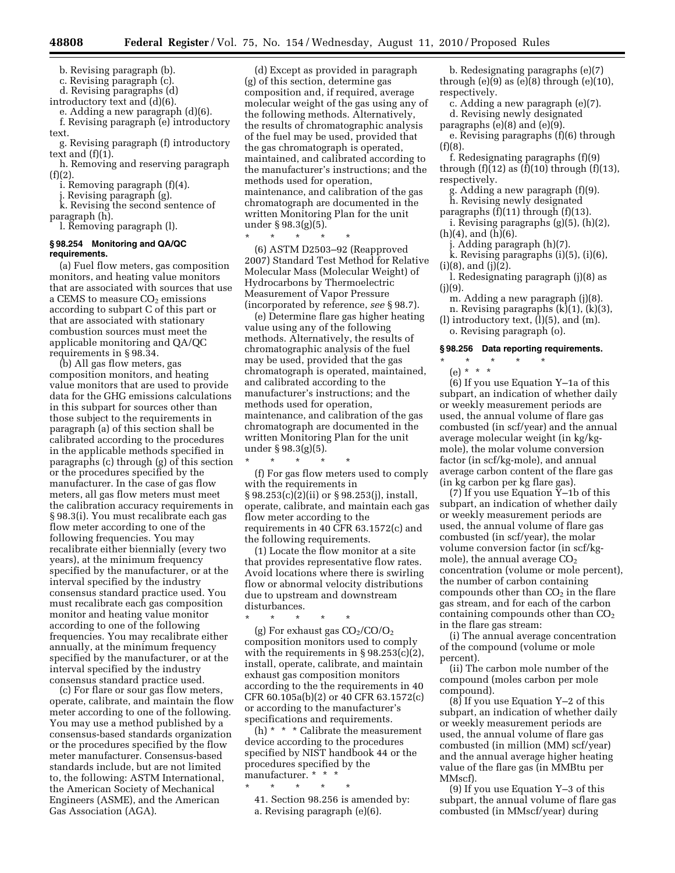b. Revising paragraph (b).

c. Revising paragraph (c).

d. Revising paragraphs (d)

introductory text and (d)(6).

e. Adding a new paragraph (d)(6).

f. Revising paragraph (e) introductory text.

g. Revising paragraph (f) introductory text and (f)(1).

h. Removing and reserving paragraph  $(f)(2)$ .

i. Removing paragraph (f)(4).

j. Revising paragraph (g).

k. Revising the second sentence of paragraph (h).

l. Removing paragraph (l).

## **§ 98.254 Monitoring and QA/QC requirements.**

(a) Fuel flow meters, gas composition monitors, and heating value monitors that are associated with sources that use a CEMS to measure  $CO<sub>2</sub>$  emissions according to subpart C of this part or that are associated with stationary combustion sources must meet the applicable monitoring and QA/QC requirements in § 98.34.

(b) All gas flow meters, gas composition monitors, and heating value monitors that are used to provide data for the GHG emissions calculations in this subpart for sources other than those subject to the requirements in paragraph (a) of this section shall be calibrated according to the procedures in the applicable methods specified in paragraphs (c) through (g) of this section or the procedures specified by the manufacturer. In the case of gas flow meters, all gas flow meters must meet the calibration accuracy requirements in § 98.3(i). You must recalibrate each gas flow meter according to one of the following frequencies. You may recalibrate either biennially (every two years), at the minimum frequency specified by the manufacturer, or at the interval specified by the industry consensus standard practice used. You must recalibrate each gas composition monitor and heating value monitor according to one of the following frequencies. You may recalibrate either annually, at the minimum frequency specified by the manufacturer, or at the interval specified by the industry consensus standard practice used.

(c) For flare or sour gas flow meters, operate, calibrate, and maintain the flow meter according to one of the following. You may use a method published by a consensus-based standards organization or the procedures specified by the flow meter manufacturer. Consensus-based standards include, but are not limited to, the following: ASTM International, the American Society of Mechanical Engineers (ASME), and the American Gas Association (AGA).

(d) Except as provided in paragraph (g) of this section, determine gas composition and, if required, average molecular weight of the gas using any of the following methods. Alternatively, the results of chromatographic analysis of the fuel may be used, provided that the gas chromatograph is operated, maintained, and calibrated according to the manufacturer's instructions; and the methods used for operation, maintenance, and calibration of the gas chromatograph are documented in the written Monitoring Plan for the unit under § 98.3(g)(5).

\* \* \* \* \* (6) ASTM D2503–92 (Reapproved 2007) Standard Test Method for Relative Molecular Mass (Molecular Weight) of Hydrocarbons by Thermoelectric Measurement of Vapor Pressure (incorporated by reference, *see* § 98.7).

(e) Determine flare gas higher heating value using any of the following methods. Alternatively, the results of chromatographic analysis of the fuel may be used, provided that the gas chromatograph is operated, maintained, and calibrated according to the manufacturer's instructions; and the methods used for operation, maintenance, and calibration of the gas chromatograph are documented in the written Monitoring Plan for the unit under § 98.3(g)(5).

\* \* \* \* \*

(f) For gas flow meters used to comply with the requirements in § 98.253(c)(2)(ii) or § 98.253(j), install, operate, calibrate, and maintain each gas flow meter according to the requirements in 40 CFR 63.1572(c) and the following requirements.

(1) Locate the flow monitor at a site that provides representative flow rates. Avoid locations where there is swirling flow or abnormal velocity distributions due to upstream and downstream disturbances.

\* \* \* \* \*

(g) For exhaust gas  $CO<sub>2</sub>/CO/O<sub>2</sub>$ composition monitors used to comply with the requirements in § 98.253(c)(2), install, operate, calibrate, and maintain exhaust gas composition monitors according to the the requirements in 40 CFR 60.105a(b)(2) or 40 CFR 63.1572(c) or according to the manufacturer's specifications and requirements.

(h) \* \* \* Calibrate the measurement device according to the procedures specified by NIST handbook 44 or the procedures specified by the manufacturer. \* \* \*

\* \* \* \* \*

41. Section 98.256 is amended by: a. Revising paragraph (e)(6).

b. Redesignating paragraphs (e)(7) through  $(e)(9)$  as  $(e)(8)$  through  $(e)(10)$ , respectively.

c. Adding a new paragraph (e)(7). d. Revising newly designated

paragraphs (e)(8) and (e)(9). e. Revising paragraphs (f)(6) through

 $(f)(8)$ .

f. Redesignating paragraphs (f)(9) through  $(f)(12)$  as  $(f)(10)$  through  $(f)(13)$ , respectively.

g. Adding a new paragraph (f)(9). h. Revising newly designated

paragraphs  $(f)(11)$  through  $(f)(13)$ .

i. Revising paragraphs (g)(5), (h)(2), (h)(4), and (h)(6).

j. Adding paragraph (h)(7).

k. Revising paragraphs (i)(5), (i)(6),  $(i)(8)$ , and  $(j)(2)$ .

l. Redesignating paragraph (j)(8) as  $(i)(9)$ .

m. Adding a new paragraph (j)(8). n. Revising paragraphs (k)(1), (k)(3),

(l) introductory text, (l)(5), and (m). o. Revising paragraph (o).

#### **§ 98.256 Data reporting requirements.**

\* \* \* \* \* (e) \* \* \*

(6) If you use Equation Y–1a of this subpart, an indication of whether daily or weekly measurement periods are used, the annual volume of flare gas combusted (in scf/year) and the annual average molecular weight (in kg/kgmole), the molar volume conversion factor (in scf/kg-mole), and annual average carbon content of the flare gas (in kg carbon per kg flare gas).

(7) If you use Equation  $\bar{Y}$ –1b of this subpart, an indication of whether daily or weekly measurement periods are used, the annual volume of flare gas combusted (in scf/year), the molar volume conversion factor (in scf/kgmole), the annual average  $CO<sub>2</sub>$ concentration (volume or mole percent), the number of carbon containing compounds other than  $CO<sub>2</sub>$  in the flare gas stream, and for each of the carbon containing compounds other than  $CO<sub>2</sub>$ in the flare gas stream:

(i) The annual average concentration of the compound (volume or mole percent).

(ii) The carbon mole number of the compound (moles carbon per mole compound).

 $(8)$  If you use Equation Y–2 of this subpart, an indication of whether daily or weekly measurement periods are used, the annual volume of flare gas combusted (in million (MM) scf/year) and the annual average higher heating value of the flare gas (in MMBtu per MMscf).

(9) If you use Equation Y–3 of this subpart, the annual volume of flare gas combusted (in MMscf/year) during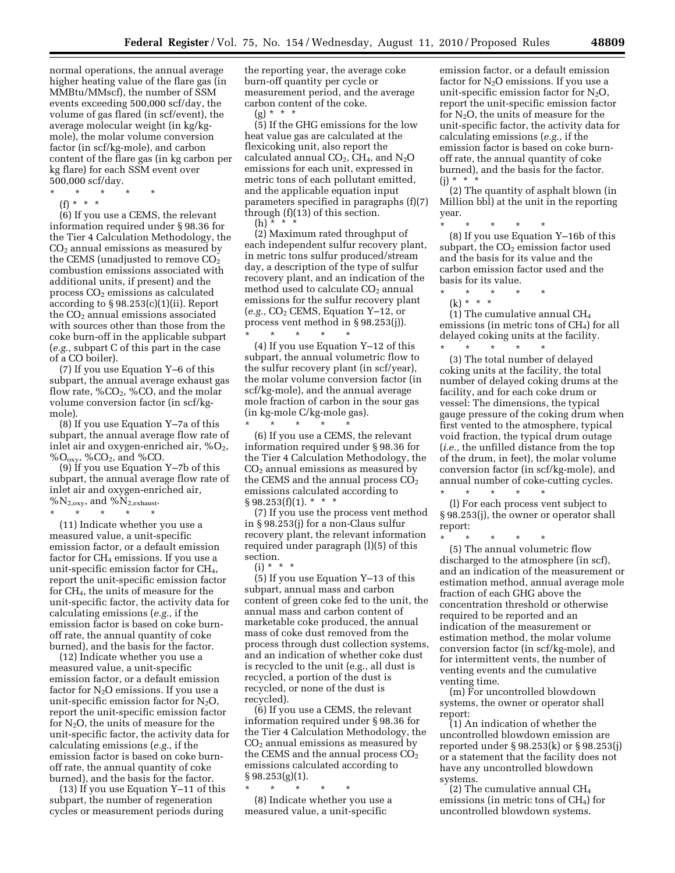normal operations, the annual average higher heating value of the flare gas (in MMBtu/MMscf), the number of SSM events exceeding 500,000 scf/day, the volume of gas flared (in scf/event), the average molecular weight (in kg/kgmole), the molar volume conversion factor (in scf/kg-mole), and carbon content of the flare gas (in kg carbon per kg flare) for each SSM event over 500,000 scf/day.

- \* \* \* \* \*
	- (f) \* \* \*

(6) If you use a CEMS, the relevant information required under § 98.36 for the Tier 4 Calculation Methodology, the  $CO<sub>2</sub>$  annual emissions as measured by the CEMS (unadjusted to remove  $CO<sub>2</sub>$ combustion emissions associated with additional units, if present) and the process  $CO<sub>2</sub>$  emissions as calculated according to § 98.253(c)(1)(ii). Report the CO<sub>2</sub> annual emissions associated with sources other than those from the coke burn-off in the applicable subpart (*e.g.,* subpart C of this part in the case of a CO boiler).

(7) If you use Equation Y–6 of this subpart, the annual average exhaust gas flow rate,  $\%CO_2$ ,  $\%CO$ , and the molar volume conversion factor (in scf/kgmole).

(8) If you use Equation Y–7a of this subpart, the annual average flow rate of inlet air and oxygen-enriched air,  $\%O_2$ ,  $\%O_{\text{oxy}},$  %CO<sub>2</sub>, and %CO.

(9) If you use Equation Y–7b of this subpart, the annual average flow rate of inlet air and oxygen-enriched air,  $\%N_{2,oxy}$ , and  $\%N_{2,exhaust}$ . \* \* \* \* \*

(11) Indicate whether you use a measured value, a unit-specific emission factor, or a default emission factor for CH<sub>4</sub> emissions. If you use a unit-specific emission factor for CH4, report the unit-specific emission factor for CH4, the units of measure for the unit-specific factor, the activity data for calculating emissions (*e.g.,* if the emission factor is based on coke burnoff rate, the annual quantity of coke burned), and the basis for the factor.

(12) Indicate whether you use a measured value, a unit-specific emission factor, or a default emission factor for  $N_2O$  emissions. If you use a unit-specific emission factor for  $N_2O$ , report the unit-specific emission factor for  $N_2O$ , the units of measure for the unit-specific factor, the activity data for calculating emissions (*e.g.,* if the emission factor is based on coke burnoff rate, the annual quantity of coke burned), and the basis for the factor.

(13) If you use Equation Y–11 of this subpart, the number of regeneration cycles or measurement periods during

the reporting year, the average coke burn-off quantity per cycle or measurement period, and the average carbon content of the coke.

 $(g) * * * *$ (5) If the GHG emissions for the low heat value gas are calculated at the flexicoking unit, also report the calculated annual  $CO<sub>2</sub>$ , CH<sub>4</sub>, and N<sub>2</sub>O emissions for each unit, expressed in metric tons of each pollutant emitted, and the applicable equation input parameters specified in paragraphs (f)(7) through (f)(13) of this section.  $(h) * *$ 

(2) Maximum rated throughput of each independent sulfur recovery plant, in metric tons sulfur produced/stream day, a description of the type of sulfur recovery plant, and an indication of the method used to calculate  $CO<sub>2</sub>$  annual emissions for the sulfur recovery plant (*e.g.,* CO2 CEMS, Equation Y–12, or process vent method in § 98.253(j)). \* \* \* \* \*

(4) If you use Equation Y–12 of this subpart, the annual volumetric flow to the sulfur recovery plant (in scf/year), the molar volume conversion factor (in scf/kg-mole), and the annual average mole fraction of carbon in the sour gas (in kg-mole C/kg-mole gas).

\* \* \* \* \* (6) If you use a CEMS, the relevant information required under § 98.36 for the Tier 4 Calculation Methodology, the  $CO<sub>2</sub>$  annual emissions as measured by the CEMS and the annual process  $CO<sub>2</sub>$ emissions calculated according to  $§ 98.253(f)(1).$  \* \* \*

(7) If you use the process vent method in § 98.253(j) for a non-Claus sulfur recovery plant, the relevant information required under paragraph (l)(5) of this section.

(i) \* \* \*

(5) If you use Equation Y–13 of this subpart, annual mass and carbon content of green coke fed to the unit, the annual mass and carbon content of marketable coke produced, the annual mass of coke dust removed from the process through dust collection systems, and an indication of whether coke dust is recycled to the unit (e.g., all dust is recycled, a portion of the dust is recycled, or none of the dust is recycled).

(6) If you use a CEMS, the relevant information required under § 98.36 for the Tier 4 Calculation Methodology, the  $CO<sub>2</sub>$  annual emissions as measured by the CEMS and the annual process  $CO<sub>2</sub>$ emissions calculated according to  $§ 98.253(g)(1).$ 

\* \* \* \* \*

(8) Indicate whether you use a measured value, a unit-specific

emission factor, or a default emission factor for  $N<sub>2</sub>O$  emissions. If you use a unit-specific emission factor for  $N_2O$ , report the unit-specific emission factor for  $N_2O$ , the units of measure for the unit-specific factor, the activity data for calculating emissions (*e.g.,* if the emission factor is based on coke burnoff rate, the annual quantity of coke burned), and the basis for the factor.  $(j) * * * * *$ 

(2) The quantity of asphalt blown (in Million bbl) at the unit in the reporting year.

\* \* \* \* \* (8) If you use Equation Y–16b of this subpart, the  $CO<sub>2</sub>$  emission factor used and the basis for its value and the carbon emission factor used and the basis for its value.

\* \* \* \* \* (k) \* \* \*

(1) The cumulative annual  $CH<sub>4</sub>$ emissions (in metric tons of  $CH<sub>4</sub>$ ) for all delayed coking units at the facility.

\* \* \* \* \* (3) The total number of delayed coking units at the facility, the total number of delayed coking drums at the facility, and for each coke drum or vessel: The dimensions, the typical gauge pressure of the coking drum when first vented to the atmosphere, typical void fraction, the typical drum outage (*i.e.,* the unfilled distance from the top of the drum, in feet), the molar volume conversion factor (in scf/kg-mole), and annual number of coke-cutting cycles. \* \* \* \* \*

(l) For each process vent subject to § 98.253(j), the owner or operator shall report:

\* \* \* \* \* (5) The annual volumetric flow discharged to the atmosphere (in scf), and an indication of the measurement or estimation method, annual average mole fraction of each GHG above the concentration threshold or otherwise required to be reported and an indication of the measurement or estimation method, the molar volume conversion factor (in scf/kg-mole), and for intermittent vents, the number of venting events and the cumulative venting time.

(m) For uncontrolled blowdown systems, the owner or operator shall report:

(1) An indication of whether the uncontrolled blowdown emission are reported under § 98.253(k) or § 98.253(j) or a statement that the facility does not have any uncontrolled blowdown systems.

(2) The cumulative annual  $CH<sub>4</sub>$ emissions (in metric tons of  $CH<sub>4</sub>$ ) for uncontrolled blowdown systems.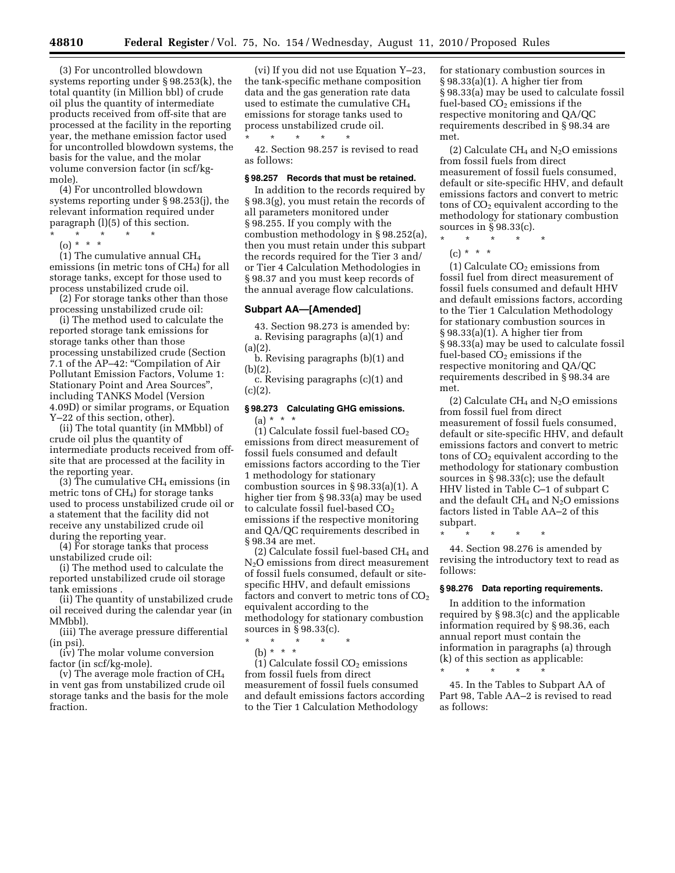(3) For uncontrolled blowdown systems reporting under § 98.253(k), the total quantity (in Million bbl) of crude oil plus the quantity of intermediate products received from off-site that are processed at the facility in the reporting year, the methane emission factor used for uncontrolled blowdown systems, the basis for the value, and the molar volume conversion factor (in scf/kgmole).

(4) For uncontrolled blowdown systems reporting under § 98.253(j), the relevant information required under paragraph (l)(5) of this section.

- \* \* \* \* \*
	- (o) \* \* \*

(1) The cumulative annual CH4 emissions (in metric tons of  $CH<sub>4</sub>$ ) for all storage tanks, except for those used to process unstabilized crude oil.

(2) For storage tanks other than those processing unstabilized crude oil:

(i) The method used to calculate the reported storage tank emissions for storage tanks other than those processing unstabilized crude (Section 7.1 of the AP–42: ''Compilation of Air Pollutant Emission Factors, Volume 1: Stationary Point and Area Sources'', including TANKS Model (Version 4.09D) or similar programs, or Equation Y–22 of this section, other).

(ii) The total quantity (in MMbbl) of crude oil plus the quantity of intermediate products received from offsite that are processed at the facility in the reporting year.

 $(3)$  The cumulative CH<sub>4</sub> emissions (in metric tons of  $CH<sub>4</sub>$ ) for storage tanks used to process unstabilized crude oil or a statement that the facility did not receive any unstabilized crude oil during the reporting year.

(4) For storage tanks that process unstabilized crude oil:

(i) The method used to calculate the reported unstabilized crude oil storage tank emissions .

(ii) The quantity of unstabilized crude oil received during the calendar year (in MMbbl).

(iii) The average pressure differential (in psi).

(iv) The molar volume conversion factor (in scf/kg-mole).

(v) The average mole fraction of CH4 in vent gas from unstabilized crude oil storage tanks and the basis for the mole fraction.

(vi) If you did not use Equation Y–23, the tank-specific methane composition data and the gas generation rate data used to estimate the cumulative CH4 emissions for storage tanks used to process unstabilized crude oil.

\* \* \* \* \* 42. Section 98.257 is revised to read as follows:

#### **§ 98.257 Records that must be retained.**

In addition to the records required by § 98.3(g), you must retain the records of all parameters monitored under § 98.255. If you comply with the combustion methodology in § 98.252(a), then you must retain under this subpart the records required for the Tier 3 and/ or Tier 4 Calculation Methodologies in § 98.37 and you must keep records of the annual average flow calculations.

## **Subpart AA—[Amended]**

43. Section 98.273 is amended by: a. Revising paragraphs (a)(1) and  $(a)(2)$ 

b. Revising paragraphs (b)(1) and (b)(2).

c. Revising paragraphs (c)(1) and  $(c)(2)$ .

## **§ 98.273 Calculating GHG emissions.**   $(a) * * * *$

(1) Calculate fossil fuel-based  $CO<sub>2</sub>$ emissions from direct measurement of fossil fuels consumed and default emissions factors according to the Tier 1 methodology for stationary combustion sources in § 98.33(a)(1). A higher tier from § 98.33(a) may be used to calculate fossil fuel-based CO<sub>2</sub> emissions if the respective monitoring and QA/QC requirements described in § 98.34 are met.

(2) Calculate fossil fuel-based  $CH<sub>4</sub>$  and N2O emissions from direct measurement of fossil fuels consumed, default or sitespecific HHV, and default emissions factors and convert to metric tons of  $CO<sub>2</sub>$ equivalent according to the methodology for stationary combustion sources in § 98.33(c).

 $\star$   $\star$   $\star$ (b) \* \* \*

(1) Calculate fossil  $CO<sub>2</sub>$  emissions from fossil fuels from direct measurement of fossil fuels consumed and default emissions factors according to the Tier 1 Calculation Methodology

for stationary combustion sources in § 98.33(a)(1). A higher tier from § 98.33(a) may be used to calculate fossil fuel-based  $CO<sub>2</sub>$  emissions if the respective monitoring and QA/QC requirements described in § 98.34 are met.

(2) Calculate CH<sub>4</sub> and  $N_2O$  emissions from fossil fuels from direct measurement of fossil fuels consumed, default or site-specific HHV, and default emissions factors and convert to metric tons of  $CO<sub>2</sub>$  equivalent according to the methodology for stationary combustion sources in § 98.33(c).

\* \* \* \* \*  $(c) * * * *$ 

(1) Calculate  $CO<sub>2</sub>$  emissions from fossil fuel from direct measurement of fossil fuels consumed and default HHV and default emissions factors, according to the Tier 1 Calculation Methodology for stationary combustion sources in § 98.33(a)(1). A higher tier from § 98.33(a) may be used to calculate fossil fuel-based CO<sub>2</sub> emissions if the respective monitoring and QA/QC requirements described in § 98.34 are met.

(2) Calculate  $CH_4$  and  $N_2O$  emissions from fossil fuel from direct measurement of fossil fuels consumed, default or site-specific HHV, and default emissions factors and convert to metric tons of  $CO<sub>2</sub>$  equivalent according to the methodology for stationary combustion sources in § 98.33(c); use the default HHV listed in Table C–1 of subpart C and the default  $CH_4$  and  $N_2O$  emissions factors listed in Table AA–2 of this subpart.

\* \* \* \* \* 44. Section 98.276 is amended by revising the introductory text to read as follows:

#### **§ 98.276 Data reporting requirements.**

In addition to the information required by § 98.3(c) and the applicable information required by § 98.36, each annual report must contain the information in paragraphs (a) through (k) of this section as applicable: \* \* \* \* \*

45. In the Tables to Subpart AA of Part 98, Table AA–2 is revised to read as follows: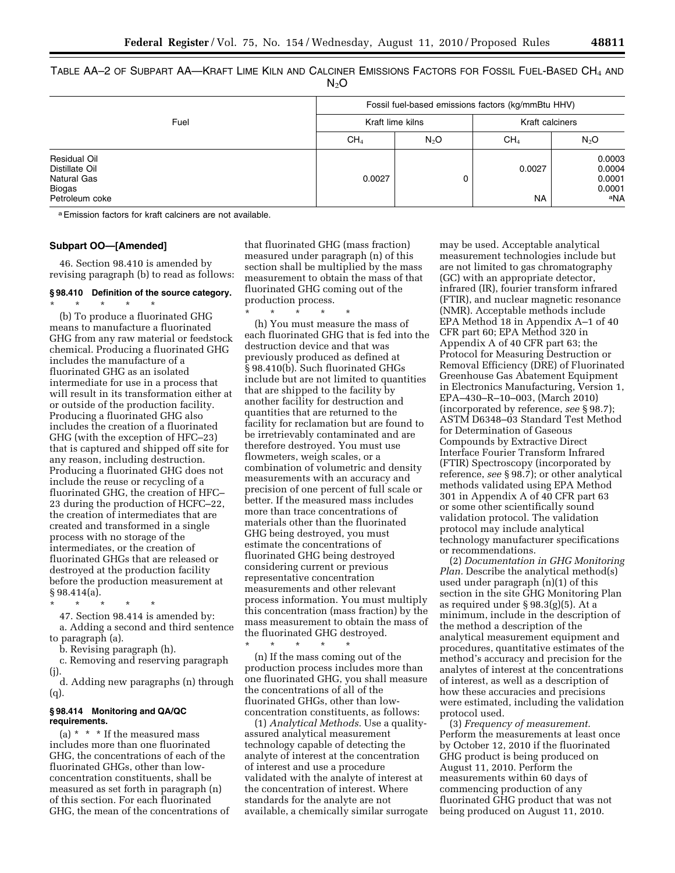TABLE AA–2 OF SUBPART AA—KRAFT LIME KILN AND CALCINER EMISSIONS FACTORS FOR FOSSIL FUEL-BASED CH4 AND  $N<sub>2</sub>O$ 

|                                                                                  |                 | Fossil fuel-based emissions factors (kg/mmBtu HHV) |                 |                                             |  |
|----------------------------------------------------------------------------------|-----------------|----------------------------------------------------|-----------------|---------------------------------------------|--|
| Fuel                                                                             |                 | Kraft lime kilns                                   |                 | Kraft calciners                             |  |
|                                                                                  | CH <sub>4</sub> | N <sub>2</sub> O                                   | CH <sub>4</sub> | $N_2O$                                      |  |
| Residual Oil<br>Distillate Oil<br><b>Natural Gas</b><br>Biogas<br>Petroleum coke | 0.0027          | 0                                                  | 0.0027<br>NA.   | 0.0003<br>0.0004<br>0.0001<br>0.0001<br>aNA |  |

a Emission factors for kraft calciners are not available.

#### **Subpart OO—[Amended]**

46. Section 98.410 is amended by revising paragraph (b) to read as follows:

#### **§ 98.410 Definition of the source category.**  \* \* \* \* \*

(b) To produce a fluorinated GHG means to manufacture a fluorinated GHG from any raw material or feedstock chemical. Producing a fluorinated GHG includes the manufacture of a fluorinated GHG as an isolated intermediate for use in a process that will result in its transformation either at or outside of the production facility. Producing a fluorinated GHG also includes the creation of a fluorinated GHG (with the exception of HFC–23) that is captured and shipped off site for any reason, including destruction. Producing a fluorinated GHG does not include the reuse or recycling of a fluorinated GHG, the creation of HFC– 23 during the production of HCFC–22, the creation of intermediates that are created and transformed in a single process with no storage of the intermediates, or the creation of fluorinated GHGs that are released or destroyed at the production facility before the production measurement at  $§ 98.414(a).$ 

\* \* \* \* \* 47. Section 98.414 is amended by: a. Adding a second and third sentence to paragraph (a).

b. Revising paragraph (h).

c. Removing and reserving paragraph (j).

d. Adding new paragraphs (n) through (q).

### **§ 98.414 Monitoring and QA/QC requirements.**

(a)  $*$   $*$  if the measured mass includes more than one fluorinated GHG, the concentrations of each of the fluorinated GHGs, other than lowconcentration constituents, shall be measured as set forth in paragraph (n) of this section. For each fluorinated GHG, the mean of the concentrations of that fluorinated GHG (mass fraction) measured under paragraph (n) of this section shall be multiplied by the mass measurement to obtain the mass of that fluorinated GHG coming out of the production process. \* \* \* \* \*

(h) You must measure the mass of each fluorinated GHG that is fed into the destruction device and that was previously produced as defined at § 98.410(b). Such fluorinated GHGs include but are not limited to quantities that are shipped to the facility by another facility for destruction and quantities that are returned to the facility for reclamation but are found to be irretrievably contaminated and are therefore destroyed. You must use flowmeters, weigh scales, or a combination of volumetric and density measurements with an accuracy and precision of one percent of full scale or better. If the measured mass includes more than trace concentrations of materials other than the fluorinated GHG being destroyed, you must estimate the concentrations of fluorinated GHG being destroyed considering current or previous representative concentration measurements and other relevant process information. You must multiply this concentration (mass fraction) by the mass measurement to obtain the mass of the fluorinated GHG destroyed.

(n) If the mass coming out of the production process includes more than one fluorinated GHG, you shall measure the concentrations of all of the fluorinated GHGs, other than lowconcentration constituents, as follows:

\* \* \* \* \*

(1) *Analytical Methods.* Use a qualityassured analytical measurement technology capable of detecting the analyte of interest at the concentration of interest and use a procedure validated with the analyte of interest at the concentration of interest. Where standards for the analyte are not available, a chemically similar surrogate

may be used. Acceptable analytical measurement technologies include but are not limited to gas chromatography (GC) with an appropriate detector, infrared (IR), fourier transform infrared (FTIR), and nuclear magnetic resonance (NMR). Acceptable methods include EPA Method 18 in Appendix A–1 of 40 CFR part 60; EPA Method 320 in Appendix A of 40 CFR part 63; the Protocol for Measuring Destruction or Removal Efficiency (DRE) of Fluorinated Greenhouse Gas Abatement Equipment in Electronics Manufacturing, Version 1, EPA–430–R–10–003, (March 2010) (incorporated by reference, *see* § 98.7); ASTM D6348–03 Standard Test Method for Determination of Gaseous Compounds by Extractive Direct Interface Fourier Transform Infrared (FTIR) Spectroscopy (incorporated by reference, *see* § 98.7); or other analytical methods validated using EPA Method 301 in Appendix A of 40 CFR part 63 or some other scientifically sound validation protocol. The validation protocol may include analytical technology manufacturer specifications or recommendations.

(2) *Documentation in GHG Monitoring Plan.* Describe the analytical method(s) used under paragraph (n)(1) of this section in the site GHG Monitoring Plan as required under § 98.3(g)(5). At a minimum, include in the description of the method a description of the analytical measurement equipment and procedures, quantitative estimates of the method's accuracy and precision for the analytes of interest at the concentrations of interest, as well as a description of how these accuracies and precisions were estimated, including the validation protocol used.

(3) *Frequency of measurement.*  Perform the measurements at least once by October 12, 2010 if the fluorinated GHG product is being produced on August 11, 2010. Perform the measurements within 60 days of commencing production of any fluorinated GHG product that was not being produced on August 11, 2010.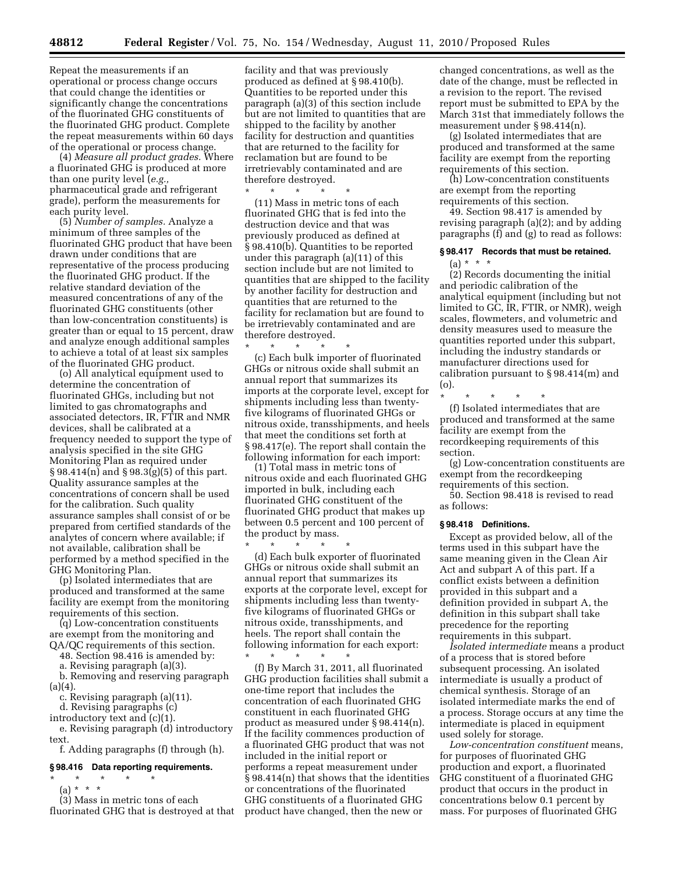Repeat the measurements if an operational or process change occurs that could change the identities or significantly change the concentrations of the fluorinated GHG constituents of the fluorinated GHG product. Complete the repeat measurements within 60 days of the operational or process change.

(4) *Measure all product grades.* Where a fluorinated GHG is produced at more than one purity level (*e.g.,*  pharmaceutical grade and refrigerant grade), perform the measurements for each purity level.

(5) *Number of samples.* Analyze a minimum of three samples of the fluorinated GHG product that have been drawn under conditions that are representative of the process producing the fluorinated GHG product. If the relative standard deviation of the measured concentrations of any of the fluorinated GHG constituents (other than low-concentration constituents) is greater than or equal to 15 percent, draw and analyze enough additional samples to achieve a total of at least six samples of the fluorinated GHG product.

(o) All analytical equipment used to determine the concentration of fluorinated GHGs, including but not limited to gas chromatographs and associated detectors, IR, FTIR and NMR devices, shall be calibrated at a frequency needed to support the type of analysis specified in the site GHG Monitoring Plan as required under § 98.414(n) and § 98.3(g)(5) of this part. Quality assurance samples at the concentrations of concern shall be used for the calibration. Such quality assurance samples shall consist of or be prepared from certified standards of the analytes of concern where available; if not available, calibration shall be performed by a method specified in the GHG Monitoring Plan.

(p) Isolated intermediates that are produced and transformed at the same facility are exempt from the monitoring requirements of this section.

(q) Low-concentration constituents are exempt from the monitoring and QA/QC requirements of this section.

48. Section 98.416 is amended by:

a. Revising paragraph (a)(3).

b. Removing and reserving paragraph (a)(4).

c. Revising paragraph (a)(11).

d. Revising paragraphs (c)

introductory text and (c)(1).

e. Revising paragraph (d) introductory text.

f. Adding paragraphs (f) through (h).

#### **§ 98.416 Data reporting requirements.**

\* \* \* \* \*

(a) \* \* \* (3) Mass in metric tons of each

fluorinated GHG that is destroyed at that

facility and that was previously produced as defined at § 98.410(b). Quantities to be reported under this paragraph (a)(3) of this section include but are not limited to quantities that are shipped to the facility by another facility for destruction and quantities that are returned to the facility for reclamation but are found to be irretrievably contaminated and are therefore destroyed.

\* \* \* \* \*

(11) Mass in metric tons of each fluorinated GHG that is fed into the destruction device and that was previously produced as defined at § 98.410(b). Quantities to be reported under this paragraph (a)(11) of this section include but are not limited to quantities that are shipped to the facility by another facility for destruction and quantities that are returned to the facility for reclamation but are found to be irretrievably contaminated and are therefore destroyed.

\* \* \* \* \* (c) Each bulk importer of fluorinated GHGs or nitrous oxide shall submit an annual report that summarizes its imports at the corporate level, except for shipments including less than twentyfive kilograms of fluorinated GHGs or nitrous oxide, transshipments, and heels that meet the conditions set forth at § 98.417(e). The report shall contain the following information for each import:

(1) Total mass in metric tons of nitrous oxide and each fluorinated GHG imported in bulk, including each fluorinated GHG constituent of the fluorinated GHG product that makes up between 0.5 percent and 100 percent of the product by mass. <br>  $\ast$ 

\* \* \* \* \* (d) Each bulk exporter of fluorinated GHGs or nitrous oxide shall submit an annual report that summarizes its exports at the corporate level, except for shipments including less than twentyfive kilograms of fluorinated GHGs or nitrous oxide, transshipments, and heels. The report shall contain the following information for each export: \* \* \* \* \*

(f) By March 31, 2011, all fluorinated GHG production facilities shall submit a one-time report that includes the concentration of each fluorinated GHG constituent in each fluorinated GHG product as measured under § 98.414(n). If the facility commences production of a fluorinated GHG product that was not included in the initial report or performs a repeat measurement under § 98.414(n) that shows that the identities or concentrations of the fluorinated GHG constituents of a fluorinated GHG product have changed, then the new or

changed concentrations, as well as the date of the change, must be reflected in a revision to the report. The revised report must be submitted to EPA by the March 31st that immediately follows the measurement under § 98.414(n).

(g) Isolated intermediates that are produced and transformed at the same facility are exempt from the reporting requirements of this section.

(h) Low-concentration constituents are exempt from the reporting requirements of this section.

49. Section 98.417 is amended by revising paragraph (a)(2); and by adding paragraphs (f) and (g) to read as follows:

## **§ 98.417 Records that must be retained.**   $(a) * * * *$

(2) Records documenting the initial and periodic calibration of the analytical equipment (including but not limited to GC, IR, FTIR, or NMR), weigh scales, flowmeters, and volumetric and density measures used to measure the quantities reported under this subpart, including the industry standards or manufacturer directions used for calibration pursuant to § 98.414(m) and (o).

\* \* \* \* \* (f) Isolated intermediates that are produced and transformed at the same facility are exempt from the recordkeeping requirements of this section.

(g) Low-concentration constituents are exempt from the recordkeeping requirements of this section.

50. Section 98.418 is revised to read as follows:

#### **§ 98.418 Definitions.**

Except as provided below, all of the terms used in this subpart have the same meaning given in the Clean Air Act and subpart A of this part. If a conflict exists between a definition provided in this subpart and a definition provided in subpart A, the definition in this subpart shall take precedence for the reporting requirements in this subpart.

*Isolated intermediate* means a product of a process that is stored before subsequent processing. An isolated intermediate is usually a product of chemical synthesis. Storage of an isolated intermediate marks the end of a process. Storage occurs at any time the intermediate is placed in equipment used solely for storage.

*Low-concentration constituent* means, for purposes of fluorinated GHG production and export, a fluorinated GHG constituent of a fluorinated GHG product that occurs in the product in concentrations below 0.1 percent by mass. For purposes of fluorinated GHG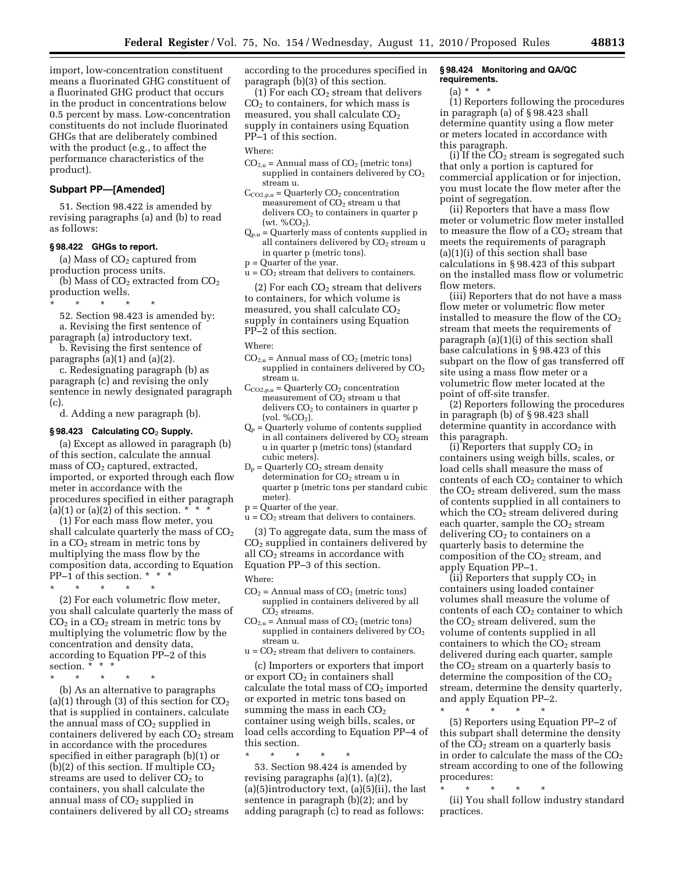import, low-concentration constituent means a fluorinated GHG constituent of a fluorinated GHG product that occurs in the product in concentrations below 0.5 percent by mass. Low-concentration constituents do not include fluorinated GHGs that are deliberately combined with the product (e.g., to affect the performance characteristics of the product).

# **Subpart PP—[Amended]**

51. Section 98.422 is amended by revising paragraphs (a) and (b) to read as follows:

## **§ 98.422 GHGs to report.**

(a) Mass of  $CO<sub>2</sub>$  captured from production process units.

(b) Mass of  $CO<sub>2</sub>$  extracted from  $CO<sub>2</sub>$ production wells.

\* \* \* \* \*

52. Section 98.423 is amended by: a. Revising the first sentence of

paragraph (a) introductory text. b. Revising the first sentence of

paragraphs (a)(1) and (a)(2). c. Redesignating paragraph (b) as

paragraph (c) and revising the only sentence in newly designated paragraph (c).

d. Adding a new paragraph (b).

#### **§ 98.423 Calculating CO**2 **Supply.**

(a) Except as allowed in paragraph (b) of this section, calculate the annual mass of CO<sub>2</sub> captured, extracted, imported, or exported through each flow meter in accordance with the procedures specified in either paragraph (a)(1) or (a)(2) of this section.  $*$ 

(1) For each mass flow meter, you shall calculate quarterly the mass of  $CO<sub>2</sub>$ in a  $CO<sub>2</sub>$  stream in metric tons by multiplying the mass flow by the composition data, according to Equation PP–1 of this section. \* \* \*

\* \* \* \* \*

(2) For each volumetric flow meter, you shall calculate quarterly the mass of  $CO<sub>2</sub>$  in a  $CO<sub>2</sub>$  stream in metric tons by multiplying the volumetric flow by the concentration and density data, according to Equation PP–2 of this section. \* \* \*

\* \* \* \* \*

(b) As an alternative to paragraphs (a)(1) through (3) of this section for  $CO<sub>2</sub>$ that is supplied in containers, calculate the annual mass of  $CO<sub>2</sub>$  supplied in containers delivered by each  $CO<sub>2</sub>$  stream in accordance with the procedures specified in either paragraph (b)(1) or (b)(2) of this section. If multiple  $CO<sub>2</sub>$ streams are used to deliver  $CO<sub>2</sub>$  to containers, you shall calculate the annual mass of  $CO<sub>2</sub>$  supplied in containers delivered by all CO<sub>2</sub> streams

according to the procedures specified in paragraph (b)(3) of this section.

(1) For each  $CO<sub>2</sub>$  stream that delivers  $CO<sub>2</sub>$  to containers, for which mass is measured, you shall calculate CO<sub>2</sub> supply in containers using Equation PP–1 of this section.

#### Where:

- $CO<sub>2,u</sub>$  = Annual mass of  $CO<sub>2</sub>$  (metric tons) supplied in containers delivered by  $CO<sub>2</sub>$ stream u.
- $C_{CO2,p,u}$  = Quarterly  $CO<sub>2</sub>$  concentration measurement of  $CO<sub>2</sub>$  stream u that delivers  $CO<sub>2</sub>$  to containers in quarter p (wt. % $CO<sub>2</sub>$ ).
- $Q_{p,\text{u}}$  = Quarterly mass of contents supplied in all containers delivered by  $CO<sub>2</sub>$  stream u in quarter p (metric tons).
- p = Quarter of the year.
- $u = CO<sub>2</sub>$  stream that delivers to containers.

(2) For each  $CO<sub>2</sub>$  stream that delivers to containers, for which volume is measured, you shall calculate CO<sub>2</sub> supply in containers using Equation PP–2 of this section.

Where:

- $CO<sub>2,u</sub>$  = Annual mass of  $CO<sub>2</sub>$  (metric tons) supplied in containers delivered by  $CO<sub>2</sub>$ stream u.
- $C_{CO2,p,u} =$  Quarterly  $CO<sub>2</sub>$  concentration measurement of CO<sub>2</sub> stream u that delivers  $CO<sub>2</sub>$  to containers in quarter p  $\frac{100}{6}$  (vol. %CO<sub>2</sub>).
- Qp = Quarterly volume of contents supplied in all containers delivered by  $CO_2$  stream u in quarter p (metric tons) (standard cubic meters).
- $D_p =$  Quarterly  $CO_2$  stream density determination for CO<sub>2</sub> stream u in quarter p (metric tons per standard cubic meter).

p = Quarter of the year.

 $u = CO<sub>2</sub>$  stream that delivers to containers.

(3) To aggregate data, sum the mass of CO2 supplied in containers delivered by all  $CO<sub>2</sub>$  streams in accordance with Equation PP–3 of this section.

Where:

- $CO<sub>2</sub>$  = Annual mass of  $CO<sub>2</sub>$  (metric tons) supplied in containers delivered by all  $C\overline{O_2}$  streams.
- $CO<sub>2,u</sub>$  = Annual mass of  $CO<sub>2</sub>$  (metric tons) supplied in containers delivered by  $CO<sub>2</sub>$ stream u.
- $u = CO<sub>2</sub>$  stream that delivers to containers.

(c) Importers or exporters that import or export  $CO<sub>2</sub>$  in containers shall calculate the total mass of  $CO<sub>2</sub>$  imported or exported in metric tons based on summing the mass in each  $CO<sub>2</sub>$ container using weigh bills, scales, or load cells according to Equation PP–4 of this section.

\* \* \* \* \* 53. Section 98.424 is amended by revising paragraphs (a)(1), (a)(2), (a)(5)introductory text, (a)(5)(ii), the last sentence in paragraph (b)(2); and by adding paragraph (c) to read as follows:

#### **§ 98.424 Monitoring and QA/QC requirements.**

(a) \* \* \*

(1) Reporters following the procedures in paragraph (a) of § 98.423 shall determine quantity using a flow meter or meters located in accordance with this paragraph.

(i) If the  $CO<sub>2</sub>$  stream is segregated such that only a portion is captured for commercial application or for injection, you must locate the flow meter after the point of segregation.

(ii) Reporters that have a mass flow meter or volumetric flow meter installed to measure the flow of a  $CO<sub>2</sub>$  stream that meets the requirements of paragraph (a)(1)(i) of this section shall base calculations in § 98.423 of this subpart on the installed mass flow or volumetric flow meters.

(iii) Reporters that do not have a mass flow meter or volumetric flow meter installed to measure the flow of the  $CO<sub>2</sub>$ stream that meets the requirements of paragraph (a)(1)(i) of this section shall base calculations in § 98.423 of this subpart on the flow of gas transferred off site using a mass flow meter or a volumetric flow meter located at the point of off-site transfer.

(2) Reporters following the procedures in paragraph (b) of § 98.423 shall determine quantity in accordance with this paragraph.

(i) Reporters that supply  $CO<sub>2</sub>$  in containers using weigh bills, scales, or load cells shall measure the mass of contents of each  $CO<sub>2</sub>$  container to which the  $CO<sub>2</sub>$  stream delivered, sum the mass of contents supplied in all containers to which the  $CO<sub>2</sub>$  stream delivered during each quarter, sample the  $CO<sub>2</sub>$  stream delivering  $CO<sub>2</sub>$  to containers on a quarterly basis to determine the composition of the  $CO<sub>2</sub>$  stream, and apply Equation PP–1.

(ii) Reporters that supply  $CO<sub>2</sub>$  in containers using loaded container volumes shall measure the volume of contents of each  $CO<sub>2</sub>$  container to which the  $CO<sub>2</sub>$  stream delivered, sum the volume of contents supplied in all containers to which the  $CO<sub>2</sub>$  stream delivered during each quarter, sample the  $CO<sub>2</sub>$  stream on a quarterly basis to determine the composition of the  $CO<sub>2</sub>$ stream, determine the density quarterly, and apply Equation PP–2.

\* \* \* \* \* (5) Reporters using Equation PP–2 of this subpart shall determine the density of the  $CO<sub>2</sub>$  stream on a quarterly basis in order to calculate the mass of the  $CO<sub>2</sub>$ stream according to one of the following procedures:

\* \* \* \* \* (ii) You shall follow industry standard practices.